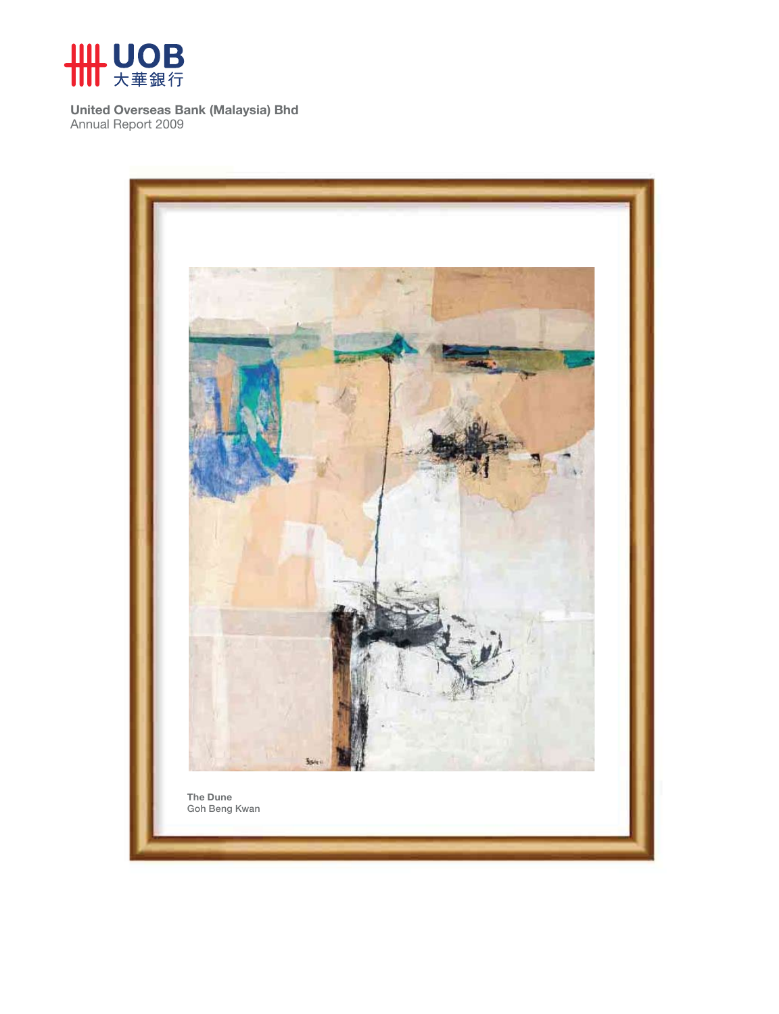

**United Overseas Bank (Malaysia) Bhd** Annual Report 2009

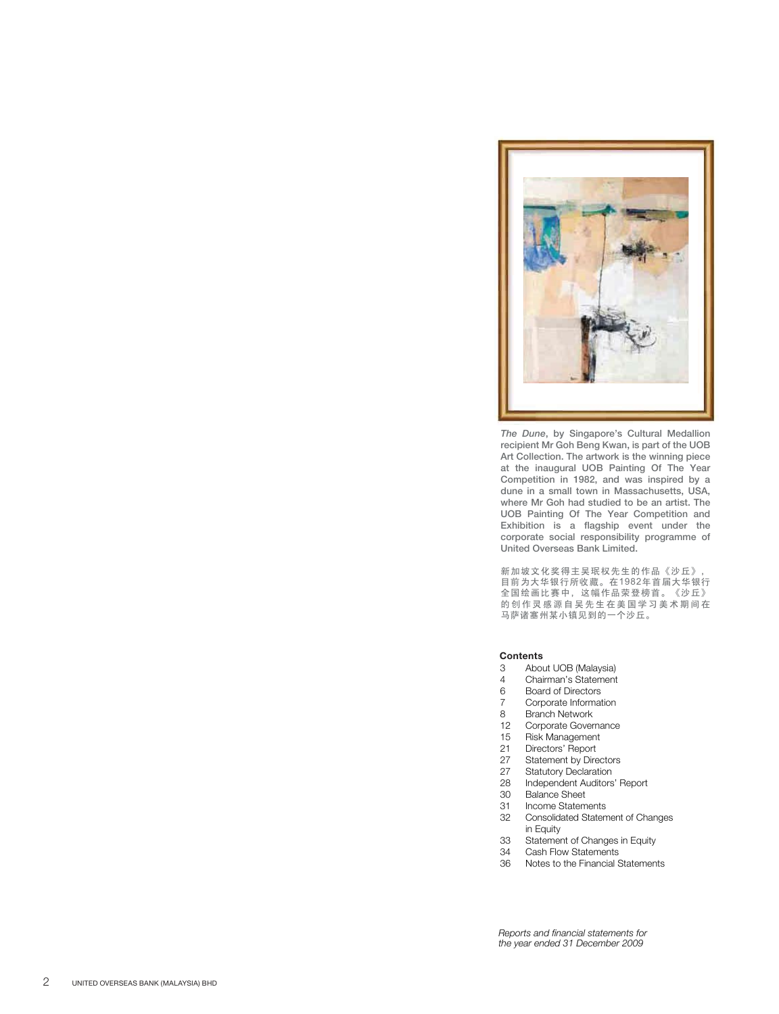

*The Dune*, by Singapore's Cultural Medallion recipient Mr Goh Beng Kwan, is part of the UOB Art Collection. The artwork is the winning piece at the inaugural UOB Painting Of The Year Competition in 1982, and was inspired by a dune in a small town in Massachusetts, USA, where Mr Goh had studied to be an artist. The UOB Painting Of The Year Competition and Exhibition is a flagship event under the corporate social responsibility programme of United Overseas Bank Limited.

**新加坡文化奖得主吴珉权先生的作品《沙丘》, 目前为大华银行所收藏。在1982年首届大华银 行 全国绘画比赛中,这幅作品荣登榜首。《沙丘 》 的创作灵感源自吴先生在美国学习美术期间在 马萨诸塞州某小镇见到的一个沙丘。**

- **Contents**<br>3 About UOB (Malaysia)
- 4 Chairman's Statement<br>6 Board of Directors
- 6 Board of Director s
- 7 Corporate Information<br>8 Branch Network
- 8 Branch Networ k
- 12 Corporate Governance<br>15 Risk Management
- 15 Risk Management<br>21 Directors' Report
- 21 Directors' Report<br>27 Statement by Dire
- 27 Statement by Director s
- 27 Statutory Declaratio n
- 28 Independent Auditors' Report<br>30 Balance Sheet
- 30 Balance Sheet<br>31 Income Statem
- 31 Income Statements<br>32 Consolidated Statem
- About UOB (Malaysia)<br>
4 Chairman's Statement<br>
6 Board of Directors<br>
7 Corporate Information<br>
12 Corporate Governance<br>
15 Risk Management<br>
21 Directors' Report<br>
27 Statement by Directors<br>
27 Statement by Directors<br>
27 State Consolidated Statement of Changes in Equit y
- 33 Statement of Changes in Equit y
- 34 Cash Flow Statement s
- 36 Notes to the Financial Statement s

*Reports and financial statements for*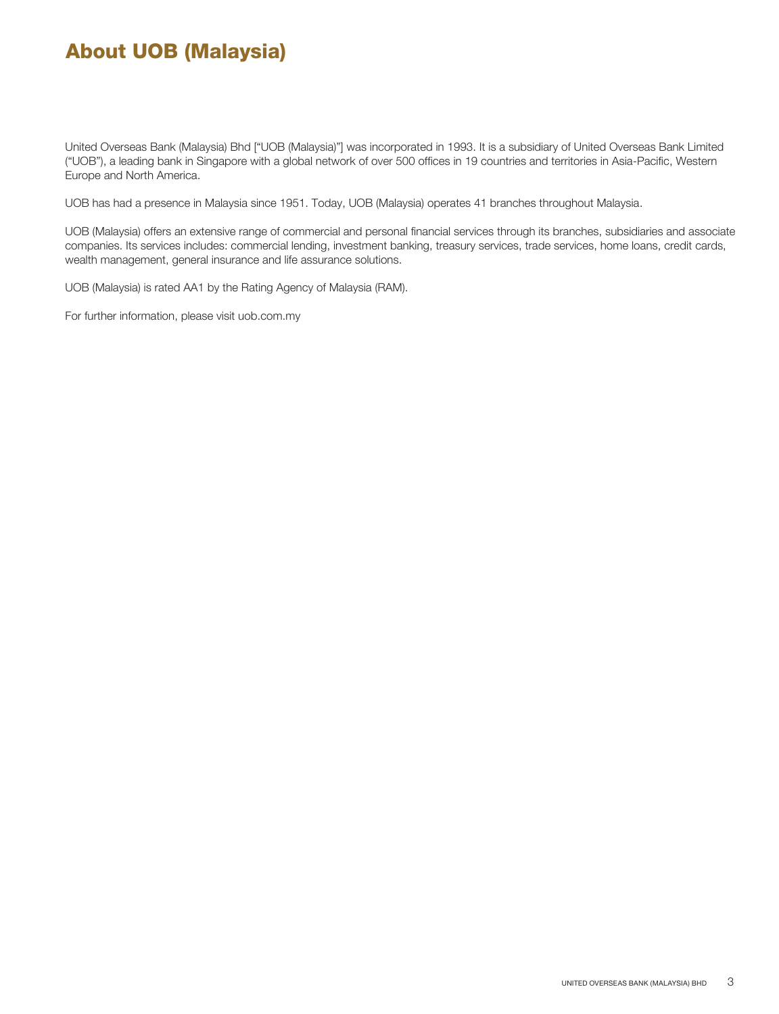# About UOB (Malaysia)

United Overseas Bank (Malaysia) Bhd ["UOB (Malaysia)"] was incorporated in 1993. It is a subsidiary of United Overseas Bank Limited ("UOB"), a leading bank in Singapore with a global network of over 500 offices in 19 countries and territories in Asia-Pacific, Western Europe and North America.

UOB has had a presence in Malaysia since 1951. Today, UOB (Malaysia) operates 41 branches throughout Malaysia.

UOB (Malaysia) offers an extensive range of commercial and personal financial services through its branches, subsidiaries and associate companies. Its services includes: commercial lending, investment banking, treasury services, trade services, home loans, credit cards, wealth management, general insurance and life assurance solutions.

UOB (Malaysia) is rated AA1 by the Rating Agency of Malaysia (RAM).

For further information, please visit uob.com.my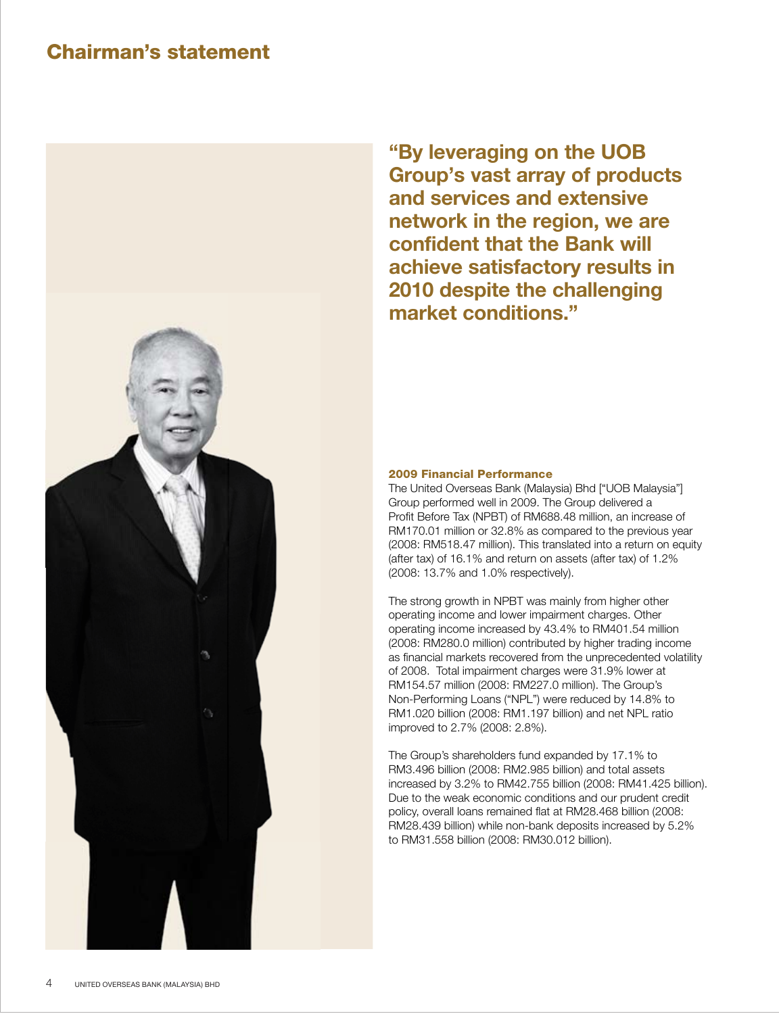# Chairman's statement



**"By leveraging on the UOB Group's vast array of products and services and extensive network in the region, we are confident that the Bank will achieve satisfactory results in 2010 despite the challenging market conditions."**

# 2009 Financial Performance

The United Overseas Bank (Malaysia) Bhd ["UOB Malaysia"] Group performed well in 2009. The Group delivered a Profit Before Tax (NPBT) of RM688.48 million, an increase of RM170.01 million or 32.8% as compared to the previous year (2008: RM518.47 million). This translated into a return on equity (after tax) of 16.1% and return on assets (after tax) of 1.2% (2008: 13.7% and 1.0% respectively).

The strong growth in NPBT was mainly from higher other operating income and lower impairment charges. Other operating income increased by 43.4% to RM401.54 million (2008: RM280.0 million) contributed by higher trading income as financial markets recovered from the unprecedented volatility of 2008. Total impairment charges were 31.9% lower at RM154.57 million (2008: RM227.0 million). The Group's Non-Performing Loans ("NPL") were reduced by 14.8% to RM1.020 billion (2008: RM1.197 billion) and net NPL ratio improved to 2.7% (2008: 2.8%).

The Group's shareholders fund expanded by 17.1% to RM3.496 billion (2008: RM2.985 billion) and total assets increased by 3.2% to RM42.755 billion (2008: RM41.425 billion). Due to the weak economic conditions and our prudent credit policy, overall loans remained flat at RM28.468 billion (2008: RM28.439 billion) while non-bank deposits increased by 5.2% to RM31.558 billion (2008: RM30.012 billion).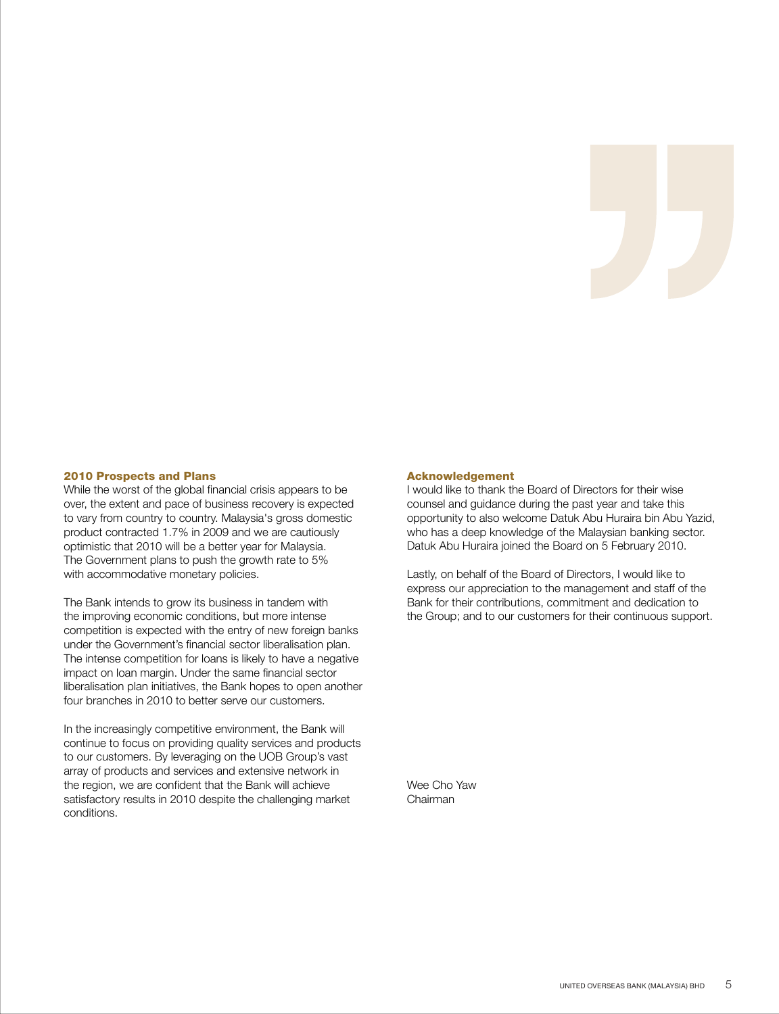#### 2010 Prospects and Plans

While the worst of the global financial crisis appears to be over, the extent and pace of business recovery is expected to vary from country to country. Malaysia's gross domestic product contracted 1.7% in 2009 and we are cautiously optimistic that 2010 will be a better year for Malaysia. The Government plans to push the growth rate to 5% with accommodative monetary policies.

The Bank intends to grow its business in tandem with the improving economic conditions, but more intense competition is expected with the entry of new foreign banks under the Government's financial sector liberalisation plan. The intense competition for loans is likely to have a negative impact on loan margin. Under the same financial sector liberalisation plan initiatives, the Bank hopes to open another four branches in 2010 to better serve our customers.

In the increasingly competitive environment, the Bank will continue to focus on providing quality services and products to our customers. By leveraging on the UOB Group's vast array of products and services and extensive network in the region, we are confident that the Bank will achieve satisfactory results in 2010 despite the challenging market conditions.

#### Acknowledgement

I would like to thank the Board of Directors for their wise counsel and guidance during the past year and take this opportunity to also welcome Datuk Abu Huraira bin Abu Yazid, who has a deep knowledge of the Malaysian banking sector. Datuk Abu Huraira joined the Board on 5 February 2010.

Lastly, on behalf of the Board of Directors, I would like to express our appreciation to the management and staff of the Bank for their contributions, commitment and dedication to the Group; and to our customers for their continuous support.

Wee Cho Yaw Chairman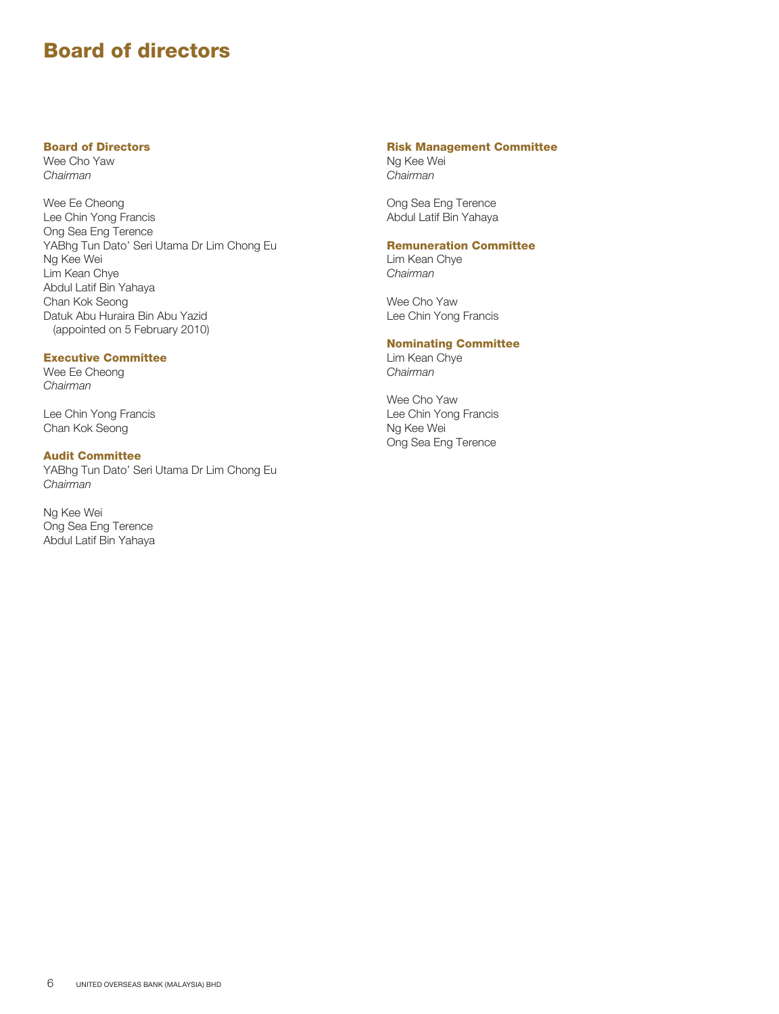# Board of directors

# Board of Directors

Wee Cho Yaw *Chairman*

Wee Ee Cheong Lee Chin Yong Francis Ong Sea Eng Terence YABhg Tun Dato' Seri Utama Dr Lim Chong Eu Ng Kee Wei Lim Kean Chye Abdul Latif Bin Yahaya Chan Kok Seong Datuk Abu Huraira Bin Abu Yazid (appointed on 5 February 2010)

#### Executive Committee

Wee Ee Cheong *Chairman*

Lee Chin Yong Francis Chan Kok Seong

#### Audit Committee

YABhg Tun Dato' Seri Utama Dr Lim Chong Eu *Chairman*

Ng Kee Wei Ong Sea Eng Terence Abdul Latif Bin Yahaya

# Risk Management Committee

Ng Kee Wei *Chairman*

Ong Sea Eng Terence Abdul Latif Bin Yahaya

# Remuneration Committee

Lim Kean Chye *Chairman*

Wee Cho Yaw Lee Chin Yong Francis

### Nominating Committee

Lim Kean Chye *Chairman*

Wee Cho Yaw Lee Chin Yong Francis Ng Kee Wei Ong Sea Eng Terence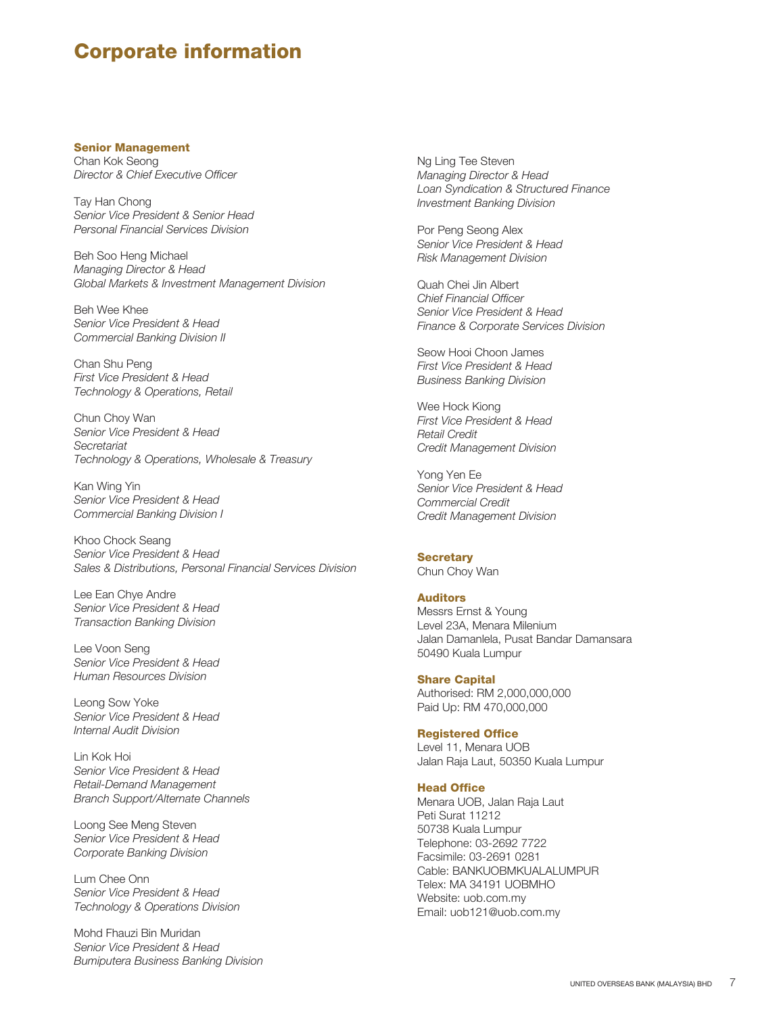# Corporate information

#### Senior Management

Chan Kok Seong *Director & Chief Executive Officer*

Tay Han Chong *Senior Vice President & Senior Head Personal Financial Services Division*

Beh Soo Heng Michael *Managing Director & Head Global Markets & Investment Management Division*

Beh Wee Khee *Senior Vice President & Head Commercial Banking Division II*

Chan Shu Peng *First Vice President & Head Technology & Operations, Retail*

Chun Choy Wan *Senior Vice President & Head Secretariat Technology & Operations, Wholesale & Treasury*

Kan Wing Yin *Senior Vice President & Head Commercial Banking Division I*

Khoo Chock Seang *Senior Vice President & Head Sales & Distributions, Personal Financial Services Division*

Lee Ean Chye Andre *Senior Vice President & Head Transaction Banking Division*

Lee Voon Seng *Senior Vice President & Head Human Resources Division*

Leong Sow Yoke *Senior Vice President & Head Internal Audit Division*

Lin Kok Hoi *Senior Vice President & Head Retail-Demand Management Branch Support/Alternate Channels*

Loong See Meng Steven *Senior Vice President & Head Corporate Banking Division*

Lum Chee Onn *Senior Vice President & Head Technology & Operations Division*

Mohd Fhauzi Bin Muridan *Senior Vice President & Head Bumiputera Business Banking Division*

Ng Ling Tee Steven *Managing Director & Head Loan Syndication & Structured Finance Investment Banking Division*

Por Peng Seong Alex *Senior Vice President & Head Risk Management Division*

Quah Chei Jin Albert *Chief Financial Officer Senior Vice President & Head Finance & Corporate Services Division*

Seow Hooi Choon James *First Vice President & Head Business Banking Division*

Wee Hock Kiong *First Vice President & Head Retail Credit Credit Management Division*

Yong Yen Ee *Senior Vice President & Head Commercial Credit Credit Management Division*

#### **Secretary**

Chun Choy Wan

# Auditors

Messrs Ernst & Young Level 23A, Menara Milenium Jalan Damanlela, Pusat Bandar Damansara 50490 Kuala Lumpur

#### Share Capital

Authorised: RM 2,000,000,000 Paid Up: RM 470,000,000

#### Registered Office

Level 11, Menara UOB Jalan Raja Laut, 50350 Kuala Lumpur

#### Head Office

Menara UOB, Jalan Raja Laut Peti Surat 11212 50738 Kuala Lumpur Telephone: 03-2692 7722 Facsimile: 03-2691 0281 Cable: BANKUOBMKUALALUMPUR Telex: MA 34191 UOBMHO Website: uob.com.my Email: uob121@uob.com.my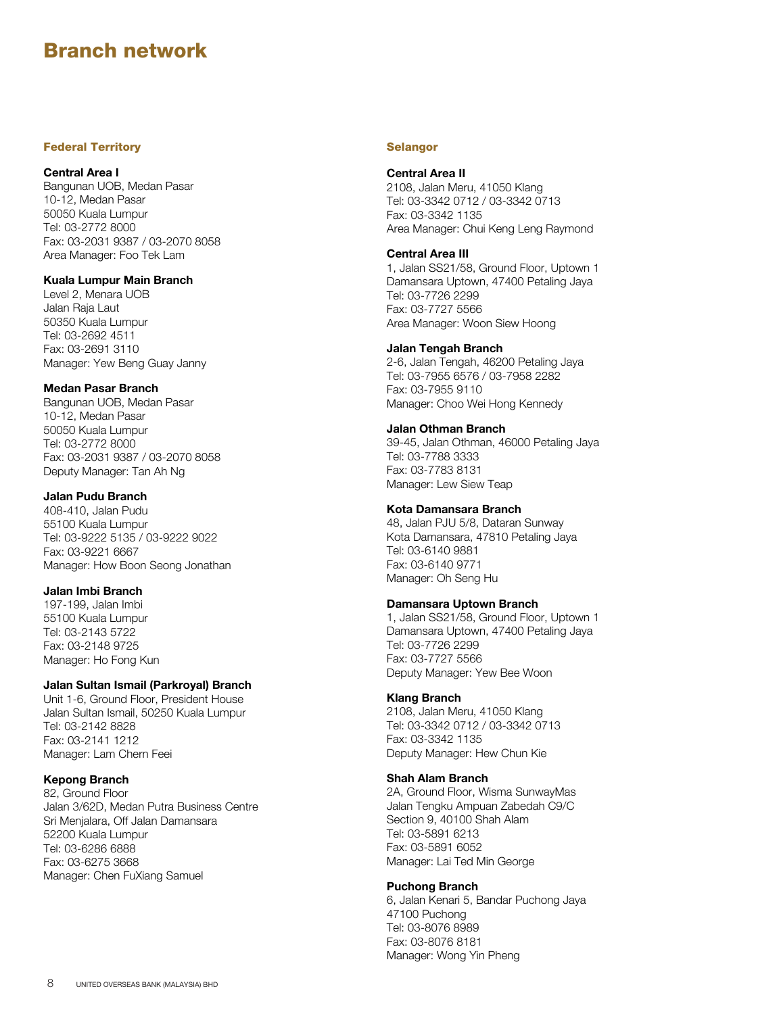#### Federal Territory

**Central Area I**  Bangunan UOB, Medan Pasar 10-12, Medan Pasar 50050 Kuala Lumpur Tel: 03-2772 8000 Fax: 03-2031 9387 / 03-2070 8058 Area Manager: Foo Tek Lam

#### **Kuala Lumpur Main Branch**

Level 2, Menara UOB Jalan Raja Laut 50350 Kuala Lumpur Tel: 03-2692 4511 Fax: 03-2691 3110 Manager: Yew Beng Guay Janny

#### **Medan Pasar Branch**

Bangunan UOB, Medan Pasar 10-12, Medan Pasar 50050 Kuala Lumpur Tel: 03-2772 8000 Fax: 03-2031 9387 / 03-2070 8058 Deputy Manager: Tan Ah Ng

### **Jalan Pudu Branch**

408-410, Jalan Pudu 55100 Kuala Lumpur Tel: 03-9222 5135 / 03-9222 9022 Fax: 03-9221 6667 Manager: How Boon Seong Jonathan

### **Jalan Imbi Branch**

197-199, Jalan Imbi 55100 Kuala Lumpur Tel: 03-2143 5722 Fax: 03-2148 9725 Manager: Ho Fong Kun

### **Jalan Sultan Ismail (Parkroyal) Branch**

Unit 1-6, Ground Floor, President House Jalan Sultan Ismail, 50250 Kuala Lumpur Tel: 03-2142 8828 Fax: 03-2141 1212 Manager: Lam Chern Feei

### **Kepong Branch**

82, Ground Floor Jalan 3/62D, Medan Putra Business Centre Sri Menjalara, Off Jalan Damansara 52200 Kuala Lumpur Tel: 03-6286 6888 Fax: 03-6275 3668 Manager: Chen FuXiang Samuel

# Selangor

### **Central Area II**

2108, Jalan Meru, 41050 Klang Tel: 03-3342 0712 / 03-3342 0713 Fax: 03-3342 1135 Area Manager: Chui Keng Leng Raymond

# **Central Area III**

1, Jalan SS21/58, Ground Floor, Uptown 1 Damansara Uptown, 47400 Petaling Jaya Tel: 03-7726 2299 Fax: 03-7727 5566 Area Manager: Woon Siew Hoong

#### **Jalan Tengah Branch**

2-6, Jalan Tengah, 46200 Petaling Jaya Tel: 03-7955 6576 / 03-7958 2282 Fax: 03-7955 9110 Manager: Choo Wei Hong Kennedy

### **Jalan Othman Branch**

39-45, Jalan Othman, 46000 Petaling Jaya Tel: 03-7788 3333 Fax: 03-7783 8131 Manager: Lew Siew Teap

### **Kota Damansara Branch**

48, Jalan PJU 5/8, Dataran Sunway Kota Damansara, 47810 Petaling Jaya Tel: 03-6140 9881 Fax: 03-6140 9771 Manager: Oh Seng Hu

### **Damansara Uptown Branch**

1, Jalan SS21/58, Ground Floor, Uptown 1 Damansara Uptown, 47400 Petaling Jaya Tel: 03-7726 2299 Fax: 03-7727 5566 Deputy Manager: Yew Bee Woon

#### **Klang Branch**

2108, Jalan Meru, 41050 Klang Tel: 03-3342 0712 / 03-3342 0713 Fax: 03-3342 1135 Deputy Manager: Hew Chun Kie

# **Shah Alam Branch**

2A, Ground Floor, Wisma SunwayMas Jalan Tengku Ampuan Zabedah C9/C Section 9, 40100 Shah Alam Tel: 03-5891 6213 Fax: 03-5891 6052 Manager: Lai Ted Min George

### **Puchong Branch**

6, Jalan Kenari 5, Bandar Puchong Jaya 47100 Puchong Tel: 03-8076 8989 Fax: 03-8076 8181 Manager: Wong Yin Pheng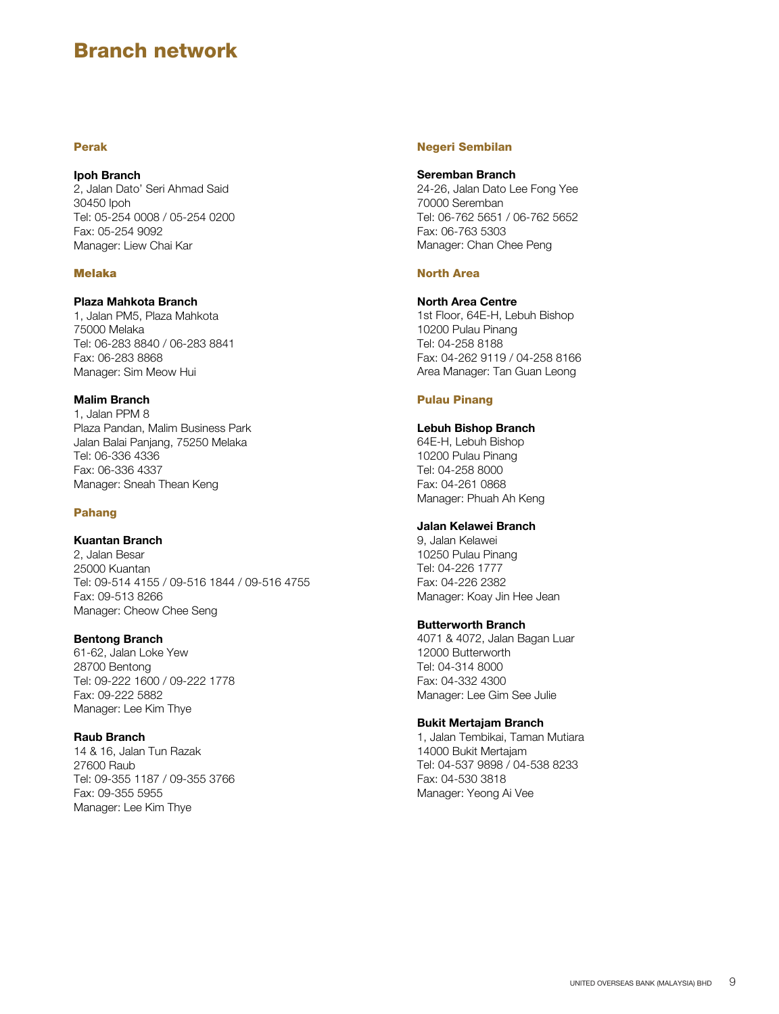# Perak

# **Ipoh Branch**

2, Jalan Dato' Seri Ahmad Said 30450 Ipoh Tel: 05-254 0008 / 05-254 0200 Fax: 05-254 9092 Manager: Liew Chai Kar

### Melaka

# **Plaza Mahkota Branch**

1, Jalan PM5, Plaza Mahkota 75000 Melaka Tel: 06-283 8840 / 06-283 8841 Fax: 06-283 8868 Manager: Sim Meow Hui

# **Malim Branch**

1, Jalan PPM 8 Plaza Pandan, Malim Business Park Jalan Balai Panjang, 75250 Melaka Tel: 06-336 4336 Fax: 06-336 4337 Manager: Sneah Thean Keng

# Pahang

# **Kuantan Branch**

2, Jalan Besar 25000 Kuantan Tel: 09-514 4155 / 09-516 1844 / 09-516 4755 Fax: 09-513 8266 Manager: Cheow Chee Seng

#### **Bentong Branch**

61-62, Jalan Loke Yew 28700 Bentong Tel: 09-222 1600 / 09-222 1778 Fax: 09-222 5882 Manager: Lee Kim Thye

#### **Raub Branch**

14 & 16, Jalan Tun Razak 27600 Raub Tel: 09-355 1187 / 09-355 3766 Fax: 09-355 5955 Manager: Lee Kim Thye

#### Negeri Sembilan

#### **Seremban Branch**

24-26, Jalan Dato Lee Fong Yee 70000 Seremban Tel: 06-762 5651 / 06-762 5652 Fax: 06-763 5303 Manager: Chan Chee Peng

#### North Area

### **North Area Centre**

1st Floor, 64E-H, Lebuh Bishop 10200 Pulau Pinang Tel: 04-258 8188 Fax: 04-262 9119 / 04-258 8166 Area Manager: Tan Guan Leong

### Pulau Pinang

### **Lebuh Bishop Branch**

64E-H, Lebuh Bishop 10200 Pulau Pinang Tel: 04-258 8000 Fax: 04-261 0868 Manager: Phuah Ah Keng

### **Jalan Kelawei Branch**

9, Jalan Kelawei 10250 Pulau Pinang Tel: 04-226 1777 Fax: 04-226 2382 Manager: Koay Jin Hee Jean

#### **Butterworth Branch**

4071 & 4072, Jalan Bagan Luar 12000 Butterworth Tel: 04-314 8000 Fax: 04-332 4300 Manager: Lee Gim See Julie

#### **Bukit Mertajam Branch**

1, Jalan Tembikai, Taman Mutiara 14000 Bukit Mertajam Tel: 04-537 9898 / 04-538 8233 Fax: 04-530 3818 Manager: Yeong Ai Vee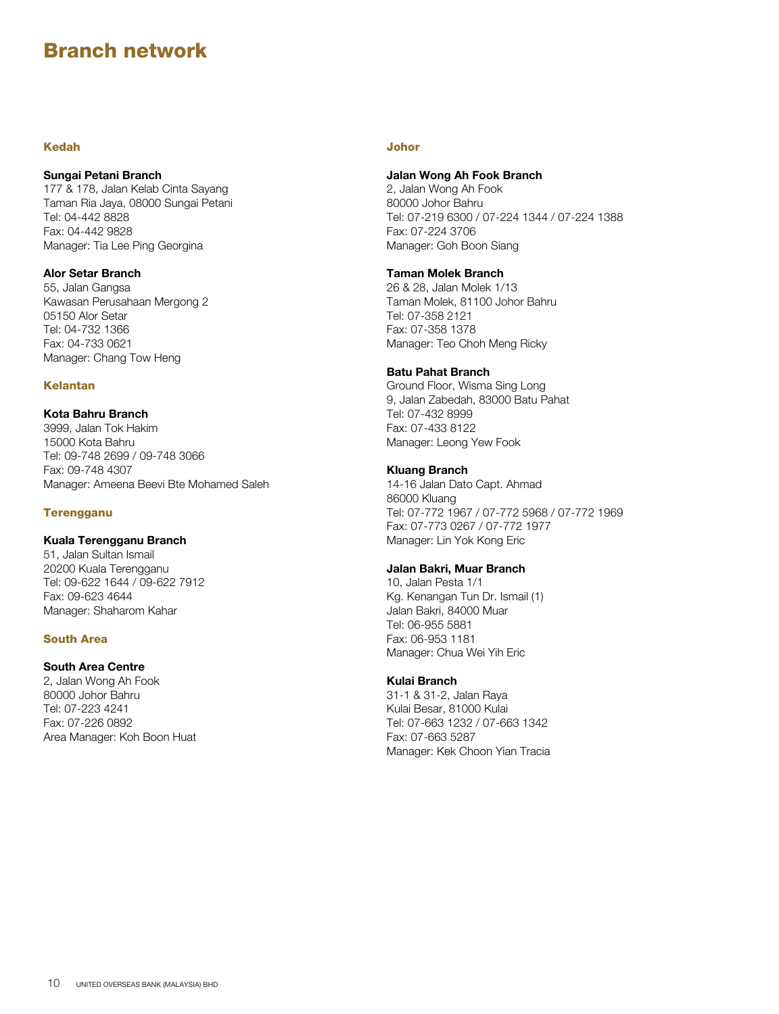# Kedah

#### **Sungai Petani Branch**

177 & 178, Jalan Kelab Cinta Sayang Taman Ria Jaya, 08000 Sungai Petani Tel: 04-442 8828 Fax: 04-442 9828 Manager: Tia Lee Ping Georgina

# **Alor Setar Branch**

55, Jalan Gangsa Kawasan Perusahaan Mergong 2 05150 Alor Setar Tel: 04-732 1366 Fax: 04-733 0621 Manager: Chang Tow Heng

### Kelantan

# **Kota Bahru Branch**

3999, Jalan Tok Hakim 15000 Kota Bahru Tel: 09-748 2699 / 09-748 3066 Fax: 09-748 4307 Manager: Ameena Beevi Bte Mohamed Saleh

# **Terengganu**

# **Kuala Terengganu Branch**

51, Jalan Sultan Ismail 20200 Kuala Terengganu Tel: 09-622 1644 / 09-622 7912 Fax: 09-623 4644 Manager: Shaharom Kahar

# South Area

### **South Area Centre**

2, Jalan Wong Ah Fook 80000 Johor Bahru Tel: 07-223 4241 Fax: 07-226 0892 Area Manager: Koh Boon Huat

### Johor

### **Jalan Wong Ah Fook Branch**

2, Jalan Wong Ah Fook 80000 Johor Bahru Tel: 07-219 6300 / 07-224 1344 / 07-224 1388 Fax: 07-224 3706 Manager: Goh Boon Siang

### **Taman Molek Branch**

26 & 28, Jalan Molek 1/13 Taman Molek, 81100 Johor Bahru Tel: 07-358 2121 Fax: 07-358 1378 Manager: Teo Choh Meng Ricky

### **Batu Pahat Branch**

Ground Floor, Wisma Sing Long 9, Jalan Zabedah, 83000 Batu Pahat Tel: 07-432 8999 Fax: 07-433 8122 Manager: Leong Yew Fook

### **Kluang Branch**

14-16 Jalan Dato Capt. Ahmad 86000 Kluang Tel: 07-772 1967 / 07-772 5968 / 07-772 1969 Fax: 07-773 0267 / 07-772 1977 Manager: Lin Yok Kong Eric

# **Jalan Bakri, Muar Branch**

10, Jalan Pesta 1/1 Kg. Kenangan Tun Dr. Ismail (1) Jalan Bakri, 84000 Muar Tel: 06-955 5881 Fax: 06-953 1181 Manager: Chua Wei Yih Eric

# **Kulai Branch**

31-1 & 31-2, Jalan Raya Kulai Besar, 81000 Kulai Tel: 07-663 1232 / 07-663 1342 Fax: 07-663 5287 Manager: Kek Choon Yian Tracia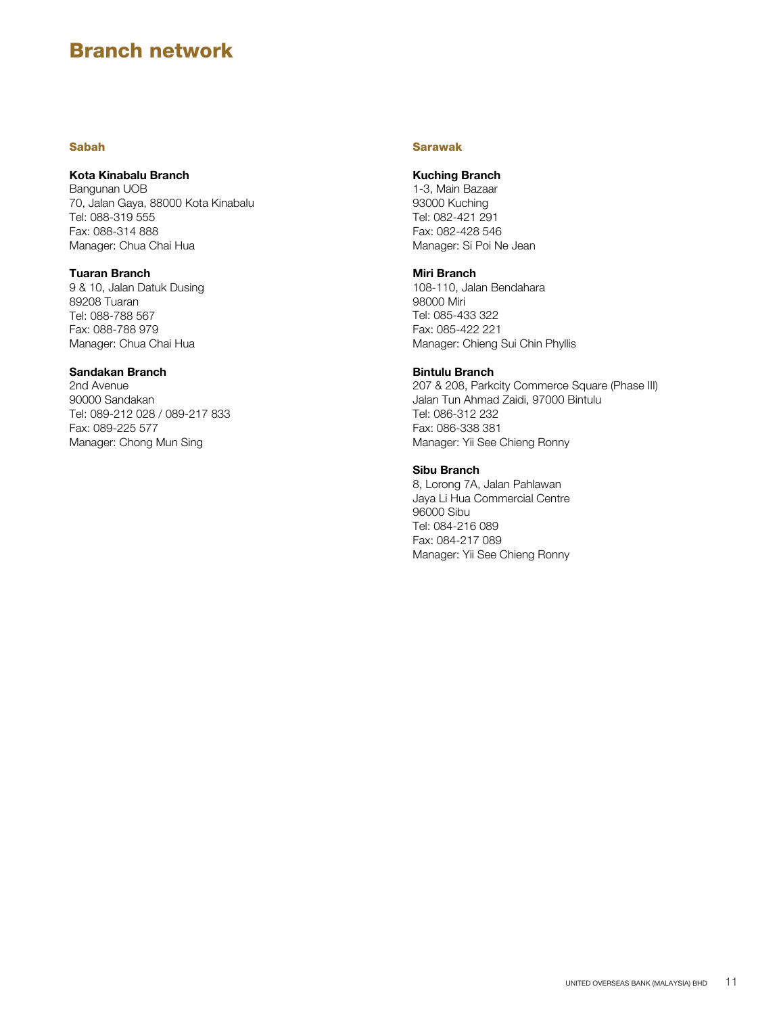# Sabah

# **Kota Kinabalu Branch**

Bangunan UOB 70, Jalan Gaya, 88000 Kota Kinabalu Tel: 088-319 555 Fax: 088-314 888 Manager: Chua Chai Hua

# **Tuaran Branch**

9 & 10, Jalan Datuk Dusing 89208 Tuaran Tel: 088-788 567 Fax: 088-788 979 Manager: Chua Chai Hua

# **Sandakan Branch**

2nd Avenue 90000 Sandakan Tel: 089-212 028 / 089-217 833 Fax: 089-225 577 Manager: Chong Mun Sing

# Sarawak

# **Kuching Branch**

1-3, Main Bazaar 93000 Kuching Tel: 082-421 291 Fax: 082-428 546 Manager: Si Poi Ne Jean

### **Miri Branch**

108-110, Jalan Bendahara 98000 Miri Tel: 085-433 322 Fax: 085-422 221 Manager: Chieng Sui Chin Phyllis

### **Bintulu Branch**

207 & 208, Parkcity Commerce Square (Phase III) Jalan Tun Ahmad Zaidi, 97000 Bintulu Tel: 086-312 232 Fax: 086-338 381 Manager: Yii See Chieng Ronny

# **Sibu Branch**

8, Lorong 7A, Jalan Pahlawan Jaya Li Hua Commercial Centre 96000 Sibu Tel: 084-216 089 Fax: 084-217 089 Manager: Yii See Chieng Ronny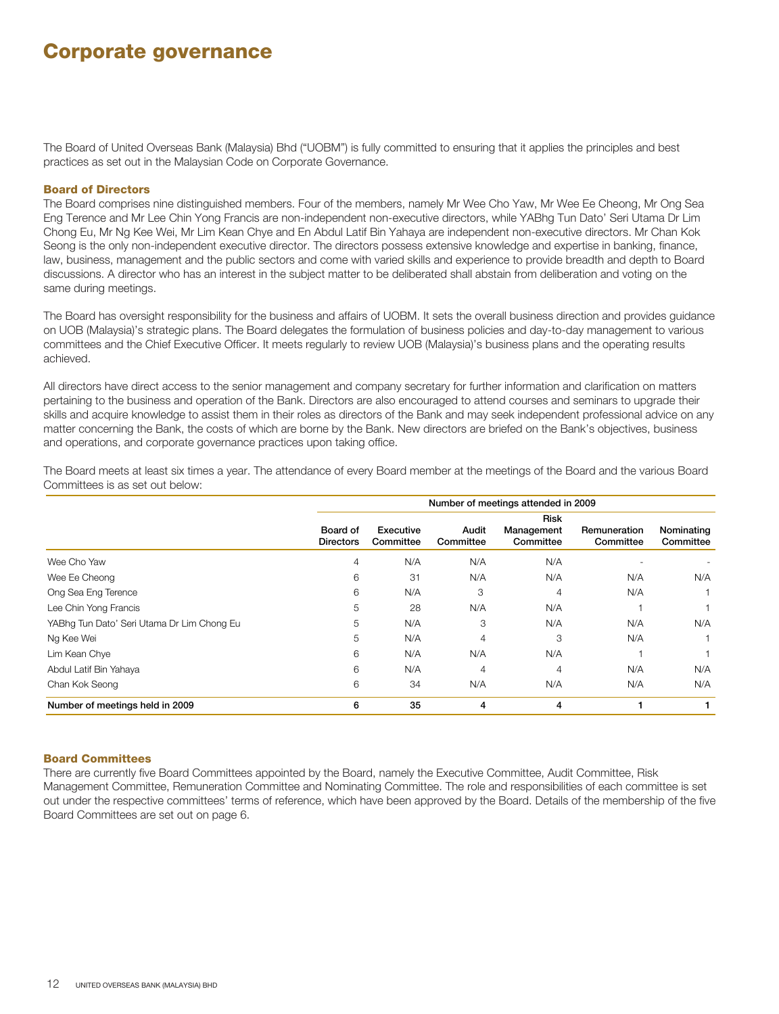# Corporate governance

The Board of United Overseas Bank (Malaysia) Bhd ("UOBM") is fully committed to ensuring that it applies the principles and best practices as set out in the Malaysian Code on Corporate Governance.

#### Board of Directors

The Board comprises nine distinguished members. Four of the members, namely Mr Wee Cho Yaw, Mr Wee Ee Cheong, Mr Ong Sea Eng Terence and Mr Lee Chin Yong Francis are non-independent non-executive directors, while YABhg Tun Dato' Seri Utama Dr Lim Chong Eu, Mr Ng Kee Wei, Mr Lim Kean Chye and En Abdul Latif Bin Yahaya are independent non-executive directors. Mr Chan Kok Seong is the only non-independent executive director. The directors possess extensive knowledge and expertise in banking, finance, law, business, management and the public sectors and come with varied skills and experience to provide breadth and depth to Board discussions. A director who has an interest in the subject matter to be deliberated shall abstain from deliberation and voting on the same during meetings.

The Board has oversight responsibility for the business and affairs of UOBM. It sets the overall business direction and provides guidance on UOB (Malaysia)'s strategic plans. The Board delegates the formulation of business policies and day-to-day management to various committees and the Chief Executive Officer. It meets regularly to review UOB (Malaysia)'s business plans and the operating results achieved.

All directors have direct access to the senior management and company secretary for further information and clarification on matters pertaining to the business and operation of the Bank. Directors are also encouraged to attend courses and seminars to upgrade their skills and acquire knowledge to assist them in their roles as directors of the Bank and may seek independent professional advice on any matter concerning the Bank, the costs of which are borne by the Bank. New directors are briefed on the Bank's objectives, business and operations, and corporate governance practices upon taking office.

|                                            | Number of meetings attended in 2009 |                        |                    |                         |                           |                         |  |
|--------------------------------------------|-------------------------------------|------------------------|--------------------|-------------------------|---------------------------|-------------------------|--|
|                                            | <b>Risk</b>                         |                        |                    |                         |                           |                         |  |
|                                            | Board of<br><b>Directors</b>        | Executive<br>Committee | Audit<br>Committee | Management<br>Committee | Remuneration<br>Committee | Nominating<br>Committee |  |
| Wee Cho Yaw                                | $\overline{4}$                      | N/A                    | N/A                | N/A                     |                           |                         |  |
| Wee Ee Cheong                              | 6                                   | 31                     | N/A                | N/A                     | N/A                       | N/A                     |  |
| Ong Sea Eng Terence                        | 6                                   | N/A                    | 3                  | 4                       | N/A                       |                         |  |
| Lee Chin Yong Francis                      | 5                                   | 28                     | N/A                | N/A                     |                           |                         |  |
| YABhg Tun Dato' Seri Utama Dr Lim Chong Eu | 5                                   | N/A                    | 3                  | N/A                     | N/A                       | N/A                     |  |
| Ng Kee Wei                                 | 5                                   | N/A                    | 4                  | 3                       | N/A                       |                         |  |
| Lim Kean Chye                              | 6                                   | N/A                    | N/A                | N/A                     |                           |                         |  |
| Abdul Latif Bin Yahaya                     | 6                                   | N/A                    | $\overline{4}$     | 4                       | N/A                       | N/A                     |  |
| Chan Kok Seong                             | 6                                   | 34                     | N/A                | N/A                     | N/A                       | N/A                     |  |
| Number of meetings held in 2009            | 6                                   | 35                     | 4                  | 4                       |                           |                         |  |

The Board meets at least six times a year. The attendance of every Board member at the meetings of the Board and the various Board Committees is as set out below:

#### Board Committees

There are currently five Board Committees appointed by the Board, namely the Executive Committee, Audit Committee, Risk Management Committee, Remuneration Committee and Nominating Committee. The role and responsibilities of each committee is set out under the respective committees' terms of reference, which have been approved by the Board. Details of the membership of the five Board Committees are set out on page 6.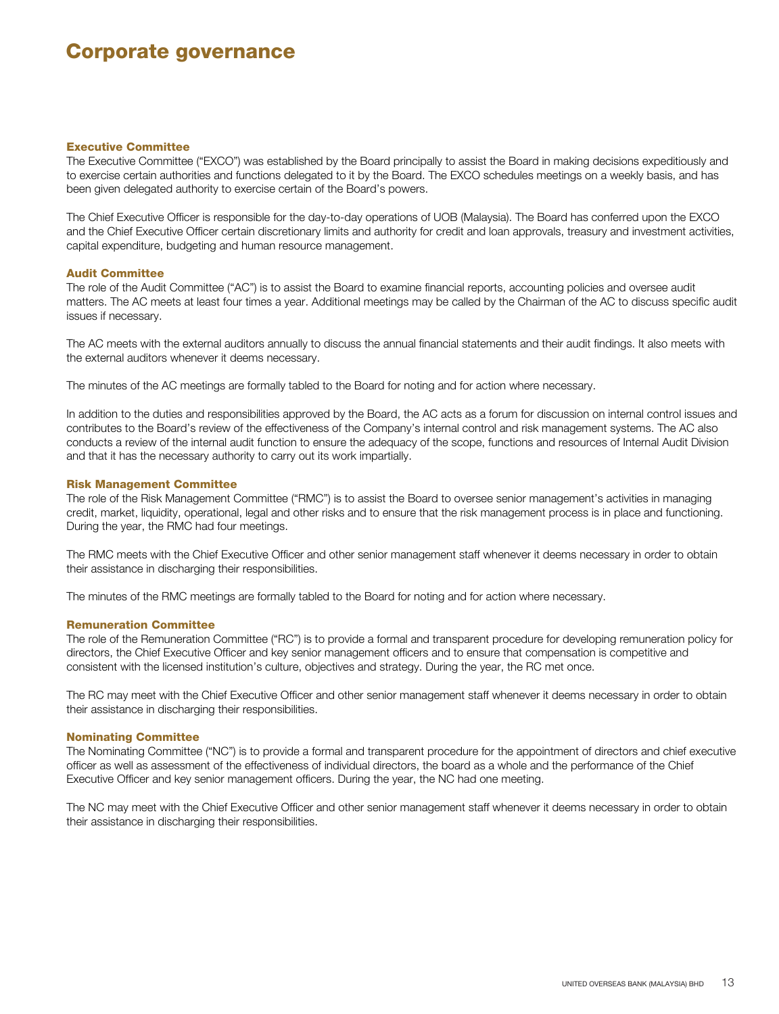# Corporate governance

# Executive Committee

The Executive Committee ("EXCO") was established by the Board principally to assist the Board in making decisions expeditiously and to exercise certain authorities and functions delegated to it by the Board. The EXCO schedules meetings on a weekly basis, and has been given delegated authority to exercise certain of the Board's powers.

The Chief Executive Officer is responsible for the day-to-day operations of UOB (Malaysia). The Board has conferred upon the EXCO and the Chief Executive Officer certain discretionary limits and authority for credit and loan approvals, treasury and investment activities, capital expenditure, budgeting and human resource management.

#### Audit Committee

The role of the Audit Committee ("AC") is to assist the Board to examine financial reports, accounting policies and oversee audit matters. The AC meets at least four times a year. Additional meetings may be called by the Chairman of the AC to discuss specific audit issues if necessary.

The AC meets with the external auditors annually to discuss the annual financial statements and their audit findings. It also meets with the external auditors whenever it deems necessary.

The minutes of the AC meetings are formally tabled to the Board for noting and for action where necessary.

In addition to the duties and responsibilities approved by the Board, the AC acts as a forum for discussion on internal control issues and contributes to the Board's review of the effectiveness of the Company's internal control and risk management systems. The AC also conducts a review of the internal audit function to ensure the adequacy of the scope, functions and resources of Internal Audit Division and that it has the necessary authority to carry out its work impartially.

#### Risk Management Committee

The role of the Risk Management Committee ("RMC") is to assist the Board to oversee senior management's activities in managing credit, market, liquidity, operational, legal and other risks and to ensure that the risk management process is in place and functioning. During the year, the RMC had four meetings.

The RMC meets with the Chief Executive Officer and other senior management staff whenever it deems necessary in order to obtain their assistance in discharging their responsibilities.

The minutes of the RMC meetings are formally tabled to the Board for noting and for action where necessary.

#### Remuneration Committee

The role of the Remuneration Committee ("RC") is to provide a formal and transparent procedure for developing remuneration policy for directors, the Chief Executive Officer and key senior management officers and to ensure that compensation is competitive and consistent with the licensed institution's culture, objectives and strategy. During the year, the RC met once.

The RC may meet with the Chief Executive Officer and other senior management staff whenever it deems necessary in order to obtain their assistance in discharging their responsibilities.

#### Nominating Committee

The Nominating Committee ("NC") is to provide a formal and transparent procedure for the appointment of directors and chief executive officer as well as assessment of the effectiveness of individual directors, the board as a whole and the performance of the Chief Executive Officer and key senior management officers. During the year, the NC had one meeting.

The NC may meet with the Chief Executive Officer and other senior management staff whenever it deems necessary in order to obtain their assistance in discharging their responsibilities.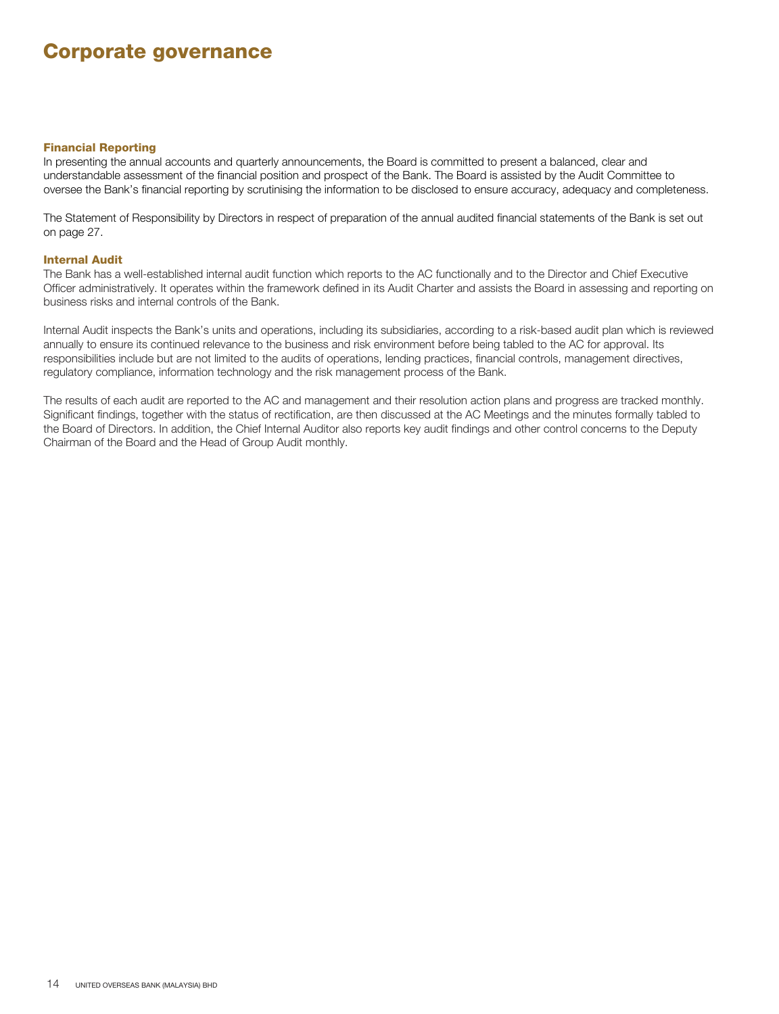# Corporate governance

#### Financial Reporting

In presenting the annual accounts and quarterly announcements, the Board is committed to present a balanced, clear and understandable assessment of the financial position and prospect of the Bank. The Board is assisted by the Audit Committee to oversee the Bank's financial reporting by scrutinising the information to be disclosed to ensure accuracy, adequacy and completeness.

The Statement of Responsibility by Directors in respect of preparation of the annual audited financial statements of the Bank is set out on page 27.

#### Internal Audit

The Bank has a well-established internal audit function which reports to the AC functionally and to the Director and Chief Executive Officer administratively. It operates within the framework defined in its Audit Charter and assists the Board in assessing and reporting on business risks and internal controls of the Bank.

Internal Audit inspects the Bank's units and operations, including its subsidiaries, according to a risk-based audit plan which is reviewed annually to ensure its continued relevance to the business and risk environment before being tabled to the AC for approval. Its responsibilities include but are not limited to the audits of operations, lending practices, financial controls, management directives, regulatory compliance, information technology and the risk management process of the Bank.

The results of each audit are reported to the AC and management and their resolution action plans and progress are tracked monthly. Significant findings, together with the status of rectification, are then discussed at the AC Meetings and the minutes formally tabled to the Board of Directors. In addition, the Chief Internal Auditor also reports key audit findings and other control concerns to the Deputy Chairman of the Board and the Head of Group Audit monthly.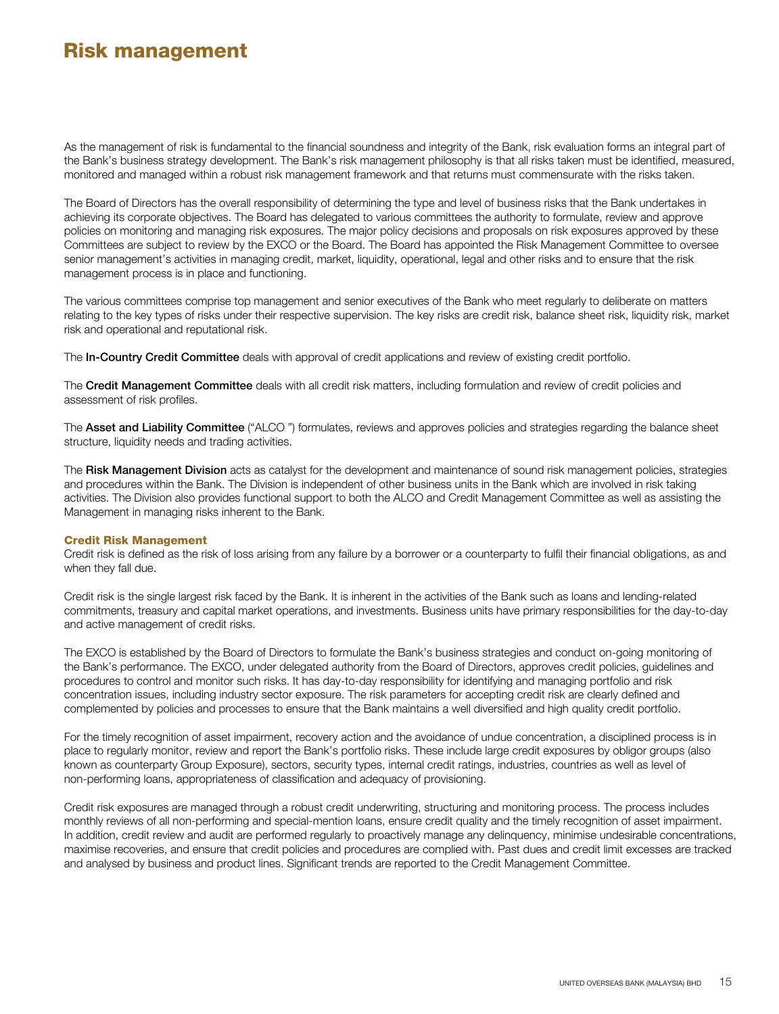As the management of risk is fundamental to the financial soundness and integrity of the Bank, risk evaluation forms an integral part of the Bank's business strategy development. The Bank's risk management philosophy is that all risks taken must be identified, measured, monitored and managed within a robust risk management framework and that returns must commensurate with the risks taken.

The Board of Directors has the overall responsibility of determining the type and level of business risks that the Bank undertakes in achieving its corporate objectives. The Board has delegated to various committees the authority to formulate, review and approve policies on monitoring and managing risk exposures. The major policy decisions and proposals on risk exposures approved by these Committees are subject to review by the EXCO or the Board. The Board has appointed the Risk Management Committee to oversee senior management's activities in managing credit, market, liquidity, operational, legal and other risks and to ensure that the risk management process is in place and functioning.

The various committees comprise top management and senior executives of the Bank who meet regularly to deliberate on matters relating to the key types of risks under their respective supervision. The key risks are credit risk, balance sheet risk, liquidity risk, market risk and operational and reputational risk.

The In-Country Credit Committee deals with approval of credit applications and review of existing credit portfolio.

The Credit Management Committee deals with all credit risk matters, including formulation and review of credit policies and assessment of risk profiles.

The Asset and Liability Committee ("ALCO") formulates, reviews and approves policies and strategies regarding the balance sheet structure, liquidity needs and trading activities.

The Risk Management Division acts as catalyst for the development and maintenance of sound risk management policies, strategies and procedures within the Bank. The Division is independent of other business units in the Bank which are involved in risk taking activities. The Division also provides functional support to both the ALCO and Credit Management Committee as well as assisting the Management in managing risks inherent to the Bank.

### Credit Risk Management

Credit risk is defined as the risk of loss arising from any failure by a borrower or a counterparty to fulfil their financial obligations, as and when they fall due.

Credit risk is the single largest risk faced by the Bank. It is inherent in the activities of the Bank such as loans and lending-related commitments, treasury and capital market operations, and investments. Business units have primary responsibilities for the day-to-day and active management of credit risks.

The EXCO is established by the Board of Directors to formulate the Bank's business strategies and conduct on-going monitoring of the Bank's performance. The EXCO, under delegated authority from the Board of Directors, approves credit policies, guidelines and procedures to control and monitor such risks. It has day-to-day responsibility for identifying and managing portfolio and risk concentration issues, including industry sector exposure. The risk parameters for accepting credit risk are clearly defined and complemented by policies and processes to ensure that the Bank maintains a well diversified and high quality credit portfolio.

For the timely recognition of asset impairment, recovery action and the avoidance of undue concentration, a disciplined process is in place to regularly monitor, review and report the Bank's portfolio risks. These include large credit exposures by obligor groups (also known as counterparty Group Exposure), sectors, security types, internal credit ratings, industries, countries as well as level of non-performing loans, appropriateness of classification and adequacy of provisioning.

Credit risk exposures are managed through a robust credit underwriting, structuring and monitoring process. The process includes monthly reviews of all non-performing and special-mention loans, ensure credit quality and the timely recognition of asset impairment. In addition, credit review and audit are performed regularly to proactively manage any delinquency, minimise undesirable concentrations, maximise recoveries, and ensure that credit policies and procedures are complied with. Past dues and credit limit excesses are tracked and analysed by business and product lines. Significant trends are reported to the Credit Management Committee.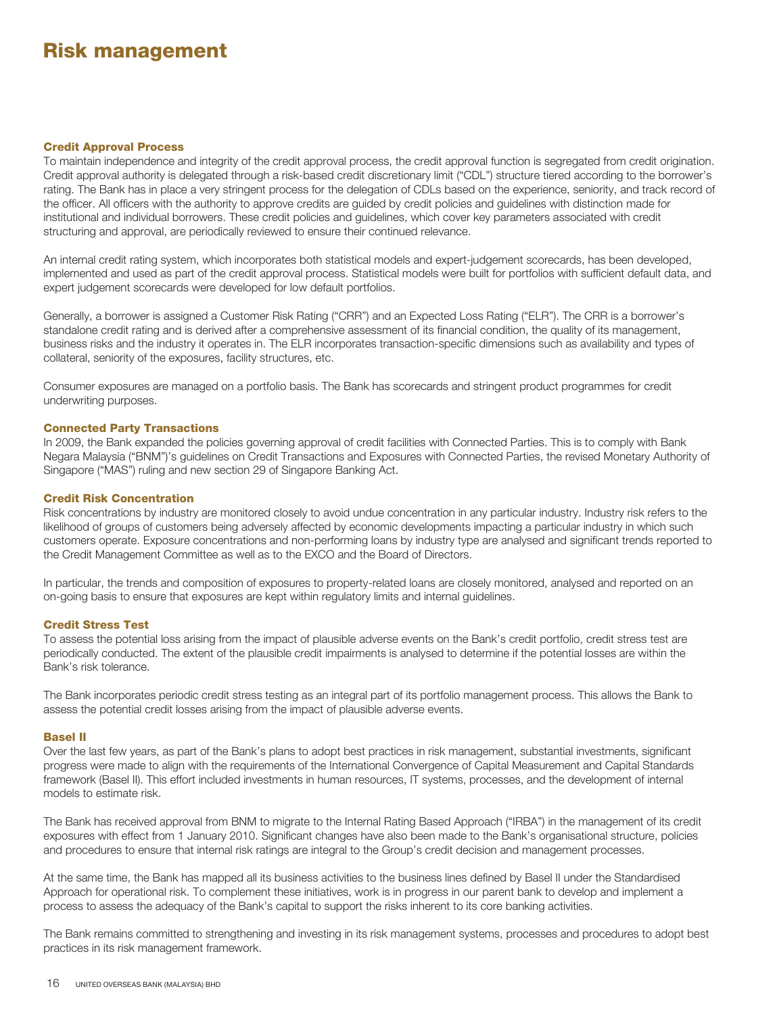#### Credit Approval Process

To maintain independence and integrity of the credit approval process, the credit approval function is segregated from credit origination. Credit approval authority is delegated through a risk-based credit discretionary limit ("CDL") structure tiered according to the borrower's rating. The Bank has in place a very stringent process for the delegation of CDLs based on the experience, seniority, and track record of the officer. All officers with the authority to approve credits are guided by credit policies and guidelines with distinction made for institutional and individual borrowers. These credit policies and guidelines, which cover key parameters associated with credit structuring and approval, are periodically reviewed to ensure their continued relevance.

An internal credit rating system, which incorporates both statistical models and expert-judgement scorecards, has been developed, implemented and used as part of the credit approval process. Statistical models were built for portfolios with sufficient default data, and expert judgement scorecards were developed for low default portfolios.

Generally, a borrower is assigned a Customer Risk Rating ("CRR") and an Expected Loss Rating ("ELR"). The CRR is a borrower's standalone credit rating and is derived after a comprehensive assessment of its financial condition, the quality of its management, business risks and the industry it operates in. The ELR incorporates transaction-specific dimensions such as availability and types of collateral, seniority of the exposures, facility structures, etc.

Consumer exposures are managed on a portfolio basis. The Bank has scorecards and stringent product programmes for credit underwriting purposes.

#### Connected Party Transactions

In 2009, the Bank expanded the policies governing approval of credit facilities with Connected Parties. This is to comply with Bank Negara Malaysia ("BNM")'s guidelines on Credit Transactions and Exposures with Connected Parties, the revised Monetary Authority of Singapore ("MAS") ruling and new section 29 of Singapore Banking Act.

### Credit Risk Concentration

Risk concentrations by industry are monitored closely to avoid undue concentration in any particular industry. Industry risk refers to the likelihood of groups of customers being adversely affected by economic developments impacting a particular industry in which such customers operate. Exposure concentrations and non-performing loans by industry type are analysed and significant trends reported to the Credit Management Committee as well as to the EXCO and the Board of Directors.

In particular, the trends and composition of exposures to property-related loans are closely monitored, analysed and reported on an on-going basis to ensure that exposures are kept within regulatory limits and internal guidelines.

#### Credit Stress Test

To assess the potential loss arising from the impact of plausible adverse events on the Bank's credit portfolio, credit stress test are periodically conducted. The extent of the plausible credit impairments is analysed to determine if the potential losses are within the Bank's risk tolerance.

The Bank incorporates periodic credit stress testing as an integral part of its portfolio management process. This allows the Bank to assess the potential credit losses arising from the impact of plausible adverse events.

#### Basel II

Over the last few years, as part of the Bank's plans to adopt best practices in risk management, substantial investments, significant progress were made to align with the requirements of the International Convergence of Capital Measurement and Capital Standards framework (Basel II). This effort included investments in human resources, IT systems, processes, and the development of internal models to estimate risk.

The Bank has received approval from BNM to migrate to the Internal Rating Based Approach ("IRBA") in the management of its credit exposures with effect from 1 January 2010. Significant changes have also been made to the Bank's organisational structure, policies and procedures to ensure that internal risk ratings are integral to the Group's credit decision and management processes.

At the same time, the Bank has mapped all its business activities to the business lines defined by Basel II under the Standardised Approach for operational risk. To complement these initiatives, work is in progress in our parent bank to develop and implement a process to assess the adequacy of the Bank's capital to support the risks inherent to its core banking activities.

The Bank remains committed to strengthening and investing in its risk management systems, processes and procedures to adopt best practices in its risk management framework.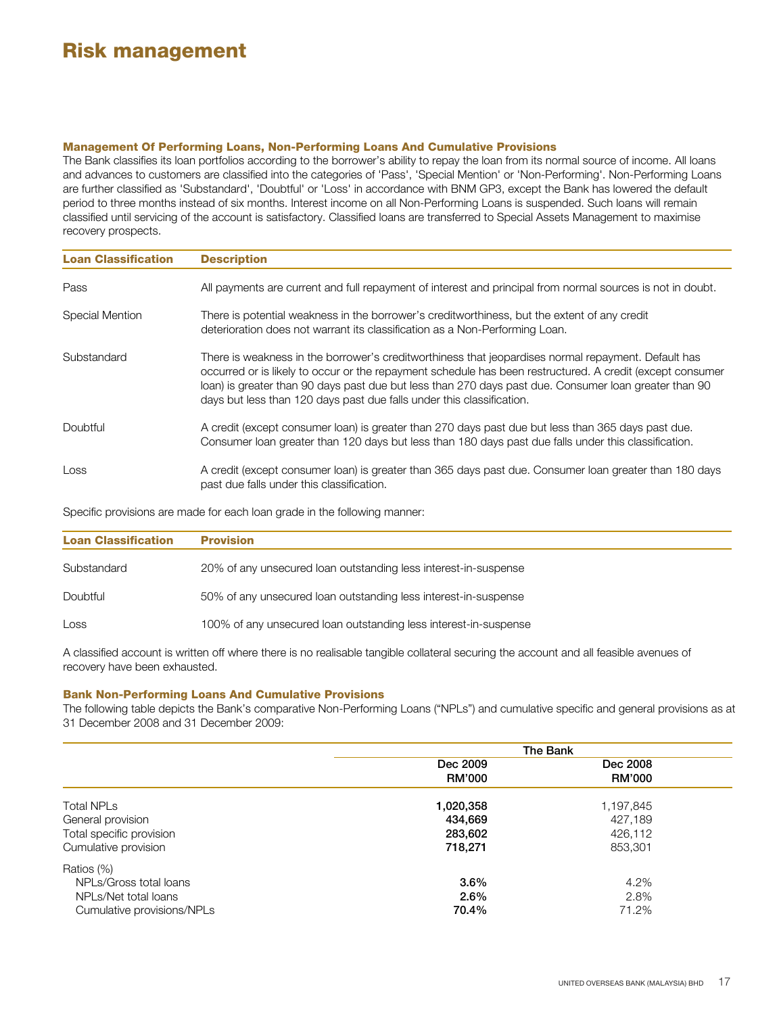#### Management Of Performing Loans, Non-Performing Loans And Cumulative Provisions

The Bank classifies its loan portfolios according to the borrower's ability to repay the loan from its normal source of income. All loans and advances to customers are classified into the categories of 'Pass', 'Special Mention' or 'Non-Performing'. Non-Performing Loans are further classified as 'Substandard', 'Doubtful' or 'Loss' in accordance with BNM GP3, except the Bank has lowered the default period to three months instead of six months. Interest income on all Non-Performing Loans is suspended. Such loans will remain classified until servicing of the account is satisfactory. Classified loans are transferred to Special Assets Management to maximise recovery prospects.

| <b>Loan Classification</b> | <b>Description</b>                                                                                                                                                                                                                                                                                                                                                                                 |
|----------------------------|----------------------------------------------------------------------------------------------------------------------------------------------------------------------------------------------------------------------------------------------------------------------------------------------------------------------------------------------------------------------------------------------------|
| Pass                       | All payments are current and full repayment of interest and principal from normal sources is not in doubt.                                                                                                                                                                                                                                                                                         |
| Special Mention            | There is potential weakness in the borrower's creditworthiness, but the extent of any credit<br>deterioration does not warrant its classification as a Non-Performing Loan.                                                                                                                                                                                                                        |
| Substandard                | There is weakness in the borrower's creditworthiness that jeopardises normal repayment. Default has<br>occurred or is likely to occur or the repayment schedule has been restructured. A credit (except consumer<br>loan) is greater than 90 days past due but less than 270 days past due. Consumer loan greater than 90<br>days but less than 120 days past due falls under this classification. |
| Doubtful                   | A credit (except consumer loan) is greater than 270 days past due but less than 365 days past due.<br>Consumer loan greater than 120 days but less than 180 days past due falls under this classification.                                                                                                                                                                                         |
| Loss                       | A credit (except consumer loan) is greater than 365 days past due. Consumer loan greater than 180 days<br>past due falls under this classification.                                                                                                                                                                                                                                                |

Specific provisions are made for each loan grade in the following manner:

| <b>Loan Classification</b> | <b>Provision</b>                                                 |
|----------------------------|------------------------------------------------------------------|
| Substandard                | 20% of any unsecured loan outstanding less interest-in-suspense  |
| Doubtful                   | 50% of any unsecured loan outstanding less interest-in-suspense  |
| Loss                       | 100% of any unsecured loan outstanding less interest-in-suspense |

A classified account is written off where there is no realisable tangible collateral securing the account and all feasible avenues of recovery have been exhausted.

#### Bank Non-Performing Loans And Cumulative Provisions

The following table depicts the Bank's comparative Non-Performing Loans ("NPLs") and cumulative specific and general provisions as at 31 December 2008 and 31 December 2009:

|                                                                                            | The Bank                                   |                                            |  |  |
|--------------------------------------------------------------------------------------------|--------------------------------------------|--------------------------------------------|--|--|
|                                                                                            | Dec 2009<br><b>RM'000</b>                  | Dec 2008<br>RM'000                         |  |  |
| <b>Total NPLs</b><br>General provision<br>Total specific provision<br>Cumulative provision | 1,020,358<br>434,669<br>283,602<br>718,271 | 1,197,845<br>427,189<br>426,112<br>853.301 |  |  |
| Ratios (%)<br>NPLs/Gross total loans<br>NPLs/Net total loans<br>Cumulative provisions/NPLs | $3.6\%$<br>$2.6\%$<br>70.4%                | 4.2%<br>2.8%<br>71.2%                      |  |  |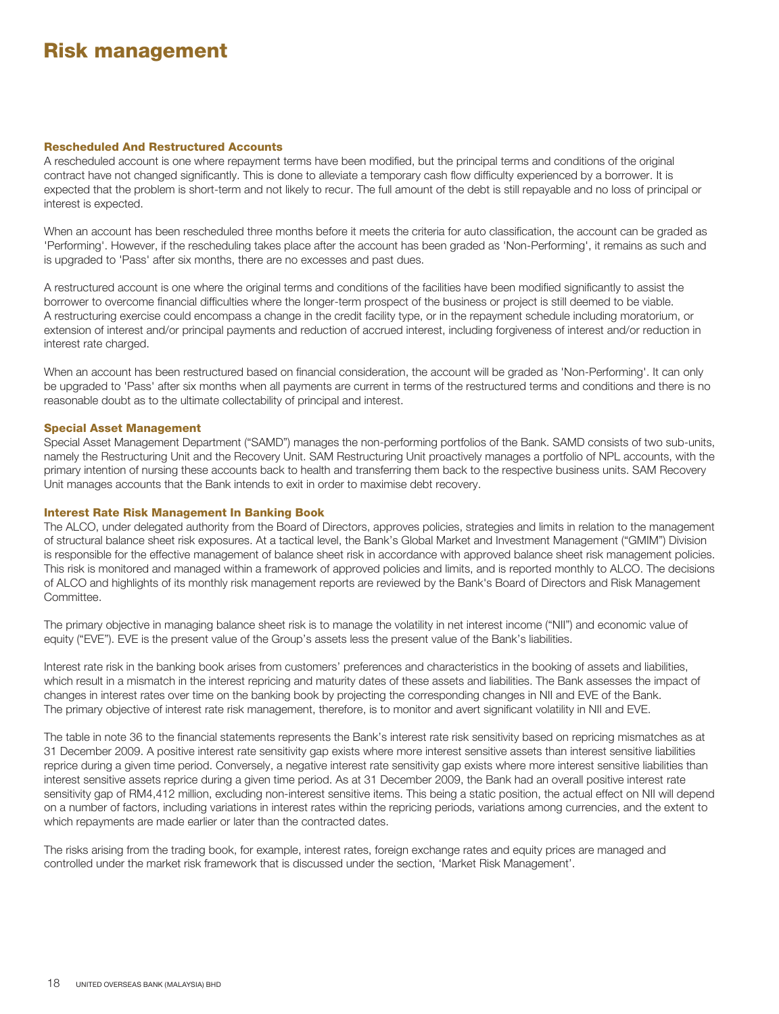### Rescheduled And Restructured Accounts

A rescheduled account is one where repayment terms have been modified, but the principal terms and conditions of the original contract have not changed significantly. This is done to alleviate a temporary cash flow difficulty experienced by a borrower. It is expected that the problem is short-term and not likely to recur. The full amount of the debt is still repayable and no loss of principal or interest is expected.

When an account has been rescheduled three months before it meets the criteria for auto classification, the account can be graded as 'Performing'. However, if the rescheduling takes place after the account has been graded as 'Non-Performing', it remains as such and is upgraded to 'Pass' after six months, there are no excesses and past dues.

A restructured account is one where the original terms and conditions of the facilities have been modified significantly to assist the borrower to overcome financial difficulties where the longer-term prospect of the business or project is still deemed to be viable. A restructuring exercise could encompass a change in the credit facility type, or in the repayment schedule including moratorium, or extension of interest and/or principal payments and reduction of accrued interest, including forgiveness of interest and/or reduction in interest rate charged.

When an account has been restructured based on financial consideration, the account will be graded as 'Non-Performing'. It can only be upgraded to 'Pass' after six months when all payments are current in terms of the restructured terms and conditions and there is no reasonable doubt as to the ultimate collectability of principal and interest.

#### Special Asset Management

Special Asset Management Department ("SAMD") manages the non-performing portfolios of the Bank. SAMD consists of two sub-units, namely the Restructuring Unit and the Recovery Unit. SAM Restructuring Unit proactively manages a portfolio of NPL accounts, with the primary intention of nursing these accounts back to health and transferring them back to the respective business units. SAM Recovery Unit manages accounts that the Bank intends to exit in order to maximise debt recovery.

### Interest Rate Risk Management In Banking Book

The ALCO, under delegated authority from the Board of Directors, approves policies, strategies and limits in relation to the management of structural balance sheet risk exposures. At a tactical level, the Bank's Global Market and Investment Management ("GMIM") Division is responsible for the effective management of balance sheet risk in accordance with approved balance sheet risk management policies. This risk is monitored and managed within a framework of approved policies and limits, and is reported monthly to ALCO. The decisions of ALCO and highlights of its monthly risk management reports are reviewed by the Bank's Board of Directors and Risk Management Committee.

The primary objective in managing balance sheet risk is to manage the volatility in net interest income ("NII") and economic value of equity ("EVE"). EVE is the present value of the Group's assets less the present value of the Bank's liabilities.

Interest rate risk in the banking book arises from customers' preferences and characteristics in the booking of assets and liabilities, which result in a mismatch in the interest repricing and maturity dates of these assets and liabilities. The Bank assesses the impact of changes in interest rates over time on the banking book by projecting the corresponding changes in NII and EVE of the Bank. The primary objective of interest rate risk management, therefore, is to monitor and avert significant volatility in NII and EVE.

The table in note 36 to the financial statements represents the Bank's interest rate risk sensitivity based on repricing mismatches as at 31 December 2009. A positive interest rate sensitivity gap exists where more interest sensitive assets than interest sensitive liabilities reprice during a given time period. Conversely, a negative interest rate sensitivity gap exists where more interest sensitive liabilities than interest sensitive assets reprice during a given time period. As at 31 December 2009, the Bank had an overall positive interest rate sensitivity gap of RM4,412 million, excluding non-interest sensitive items. This being a static position, the actual effect on NII will depend on a number of factors, including variations in interest rates within the repricing periods, variations among currencies, and the extent to which repayments are made earlier or later than the contracted dates.

The risks arising from the trading book, for example, interest rates, foreign exchange rates and equity prices are managed and controlled under the market risk framework that is discussed under the section, 'Market Risk Management'.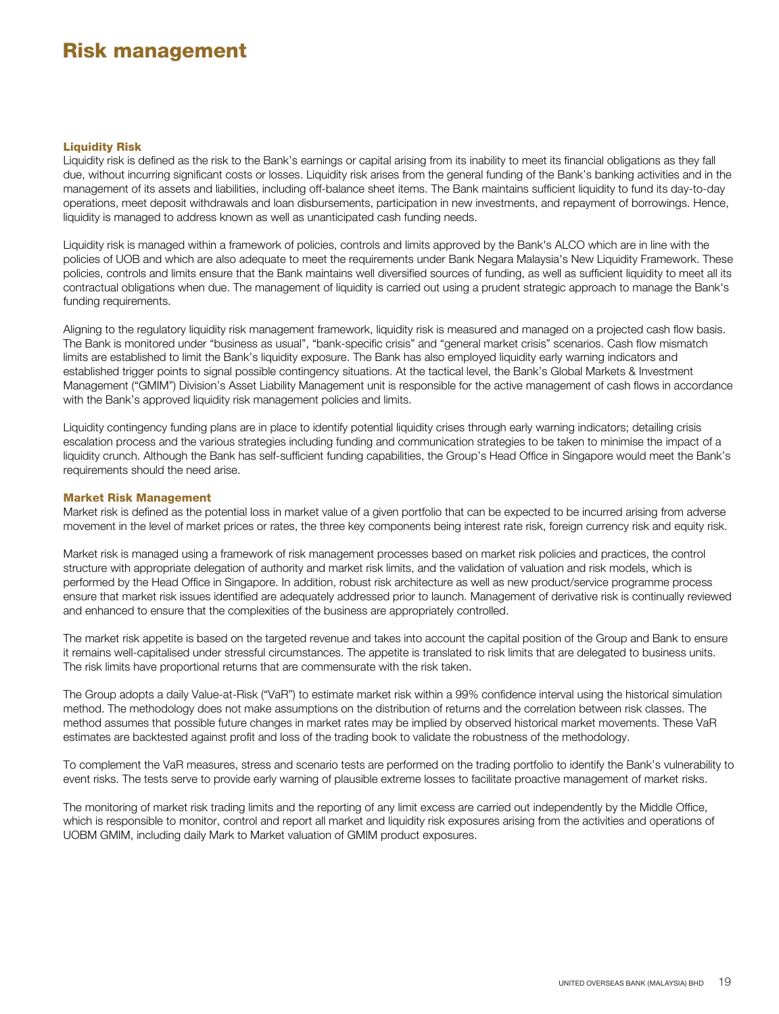#### Liquidity Risk

Liquidity risk is defined as the risk to the Bank's earnings or capital arising from its inability to meet its financial obligations as they fall due, without incurring significant costs or losses. Liquidity risk arises from the general funding of the Bank's banking activities and in the management of its assets and liabilities, including off-balance sheet items. The Bank maintains sufficient liquidity to fund its day-to-day operations, meet deposit withdrawals and loan disbursements, participation in new investments, and repayment of borrowings. Hence, liquidity is managed to address known as well as unanticipated cash funding needs.

Liquidity risk is managed within a framework of policies, controls and limits approved by the Bank's ALCO which are in line with the policies of UOB and which are also adequate to meet the requirements under Bank Negara Malaysia's New Liquidity Framework. These policies, controls and limits ensure that the Bank maintains well diversified sources of funding, as well as sufficient liquidity to meet all its contractual obligations when due. The management of liquidity is carried out using a prudent strategic approach to manage the Bank's funding requirements.

Aligning to the regulatory liquidity risk management framework, liquidity risk is measured and managed on a projected cash flow basis. The Bank is monitored under "business as usual", "bank-specific crisis" and "general market crisis" scenarios. Cash flow mismatch limits are established to limit the Bank's liquidity exposure. The Bank has also employed liquidity early warning indicators and established trigger points to signal possible contingency situations. At the tactical level, the Bank's Global Markets & Investment Management ("GMIM") Division's Asset Liability Management unit is responsible for the active management of cash flows in accordance with the Bank's approved liquidity risk management policies and limits.

Liquidity contingency funding plans are in place to identify potential liquidity crises through early warning indicators; detailing crisis escalation process and the various strategies including funding and communication strategies to be taken to minimise the impact of a liquidity crunch. Although the Bank has self-sufficient funding capabilities, the Group's Head Office in Singapore would meet the Bank's requirements should the need arise.

#### Market Risk Management

Market risk is defined as the potential loss in market value of a given portfolio that can be expected to be incurred arising from adverse movement in the level of market prices or rates, the three key components being interest rate risk, foreign currency risk and equity risk.

Market risk is managed using a framework of risk management processes based on market risk policies and practices, the control structure with appropriate delegation of authority and market risk limits, and the validation of valuation and risk models, which is performed by the Head Office in Singapore. In addition, robust risk architecture as well as new product/service programme process ensure that market risk issues identified are adequately addressed prior to launch. Management of derivative risk is continually reviewed and enhanced to ensure that the complexities of the business are appropriately controlled.

The market risk appetite is based on the targeted revenue and takes into account the capital position of the Group and Bank to ensure it remains well-capitalised under stressful circumstances. The appetite is translated to risk limits that are delegated to business units. The risk limits have proportional returns that are commensurate with the risk taken.

The Group adopts a daily Value-at-Risk ("VaR") to estimate market risk within a 99% confidence interval using the historical simulation method. The methodology does not make assumptions on the distribution of returns and the correlation between risk classes. The method assumes that possible future changes in market rates may be implied by observed historical market movements. These VaR estimates are backtested against profit and loss of the trading book to validate the robustness of the methodology.

To complement the VaR measures, stress and scenario tests are performed on the trading portfolio to identify the Bank's vulnerability to event risks. The tests serve to provide early warning of plausible extreme losses to facilitate proactive management of market risks.

The monitoring of market risk trading limits and the reporting of any limit excess are carried out independently by the Middle Office, which is responsible to monitor, control and report all market and liquidity risk exposures arising from the activities and operations of UOBM GMIM, including daily Mark to Market valuation of GMIM product exposures.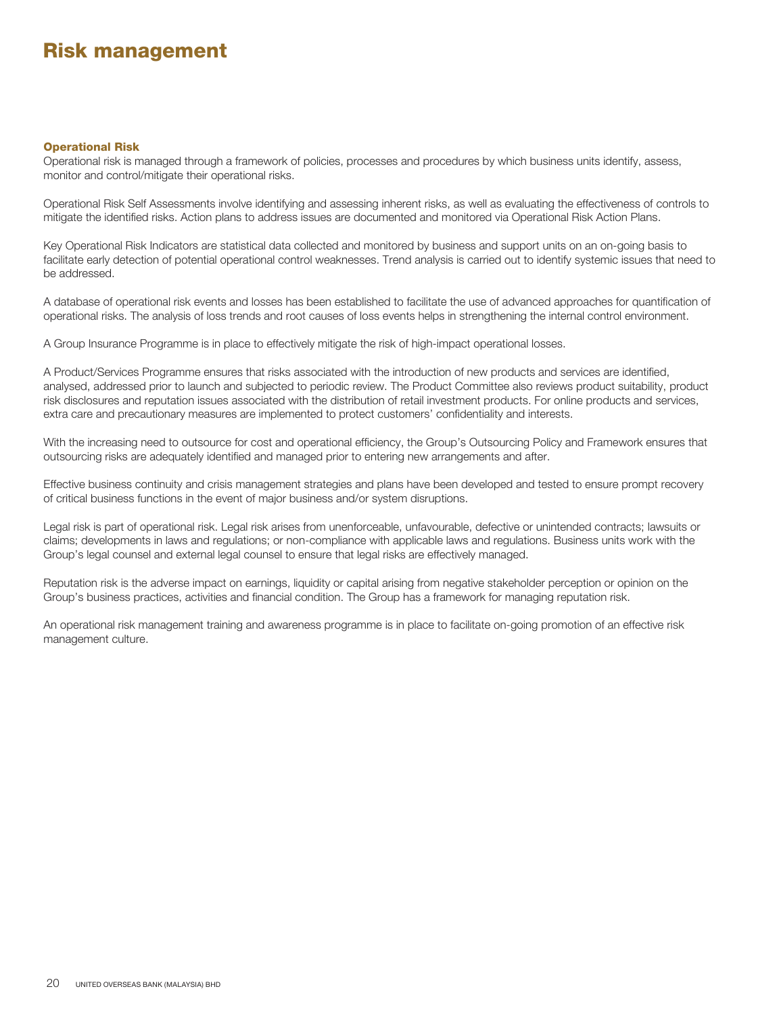#### Operational Risk

Operational risk is managed through a framework of policies, processes and procedures by which business units identify, assess, monitor and control/mitigate their operational risks.

Operational Risk Self Assessments involve identifying and assessing inherent risks, as well as evaluating the effectiveness of controls to mitigate the identified risks. Action plans to address issues are documented and monitored via Operational Risk Action Plans.

Key Operational Risk Indicators are statistical data collected and monitored by business and support units on an on-going basis to facilitate early detection of potential operational control weaknesses. Trend analysis is carried out to identify systemic issues that need to be addressed.

A database of operational risk events and losses has been established to facilitate the use of advanced approaches for quantification of operational risks. The analysis of loss trends and root causes of loss events helps in strengthening the internal control environment.

A Group Insurance Programme is in place to effectively mitigate the risk of high-impact operational losses.

A Product/Services Programme ensures that risks associated with the introduction of new products and services are identified, analysed, addressed prior to launch and subjected to periodic review. The Product Committee also reviews product suitability, product risk disclosures and reputation issues associated with the distribution of retail investment products. For online products and services, extra care and precautionary measures are implemented to protect customers' confidentiality and interests.

With the increasing need to outsource for cost and operational efficiency, the Group's Outsourcing Policy and Framework ensures that outsourcing risks are adequately identified and managed prior to entering new arrangements and after.

Effective business continuity and crisis management strategies and plans have been developed and tested to ensure prompt recovery of critical business functions in the event of major business and/or system disruptions.

Legal risk is part of operational risk. Legal risk arises from unenforceable, unfavourable, defective or unintended contracts; lawsuits or claims; developments in laws and regulations; or non-compliance with applicable laws and regulations. Business units work with the Group's legal counsel and external legal counsel to ensure that legal risks are effectively managed.

Reputation risk is the adverse impact on earnings, liquidity or capital arising from negative stakeholder perception or opinion on the Group's business practices, activities and financial condition. The Group has a framework for managing reputation risk.

An operational risk management training and awareness programme is in place to facilitate on-going promotion of an effective risk management culture.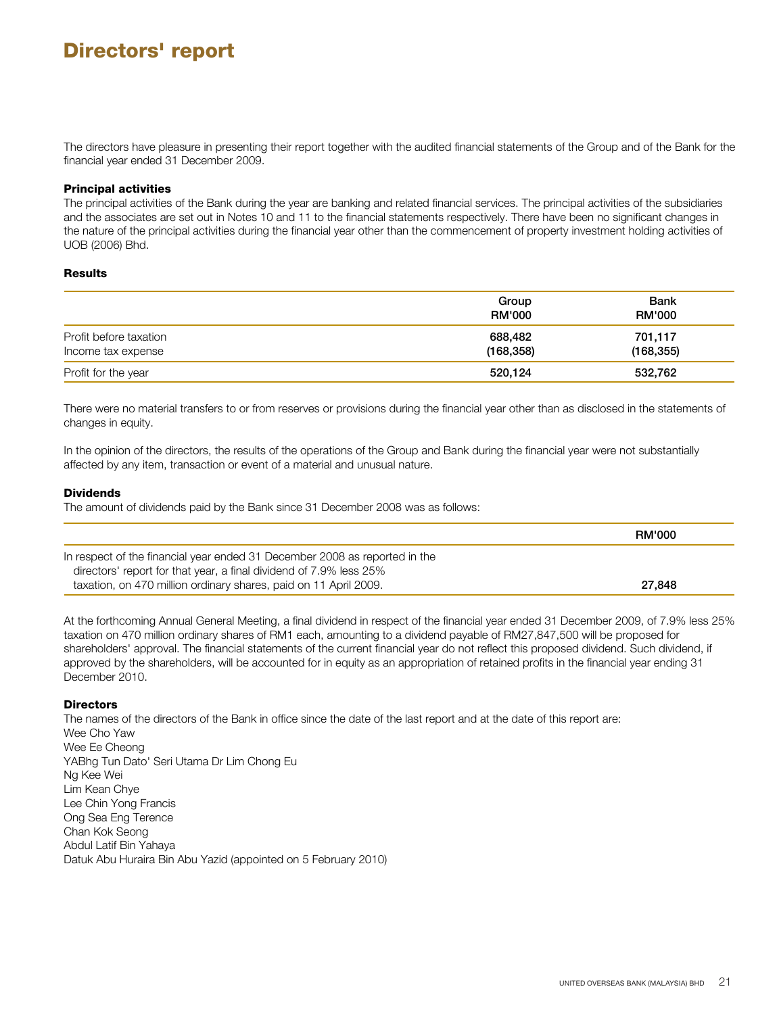The directors have pleasure in presenting their report together with the audited financial statements of the Group and of the Bank for the financial year ended 31 December 2009.

#### Principal activities

The principal activities of the Bank during the year are banking and related financial services. The principal activities of the subsidiaries and the associates are set out in Notes 10 and 11 to the financial statements respectively. There have been no significant changes in the nature of the principal activities during the financial year other than the commencement of property investment holding activities of UOB (2006) Bhd.

#### **Results**

|                                              | Group<br><b>RM'000</b> | Bank<br><b>RM'000</b> |
|----------------------------------------------|------------------------|-----------------------|
| Profit before taxation<br>Income tax expense | 688,482<br>(168, 358)  | 701,117<br>(168, 355) |
| Profit for the year                          | 520.124                | 532,762               |

There were no material transfers to or from reserves or provisions during the financial year other than as disclosed in the statements of changes in equity.

In the opinion of the directors, the results of the operations of the Group and Bank during the financial year were not substantially affected by any item, transaction or event of a material and unusual nature.

#### **Dividends**

The amount of dividends paid by the Bank since 31 December 2008 was as follows:

|                                                                            | <b>RM'000</b> |
|----------------------------------------------------------------------------|---------------|
| In respect of the financial year ended 31 December 2008 as reported in the |               |
| directors' report for that year, a final dividend of 7.9% less 25%         |               |
| taxation, on 470 million ordinary shares, paid on 11 April 2009.           | 27.848        |

At the forthcoming Annual General Meeting, a final dividend in respect of the financial year ended 31 December 2009, of 7.9% less 25% taxation on 470 million ordinary shares of RM1 each, amounting to a dividend payable of RM27,847,500 will be proposed for shareholders' approval. The financial statements of the current financial year do not reflect this proposed dividend. Such dividend, if approved by the shareholders, will be accounted for in equity as an appropriation of retained profits in the financial year ending 31 December 2010.

### **Directors**

The names of the directors of the Bank in office since the date of the last report and at the date of this report are: Wee Cho Yaw Wee Ee Cheong YABhg Tun Dato' Seri Utama Dr Lim Chong Eu Ng Kee Wei Lim Kean Chye Lee Chin Yong Francis Ong Sea Eng Terence Chan Kok Seong Abdul Latif Bin Yahaya Datuk Abu Huraira Bin Abu Yazid (appointed on 5 February 2010)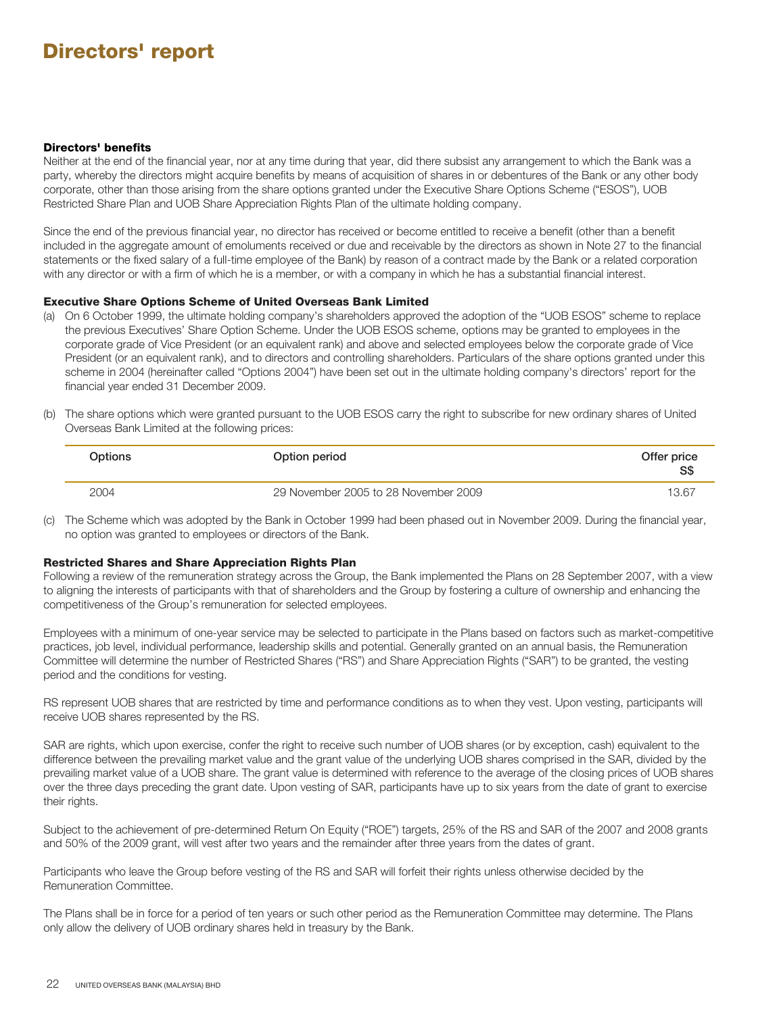# Directors' benefits

Neither at the end of the financial year, nor at any time during that year, did there subsist any arrangement to which the Bank was a party, whereby the directors might acquire benefits by means of acquisition of shares in or debentures of the Bank or any other body corporate, other than those arising from the share options granted under the Executive Share Options Scheme ("ESOS"), UOB Restricted Share Plan and UOB Share Appreciation Rights Plan of the ultimate holding company.

Since the end of the previous financial year, no director has received or become entitled to receive a benefit (other than a benefit included in the aggregate amount of emoluments received or due and receivable by the directors as shown in Note 27 to the financial statements or the fixed salary of a full-time employee of the Bank) by reason of a contract made by the Bank or a related corporation with any director or with a firm of which he is a member, or with a company in which he has a substantial financial interest.

#### Executive Share Options Scheme of United Overseas Bank Limited

- (a) On 6 October 1999, the ultimate holding company's shareholders approved the adoption of the "UOB ESOS" scheme to replace the previous Executives' Share Option Scheme. Under the UOB ESOS scheme, options may be granted to employees in the corporate grade of Vice President (or an equivalent rank) and above and selected employees below the corporate grade of Vice President (or an equivalent rank), and to directors and controlling shareholders. Particulars of the share options granted under this scheme in 2004 (hereinafter called "Options 2004") have been set out in the ultimate holding company's directors' report for the financial year ended 31 December 2009.
- (b) The share options which were granted pursuant to the UOB ESOS carry the right to subscribe for new ordinary shares of United Overseas Bank Limited at the following prices:

| Options | Option period                        | Offer price<br>S\$ |
|---------|--------------------------------------|--------------------|
| 2004    | 29 November 2005 to 28 November 2009 | 13.67              |

(c) The Scheme which was adopted by the Bank in October 1999 had been phased out in November 2009. During the financial year, no option was granted to employees or directors of the Bank.

#### Restricted Shares and Share Appreciation Rights Plan

Following a review of the remuneration strategy across the Group, the Bank implemented the Plans on 28 September 2007, with a view to aligning the interests of participants with that of shareholders and the Group by fostering a culture of ownership and enhancing the competitiveness of the Group's remuneration for selected employees.

Employees with a minimum of one-year service may be selected to participate in the Plans based on factors such as market-competitive practices, job level, individual performance, leadership skills and potential. Generally granted on an annual basis, the Remuneration Committee will determine the number of Restricted Shares ("RS") and Share Appreciation Rights ("SAR") to be granted, the vesting period and the conditions for vesting.

RS represent UOB shares that are restricted by time and performance conditions as to when they vest. Upon vesting, participants will receive UOB shares represented by the RS.

SAR are rights, which upon exercise, confer the right to receive such number of UOB shares (or by exception, cash) equivalent to the difference between the prevailing market value and the grant value of the underlying UOB shares comprised in the SAR, divided by the prevailing market value of a UOB share. The grant value is determined with reference to the average of the closing prices of UOB shares over the three days preceding the grant date. Upon vesting of SAR, participants have up to six years from the date of grant to exercise their rights.

Subject to the achievement of pre-determined Return On Equity ("ROE") targets, 25% of the RS and SAR of the 2007 and 2008 grants and 50% of the 2009 grant, will vest after two years and the remainder after three years from the dates of grant.

Participants who leave the Group before vesting of the RS and SAR will forfeit their rights unless otherwise decided by the Remuneration Committee.

The Plans shall be in force for a period of ten years or such other period as the Remuneration Committee may determine. The Plans only allow the delivery of UOB ordinary shares held in treasury by the Bank.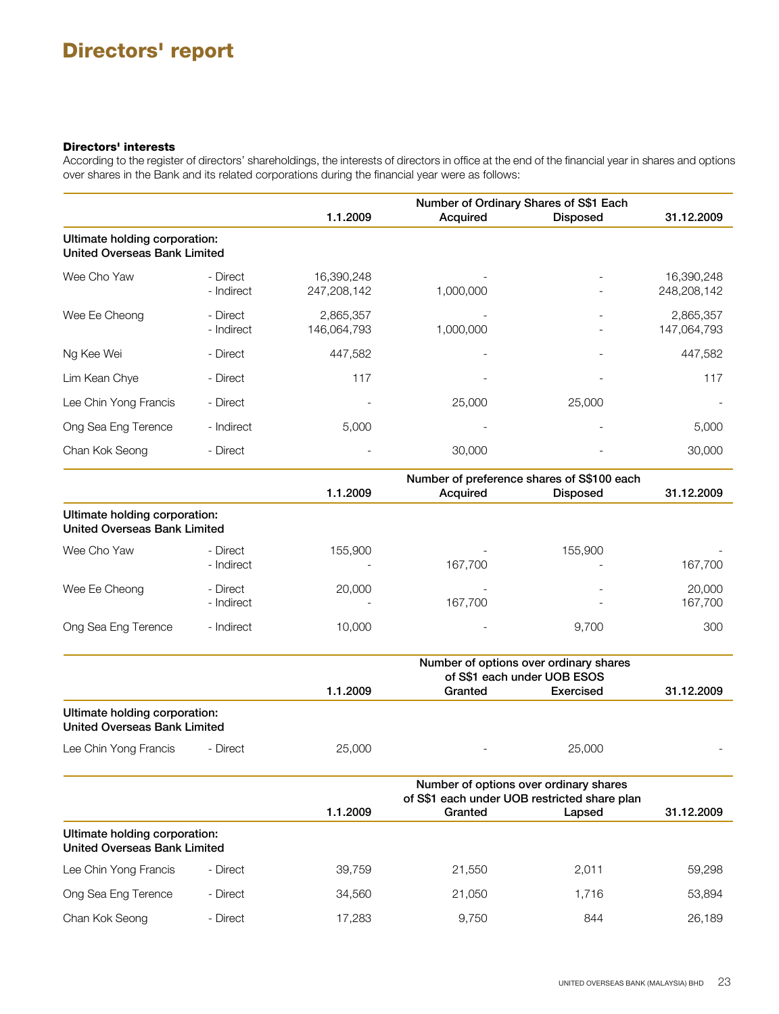# Directors' interests

According to the register of directors' shareholdings, the interests of directors in office at the end of the financial year in shares and options over shares in the Bank and its related corporations during the financial year were as follows:

|                                                                      |                        | Number of Ordinary Shares of S\$1 Each |           |                 |                           |  |
|----------------------------------------------------------------------|------------------------|----------------------------------------|-----------|-----------------|---------------------------|--|
|                                                                      |                        | 1.1.2009                               | Acquired  | <b>Disposed</b> | 31.12.2009                |  |
| Ultimate holding corporation:<br><b>United Overseas Bank Limited</b> |                        |                                        |           |                 |                           |  |
| Wee Cho Yaw                                                          | - Direct<br>- Indirect | 16,390,248<br>247,208,142              | 1,000,000 |                 | 16,390,248<br>248,208,142 |  |
| Wee Ee Cheong                                                        | - Direct<br>- Indirect | 2,865,357<br>146,064,793               | 1,000,000 |                 | 2,865,357<br>147,064,793  |  |
| Ng Kee Wei                                                           | - Direct               | 447,582                                |           |                 | 447,582                   |  |
| Lim Kean Chye                                                        | - Direct               | 117                                    |           |                 | 117                       |  |
| Lee Chin Yong Francis                                                | - Direct               |                                        | 25,000    | 25,000          |                           |  |
| Ong Sea Eng Terence                                                  | - Indirect             | 5,000                                  |           |                 | 5,000                     |  |
| Chan Kok Seong                                                       | - Direct               |                                        | 30,000    |                 | 30,000                    |  |

|                                                               |                        | Number of preference shares of S\$100 each |          |                 |                   |  |  |
|---------------------------------------------------------------|------------------------|--------------------------------------------|----------|-----------------|-------------------|--|--|
|                                                               |                        | 1.1.2009                                   | Acquired | <b>Disposed</b> | 31.12.2009        |  |  |
| Ultimate holding corporation:<br>United Overseas Bank Limited |                        |                                            |          |                 |                   |  |  |
| Wee Cho Yaw                                                   | - Direct<br>- Indirect | 155,900                                    | 167.700  | 155,900         | 167,700           |  |  |
| Wee Ee Cheong                                                 | - Direct<br>- Indirect | 20,000                                     | 167.700  |                 | 20,000<br>167,700 |  |  |
| Ong Sea Eng Terence                                           | - Indirect             | 10,000                                     |          | 9,700           | 300               |  |  |

|                                                                      |          | Number of options over ordinary shares<br>of S\$1 each under UOB ESOS |         |           |            |  |  |
|----------------------------------------------------------------------|----------|-----------------------------------------------------------------------|---------|-----------|------------|--|--|
|                                                                      |          | 1.1.2009                                                              | Granted | Exercised | 31.12.2009 |  |  |
| Ultimate holding corporation:<br><b>United Overseas Bank Limited</b> |          |                                                                       |         |           |            |  |  |
| Lee Chin Yong Francis                                                | - Direct | 25,000                                                                |         | 25,000    |            |  |  |

|                                                               |          | Number of options over ordinary shares<br>of S\$1 each under UOB restricted share plan |         |        |            |  |  |
|---------------------------------------------------------------|----------|----------------------------------------------------------------------------------------|---------|--------|------------|--|--|
|                                                               |          | 1.1.2009                                                                               | Granted | Lapsed | 31.12.2009 |  |  |
| Ultimate holding corporation:<br>United Overseas Bank Limited |          |                                                                                        |         |        |            |  |  |
| Lee Chin Yong Francis                                         | - Direct | 39.759                                                                                 | 21.550  | 2.011  | 59,298     |  |  |
| Ong Sea Eng Terence                                           | - Direct | 34.560                                                                                 | 21.050  | 1.716  | 53,894     |  |  |
| Chan Kok Seong                                                | - Direct | 17.283                                                                                 | 9.750   | 844    | 26.189     |  |  |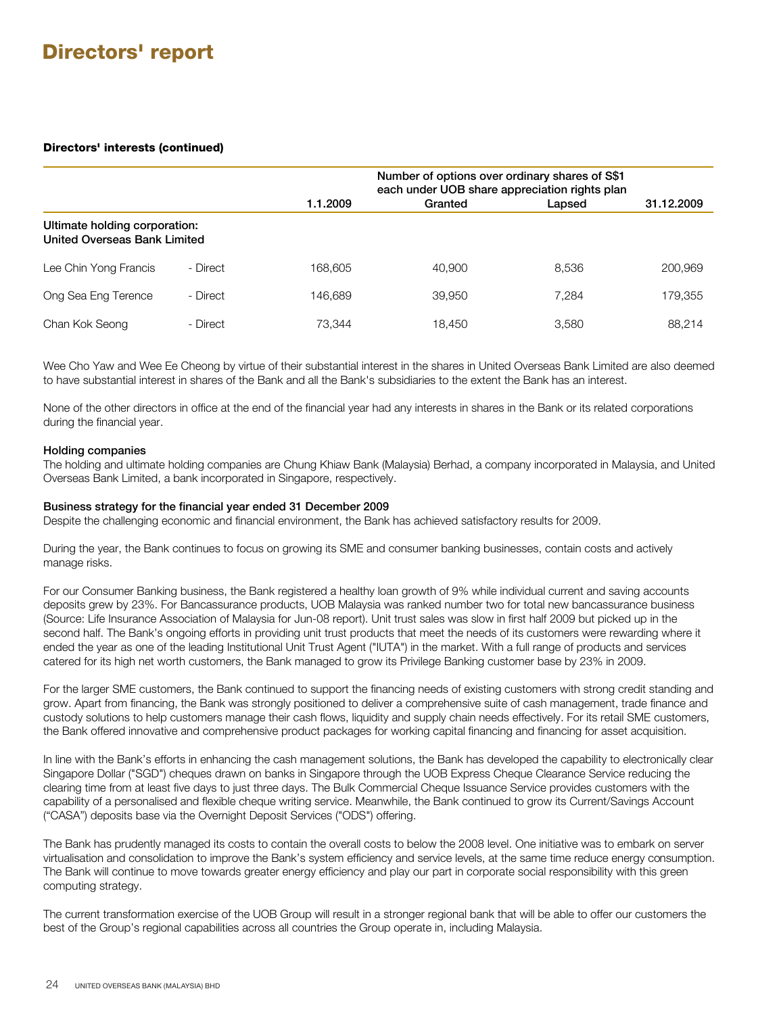# Directors' interests (continued)

|                                                               |          | Number of options over ordinary shares of S\$1<br>each under UOB share appreciation rights plan |         |        |            |  |  |
|---------------------------------------------------------------|----------|-------------------------------------------------------------------------------------------------|---------|--------|------------|--|--|
|                                                               |          | 1.1.2009                                                                                        | Granted | Lapsed | 31.12.2009 |  |  |
| Ultimate holding corporation:<br>United Overseas Bank Limited |          |                                                                                                 |         |        |            |  |  |
| Lee Chin Yong Francis                                         | - Direct | 168.605                                                                                         | 40,900  | 8.536  | 200,969    |  |  |
| Ong Sea Eng Terence                                           | - Direct | 146.689                                                                                         | 39,950  | 7.284  | 179,355    |  |  |
| Chan Kok Seong                                                | - Direct | 73.344                                                                                          | 18,450  | 3,580  | 88,214     |  |  |

Wee Cho Yaw and Wee Ee Cheong by virtue of their substantial interest in the shares in United Overseas Bank Limited are also deemed to have substantial interest in shares of the Bank and all the Bank's subsidiaries to the extent the Bank has an interest.

None of the other directors in office at the end of the financial year had any interests in shares in the Bank or its related corporations during the financial year.

#### Holding companies

The holding and ultimate holding companies are Chung Khiaw Bank (Malaysia) Berhad, a company incorporated in Malaysia, and United Overseas Bank Limited, a bank incorporated in Singapore, respectively.

#### Business strategy for the financial year ended 31 December 2009

Despite the challenging economic and financial environment, the Bank has achieved satisfactory results for 2009.

During the year, the Bank continues to focus on growing its SME and consumer banking businesses, contain costs and actively manage risks.

For our Consumer Banking business, the Bank registered a healthy loan growth of 9% while individual current and saving accounts deposits grew by 23%. For Bancassurance products, UOB Malaysia was ranked number two for total new bancassurance business (Source: Life Insurance Association of Malaysia for Jun-08 report). Unit trust sales was slow in first half 2009 but picked up in the second half. The Bank's ongoing efforts in providing unit trust products that meet the needs of its customers were rewarding where it ended the year as one of the leading Institutional Unit Trust Agent ("IUTA") in the market. With a full range of products and services catered for its high net worth customers, the Bank managed to grow its Privilege Banking customer base by 23% in 2009.

For the larger SME customers, the Bank continued to support the financing needs of existing customers with strong credit standing and grow. Apart from financing, the Bank was strongly positioned to deliver a comprehensive suite of cash management, trade finance and custody solutions to help customers manage their cash flows, liquidity and supply chain needs effectively. For its retail SME customers, the Bank offered innovative and comprehensive product packages for working capital financing and financing for asset acquisition.

In line with the Bank's efforts in enhancing the cash management solutions, the Bank has developed the capability to electronically clear Singapore Dollar ("SGD") cheques drawn on banks in Singapore through the UOB Express Cheque Clearance Service reducing the clearing time from at least five days to just three days. The Bulk Commercial Cheque Issuance Service provides customers with the capability of a personalised and flexible cheque writing service. Meanwhile, the Bank continued to grow its Current/Savings Account ("CASA") deposits base via the Overnight Deposit Services ("ODS") offering.

The Bank has prudently managed its costs to contain the overall costs to below the 2008 level. One initiative was to embark on server virtualisation and consolidation to improve the Bank's system efficiency and service levels, at the same time reduce energy consumption. The Bank will continue to move towards greater energy efficiency and play our part in corporate social responsibility with this green computing strategy.

The current transformation exercise of the UOB Group will result in a stronger regional bank that will be able to offer our customers the best of the Group's regional capabilities across all countries the Group operate in, including Malaysia.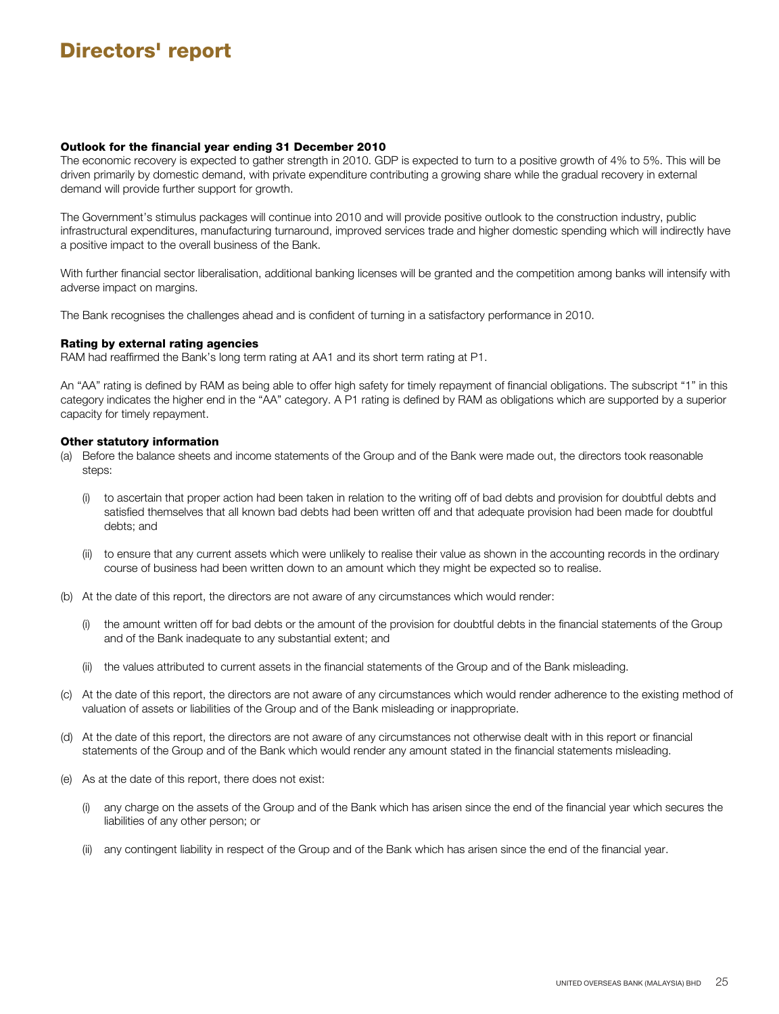### Outlook for the financial year ending 31 December 2010

The economic recovery is expected to gather strength in 2010. GDP is expected to turn to a positive growth of 4% to 5%. This will be driven primarily by domestic demand, with private expenditure contributing a growing share while the gradual recovery in external demand will provide further support for growth.

The Government's stimulus packages will continue into 2010 and will provide positive outlook to the construction industry, public infrastructural expenditures, manufacturing turnaround, improved services trade and higher domestic spending which will indirectly have a positive impact to the overall business of the Bank.

With further financial sector liberalisation, additional banking licenses will be granted and the competition among banks will intensify with adverse impact on margins.

The Bank recognises the challenges ahead and is confident of turning in a satisfactory performance in 2010.

#### Rating by external rating agencies

RAM had reaffirmed the Bank's long term rating at AA1 and its short term rating at P1.

An "AA" rating is defined by RAM as being able to offer high safety for timely repayment of financial obligations. The subscript "1" in this category indicates the higher end in the "AA" category. A P1 rating is defined by RAM as obligations which are supported by a superior capacity for timely repayment.

#### Other statutory information

- (a) Before the balance sheets and income statements of the Group and of the Bank were made out, the directors took reasonable steps:
	- (i) to ascertain that proper action had been taken in relation to the writing off of bad debts and provision for doubtful debts and satisfied themselves that all known bad debts had been written off and that adequate provision had been made for doubtful debts; and
	- (ii) to ensure that any current assets which were unlikely to realise their value as shown in the accounting records in the ordinary course of business had been written down to an amount which they might be expected so to realise.
- (b) At the date of this report, the directors are not aware of any circumstances which would render:
	- (i) the amount written off for bad debts or the amount of the provision for doubtful debts in the financial statements of the Group and of the Bank inadequate to any substantial extent; and
	- (ii) the values attributed to current assets in the financial statements of the Group and of the Bank misleading.
- (c) At the date of this report, the directors are not aware of any circumstances which would render adherence to the existing method of valuation of assets or liabilities of the Group and of the Bank misleading or inappropriate.
- (d) At the date of this report, the directors are not aware of any circumstances not otherwise dealt with in this report or financial statements of the Group and of the Bank which would render any amount stated in the financial statements misleading.
- (e) As at the date of this report, there does not exist:
	- (i) any charge on the assets of the Group and of the Bank which has arisen since the end of the financial year which secures the liabilities of any other person; or
	- (ii) any contingent liability in respect of the Group and of the Bank which has arisen since the end of the financial year.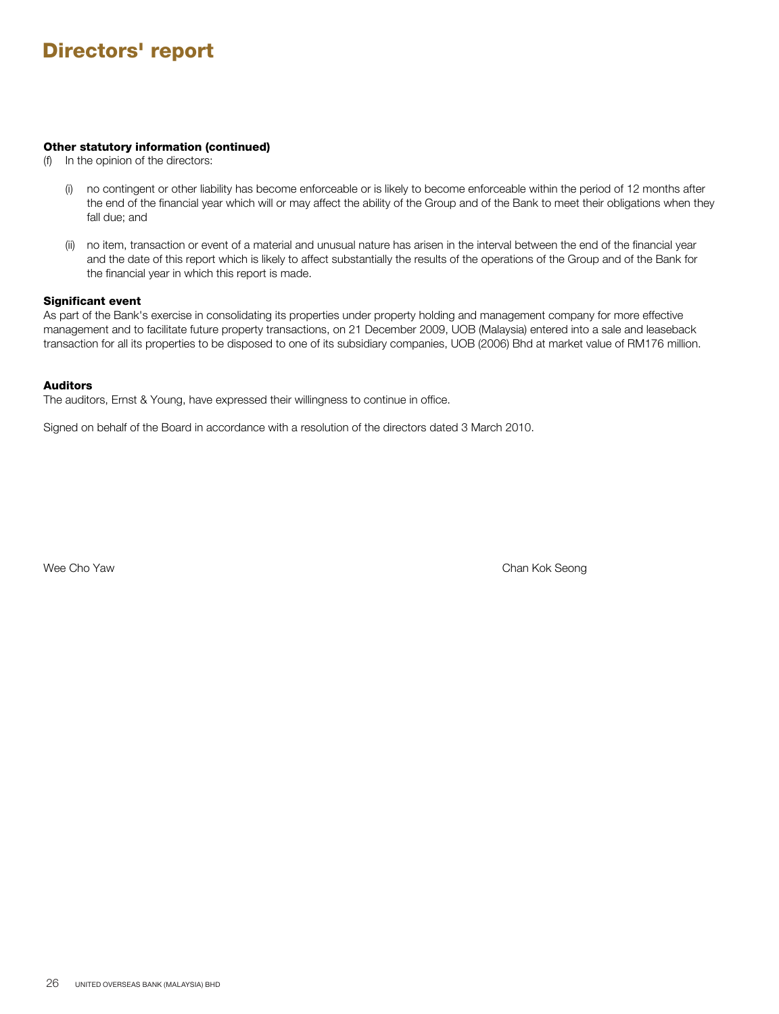#### Other statutory information (continued)

- (f) In the opinion of the directors:
	- (i) no contingent or other liability has become enforceable or is likely to become enforceable within the period of 12 months after the end of the financial year which will or may affect the ability of the Group and of the Bank to meet their obligations when they fall due; and
	- (ii) no item, transaction or event of a material and unusual nature has arisen in the interval between the end of the financial year and the date of this report which is likely to affect substantially the results of the operations of the Group and of the Bank for the financial year in which this report is made.

# Significant event

As part of the Bank's exercise in consolidating its properties under property holding and management company for more effective management and to facilitate future property transactions, on 21 December 2009, UOB (Malaysia) entered into a sale and leaseback transaction for all its properties to be disposed to one of its subsidiary companies, UOB (2006) Bhd at market value of RM176 million.

#### Auditors

The auditors, Ernst & Young, have expressed their willingness to continue in office.

Signed on behalf of the Board in accordance with a resolution of the directors dated 3 March 2010.

Wee Cho Yaw Chan Kok Seong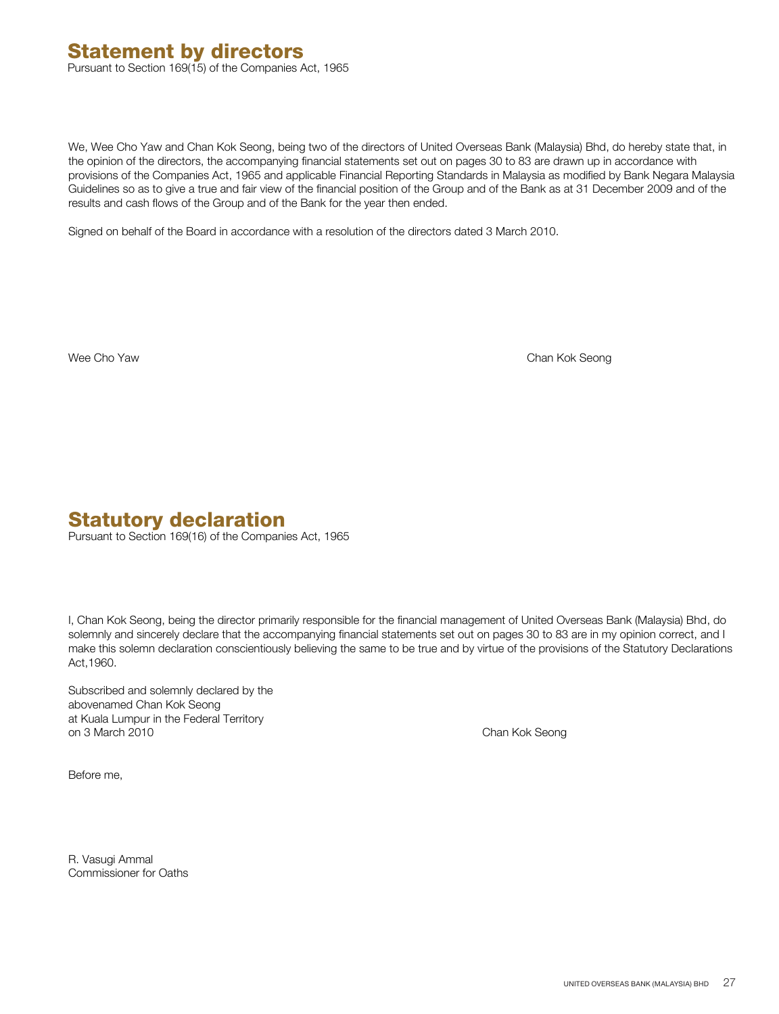# Statement by directors

Pursuant to Section 169(15) of the Companies Act, 1965

We, Wee Cho Yaw and Chan Kok Seong, being two of the directors of United Overseas Bank (Malaysia) Bhd, do hereby state that, in the opinion of the directors, the accompanying financial statements set out on pages 30 to 83 are drawn up in accordance with provisions of the Companies Act, 1965 and applicable Financial Reporting Standards in Malaysia as modified by Bank Negara Malaysia Guidelines so as to give a true and fair view of the financial position of the Group and of the Bank as at 31 December 2009 and of the results and cash flows of the Group and of the Bank for the year then ended.

Signed on behalf of the Board in accordance with a resolution of the directors dated 3 March 2010.

Wee Cho Yaw Chan Kok Seong

# Statutory declaration

Pursuant to Section 169(16) of the Companies Act, 1965

I, Chan Kok Seong, being the director primarily responsible for the financial management of United Overseas Bank (Malaysia) Bhd, do solemnly and sincerely declare that the accompanying financial statements set out on pages 30 to 83 are in my opinion correct, and I make this solemn declaration conscientiously believing the same to be true and by virtue of the provisions of the Statutory Declarations Act,1960.

Subscribed and solemnly declared by the abovenamed Chan Kok Seong at Kuala Lumpur in the Federal Territory<br>on 3 March 2010

Chan Kok Seong

Before me,

R. Vasugi Ammal Commissioner for Oaths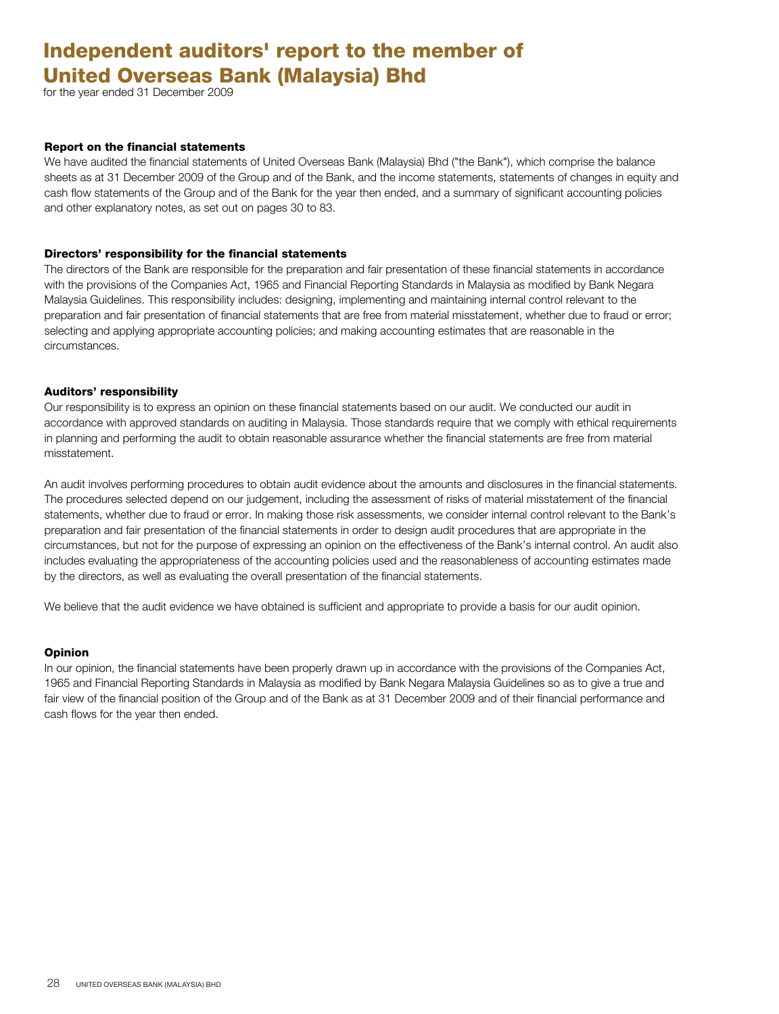# Independent auditors' report to the member of United Overseas Bank (Malaysia) Bhd

for the year ended 31 December 2009

### Report on the financial statements

We have audited the financial statements of United Overseas Bank (Malaysia) Bhd ("the Bank"), which comprise the balance sheets as at 31 December 2009 of the Group and of the Bank, and the income statements, statements of changes in equity and cash flow statements of the Group and of the Bank for the year then ended, and a summary of significant accounting policies and other explanatory notes, as set out on pages 30 to 83.

### Directors' responsibility for the financial statements

The directors of the Bank are responsible for the preparation and fair presentation of these financial statements in accordance with the provisions of the Companies Act, 1965 and Financial Reporting Standards in Malaysia as modified by Bank Negara Malaysia Guidelines. This responsibility includes: designing, implementing and maintaining internal control relevant to the preparation and fair presentation of financial statements that are free from material misstatement, whether due to fraud or error; selecting and applying appropriate accounting policies; and making accounting estimates that are reasonable in the circumstances.

# Auditors' responsibility

Our responsibility is to express an opinion on these financial statements based on our audit. We conducted our audit in accordance with approved standards on auditing in Malaysia. Those standards require that we comply with ethical requirements in planning and performing the audit to obtain reasonable assurance whether the financial statements are free from material misstatement.

An audit involves performing procedures to obtain audit evidence about the amounts and disclosures in the financial statements. The procedures selected depend on our judgement, including the assessment of risks of material misstatement of the financial statements, whether due to fraud or error. In making those risk assessments, we consider internal control relevant to the Bank's preparation and fair presentation of the financial statements in order to design audit procedures that are appropriate in the circumstances, but not for the purpose of expressing an opinion on the effectiveness of the Bank's internal control. An audit also includes evaluating the appropriateness of the accounting policies used and the reasonableness of accounting estimates made by the directors, as well as evaluating the overall presentation of the financial statements.

We believe that the audit evidence we have obtained is sufficient and appropriate to provide a basis for our audit opinion.

### Opinion

In our opinion, the financial statements have been properly drawn up in accordance with the provisions of the Companies Act, 1965 and Financial Reporting Standards in Malaysia as modified by Bank Negara Malaysia Guidelines so as to give a true and fair view of the financial position of the Group and of the Bank as at 31 December 2009 and of their financial performance and cash flows for the year then ended.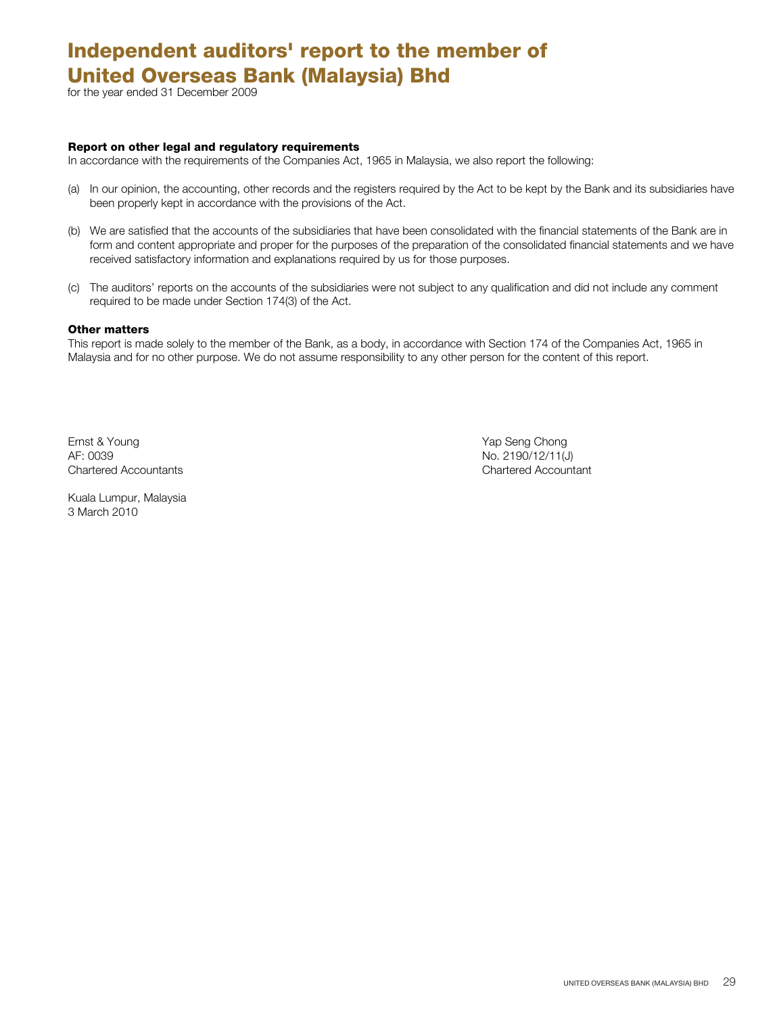# Independent auditors' report to the member of United Overseas Bank (Malaysia) Bhd

for the year ended 31 December 2009

#### Report on other legal and regulatory requirements

In accordance with the requirements of the Companies Act, 1965 in Malaysia, we also report the following:

- (a) In our opinion, the accounting, other records and the registers required by the Act to be kept by the Bank and its subsidiaries have been properly kept in accordance with the provisions of the Act.
- (b) We are satisfied that the accounts of the subsidiaries that have been consolidated with the financial statements of the Bank are in form and content appropriate and proper for the purposes of the preparation of the consolidated financial statements and we have received satisfactory information and explanations required by us for those purposes.
- (c) The auditors' reports on the accounts of the subsidiaries were not subject to any qualification and did not include any comment required to be made under Section 174(3) of the Act.

#### Other matters

This report is made solely to the member of the Bank, as a body, in accordance with Section 174 of the Companies Act, 1965 in Malaysia and for no other purpose. We do not assume responsibility to any other person for the content of this report.

Ernst & Young Yap Seng Chong AF: 0039 No. 2190/12/11(J) Chartered Accountants Chartered Accountant

Kuala Lumpur, Malaysia 3 March 2010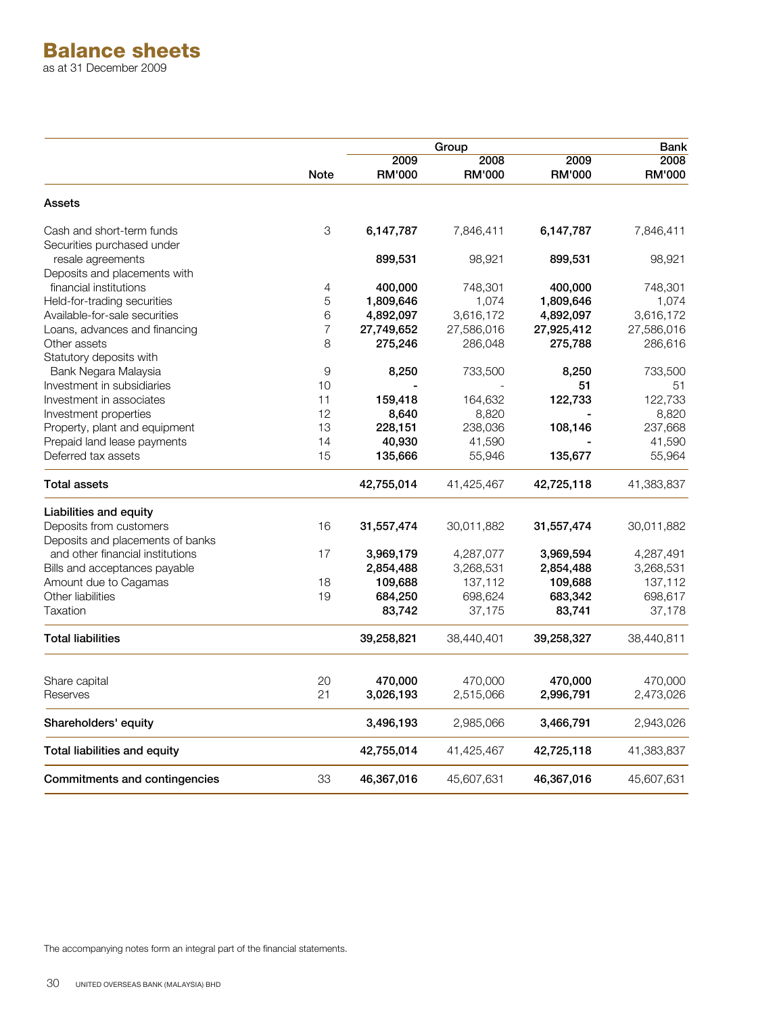|                                  |                | Group         |               |               |               |  |
|----------------------------------|----------------|---------------|---------------|---------------|---------------|--|
|                                  |                | 2009          | 2008          | 2009          | 2008          |  |
|                                  | <b>Note</b>    | <b>RM'000</b> | <b>RM'000</b> | <b>RM'000</b> | <b>RM'000</b> |  |
| Assets                           |                |               |               |               |               |  |
| Cash and short-term funds        | 3              | 6,147,787     | 7,846,411     | 6,147,787     | 7,846,411     |  |
| Securities purchased under       |                |               |               |               |               |  |
| resale agreements                |                | 899,531       | 98,921        | 899,531       | 98,921        |  |
| Deposits and placements with     |                |               |               |               |               |  |
| financial institutions           | 4              | 400,000       | 748,301       | 400,000       | 748,301       |  |
| Held-for-trading securities      | 5              | 1,809,646     | 1,074         | 1,809,646     | 1,074         |  |
| Available-for-sale securities    | 6              | 4,892,097     | 3,616,172     | 4,892,097     | 3,616,172     |  |
| Loans, advances and financing    | $\overline{7}$ | 27,749,652    | 27,586,016    | 27,925,412    | 27,586,016    |  |
| Other assets                     | 8              | 275,246       | 286,048       | 275,788       | 286,616       |  |
| Statutory deposits with          |                |               |               |               |               |  |
| Bank Negara Malaysia             | $\Theta$       | 8,250         | 733,500       | 8,250         | 733,500       |  |
| Investment in subsidiaries       | 10             |               |               | 51            | 51            |  |
| Investment in associates         | 11             | 159,418       | 164,632       | 122,733       | 122,733       |  |
| Investment properties            | 12             | 8,640         | 8,820         |               | 8,820         |  |
| Property, plant and equipment    | 13             | 228,151       | 238,036       | 108,146       | 237,668       |  |
| Prepaid land lease payments      | 14             | 40,930        | 41,590        |               | 41,590        |  |
| Deferred tax assets              | 15             | 135,666       | 55,946        | 135,677       | 55,964        |  |
| Total assets                     |                | 42,755,014    | 41,425,467    | 42,725,118    | 41,383,837    |  |
| Liabilities and equity           |                |               |               |               |               |  |
| Deposits from customers          | 16             | 31,557,474    | 30,011,882    | 31,557,474    | 30,011,882    |  |
| Deposits and placements of banks |                |               |               |               |               |  |
| and other financial institutions | 17             | 3,969,179     | 4,287,077     | 3,969,594     | 4,287,491     |  |
| Bills and acceptances payable    |                | 2,854,488     | 3,268,531     | 2,854,488     | 3,268,531     |  |
| Amount due to Cagamas            | 18             | 109,688       | 137,112       | 109,688       | 137,112       |  |
| Other liabilities                | 19             | 684,250       | 698,624       | 683,342       | 698,617       |  |
| Taxation                         |                | 83,742        | 37,175        | 83,741        | 37,178        |  |
| <b>Total liabilities</b>         |                | 39,258,821    | 38,440,401    | 39,258,327    | 38,440,811    |  |
|                                  |                |               |               |               |               |  |
| Share capital                    | 20             | 470,000       | 470,000       | 470,000       | 470,000       |  |
| Reserves                         | 21             | 3,026,193     | 2,515,066     | 2,996,791     | 2,473,026     |  |
| Shareholders' equity             |                | 3,496,193     | 2,985,066     | 3,466,791     | 2,943,026     |  |
| Total liabilities and equity     |                | 42,755,014    | 41,425,467    | 42,725,118    | 41,383,837    |  |
| Commitments and contingencies    | 33             | 46,367,016    | 45,607,631    | 46,367,016    | 45,607,631    |  |

The accompanying notes form an integral part of the financial statements.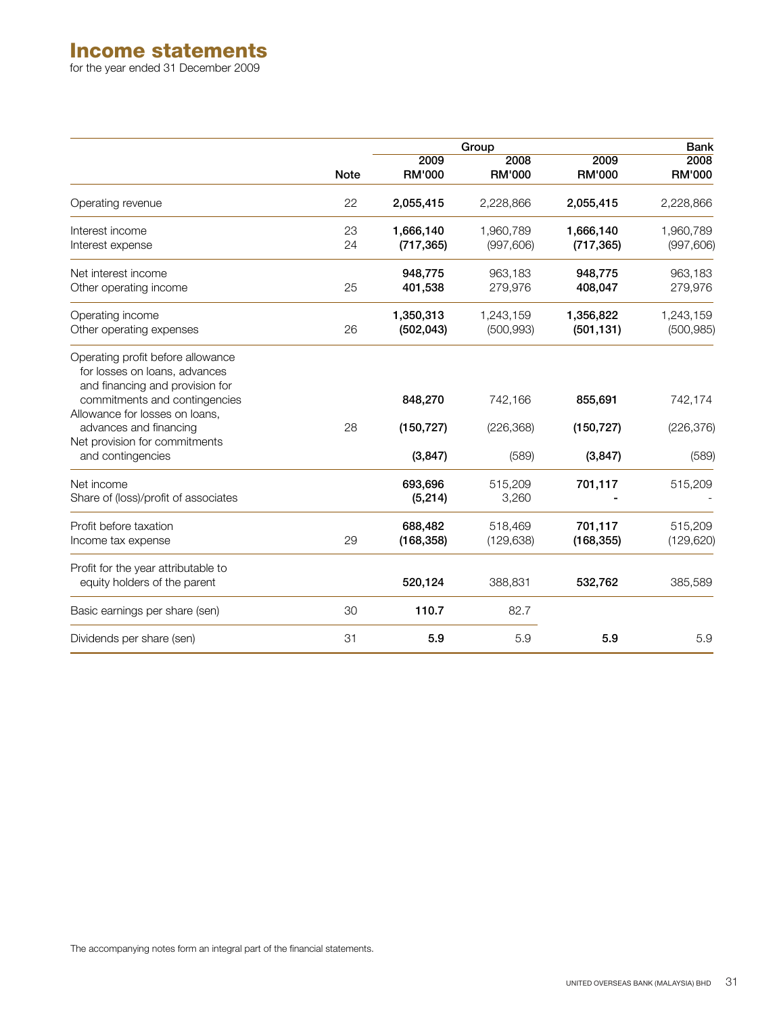# Income statements

for the year ended 31 December 2009

|                                                                 |             | <b>Bank</b>           |                       |                       |                       |
|-----------------------------------------------------------------|-------------|-----------------------|-----------------------|-----------------------|-----------------------|
|                                                                 | <b>Note</b> | 2009<br><b>RM'000</b> | 2008<br><b>RM'000</b> | 2009<br><b>RM'000</b> | 2008<br><b>RM'000</b> |
|                                                                 |             |                       |                       |                       |                       |
| Operating revenue                                               | 22          | 2,055,415             | 2,228,866             | 2,055,415             | 2,228,866             |
| Interest income                                                 | 23          | 1,666,140             | 1,960,789             | 1,666,140             | 1,960,789             |
| Interest expense                                                | 24          | (717, 365)            | (997, 606)            | (717, 365)            | (997, 606)            |
| Net interest income                                             |             | 948,775               | 963,183               | 948,775               | 963,183               |
| Other operating income                                          | 25          | 401,538               | 279,976               | 408,047               | 279,976               |
| Operating income                                                |             | 1,350,313             | 1,243,159             | 1,356,822             | 1,243,159             |
| Other operating expenses                                        | 26          | (502, 043)            | (500, 993)            | (501, 131)            | (500, 985)            |
| Operating profit before allowance                               |             |                       |                       |                       |                       |
| for losses on loans, advances                                   |             |                       |                       |                       |                       |
| and financing and provision for                                 |             |                       |                       |                       |                       |
| commitments and contingencies<br>Allowance for losses on loans, |             | 848,270               | 742,166               | 855,691               | 742,174               |
| advances and financing                                          | 28          | (150, 727)            | (226, 368)            | (150, 727)            | (226, 376)            |
| Net provision for commitments                                   |             |                       |                       |                       |                       |
| and contingencies                                               |             | (3, 847)              | (589)                 | (3, 847)              | (589)                 |
| Net income                                                      |             | 693.696               | 515,209               | 701,117               | 515,209               |
| Share of (loss)/profit of associates                            |             | (5,214)               | 3,260                 |                       |                       |
| Profit before taxation                                          |             | 688,482               | 518,469               | 701,117               | 515,209               |
| Income tax expense                                              | 29          | (168, 358)            | (129, 638)            | (168, 355)            | (129, 620)            |
| Profit for the year attributable to                             |             |                       |                       |                       |                       |
| equity holders of the parent                                    |             | 520,124               | 388,831               | 532,762               | 385,589               |
| Basic earnings per share (sen)                                  | 30          | 110.7                 | 82.7                  |                       |                       |
| Dividends per share (sen)                                       | 31          | 5.9                   | 5.9                   | 5.9                   | 5.9                   |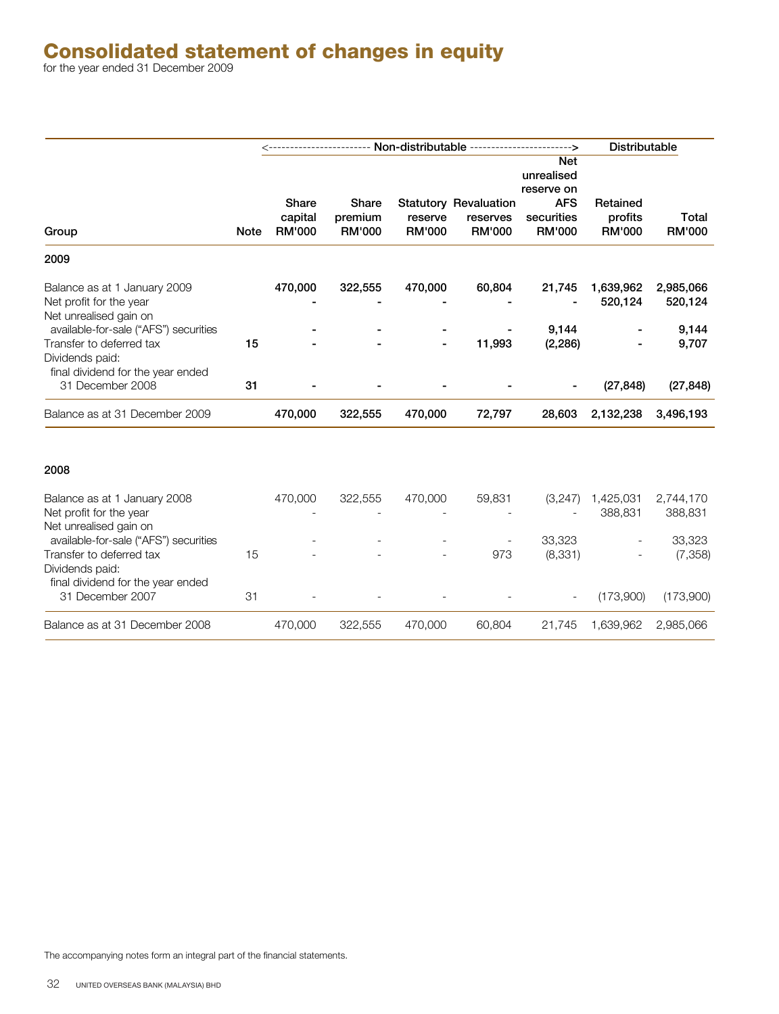for the year ended 31 December 2009

|                                                                                                                                                        |             | --->                              |                                   |                          |                                                           |                                                                                     | <b>Distributable</b>                 |                                        |  |
|--------------------------------------------------------------------------------------------------------------------------------------------------------|-------------|-----------------------------------|-----------------------------------|--------------------------|-----------------------------------------------------------|-------------------------------------------------------------------------------------|--------------------------------------|----------------------------------------|--|
| Group                                                                                                                                                  | <b>Note</b> | Share<br>capital<br><b>RM'000</b> | Share<br>premium<br><b>RM'000</b> | reserve<br><b>RM'000</b> | <b>Statutory Revaluation</b><br>reserves<br><b>RM'000</b> | <b>Net</b><br>unrealised<br>reserve on<br><b>AFS</b><br>securities<br><b>RM'000</b> | Retained<br>profits<br><b>RM'000</b> | Total<br><b>RM'000</b>                 |  |
| 2009                                                                                                                                                   |             |                                   |                                   |                          |                                                           |                                                                                     |                                      |                                        |  |
| Balance as at 1 January 2009<br>Net profit for the year<br>Net unrealised gain on<br>available-for-sale ("AFS") securities<br>Transfer to deferred tax | 15          | 470,000                           | 322,555                           | 470,000                  | 60,804<br>11,993                                          | 21,745<br>9,144<br>(2, 286)                                                         | 1,639,962<br>520,124                 | 2,985,066<br>520,124<br>9,144<br>9,707 |  |
| Dividends paid:<br>final dividend for the year ended<br>31 December 2008                                                                               | 31          |                                   |                                   |                          |                                                           |                                                                                     | (27, 848)                            | (27, 848)                              |  |
| Balance as at 31 December 2009                                                                                                                         |             | 470,000                           | 322,555                           | 470,000                  | 72,797                                                    | 28,603                                                                              | 2,132,238                            | 3,496,193                              |  |
| 2008                                                                                                                                                   |             |                                   |                                   |                          |                                                           |                                                                                     |                                      |                                        |  |
| Balance as at 1 January 2008<br>Net profit for the year<br>Net unrealised gain on                                                                      |             | 470,000                           | 322,555                           | 470,000                  | 59,831                                                    | (3,247)                                                                             | 1,425,031<br>388,831                 | 2,744,170<br>388,831                   |  |
| available-for-sale ("AFS") securities<br>Transfer to deferred tax<br>Dividends paid:                                                                   | 15          |                                   |                                   |                          | 973                                                       | 33,323<br>(8, 331)                                                                  |                                      | 33,323<br>(7, 358)                     |  |
| final dividend for the year ended<br>31 December 2007                                                                                                  | 31          |                                   |                                   |                          |                                                           |                                                                                     | (173,900)                            | (173,900)                              |  |
| Balance as at 31 December 2008                                                                                                                         |             | 470,000                           | 322,555                           | 470,000                  | 60,804                                                    | 21,745                                                                              | 1,639,962                            | 2,985,066                              |  |

The accompanying notes form an integral part of the financial statements.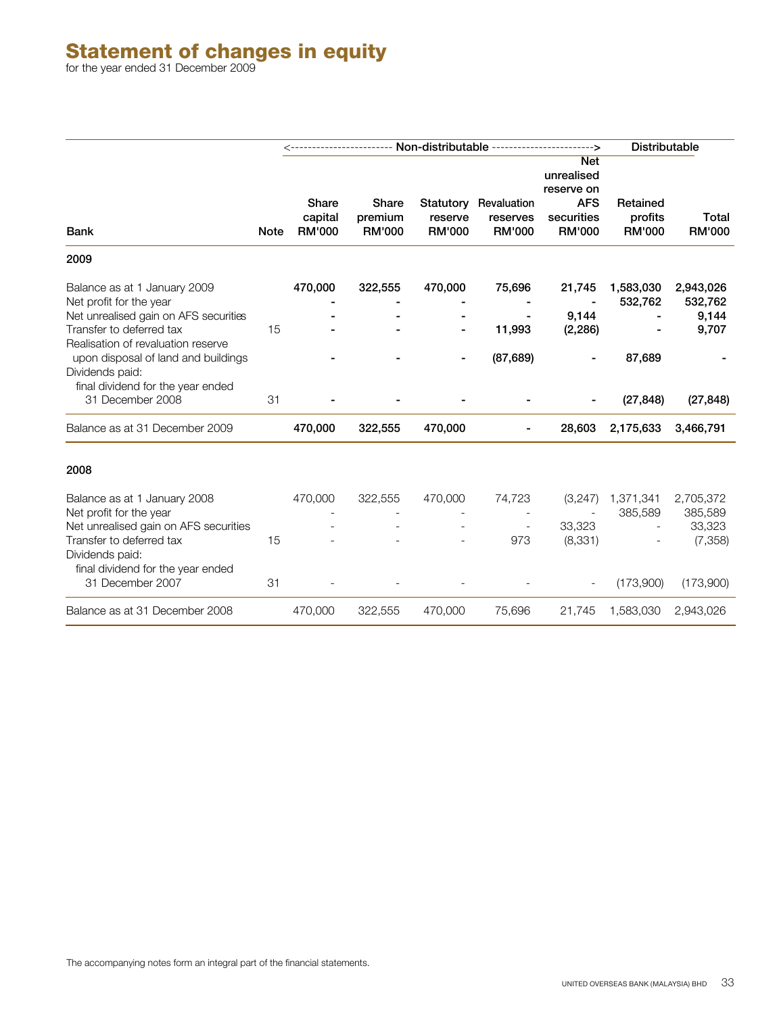# Statement of changes in equity

for the year ended 31 December 2009

|                                                                   |             |                  |                  |                      |                         |                                        | Distributable       |               |  |
|-------------------------------------------------------------------|-------------|------------------|------------------|----------------------|-------------------------|----------------------------------------|---------------------|---------------|--|
|                                                                   |             |                  |                  |                      |                         | <b>Net</b><br>unrealised<br>reserve on |                     |               |  |
|                                                                   |             | Share<br>capital | Share<br>premium | Statutory<br>reserve | Revaluation<br>reserves | <b>AFS</b><br>securities               | Retained<br>profits | Total         |  |
| Bank                                                              | <b>Note</b> | <b>RM'000</b>    | <b>RM'000</b>    | <b>RM'000</b>        | <b>RM'000</b>           | <b>RM'000</b>                          | <b>RM'000</b>       | <b>RM'000</b> |  |
| 2009                                                              |             |                  |                  |                      |                         |                                        |                     |               |  |
| Balance as at 1 January 2009                                      |             | 470,000          | 322,555          | 470,000              | 75,696                  | 21,745                                 | 1,583,030           | 2,943,026     |  |
| Net profit for the year                                           |             |                  |                  |                      |                         |                                        | 532,762             | 532,762       |  |
| Net unrealised gain on AFS securities<br>Transfer to deferred tax | 15          |                  |                  |                      |                         | 9,144                                  |                     | 9,144         |  |
| Realisation of revaluation reserve                                |             |                  |                  | ٠                    | 11,993                  | (2, 286)                               |                     | 9,707         |  |
| upon disposal of land and buildings                               |             |                  |                  |                      | (87, 689)               |                                        | 87,689              |               |  |
| Dividends paid:                                                   |             |                  |                  |                      |                         |                                        |                     |               |  |
| final dividend for the year ended                                 |             |                  |                  |                      |                         |                                        |                     |               |  |
| 31 December 2008                                                  | 31          |                  |                  |                      |                         |                                        | (27, 848)           | (27, 848)     |  |
| Balance as at 31 December 2009                                    |             | 470,000          | 322,555          | 470,000              |                         | 28,603                                 | 2,175,633           | 3,466,791     |  |
| 2008                                                              |             |                  |                  |                      |                         |                                        |                     |               |  |
| Balance as at 1 January 2008                                      |             | 470,000          | 322,555          | 470,000              | 74,723                  | (3,247)                                | 1,371,341           | 2,705,372     |  |
| Net profit for the year                                           |             |                  |                  |                      |                         |                                        | 385,589             | 385,589       |  |
| Net unrealised gain on AFS securities                             |             |                  |                  |                      |                         | 33,323                                 |                     | 33,323        |  |
| Transfer to deferred tax                                          | 15          |                  |                  |                      | 973                     | (8, 331)                               |                     | (7,358)       |  |
| Dividends paid:<br>final dividend for the year ended              |             |                  |                  |                      |                         |                                        |                     |               |  |
| 31 December 2007                                                  | 31          |                  |                  |                      |                         |                                        | (173,900)           | (173,900)     |  |
| Balance as at 31 December 2008                                    |             | 470,000          | 322,555          | 470,000              | 75,696                  | 21,745                                 | 1,583,030           | 2,943,026     |  |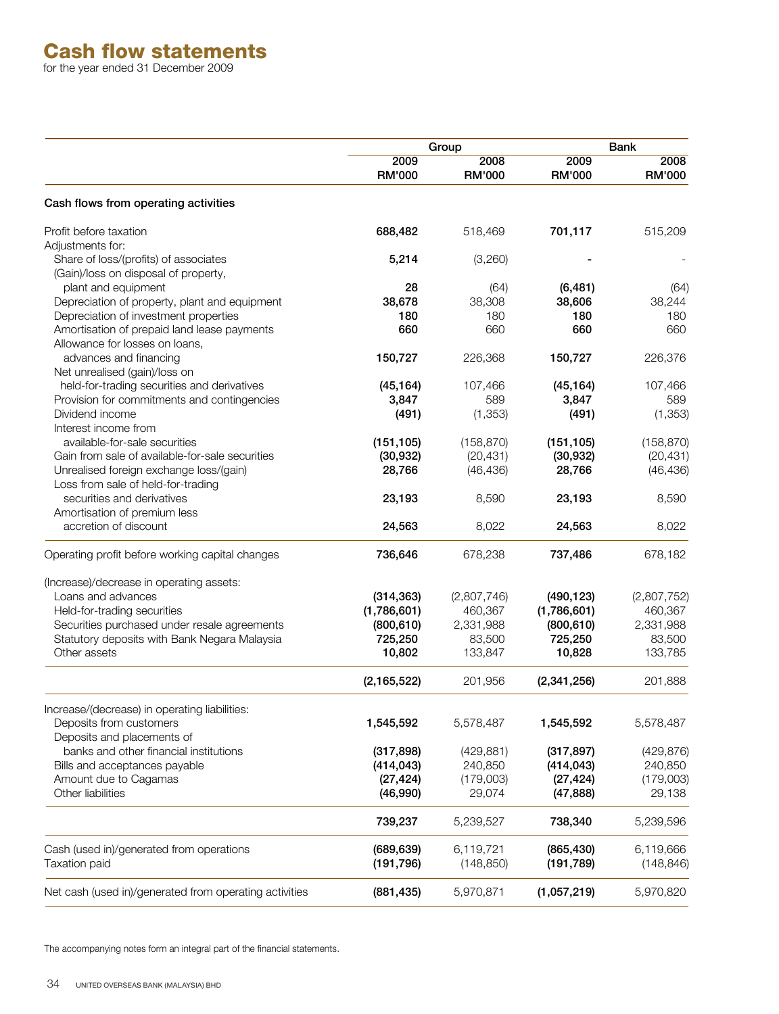# Cash flow statements

for the year ended 31 December 2009

|                                                        |                       | Group                 | <b>Bank</b>           |                       |  |
|--------------------------------------------------------|-----------------------|-----------------------|-----------------------|-----------------------|--|
|                                                        | 2009<br><b>RM'000</b> | 2008<br><b>RM'000</b> | 2009<br><b>RM'000</b> | 2008<br><b>RM'000</b> |  |
| Cash flows from operating activities                   |                       |                       |                       |                       |  |
| Profit before taxation                                 | 688,482               | 518,469               | 701,117               | 515,209               |  |
| Adjustments for:                                       |                       |                       |                       |                       |  |
| Share of loss/(profits) of associates                  | 5,214                 | (3,260)               |                       |                       |  |
| (Gain)/loss on disposal of property,                   |                       |                       |                       |                       |  |
| plant and equipment                                    | 28                    | (64)                  | (6, 481)              | (64)                  |  |
| Depreciation of property, plant and equipment          | 38,678                | 38,308                | 38,606                | 38,244                |  |
| Depreciation of investment properties                  | 180                   | 180                   | 180                   | 180                   |  |
| Amortisation of prepaid land lease payments            | 660                   | 660                   | 660                   | 660                   |  |
| Allowance for losses on loans,                         |                       |                       |                       |                       |  |
| advances and financing                                 | 150,727               | 226,368               | 150,727               | 226,376               |  |
| Net unrealised (gain)/loss on                          |                       |                       |                       |                       |  |
| held-for-trading securities and derivatives            | (45, 164)             | 107,466               | (45, 164)             | 107,466               |  |
| Provision for commitments and contingencies            | 3,847                 | 589                   | 3,847                 | 589                   |  |
| Dividend income                                        | (491)                 | (1, 353)              | (491)                 | (1, 353)              |  |
| Interest income from                                   |                       |                       |                       |                       |  |
| available-for-sale securities                          | (151, 105)            | (158, 870)            | (151, 105)            | (158, 870)            |  |
| Gain from sale of available-for-sale securities        | (30, 932)             | (20, 431)             | (30, 932)             | (20, 431)             |  |
| Unrealised foreign exchange loss/(gain)                | 28,766                | (46, 436)             | 28,766                | (46, 436)             |  |
| Loss from sale of held-for-trading                     |                       |                       |                       |                       |  |
| securities and derivatives                             | 23,193                | 8,590                 | 23,193                | 8,590                 |  |
| Amortisation of premium less                           |                       |                       |                       |                       |  |
| accretion of discount                                  | 24,563                | 8,022                 | 24,563                | 8,022                 |  |
| Operating profit before working capital changes        | 736,646               | 678,238               | 737,486               | 678,182               |  |
| (Increase)/decrease in operating assets:               |                       |                       |                       |                       |  |
| Loans and advances                                     | (314, 363)            | (2,807,746)           | (490, 123)            | (2,807,752)           |  |
| Held-for-trading securities                            | (1,786,601)           | 460,367               | (1,786,601)           | 460,367               |  |
| Securities purchased under resale agreements           | (800, 610)            | 2,331,988             | (800, 610)            | 2,331,988             |  |
| Statutory deposits with Bank Negara Malaysia           | 725,250               | 83,500                | 725,250               | 83,500                |  |
| Other assets                                           | 10,802                | 133,847               | 10,828                | 133,785               |  |
|                                                        |                       |                       |                       |                       |  |
|                                                        | (2, 165, 522)         | 201,956               | (2,341,256)           | 201,888               |  |
| Increase/(decrease) in operating liabilities:          |                       |                       |                       |                       |  |
| Deposits from customers                                | 1,545,592             | 5,578,487             | 1,545,592             | 5,578,487             |  |
| Deposits and placements of                             |                       |                       |                       |                       |  |
| banks and other financial institutions                 | (317, 898)            | (429, 881)            | (317, 897)            | (429, 876)            |  |
| Bills and acceptances payable                          | (414, 043)            | 240,850               | (414, 043)            | 240,850               |  |
| Amount due to Cagamas                                  | (27, 424)             | (179,003)             | (27, 424)             | (179,003)             |  |
| Other liabilities                                      | (46,990)              | 29,074                | (47, 888)             | 29,138                |  |
|                                                        | 739,237               | 5,239,527             | 738,340               | 5,239,596             |  |
| Cash (used in)/generated from operations               | (689, 639)            | 6,119,721             | (865, 430)            | 6,119,666             |  |
| Taxation paid                                          | (191, 796)            | (148, 850)            | (191, 789)            | (148, 846)            |  |
| Net cash (used in)/generated from operating activities | (881, 435)            | 5,970,871             | (1,057,219)           | 5,970,820             |  |
|                                                        |                       |                       |                       |                       |  |

The accompanying notes form an integral part of the financial statements.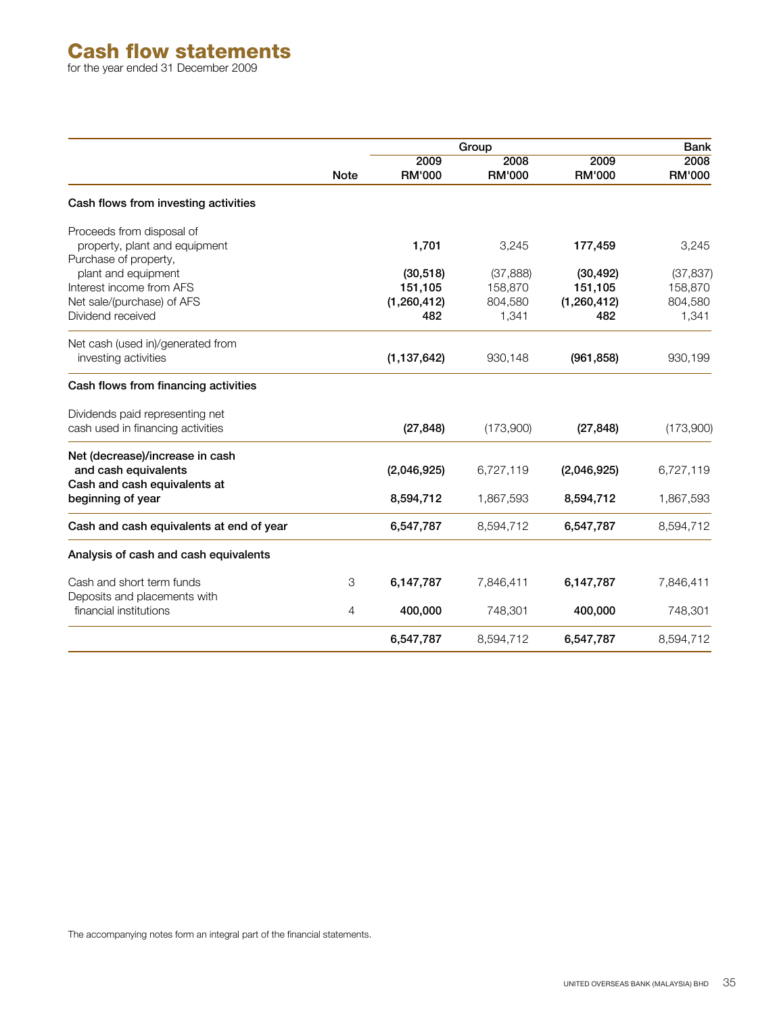for the year ended 31 December 2009

|                                                        |             | Group                 |                       | <b>Bank</b>           |                       |
|--------------------------------------------------------|-------------|-----------------------|-----------------------|-----------------------|-----------------------|
|                                                        | <b>Note</b> | 2009<br><b>RM'000</b> | 2008<br><b>RM'000</b> | 2009<br><b>RM'000</b> | 2008<br><b>RM'000</b> |
| Cash flows from investing activities                   |             |                       |                       |                       |                       |
| Proceeds from disposal of                              |             |                       |                       |                       |                       |
| property, plant and equipment<br>Purchase of property, |             | 1,701                 | 3,245                 | 177,459               | 3,245                 |
| plant and equipment                                    |             | (30, 518)             | (37, 888)             | (30, 492)             | (37, 837)             |
| Interest income from AFS                               |             | 151,105               | 158,870               | 151,105               | 158,870               |
| Net sale/(purchase) of AFS                             |             | (1,260,412)           | 804,580               | (1,260,412)           | 804,580               |
| Dividend received                                      |             | 482                   | 1,341                 | 482                   | 1,341                 |
| Net cash (used in)/generated from                      |             |                       |                       |                       |                       |
| investing activities                                   |             | (1, 137, 642)         | 930,148               | (961, 858)            | 930,199               |
| Cash flows from financing activities                   |             |                       |                       |                       |                       |
| Dividends paid representing net                        |             |                       |                       |                       |                       |
| cash used in financing activities                      |             | (27, 848)             | (173,900)             | (27, 848)             | (173,900)             |
| Net (decrease)/increase in cash                        |             |                       |                       |                       |                       |
| and cash equivalents                                   |             | (2,046,925)           | 6,727,119             | (2,046,925)           | 6,727,119             |
| Cash and cash equivalents at<br>beginning of year      |             | 8,594,712             | 1,867,593             | 8,594,712             | 1,867,593             |
|                                                        |             |                       |                       |                       |                       |
| Cash and cash equivalents at end of year               |             | 6,547,787             | 8,594,712             | 6,547,787             | 8,594,712             |
| Analysis of cash and cash equivalents                  |             |                       |                       |                       |                       |
| Cash and short term funds                              | 3           | 6,147,787             | 7,846,411             | 6,147,787             | 7,846,411             |
| Deposits and placements with                           |             |                       |                       |                       |                       |
| financial institutions                                 | 4           | 400,000               | 748,301               | 400,000               | 748,301               |
|                                                        |             | 6,547,787             | 8,594,712             | 6,547,787             | 8,594,712             |

The accompanying notes form an integral part of the financial statements.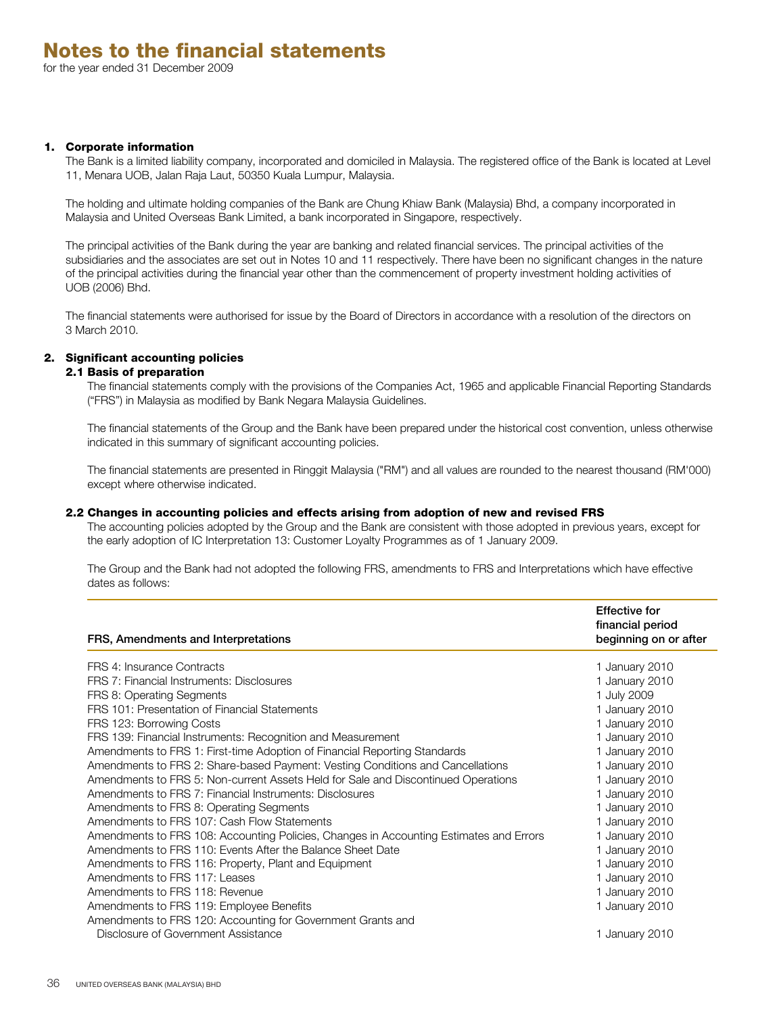for the year ended 31 December 2009

### 1. Corporate information

The Bank is a limited liability company, incorporated and domiciled in Malaysia. The registered office of the Bank is located at Level 11, Menara UOB, Jalan Raja Laut, 50350 Kuala Lumpur, Malaysia.

The holding and ultimate holding companies of the Bank are Chung Khiaw Bank (Malaysia) Bhd, a company incorporated in Malaysia and United Overseas Bank Limited, a bank incorporated in Singapore, respectively.

The principal activities of the Bank during the year are banking and related financial services. The principal activities of the subsidiaries and the associates are set out in Notes 10 and 11 respectively. There have been no significant changes in the nature of the principal activities during the financial year other than the commencement of property investment holding activities of UOB (2006) Bhd.

The financial statements were authorised for issue by the Board of Directors in accordance with a resolution of the directors on 3 March 2010.

#### 2. Significant accounting policies

#### 2.1 Basis of preparation

The financial statements comply with the provisions of the Companies Act, 1965 and applicable Financial Reporting Standards ("FRS") in Malaysia as modified by Bank Negara Malaysia Guidelines.

The financial statements of the Group and the Bank have been prepared under the historical cost convention, unless otherwise indicated in this summary of significant accounting policies.

The financial statements are presented in Ringgit Malaysia ("RM") and all values are rounded to the nearest thousand (RM'000) except where otherwise indicated.

#### 2.2 Changes in accounting policies and effects arising from adoption of new and revised FRS

The accounting policies adopted by the Group and the Bank are consistent with those adopted in previous years, except for the early adoption of IC Interpretation 13: Customer Loyalty Programmes as of 1 January 2009.

The Group and the Bank had not adopted the following FRS, amendments to FRS and Interpretations which have effective dates as follows:

| FRS, Amendments and Interpretations                                                    | <b>Effective for</b><br>financial period<br>beginning on or after |
|----------------------------------------------------------------------------------------|-------------------------------------------------------------------|
|                                                                                        |                                                                   |
| FRS 4: Insurance Contracts                                                             | 1 January 2010                                                    |
| FRS 7: Financial Instruments: Disclosures                                              | 1 January 2010                                                    |
| FRS 8: Operating Segments                                                              | 1 July 2009                                                       |
| FRS 101: Presentation of Financial Statements                                          | 1 January 2010                                                    |
| FRS 123: Borrowing Costs                                                               | 1 January 2010                                                    |
| FRS 139: Financial Instruments: Recognition and Measurement                            | 1 January 2010                                                    |
| Amendments to FRS 1: First-time Adoption of Financial Reporting Standards              | 1 January 2010                                                    |
| Amendments to FRS 2: Share-based Payment: Vesting Conditions and Cancellations         | 1 January 2010                                                    |
| Amendments to FRS 5: Non-current Assets Held for Sale and Discontinued Operations      | 1 January 2010                                                    |
| Amendments to FRS 7: Financial Instruments: Disclosures                                | 1 January 2010                                                    |
| Amendments to FRS 8: Operating Segments                                                | 1 January 2010                                                    |
| Amendments to FRS 107: Cash Flow Statements                                            | 1 January 2010                                                    |
| Amendments to FRS 108: Accounting Policies, Changes in Accounting Estimates and Errors | 1 January 2010                                                    |
| Amendments to FRS 110: Events After the Balance Sheet Date                             | 1 January 2010                                                    |
| Amendments to FRS 116: Property, Plant and Equipment                                   | 1 January 2010                                                    |
| Amendments to FRS 117: Leases                                                          | 1 January 2010                                                    |
| Amendments to FRS 118: Revenue                                                         | 1 January 2010                                                    |
| Amendments to FRS 119: Employee Benefits                                               | 1 January 2010                                                    |
| Amendments to FRS 120: Accounting for Government Grants and                            |                                                                   |
| Disclosure of Government Assistance                                                    | 1 January 2010                                                    |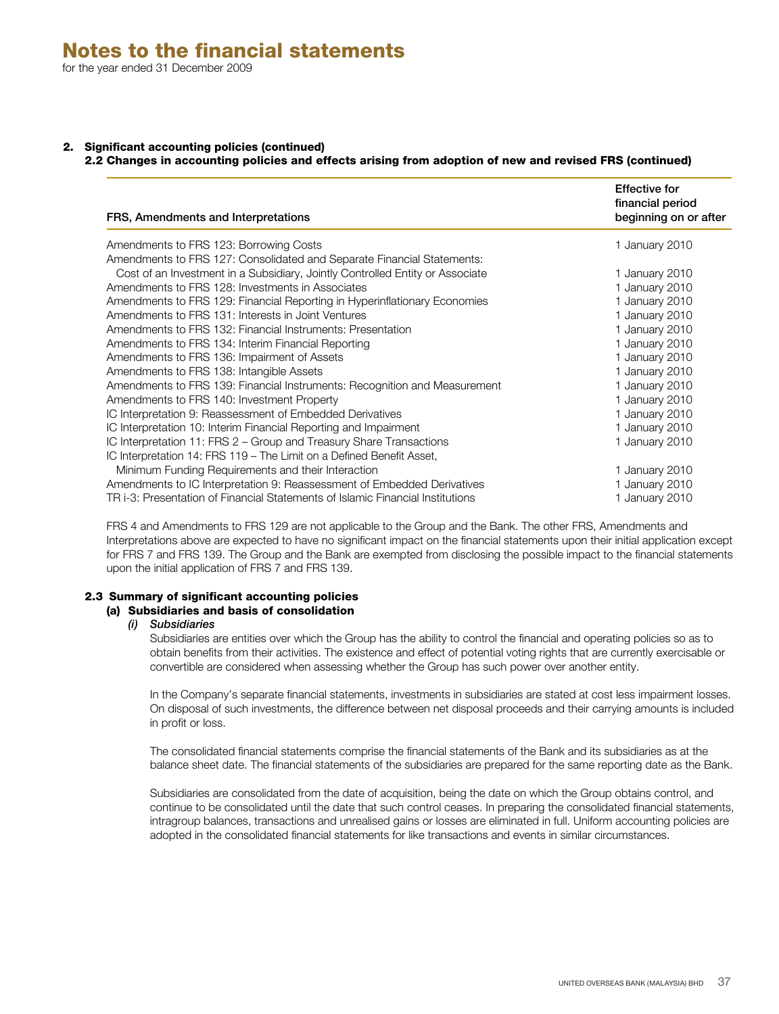## 2. Significant accounting policies (continued)

#### 2.2 Changes in accounting policies and effects arising from adoption of new and revised FRS (continued)

| FRS, Amendments and Interpretations                                            | <b>Effective for</b><br>financial period<br>beginning on or after |
|--------------------------------------------------------------------------------|-------------------------------------------------------------------|
| Amendments to FRS 123: Borrowing Costs                                         | 1 January 2010                                                    |
| Amendments to FRS 127: Consolidated and Separate Financial Statements:         |                                                                   |
| Cost of an Investment in a Subsidiary, Jointly Controlled Entity or Associate  | 1 January 2010                                                    |
| Amendments to FRS 128: Investments in Associates                               | 1 January 2010                                                    |
| Amendments to FRS 129: Financial Reporting in Hyperinflationary Economies      | 1 January 2010                                                    |
| Amendments to FRS 131: Interests in Joint Ventures                             | 1 January 2010                                                    |
| Amendments to FRS 132: Financial Instruments: Presentation                     | 1 January 2010                                                    |
| Amendments to FRS 134: Interim Financial Reporting                             | 1 January 2010                                                    |
| Amendments to FRS 136: Impairment of Assets                                    | 1 January 2010                                                    |
| Amendments to FRS 138: Intangible Assets                                       | 1 January 2010                                                    |
| Amendments to FRS 139: Financial Instruments: Recognition and Measurement      | 1 January 2010                                                    |
| Amendments to FRS 140: Investment Property                                     | 1 January 2010                                                    |
| IC Interpretation 9: Reassessment of Embedded Derivatives                      | 1 January 2010                                                    |
| IC Interpretation 10: Interim Financial Reporting and Impairment               | 1 January 2010                                                    |
| IC Interpretation 11: FRS 2 – Group and Treasury Share Transactions            | 1 January 2010                                                    |
| IC Interpretation 14: FRS 119 – The Limit on a Defined Benefit Asset,          |                                                                   |
| Minimum Funding Requirements and their Interaction                             | 1 January 2010                                                    |
| Amendments to IC Interpretation 9: Reassessment of Embedded Derivatives        | 1 January 2010                                                    |
| TR i-3: Presentation of Financial Statements of Islamic Financial Institutions | 1 January 2010                                                    |

FRS 4 and Amendments to FRS 129 are not applicable to the Group and the Bank. The other FRS, Amendments and Interpretations above are expected to have no significant impact on the financial statements upon their initial application except for FRS 7 and FRS 139. The Group and the Bank are exempted from disclosing the possible impact to the financial statements upon the initial application of FRS 7 and FRS 139.

## 2.3 Summary of significant accounting policies

#### (a) Subsidiaries and basis of consolidation

#### *(i) Subsidiaries*

Subsidiaries are entities over which the Group has the ability to control the financial and operating policies so as to obtain benefits from their activities. The existence and effect of potential voting rights that are currently exercisable or convertible are considered when assessing whether the Group has such power over another entity.

In the Company's separate financial statements, investments in subsidiaries are stated at cost less impairment losses. On disposal of such investments, the difference between net disposal proceeds and their carrying amounts is included in profit or loss.

The consolidated financial statements comprise the financial statements of the Bank and its subsidiaries as at the balance sheet date. The financial statements of the subsidiaries are prepared for the same reporting date as the Bank.

Subsidiaries are consolidated from the date of acquisition, being the date on which the Group obtains control, and continue to be consolidated until the date that such control ceases. In preparing the consolidated financial statements, intragroup balances, transactions and unrealised gains or losses are eliminated in full. Uniform accounting policies are adopted in the consolidated financial statements for like transactions and events in similar circumstances.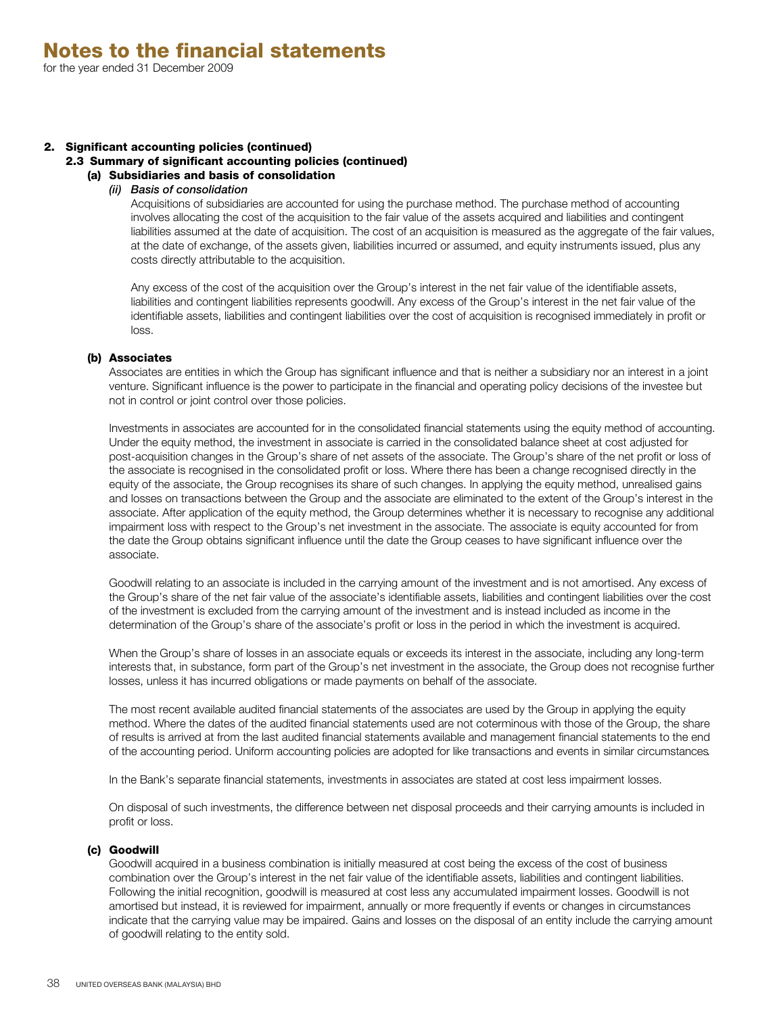## 2. Significant accounting policies (continued)

- 2.3 Summary of significant accounting policies (continued)
	- (a) Subsidiaries and basis of consolidation

## *(ii) Basis of consolidation*

Acquisitions of subsidiaries are accounted for using the purchase method. The purchase method of accounting involves allocating the cost of the acquisition to the fair value of the assets acquired and liabilities and contingent liabilities assumed at the date of acquisition. The cost of an acquisition is measured as the aggregate of the fair values, at the date of exchange, of the assets given, liabilities incurred or assumed, and equity instruments issued, plus any costs directly attributable to the acquisition.

Any excess of the cost of the acquisition over the Group's interest in the net fair value of the identifiable assets, liabilities and contingent liabilities represents goodwill. Any excess of the Group's interest in the net fair value of the identifiable assets, liabilities and contingent liabilities over the cost of acquisition is recognised immediately in profit or loss.

## (b) Associates

Associates are entities in which the Group has significant influence and that is neither a subsidiary nor an interest in a joint venture. Significant influence is the power to participate in the financial and operating policy decisions of the investee but not in control or joint control over those policies.

Investments in associates are accounted for in the consolidated financial statements using the equity method of accounting. Under the equity method, the investment in associate is carried in the consolidated balance sheet at cost adjusted for post-acquisition changes in the Group's share of net assets of the associate. The Group's share of the net profit or loss of the associate is recognised in the consolidated profit or loss. Where there has been a change recognised directly in the equity of the associate, the Group recognises its share of such changes. In applying the equity method, unrealised gains and losses on transactions between the Group and the associate are eliminated to the extent of the Group's interest in the associate. After application of the equity method, the Group determines whether it is necessary to recognise any additional impairment loss with respect to the Group's net investment in the associate. The associate is equity accounted for from the date the Group obtains significant influence until the date the Group ceases to have significant influence over the associate.

Goodwill relating to an associate is included in the carrying amount of the investment and is not amortised. Any excess of the Group's share of the net fair value of the associate's identifiable assets, liabilities and contingent liabilities over the cost of the investment is excluded from the carrying amount of the investment and is instead included as income in the determination of the Group's share of the associate's profit or loss in the period in which the investment is acquired.

When the Group's share of losses in an associate equals or exceeds its interest in the associate, including any long-term interests that, in substance, form part of the Group's net investment in the associate, the Group does not recognise further losses, unless it has incurred obligations or made payments on behalf of the associate.

The most recent available audited financial statements of the associates are used by the Group in applying the equity method. Where the dates of the audited financial statements used are not coterminous with those of the Group, the share of results is arrived at from the last audited financial statements available and management financial statements to the end of the accounting period. Uniform accounting policies are adopted for like transactions and events in similar circumstances.

In the Bank's separate financial statements, investments in associates are stated at cost less impairment losses.

On disposal of such investments, the difference between net disposal proceeds and their carrying amounts is included in profit or loss.

## (c) Goodwill

Goodwill acquired in a business combination is initially measured at cost being the excess of the cost of business combination over the Group's interest in the net fair value of the identifiable assets, liabilities and contingent liabilities. Following the initial recognition, goodwill is measured at cost less any accumulated impairment losses. Goodwill is not amortised but instead, it is reviewed for impairment, annually or more frequently if events or changes in circumstances indicate that the carrying value may be impaired. Gains and losses on the disposal of an entity include the carrying amount of goodwill relating to the entity sold.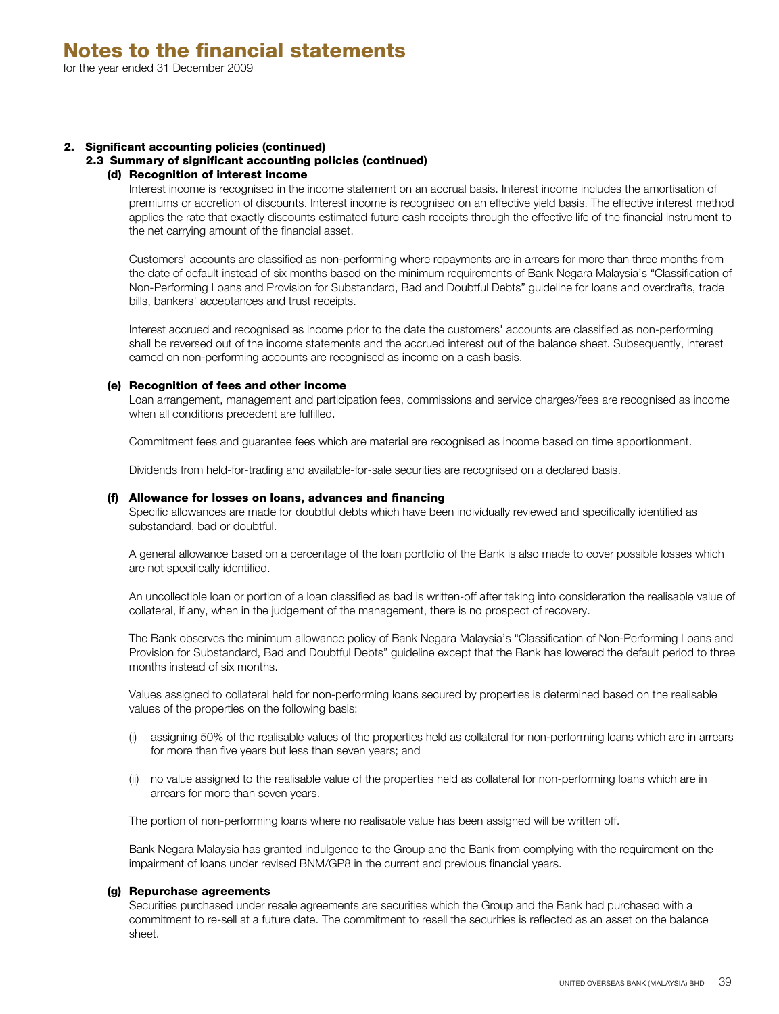## 2. Significant accounting policies (continued)

## 2.3 Summary of significant accounting policies (continued)

#### (d) Recognition of interest income

Interest income is recognised in the income statement on an accrual basis. Interest income includes the amortisation of premiums or accretion of discounts. Interest income is recognised on an effective yield basis. The effective interest method applies the rate that exactly discounts estimated future cash receipts through the effective life of the financial instrument to the net carrying amount of the financial asset.

Customers' accounts are classified as non-performing where repayments are in arrears for more than three months from the date of default instead of six months based on the minimum requirements of Bank Negara Malaysia's "Classification of Non-Performing Loans and Provision for Substandard, Bad and Doubtful Debts" guideline for loans and overdrafts, trade bills, bankers' acceptances and trust receipts.

Interest accrued and recognised as income prior to the date the customers' accounts are classified as non-performing shall be reversed out of the income statements and the accrued interest out of the balance sheet. Subsequently, interest earned on non-performing accounts are recognised as income on a cash basis.

#### (e) Recognition of fees and other income

Loan arrangement, management and participation fees, commissions and service charges/fees are recognised as income when all conditions precedent are fulfilled.

Commitment fees and guarantee fees which are material are recognised as income based on time apportionment.

Dividends from held-for-trading and available-for-sale securities are recognised on a declared basis.

#### (f) Allowance for losses on loans, advances and financing

Specific allowances are made for doubtful debts which have been individually reviewed and specifically identified as substandard, bad or doubtful.

A general allowance based on a percentage of the loan portfolio of the Bank is also made to cover possible losses which are not specifically identified.

An uncollectible loan or portion of a loan classified as bad is written-off after taking into consideration the realisable value of collateral, if any, when in the judgement of the management, there is no prospect of recovery.

The Bank observes the minimum allowance policy of Bank Negara Malaysia's "Classification of Non-Performing Loans and Provision for Substandard, Bad and Doubtful Debts" guideline except that the Bank has lowered the default period to three months instead of six months.

Values assigned to collateral held for non-performing loans secured by properties is determined based on the realisable values of the properties on the following basis:

- (i) assigning 50% of the realisable values of the properties held as collateral for non-performing loans which are in arrears for more than five years but less than seven years; and
- (ii) no value assigned to the realisable value of the properties held as collateral for non-performing loans which are in arrears for more than seven years.

The portion of non-performing loans where no realisable value has been assigned will be written off.

Bank Negara Malaysia has granted indulgence to the Group and the Bank from complying with the requirement on the impairment of loans under revised BNM/GP8 in the current and previous financial years.

#### (g) Repurchase agreements

Securities purchased under resale agreements are securities which the Group and the Bank had purchased with a commitment to re-sell at a future date. The commitment to resell the securities is reflected as an asset on the balance sheet.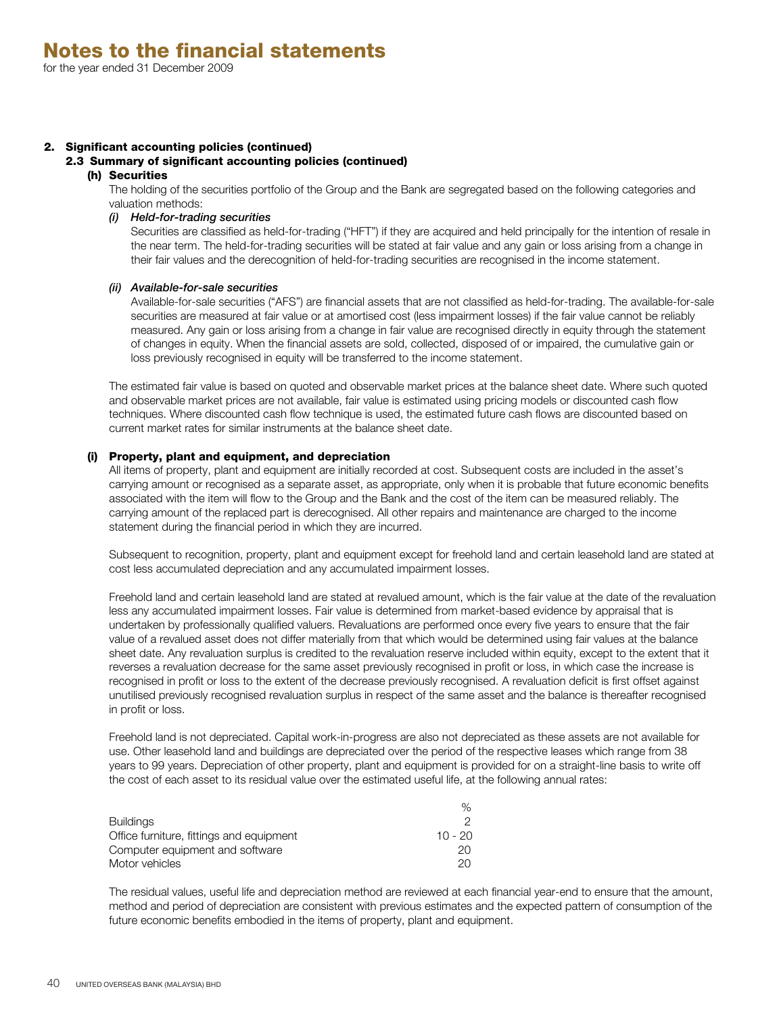## 2. Significant accounting policies (continued)

#### 2.3 Summary of significant accounting policies (continued)

#### (h) Securities

The holding of the securities portfolio of the Group and the Bank are segregated based on the following categories and valuation methods:

#### *(i) Held-for-trading securities*

Securities are classified as held-for-trading ("HFT") if they are acquired and held principally for the intention of resale in the near term. The held-for-trading securities will be stated at fair value and any gain or loss arising from a change in their fair values and the derecognition of held-for-trading securities are recognised in the income statement.

## *(ii) Available-for-sale securities*

Available-for-sale securities ("AFS") are financial assets that are not classified as held-for-trading. The available-for-sale securities are measured at fair value or at amortised cost (less impairment losses) if the fair value cannot be reliably measured. Any gain or loss arising from a change in fair value are recognised directly in equity through the statement of changes in equity. When the financial assets are sold, collected, disposed of or impaired, the cumulative gain or loss previously recognised in equity will be transferred to the income statement.

The estimated fair value is based on quoted and observable market prices at the balance sheet date. Where such quoted and observable market prices are not available, fair value is estimated using pricing models or discounted cash flow techniques. Where discounted cash flow technique is used, the estimated future cash flows are discounted based on current market rates for similar instruments at the balance sheet date.

## (i) Property, plant and equipment, and depreciation

All items of property, plant and equipment are initially recorded at cost. Subsequent costs are included in the asset's carrying amount or recognised as a separate asset, as appropriate, only when it is probable that future economic benefits associated with the item will flow to the Group and the Bank and the cost of the item can be measured reliably. The carrying amount of the replaced part is derecognised. All other repairs and maintenance are charged to the income statement during the financial period in which they are incurred.

Subsequent to recognition, property, plant and equipment except for freehold land and certain leasehold land are stated at cost less accumulated depreciation and any accumulated impairment losses.

Freehold land and certain leasehold land are stated at revalued amount, which is the fair value at the date of the revaluation less any accumulated impairment losses. Fair value is determined from market-based evidence by appraisal that is undertaken by professionally qualified valuers. Revaluations are performed once every five years to ensure that the fair value of a revalued asset does not differ materially from that which would be determined using fair values at the balance sheet date. Any revaluation surplus is credited to the revaluation reserve included within equity, except to the extent that it reverses a revaluation decrease for the same asset previously recognised in profit or loss, in which case the increase is recognised in profit or loss to the extent of the decrease previously recognised. A revaluation deficit is first offset against unutilised previously recognised revaluation surplus in respect of the same asset and the balance is thereafter recognised in profit or loss.

Freehold land is not depreciated. Capital work-in-progress are also not depreciated as these assets are not available for use. Other leasehold land and buildings are depreciated over the period of the respective leases which range from 38 years to 99 years. Depreciation of other property, plant and equipment is provided for on a straight-line basis to write off the cost of each asset to its residual value over the estimated useful life, at the following annual rates:

|                                          | $\%$      |
|------------------------------------------|-----------|
| <b>Buildings</b>                         |           |
| Office furniture, fittings and equipment | $10 - 20$ |
| Computer equipment and software          | 20        |
| Motor vehicles                           | 20        |

The residual values, useful life and depreciation method are reviewed at each financial year-end to ensure that the amount, method and period of depreciation are consistent with previous estimates and the expected pattern of consumption of the future economic benefits embodied in the items of property, plant and equipment.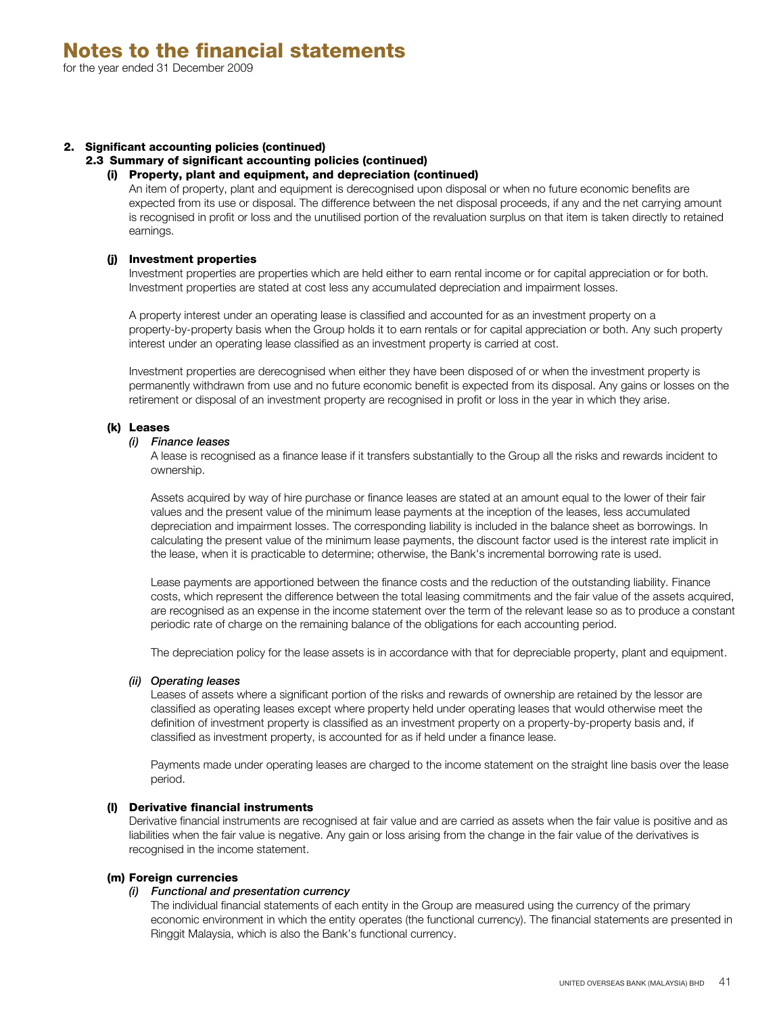## 2. Significant accounting policies (continued)

#### 2.3 Summary of significant accounting policies (continued)

#### (i) Property, plant and equipment, and depreciation (continued)

An item of property, plant and equipment is derecognised upon disposal or when no future economic benefits are expected from its use or disposal. The difference between the net disposal proceeds, if any and the net carrying amount is recognised in profit or loss and the unutilised portion of the revaluation surplus on that item is taken directly to retained earnings.

#### (j) Investment properties

Investment properties are properties which are held either to earn rental income or for capital appreciation or for both. Investment properties are stated at cost less any accumulated depreciation and impairment losses.

A property interest under an operating lease is classified and accounted for as an investment property on a property-by-property basis when the Group holds it to earn rentals or for capital appreciation or both. Any such property interest under an operating lease classified as an investment property is carried at cost.

Investment properties are derecognised when either they have been disposed of or when the investment property is permanently withdrawn from use and no future economic benefit is expected from its disposal. Any gains or losses on the retirement or disposal of an investment property are recognised in profit or loss in the year in which they arise.

## (k) Leases

#### *(i) Finance leases*

A lease is recognised as a finance lease if it transfers substantially to the Group all the risks and rewards incident to ownership.

Assets acquired by way of hire purchase or finance leases are stated at an amount equal to the lower of their fair values and the present value of the minimum lease payments at the inception of the leases, less accumulated depreciation and impairment losses. The corresponding liability is included in the balance sheet as borrowings. In calculating the present value of the minimum lease payments, the discount factor used is the interest rate implicit in the lease, when it is practicable to determine; otherwise, the Bank's incremental borrowing rate is used.

Lease payments are apportioned between the finance costs and the reduction of the outstanding liability. Finance costs, which represent the difference between the total leasing commitments and the fair value of the assets acquired, are recognised as an expense in the income statement over the term of the relevant lease so as to produce a constant periodic rate of charge on the remaining balance of the obligations for each accounting period.

The depreciation policy for the lease assets is in accordance with that for depreciable property, plant and equipment.

#### *(ii) Operating leases*

Leases of assets where a significant portion of the risks and rewards of ownership are retained by the lessor are classified as operating leases except where property held under operating leases that would otherwise meet the definition of investment property is classified as an investment property on a property-by-property basis and, if classified as investment property, is accounted for as if held under a finance lease.

Payments made under operating leases are charged to the income statement on the straight line basis over the lease period.

#### (l) Derivative financial instruments

Derivative financial instruments are recognised at fair value and are carried as assets when the fair value is positive and as liabilities when the fair value is negative. Any gain or loss arising from the change in the fair value of the derivatives is recognised in the income statement.

#### (m) Foreign currencies

#### *(i) Functional and presentation currency*

The individual financial statements of each entity in the Group are measured using the currency of the primary economic environment in which the entity operates (the functional currency). The financial statements are presented in Ringgit Malaysia, which is also the Bank's functional currency.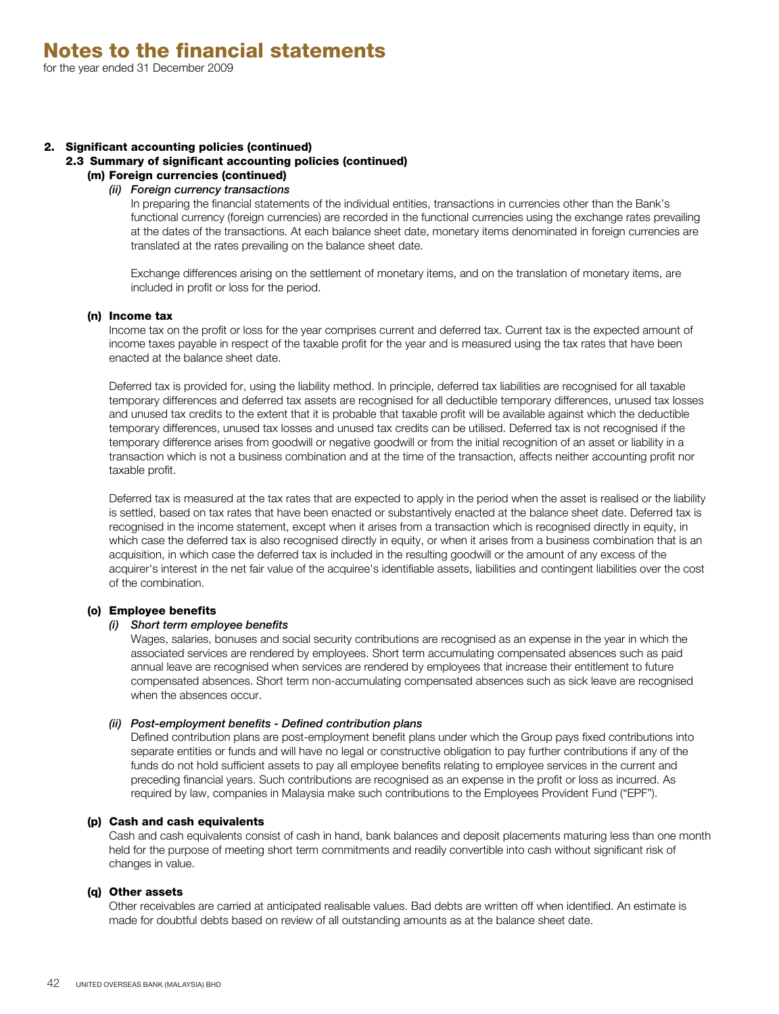## 2. Significant accounting policies (continued) 2.3 Summary of significant accounting policies (continued)

## (m) Foreign currencies (continued)

## *(ii) Foreign currency transactions*

In preparing the financial statements of the individual entities, transactions in currencies other than the Bank's functional currency (foreign currencies) are recorded in the functional currencies using the exchange rates prevailing at the dates of the transactions. At each balance sheet date, monetary items denominated in foreign currencies are translated at the rates prevailing on the balance sheet date.

Exchange differences arising on the settlement of monetary items, and on the translation of monetary items, are included in profit or loss for the period.

#### (n) Income tax

Income tax on the profit or loss for the year comprises current and deferred tax. Current tax is the expected amount of income taxes payable in respect of the taxable profit for the year and is measured using the tax rates that have been enacted at the balance sheet date.

Deferred tax is provided for, using the liability method. In principle, deferred tax liabilities are recognised for all taxable temporary differences and deferred tax assets are recognised for all deductible temporary differences, unused tax losses and unused tax credits to the extent that it is probable that taxable profit will be available against which the deductible temporary differences, unused tax losses and unused tax credits can be utilised. Deferred tax is not recognised if the temporary difference arises from goodwill or negative goodwill or from the initial recognition of an asset or liability in a transaction which is not a business combination and at the time of the transaction, affects neither accounting profit nor taxable profit.

Deferred tax is measured at the tax rates that are expected to apply in the period when the asset is realised or the liability is settled, based on tax rates that have been enacted or substantively enacted at the balance sheet date. Deferred tax is recognised in the income statement, except when it arises from a transaction which is recognised directly in equity, in which case the deferred tax is also recognised directly in equity, or when it arises from a business combination that is an acquisition, in which case the deferred tax is included in the resulting goodwill or the amount of any excess of the acquirer's interest in the net fair value of the acquiree's identifiable assets, liabilities and contingent liabilities over the cost of the combination.

#### (o) Employee benefits

#### *(i) Short term employee benefits*

Wages, salaries, bonuses and social security contributions are recognised as an expense in the year in which the associated services are rendered by employees. Short term accumulating compensated absences such as paid annual leave are recognised when services are rendered by employees that increase their entitlement to future compensated absences. Short term non-accumulating compensated absences such as sick leave are recognised when the absences occur.

#### *(ii) Post-employment benefits - Defined contribution plans*

Defined contribution plans are post-employment benefit plans under which the Group pays fixed contributions into separate entities or funds and will have no legal or constructive obligation to pay further contributions if any of the funds do not hold sufficient assets to pay all employee benefits relating to employee services in the current and preceding financial years. Such contributions are recognised as an expense in the profit or loss as incurred. As required by law, companies in Malaysia make such contributions to the Employees Provident Fund ("EPF").

#### (p) Cash and cash equivalents

Cash and cash equivalents consist of cash in hand, bank balances and deposit placements maturing less than one month held for the purpose of meeting short term commitments and readily convertible into cash without significant risk of changes in value.

#### (q) Other assets

Other receivables are carried at anticipated realisable values. Bad debts are written off when identified. An estimate is made for doubtful debts based on review of all outstanding amounts as at the balance sheet date.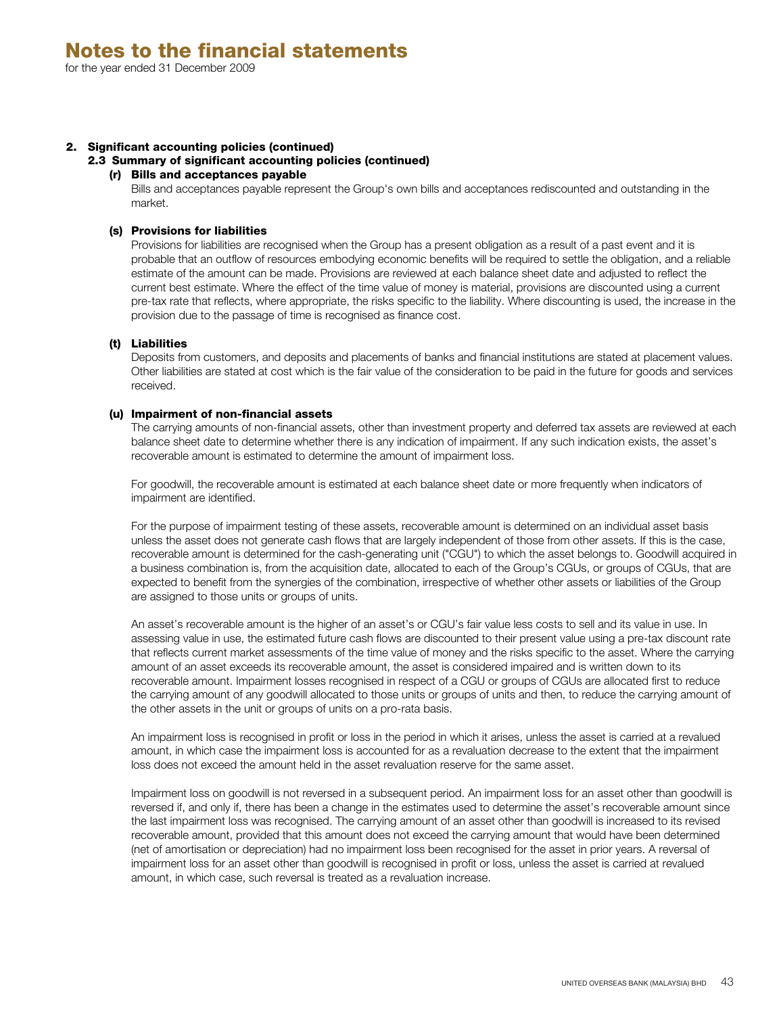## 2. Significant accounting policies (continued)

2.3 Summary of significant accounting policies (continued)

#### (r) Bills and acceptances payable

Bills and acceptances payable represent the Group's own bills and acceptances rediscounted and outstanding in the market.

## (s) Provisions for liabilities

Provisions for liabilities are recognised when the Group has a present obligation as a result of a past event and it is probable that an outflow of resources embodying economic benefits will be required to settle the obligation, and a reliable estimate of the amount can be made. Provisions are reviewed at each balance sheet date and adjusted to reflect the current best estimate. Where the effect of the time value of money is material, provisions are discounted using a current pre-tax rate that reflects, where appropriate, the risks specific to the liability. Where discounting is used, the increase in the provision due to the passage of time is recognised as finance cost.

#### (t) Liabilities

Deposits from customers, and deposits and placements of banks and financial institutions are stated at placement values. Other liabilities are stated at cost which is the fair value of the consideration to be paid in the future for goods and services received.

#### (u) Impairment of non-financial assets

The carrying amounts of non-financial assets, other than investment property and deferred tax assets are reviewed at each balance sheet date to determine whether there is any indication of impairment. If any such indication exists, the asset's recoverable amount is estimated to determine the amount of impairment loss.

For goodwill, the recoverable amount is estimated at each balance sheet date or more frequently when indicators of impairment are identified.

For the purpose of impairment testing of these assets, recoverable amount is determined on an individual asset basis unless the asset does not generate cash flows that are largely independent of those from other assets. If this is the case, recoverable amount is determined for the cash-generating unit ("CGU") to which the asset belongs to. Goodwill acquired in a business combination is, from the acquisition date, allocated to each of the Group's CGUs, or groups of CGUs, that are expected to benefit from the synergies of the combination, irrespective of whether other assets or liabilities of the Group are assigned to those units or groups of units.

An asset's recoverable amount is the higher of an asset's or CGU's fair value less costs to sell and its value in use. In assessing value in use, the estimated future cash flows are discounted to their present value using a pre-tax discount rate that reflects current market assessments of the time value of money and the risks specific to the asset. Where the carrying amount of an asset exceeds its recoverable amount, the asset is considered impaired and is written down to its recoverable amount. Impairment losses recognised in respect of a CGU or groups of CGUs are allocated first to reduce the carrying amount of any goodwill allocated to those units or groups of units and then, to reduce the carrying amount of the other assets in the unit or groups of units on a pro-rata basis.

An impairment loss is recognised in profit or loss in the period in which it arises, unless the asset is carried at a revalued amount, in which case the impairment loss is accounted for as a revaluation decrease to the extent that the impairment loss does not exceed the amount held in the asset revaluation reserve for the same asset.

Impairment loss on goodwill is not reversed in a subsequent period. An impairment loss for an asset other than goodwill is reversed if, and only if, there has been a change in the estimates used to determine the asset's recoverable amount since the last impairment loss was recognised. The carrying amount of an asset other than goodwill is increased to its revised recoverable amount, provided that this amount does not exceed the carrying amount that would have been determined (net of amortisation or depreciation) had no impairment loss been recognised for the asset in prior years. A reversal of impairment loss for an asset other than goodwill is recognised in profit or loss, unless the asset is carried at revalued amount, in which case, such reversal is treated as a revaluation increase.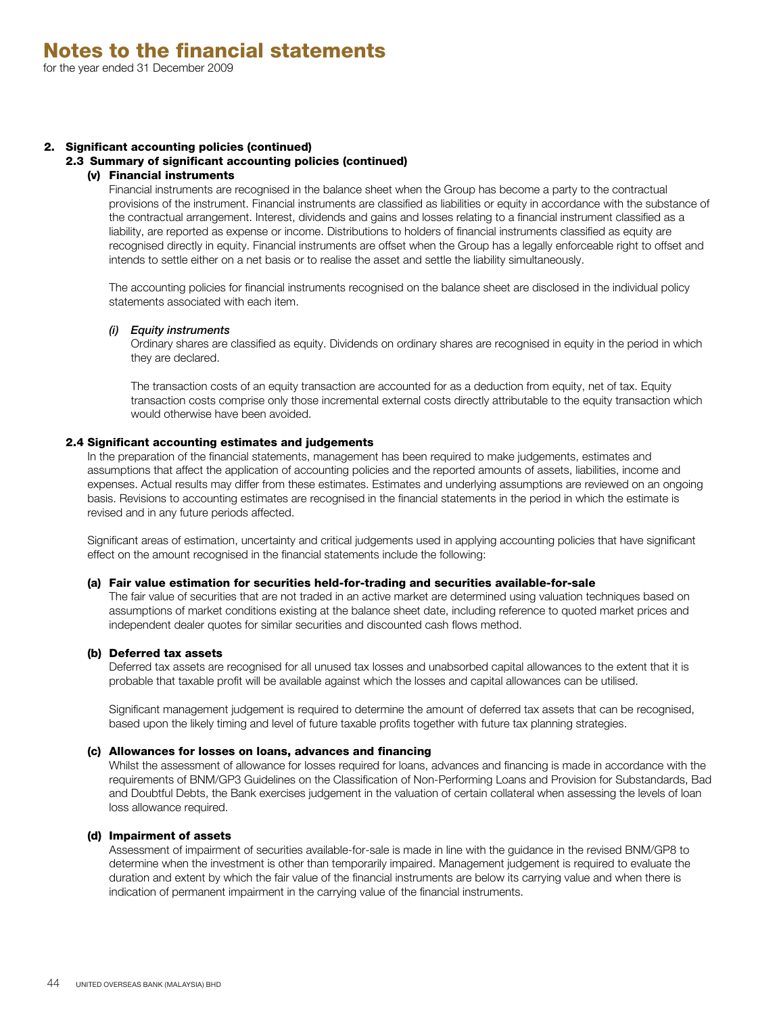#### 2. Significant accounting policies (continued)

#### 2.3 Summary of significant accounting policies (continued)

## (v) Financial instruments

Financial instruments are recognised in the balance sheet when the Group has become a party to the contractual provisions of the instrument. Financial instruments are classified as liabilities or equity in accordance with the substance of the contractual arrangement. Interest, dividends and gains and losses relating to a financial instrument classified as a liability, are reported as expense or income. Distributions to holders of financial instruments classified as equity are recognised directly in equity. Financial instruments are offset when the Group has a legally enforceable right to offset and intends to settle either on a net basis or to realise the asset and settle the liability simultaneously.

The accounting policies for financial instruments recognised on the balance sheet are disclosed in the individual policy statements associated with each item.

#### *(i) Equity instruments*

Ordinary shares are classified as equity. Dividends on ordinary shares are recognised in equity in the period in which they are declared.

The transaction costs of an equity transaction are accounted for as a deduction from equity, net of tax. Equity transaction costs comprise only those incremental external costs directly attributable to the equity transaction which would otherwise have been avoided.

#### 2.4 Significant accounting estimates and judgements

In the preparation of the financial statements, management has been required to make judgements, estimates and assumptions that affect the application of accounting policies and the reported amounts of assets, liabilities, income and expenses. Actual results may differ from these estimates. Estimates and underlying assumptions are reviewed on an ongoing basis. Revisions to accounting estimates are recognised in the financial statements in the period in which the estimate is revised and in any future periods affected.

Significant areas of estimation, uncertainty and critical judgements used in applying accounting policies that have significant effect on the amount recognised in the financial statements include the following:

#### (a) Fair value estimation for securities held-for-trading and securities available-for-sale

The fair value of securities that are not traded in an active market are determined using valuation techniques based on assumptions of market conditions existing at the balance sheet date, including reference to quoted market prices and independent dealer quotes for similar securities and discounted cash flows method.

## (b) Deferred tax assets

Deferred tax assets are recognised for all unused tax losses and unabsorbed capital allowances to the extent that it is probable that taxable profit will be available against which the losses and capital allowances can be utilised.

Significant management judgement is required to determine the amount of deferred tax assets that can be recognised, based upon the likely timing and level of future taxable profits together with future tax planning strategies.

#### (c) Allowances for losses on loans, advances and financing

Whilst the assessment of allowance for losses required for loans, advances and financing is made in accordance with the requirements of BNM/GP3 Guidelines on the Classification of Non-Performing Loans and Provision for Substandards, Bad and Doubtful Debts, the Bank exercises judgement in the valuation of certain collateral when assessing the levels of loan loss allowance required.

#### (d) Impairment of assets

Assessment of impairment of securities available-for-sale is made in line with the guidance in the revised BNM/GP8 to determine when the investment is other than temporarily impaired. Management judgement is required to evaluate the duration and extent by which the fair value of the financial instruments are below its carrying value and when there is indication of permanent impairment in the carrying value of the financial instruments.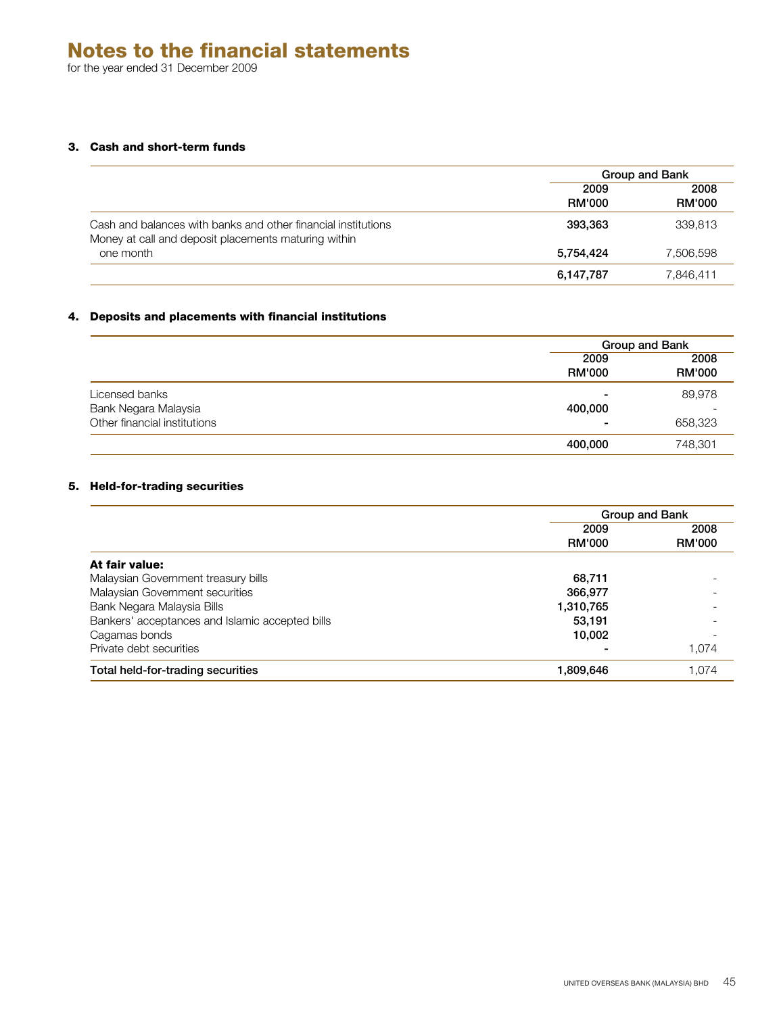## 3. Cash and short-term funds

|                                                                                                                       | Group and Bank        |                       |  |
|-----------------------------------------------------------------------------------------------------------------------|-----------------------|-----------------------|--|
|                                                                                                                       | 2009<br><b>RM'000</b> | 2008<br><b>RM'000</b> |  |
| Cash and balances with banks and other financial institutions<br>Money at call and deposit placements maturing within | 393,363               | 339.813               |  |
| one month                                                                                                             | 5,754,424             | 7,506,598             |  |
|                                                                                                                       | 6,147,787             | 7.846.411             |  |

## 4. Deposits and placements with financial institutions

|                              |                       | Group and Bank           |
|------------------------------|-----------------------|--------------------------|
|                              | 2009<br><b>RM'000</b> | 2008<br><b>RM'000</b>    |
| Licensed banks               |                       | 89,978                   |
| Bank Negara Malaysia         | 400,000               | $\overline{\phantom{a}}$ |
| Other financial institutions |                       | 658,323                  |
|                              | 400,000               | 748,301                  |

## 5. Held-for-trading securities

|                                                 | Group and Bank |               |
|-------------------------------------------------|----------------|---------------|
|                                                 | 2009           | 2008          |
|                                                 | <b>RM'000</b>  | <b>RM'000</b> |
| At fair value:                                  |                |               |
| Malaysian Government treasury bills             | 68,711         |               |
| Malaysian Government securities                 | 366,977        |               |
| Bank Negara Malaysia Bills                      | 1,310,765      |               |
| Bankers' acceptances and Islamic accepted bills | 53,191         |               |
| Cagamas bonds                                   | 10,002         |               |
| Private debt securities                         |                | 1,074         |
| Total held-for-trading securities               | 1,809,646      | 1.074         |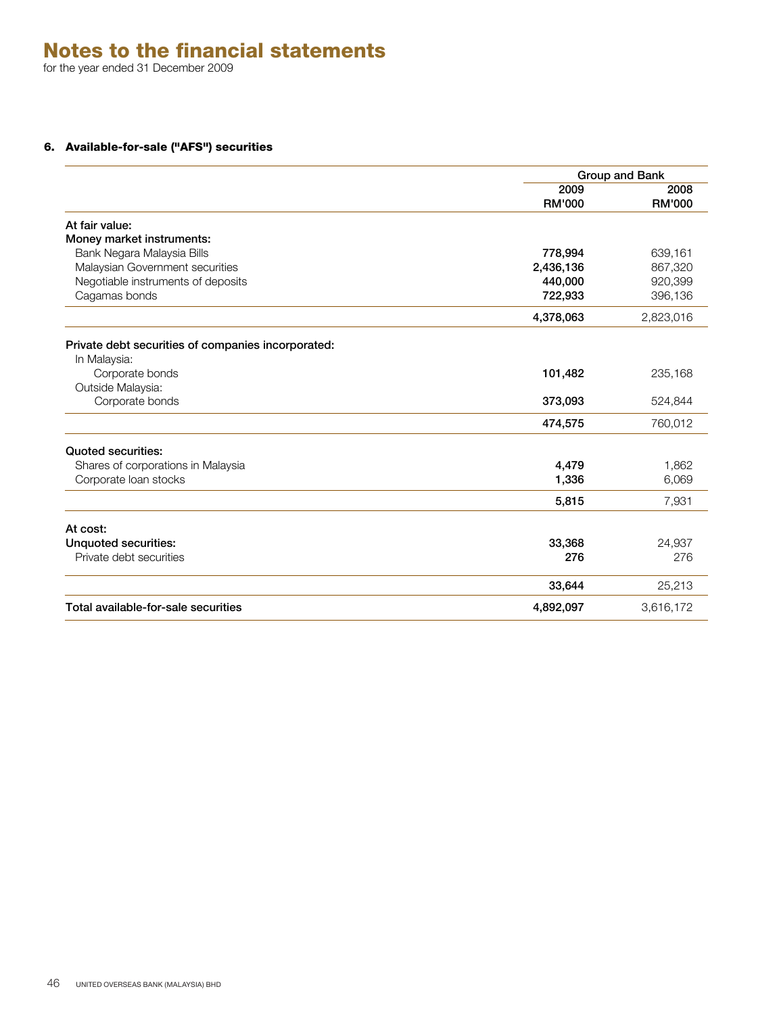## 6. Available-for-sale ("AFS") securities

|                                                    | Group and Bank        |                       |
|----------------------------------------------------|-----------------------|-----------------------|
|                                                    | 2009<br><b>RM'000</b> | 2008<br><b>RM'000</b> |
| At fair value:                                     |                       |                       |
| Money market instruments:                          |                       |                       |
| Bank Negara Malaysia Bills                         | 778,994               | 639,161               |
| Malaysian Government securities                    | 2,436,136             | 867,320               |
| Negotiable instruments of deposits                 | 440,000               | 920,399               |
| Cagamas bonds                                      | 722,933               | 396,136               |
|                                                    | 4,378,063             | 2,823,016             |
| Private debt securities of companies incorporated: |                       |                       |
| In Malaysia:                                       |                       |                       |
| Corporate bonds                                    | 101,482               | 235,168               |
| Outside Malaysia:                                  |                       |                       |
| Corporate bonds                                    | 373,093               | 524,844               |
|                                                    | 474,575               | 760,012               |
| <b>Quoted securities:</b>                          |                       |                       |
| Shares of corporations in Malaysia                 | 4,479                 | 1,862                 |
| Corporate loan stocks                              | 1,336                 | 6,069                 |
|                                                    | 5,815                 | 7,931                 |
| At cost:                                           |                       |                       |
| Unquoted securities:                               | 33,368                | 24,937                |
| Private debt securities                            | 276                   | 276                   |
|                                                    | 33,644                | 25,213                |
| Total available-for-sale securities                | 4,892,097             | 3,616,172             |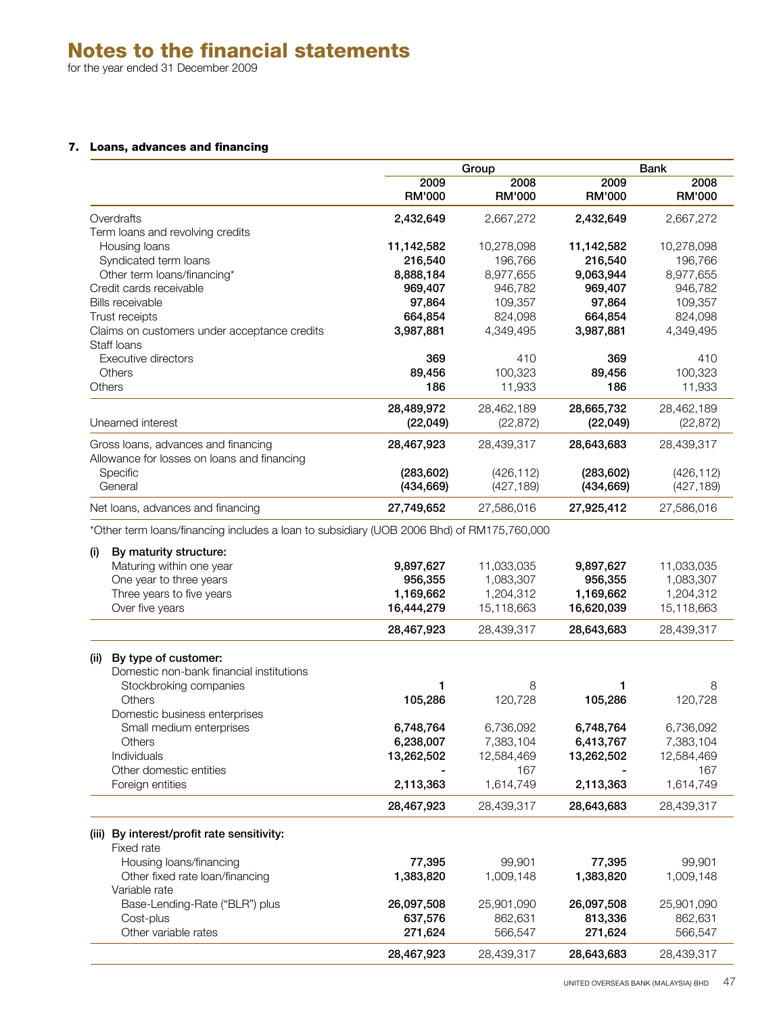# Notes to the financial statements

for the year ended 31 December 2009

## 7. Loans, advances and financing

|                                               | Group                   |                         | <b>Bank</b>             |                         |
|-----------------------------------------------|-------------------------|-------------------------|-------------------------|-------------------------|
|                                               | 2009<br><b>RM'000</b>   | 2008<br><b>RM'000</b>   | 2009<br><b>RM'000</b>   | 2008<br><b>RM'000</b>   |
| Overdrafts                                    | 2,432,649               | 2,667,272               | 2,432,649               | 2,667,272               |
| Term loans and revolving credits              |                         |                         |                         |                         |
| Housing loans                                 | 11,142,582              | 10,278,098              | 11,142,582              | 10,278,098              |
| Syndicated term loans                         | 216,540                 | 196,766                 | 216,540                 | 196,766                 |
| Other term loans/financing*                   | 8,888,184               | 8,977,655               | 9,063,944               | 8,977,655               |
| Credit cards receivable                       | 969,407                 | 946,782                 | 969,407                 | 946,782                 |
| Bills receivable                              | 97,864                  | 109,357                 | 97,864                  | 109,357                 |
| Trust receipts                                | 664,854                 | 824,098                 | 664,854                 | 824,098                 |
| Claims on customers under acceptance credits  | 3,987,881               | 4,349,495               | 3,987,881               | 4,349,495               |
| Staff loans                                   |                         |                         |                         |                         |
| Executive directors                           | 369                     | 410                     | 369                     | 410                     |
| Others                                        | 89,456                  | 100,323                 | 89,456                  | 100,323                 |
| Others                                        | 186                     | 11,933                  | 186                     | 11,933                  |
|                                               | 28,489,972              | 28,462,189              | 28,665,732              | 28,462,189              |
| Unearned interest                             | (22, 049)               | (22, 872)               | (22,049)                | (22, 872)               |
| Gross loans, advances and financing           | 28,467,923              | 28,439,317              | 28,643,683              | 28,439,317              |
| Allowance for losses on loans and financing   |                         |                         |                         |                         |
| Specific                                      | (283, 602)              | (426, 112)              | (283, 602)              | (426, 112)              |
| General                                       | (434, 669)              | (427, 189)              | (434, 669)              | (427, 189)              |
| Net loans, advances and financing             | 27,749,652              | 27,586,016              | 27,925,412              | 27,586,016              |
| Three years to five years<br>Over five years  | 1,169,662<br>16,444,279 | 1,204,312<br>15,118,663 | 1,169,662<br>16,620,039 | 1,204,312<br>15,118,663 |
|                                               | 28,467,923              | 28,439,317              | 28,643,683              | 28,439,317              |
| By type of customer:<br>(ii)                  |                         |                         |                         |                         |
| Domestic non-bank financial institutions      |                         |                         |                         |                         |
| Stockbroking companies                        | 1                       | 8                       | 1                       | 8                       |
| <b>Others</b>                                 | 105,286                 | 120,728                 | 105,286                 | 120,728                 |
| Domestic business enterprises                 |                         |                         |                         |                         |
| Small medium enterprises                      | 6,748,764               | 6,736,092               | 6,748,764               | 6,736,092               |
| Others                                        | 6,238,007               | 7,383,104               | 6,413,767               | 7,383,104               |
| Individuals                                   | 13,262,502              | 12,584,469              | 13,262,502              | 12,584,469              |
| Other domestic entities                       |                         | 167                     |                         | 167                     |
| Foreign entities                              | 2,113,363               | 1,614,749               | 2,113,363               | 1,614,749               |
|                                               | 28,467,923              | 28,439,317              | 28,643,683              | 28,439,317              |
| By interest/profit rate sensitivity:<br>(iii) |                         |                         |                         |                         |
| Fixed rate                                    |                         |                         |                         |                         |
| Housing loans/financing                       | 77,395                  | 99,901                  | 77,395                  | 99,901                  |
| Other fixed rate loan/financing               | 1,383,820               | 1,009,148               | 1,383,820               | 1,009,148               |
| Variable rate                                 |                         |                         |                         |                         |
| Base-Lending-Rate ("BLR") plus                | 26,097,508              | 25,901,090              | 26,097,508              | 25,901,090              |
| Cost-plus<br>Other variable rates             | 637,576<br>271,624      | 862,631<br>566,547      | 813,336<br>271,624      | 862,631<br>566,547      |
|                                               |                         |                         |                         |                         |
|                                               | 28,467,923              | 28,439,317              | 28,643,683              | 28,439,317              |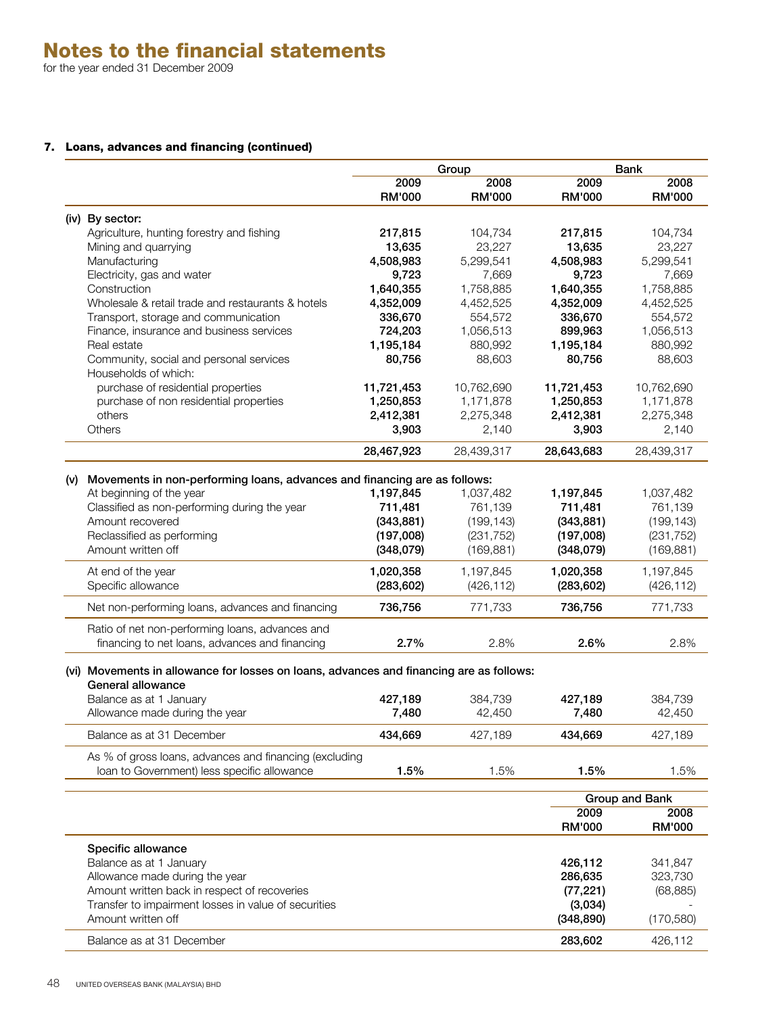## 7. Loans, advances and financing (continued)

|                                                           |                                                                                                   | Group                 |                       | <b>Bank</b>           |                       |
|-----------------------------------------------------------|---------------------------------------------------------------------------------------------------|-----------------------|-----------------------|-----------------------|-----------------------|
|                                                           |                                                                                                   | 2009<br><b>RM'000</b> | 2008<br><b>RM'000</b> | 2009<br><b>RM'000</b> | 2008<br><b>RM'000</b> |
| (iv) By sector:                                           |                                                                                                   |                       |                       |                       |                       |
|                                                           | Agriculture, hunting forestry and fishing                                                         | 217,815               | 104,734               | 217,815               | 104,734               |
| Mining and quarrying                                      |                                                                                                   | 13,635                | 23,227                | 13,635                | 23,227                |
| Manufacturing                                             |                                                                                                   | 4,508,983             | 5,299,541             | 4,508,983             | 5,299,541             |
| Electricity, gas and water                                |                                                                                                   | 9,723                 | 7,669                 | 9,723                 | 7,669                 |
| Construction                                              |                                                                                                   | 1,640,355             | 1,758,885             | 1,640,355             | 1,758,885             |
|                                                           | Wholesale & retail trade and restaurants & hotels                                                 | 4,352,009             | 4,452,525             | 4,352,009             | 4,452,525             |
|                                                           | Transport, storage and communication                                                              | 336,670               | 554,572               | 336,670               | 554,572               |
|                                                           | Finance, insurance and business services                                                          | 724,203               | 1,056,513             | 899,963               | 1,056,513             |
| Real estate                                               |                                                                                                   | 1,195,184             | 880,992               | 1,195,184             | 880,992               |
| Households of which:                                      | Community, social and personal services                                                           | 80,756                | 88,603                | 80,756                | 88,603                |
|                                                           | purchase of residential properties                                                                | 11,721,453            | 10,762,690            | 11,721,453            | 10,762,690            |
|                                                           | purchase of non residential properties                                                            | 1,250,853             | 1,171,878             | 1,250,853             | 1,171,878             |
| others                                                    |                                                                                                   | 2,412,381             | 2,275,348             | 2,412,381             | 2,275,348             |
| <b>Others</b>                                             |                                                                                                   | 3,903                 | 2,140                 | 3,903                 | 2,140                 |
|                                                           |                                                                                                   | 28,467,923            | 28,439,317            | 28,643,683            | 28,439,317            |
| (v)                                                       | Movements in non-performing loans, advances and financing are as follows:                         |                       |                       |                       |                       |
| At beginning of the year                                  |                                                                                                   | 1,197,845             | 1,037,482             | 1,197,845             | 1,037,482             |
|                                                           | Classified as non-performing during the year                                                      | 711,481               | 761,139               | 711,481               | 761,139               |
| Amount recovered                                          |                                                                                                   | (343, 881)            | (199, 143)            | (343, 881)            | (199, 143)            |
| Reclassified as performing                                |                                                                                                   | (197,008)             | (231, 752)            | (197,008)             | (231, 752)            |
| Amount written off                                        |                                                                                                   | (348,079)             | (169, 881)            | (348,079)             | (169, 881)            |
|                                                           |                                                                                                   |                       |                       | 1,020,358             | 1,197,845             |
| At end of the year                                        |                                                                                                   | 1,020,358             | 1,197,845             |                       |                       |
| Specific allowance                                        |                                                                                                   | (283, 602)            | (426, 112)            | (283, 602)            | (426, 112)            |
|                                                           | Net non-performing loans, advances and financing                                                  | 736,756               | 771,733               | 736,756               | 771,733               |
|                                                           | Ratio of net non-performing loans, advances and<br>financing to net loans, advances and financing | 2.7%                  | 2.8%                  | 2.6%                  | 2.8%                  |
|                                                           | (vi) Movements in allowance for losses on loans, advances and financing are as follows:           |                       |                       |                       |                       |
| General allowance                                         |                                                                                                   |                       |                       |                       |                       |
| Balance as at 1 January<br>Allowance made during the year |                                                                                                   | 427,189<br>7,480      | 384,739<br>42,450     | 427,189<br>7,480      | 384,739<br>42,450     |
| Balance as at 31 December                                 |                                                                                                   | 434,669               | 427,189               | 434,669               | 427,189               |
|                                                           | As % of gross loans, advances and financing (excluding                                            |                       |                       |                       |                       |
|                                                           | loan to Government) less specific allowance                                                       | 1.5%                  | 1.5%                  | 1.5%                  | 1.5%                  |
|                                                           |                                                                                                   |                       |                       |                       |                       |
|                                                           |                                                                                                   |                       |                       |                       | Group and Bank        |
|                                                           |                                                                                                   |                       |                       | 2009<br>RM'000        | 2008<br><b>RM'000</b> |
| Specific allowance                                        |                                                                                                   |                       |                       |                       |                       |
| Balance as at 1 January                                   |                                                                                                   |                       |                       | 426,112               | 341,847               |
| Allowance made during the year                            |                                                                                                   |                       |                       | 286,635               | 323,730               |
|                                                           | Amount written back in respect of recoveries                                                      |                       |                       | (77, 221)             | (68, 885)             |
|                                                           | Transfer to impairment losses in value of securities                                              |                       |                       | (3,034)               |                       |
| Amount written off                                        |                                                                                                   |                       |                       | (348, 890)            | (170, 580)            |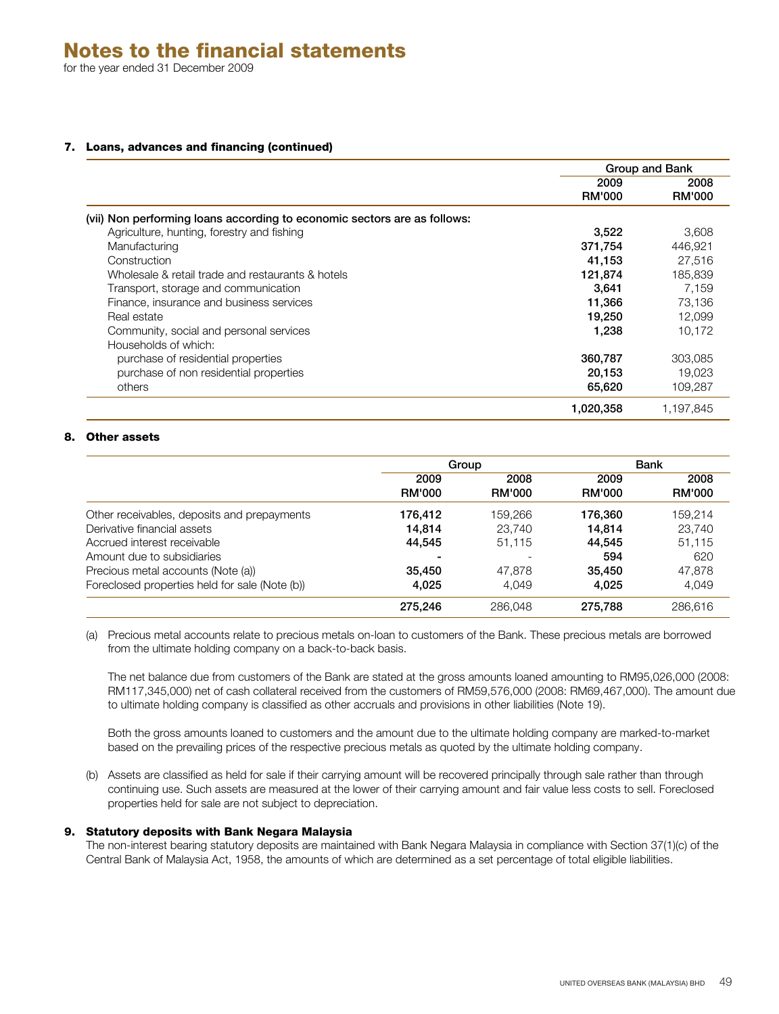## 7. Loans, advances and financing (continued)

|                                                                          | <b>Group and Bank</b> |               |
|--------------------------------------------------------------------------|-----------------------|---------------|
|                                                                          | 2009                  | 2008          |
|                                                                          | <b>RM'000</b>         | <b>RM'000</b> |
| (vii) Non performing loans according to economic sectors are as follows: |                       |               |
| Agriculture, hunting, forestry and fishing                               | 3,522                 | 3,608         |
| Manufacturing                                                            | 371.754               | 446.921       |
| Construction                                                             | 41,153                | 27,516        |
| Wholesale & retail trade and restaurants & hotels                        | 121,874               | 185.839       |
| Transport, storage and communication                                     | 3,641                 | 7.159         |
| Finance, insurance and business services                                 | 11,366                | 73.136        |
| Real estate                                                              | 19,250                | 12,099        |
| Community, social and personal services                                  | 1,238                 | 10.172        |
| Households of which:                                                     |                       |               |
| purchase of residential properties                                       | 360,787               | 303,085       |
| purchase of non residential properties                                   | 20,153                | 19.023        |
| others                                                                   | 65,620                | 109,287       |
|                                                                          | 1,020,358             | 1,197,845     |

## 8. Other assets

|                                                | Group                 |                       | Bank                  |                       |
|------------------------------------------------|-----------------------|-----------------------|-----------------------|-----------------------|
|                                                | 2009<br><b>RM'000</b> | 2008<br><b>RM'000</b> | 2009<br><b>RM'000</b> | 2008<br><b>RM'000</b> |
| Other receivables, deposits and prepayments    | 176.412               | 159.266               | 176,360               | 159.214               |
| Derivative financial assets                    | 14.814                | 23.740                | 14.814                | 23,740                |
| Accrued interest receivable                    | 44,545                | 51,115                | 44.545                | 51.115                |
| Amount due to subsidiaries                     |                       |                       | 594                   | 620                   |
| Precious metal accounts (Note (a))             | 35,450                | 47.878                | 35,450                | 47,878                |
| Foreclosed properties held for sale (Note (b)) | 4,025                 | 4.049                 | 4.025                 | 4,049                 |
|                                                | 275,246               | 286,048               | 275,788               | 286,616               |

(a) Precious metal accounts relate to precious metals on-loan to customers of the Bank. These precious metals are borrowed from the ultimate holding company on a back-to-back basis.

The net balance due from customers of the Bank are stated at the gross amounts loaned amounting to RM95,026,000 (2008: RM117,345,000) net of cash collateral received from the customers of RM59,576,000 (2008: RM69,467,000). The amount due to ultimate holding company is classified as other accruals and provisions in other liabilities (Note 19).

Both the gross amounts loaned to customers and the amount due to the ultimate holding company are marked-to-market based on the prevailing prices of the respective precious metals as quoted by the ultimate holding company.

(b) Assets are classified as held for sale if their carrying amount will be recovered principally through sale rather than through continuing use. Such assets are measured at the lower of their carrying amount and fair value less costs to sell. Foreclosed properties held for sale are not subject to depreciation.

#### 9. Statutory deposits with Bank Negara Malaysia

The non-interest bearing statutory deposits are maintained with Bank Negara Malaysia in compliance with Section 37(1)(c) of the Central Bank of Malaysia Act, 1958, the amounts of which are determined as a set percentage of total eligible liabilities.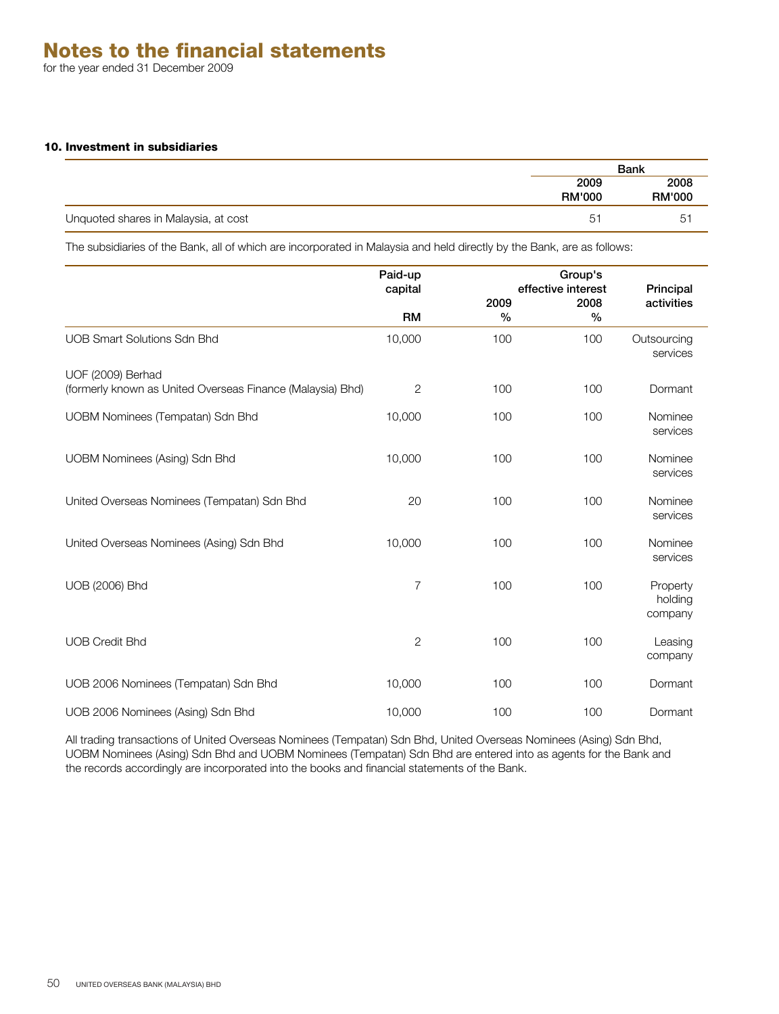## 10. Investment in subsidiaries

|                                      | <b>Bank</b>           |                       |
|--------------------------------------|-----------------------|-----------------------|
|                                      | 2009<br><b>RM'000</b> | 2008<br><b>RM'000</b> |
| Unquoted shares in Malaysia, at cost | 5 <sup>1</sup>        | 5.                    |

The subsidiaries of the Bank, all of which are incorporated in Malaysia and held directly by the Bank, are as follows:

|                                                            | Paid-up        |      | Group's<br>effective interest |                                |
|------------------------------------------------------------|----------------|------|-------------------------------|--------------------------------|
|                                                            | capital        | 2009 | 2008                          | Principal<br>activities        |
|                                                            | <b>RM</b>      | %    | $\frac{0}{0}$                 |                                |
| <b>UOB Smart Solutions Sdn Bhd</b>                         | 10,000         | 100  | 100                           | Outsourcing<br>services        |
| UOF (2009) Berhad                                          |                |      |                               |                                |
| (formerly known as United Overseas Finance (Malaysia) Bhd) | $\mathbf{2}$   | 100  | 100                           | Dormant                        |
| UOBM Nominees (Tempatan) Sdn Bhd                           | 10,000         | 100  | 100                           | Nominee<br>services            |
| <b>UOBM Nominees (Asing) Sdn Bhd</b>                       | 10,000         | 100  | 100                           | Nominee<br>services            |
| United Overseas Nominees (Tempatan) Sdn Bhd                | 20             | 100  | 100                           | Nominee<br>services            |
| United Overseas Nominees (Asing) Sdn Bhd                   | 10,000         | 100  | 100                           | Nominee<br>services            |
| UOB (2006) Bhd                                             | $\overline{7}$ | 100  | 100                           | Property<br>holding<br>company |
| <b>UOB Credit Bhd</b>                                      | $\overline{2}$ | 100  | 100                           | Leasing<br>company             |
| UOB 2006 Nominees (Tempatan) Sdn Bhd                       | 10,000         | 100  | 100                           | Dormant                        |
| UOB 2006 Nominees (Asing) Sdn Bhd                          | 10,000         | 100  | 100                           | Dormant                        |

All trading transactions of United Overseas Nominees (Tempatan) Sdn Bhd, United Overseas Nominees (Asing) Sdn Bhd, UOBM Nominees (Asing) Sdn Bhd and UOBM Nominees (Tempatan) Sdn Bhd are entered into as agents for the Bank and the records accordingly are incorporated into the books and financial statements of the Bank.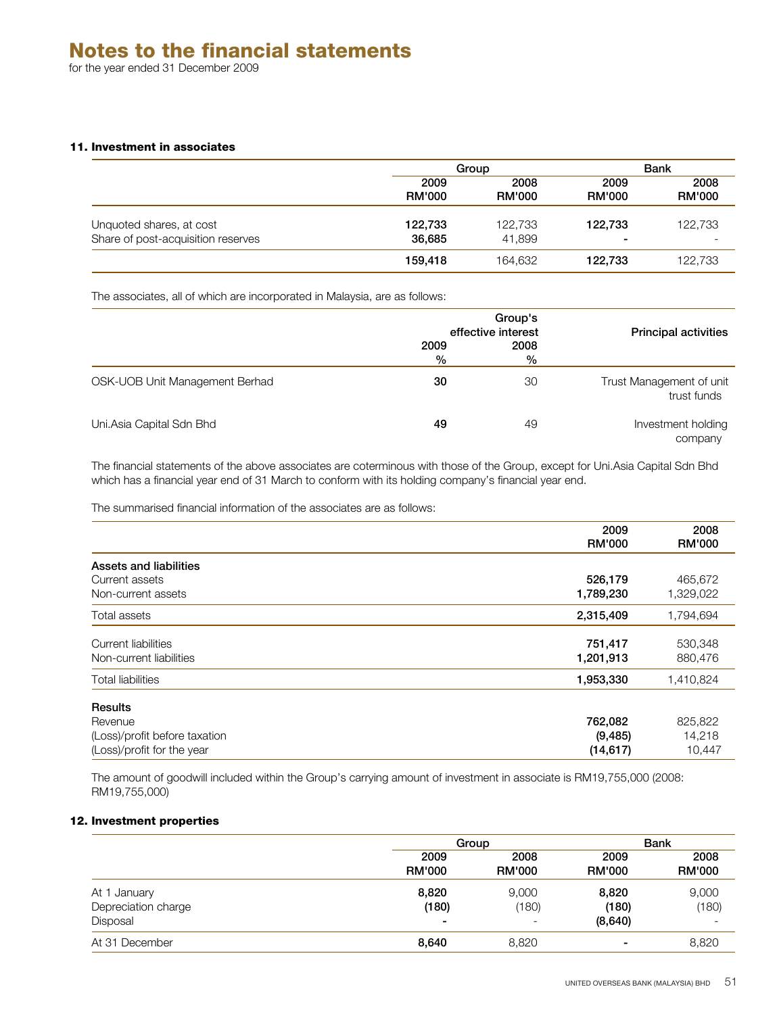## 11. Investment in associates

|                                    |               | Group         |                          | <b>Bank</b>              |
|------------------------------------|---------------|---------------|--------------------------|--------------------------|
|                                    | 2009          | 2008          | 2009                     | 2008                     |
|                                    | <b>RM'000</b> | <b>RM'000</b> | <b>RM'000</b>            | <b>RM'000</b>            |
| Unquoted shares, at cost           | 122.733       | 122,733       | 122.733                  | 122,733                  |
| Share of post-acquisition reserves | 36,685        | 41,899        | $\overline{\phantom{0}}$ | $\overline{\phantom{0}}$ |
|                                    | 159,418       | 164.632       | 122.733                  | 122,733                  |

The associates, all of which are incorporated in Malaysia, are as follows:

|                                | effective interest | <b>Principal activities</b> |                                         |
|--------------------------------|--------------------|-----------------------------|-----------------------------------------|
|                                | 2009<br>$\%$       | 2008<br>$\%$                |                                         |
| OSK-UOB Unit Management Berhad | 30                 | 30                          | Trust Management of unit<br>trust funds |
| Uni. Asia Capital Sdn Bhd      | 49                 | 49                          | Investment holding<br>company           |

The financial statements of the above associates are coterminous with those of the Group, except for Uni.Asia Capital Sdn Bhd which has a financial year end of 31 March to conform with its holding company's financial year end.

The summarised financial information of the associates are as follows:

|                               | 2009<br><b>RM'000</b> | 2008<br><b>RM'000</b> |
|-------------------------------|-----------------------|-----------------------|
| Assets and liabilities        |                       |                       |
| Current assets                | 526,179               | 465,672               |
| Non-current assets            | 1,789,230             | 1,329,022             |
| Total assets                  | 2,315,409             | 1,794,694             |
| Current liabilities           | 751,417               | 530,348               |
| Non-current liabilities       | 1,201,913             | 880,476               |
| <b>Total liabilities</b>      | 1,953,330             | 1,410,824             |
| <b>Results</b>                |                       |                       |
| Revenue                       | 762,082               | 825,822               |
| (Loss)/profit before taxation | (9, 485)              | 14,218                |
| (Loss)/profit for the year    | (14, 617)             | 10,447                |

The amount of goodwill included within the Group's carrying amount of investment in associate is RM19,755,000 (2008: RM19,755,000)

## 12. Investment properties

|                     |                | Group         |               | <b>Bank</b>              |  |
|---------------------|----------------|---------------|---------------|--------------------------|--|
|                     | 2009           | 2008          | 2009          | 2008                     |  |
|                     | <b>RM'000</b>  | <b>RM'000</b> | <b>RM'000</b> | <b>RM'000</b>            |  |
| At 1 January        | 8,820          | 9,000         | 8,820         | 9,000                    |  |
| Depreciation charge | (180)          | (180)         | (180)         | (180)                    |  |
| Disposal            | $\blacksquare$ | -             | (8,640)       | $\overline{\phantom{a}}$ |  |
| At 31 December      | 8,640          | 8,820         | -             | 8,820                    |  |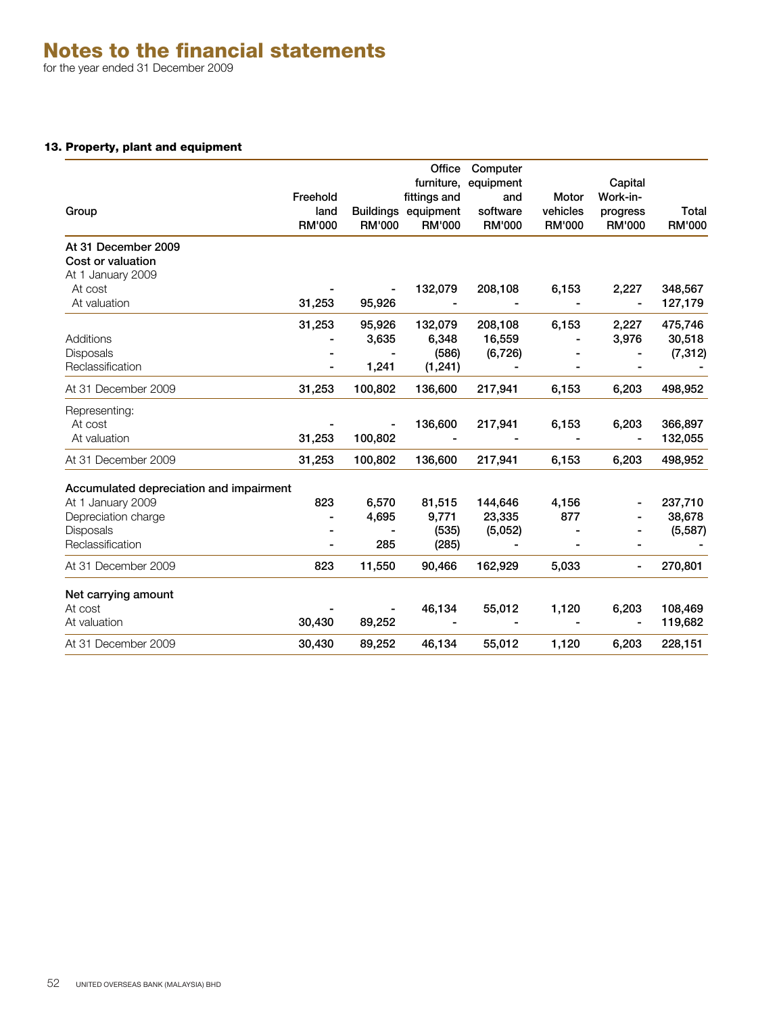## 13. Property, plant and equipment

|                                         |               |               | Office                              | Computer         |               |                     |               |
|-----------------------------------------|---------------|---------------|-------------------------------------|------------------|---------------|---------------------|---------------|
|                                         | Freehold      |               | furniture,                          | equipment<br>and | Motor         | Capital<br>Work-in- |               |
| Group                                   | land          |               | fittings and<br>Buildings equipment | software         | vehicles      | progress            | Total         |
|                                         | <b>RM'000</b> | <b>RM'000</b> | <b>RM'000</b>                       | <b>RM'000</b>    | <b>RM'000</b> | <b>RM'000</b>       | <b>RM'000</b> |
| At 31 December 2009                     |               |               |                                     |                  |               |                     |               |
| Cost or valuation                       |               |               |                                     |                  |               |                     |               |
| At 1 January 2009                       |               |               |                                     |                  |               |                     |               |
| At cost                                 |               |               | 132,079                             | 208,108          | 6,153         | 2,227               | 348,567       |
| At valuation                            | 31,253        | 95,926        |                                     |                  |               |                     | 127,179       |
|                                         | 31,253        | 95,926        | 132,079                             | 208,108          | 6,153         | 2,227               | 475,746       |
| Additions                               |               | 3,635         | 6,348                               | 16,559           |               | 3,976               | 30,518        |
| <b>Disposals</b>                        |               |               | (586)                               | (6, 726)         |               | $\blacksquare$      | (7, 312)      |
| Reclassification                        | ۰             | 1,241         | (1, 241)                            | $\blacksquare$   |               |                     |               |
| At 31 December 2009                     | 31,253        | 100,802       | 136,600                             | 217,941          | 6,153         | 6,203               | 498,952       |
| Representing:                           |               |               |                                     |                  |               |                     |               |
| At cost                                 |               |               | 136,600                             | 217,941          | 6,153         | 6,203               | 366,897       |
| At valuation                            | 31,253        | 100,802       |                                     |                  |               |                     | 132,055       |
| At 31 December 2009                     | 31,253        | 100,802       | 136,600                             | 217,941          | 6,153         | 6,203               | 498,952       |
| Accumulated depreciation and impairment |               |               |                                     |                  |               |                     |               |
| At 1 January 2009                       | 823           | 6,570         | 81,515                              | 144,646          | 4,156         |                     | 237,710       |
| Depreciation charge                     |               | 4,695         | 9,771                               | 23,335           | 877           |                     | 38,678        |
| <b>Disposals</b>                        |               |               | (535)                               | (5,052)          |               |                     | (5, 587)      |
| Reclassification                        |               | 285           | (285)                               | ۰                |               |                     |               |
| At 31 December 2009                     | 823           | 11,550        | 90,466                              | 162,929          | 5,033         | $\blacksquare$      | 270,801       |
| Net carrying amount                     |               |               |                                     |                  |               |                     |               |
| At cost                                 |               |               | 46,134                              | 55,012           | 1,120         | 6,203               | 108,469       |
| At valuation                            | 30,430        | 89,252        |                                     |                  |               |                     | 119,682       |
| At 31 December 2009                     | 30,430        | 89,252        | 46,134                              | 55,012           | 1,120         | 6,203               | 228,151       |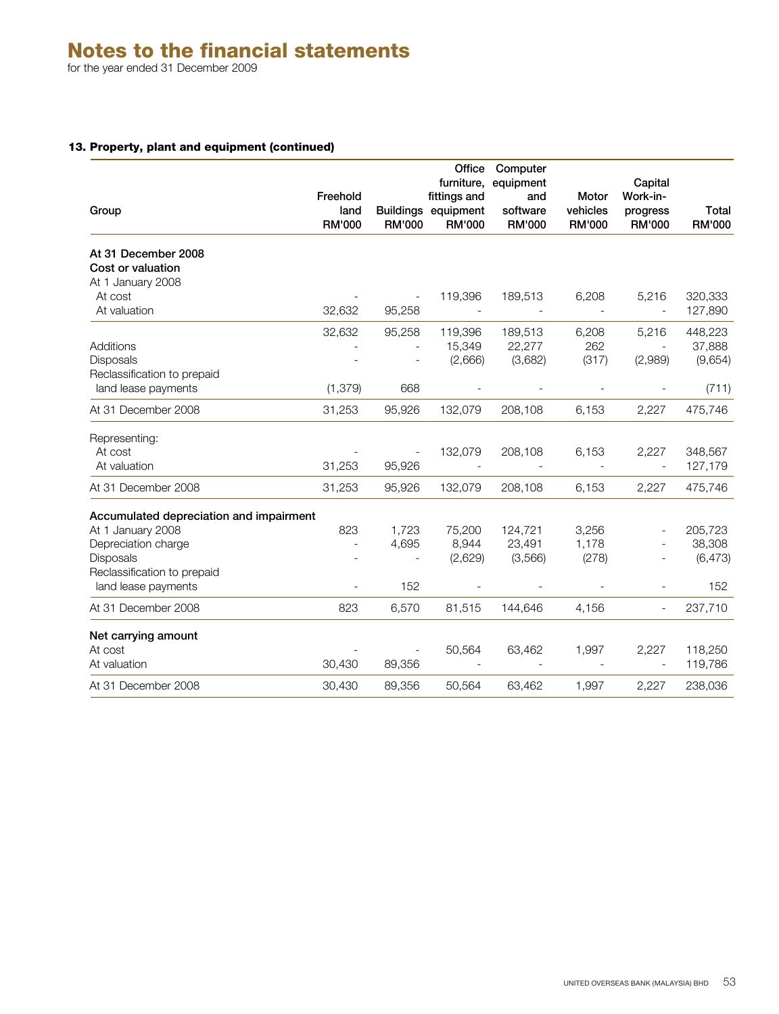## 13. Property, plant and equipment (continued)

| Group                                   | Freehold<br>land<br><b>RM'000</b> | <b>RM'000</b>            | Office<br>furniture,<br>fittings and<br>Buildings equipment<br>RM'000 | Computer<br>equipment<br>and<br>software<br><b>RM'000</b> | Motor<br>vehicles<br><b>RM'000</b> | Capital<br>Work-in-<br>progress<br><b>RM'000</b> | Total<br>RM'000 |
|-----------------------------------------|-----------------------------------|--------------------------|-----------------------------------------------------------------------|-----------------------------------------------------------|------------------------------------|--------------------------------------------------|-----------------|
| At 31 December 2008                     |                                   |                          |                                                                       |                                                           |                                    |                                                  |                 |
| Cost or valuation                       |                                   |                          |                                                                       |                                                           |                                    |                                                  |                 |
| At 1 January 2008                       |                                   |                          |                                                                       |                                                           |                                    |                                                  |                 |
| At cost                                 |                                   | $\overline{\phantom{m}}$ | 119,396                                                               | 189,513                                                   | 6,208                              | 5,216                                            | 320,333         |
| At valuation                            | 32,632                            | 95,258                   | $\overline{\phantom{a}}$                                              |                                                           |                                    |                                                  | 127,890         |
|                                         | 32,632                            | 95,258                   | 119,396                                                               | 189,513                                                   | 6,208                              | 5,216                                            | 448,223         |
| Additions                               |                                   |                          | 15,349                                                                | 22,277                                                    | 262                                |                                                  | 37,888          |
| <b>Disposals</b>                        |                                   |                          | (2,666)                                                               | (3,682)                                                   | (317)                              | (2,989)                                          | (9,654)         |
| Reclassification to prepaid             |                                   |                          |                                                                       |                                                           |                                    |                                                  |                 |
| land lease payments                     | (1, 379)                          | 668                      |                                                                       |                                                           |                                    |                                                  | (711)           |
| At 31 December 2008                     | 31,253                            | 95,926                   | 132,079                                                               | 208,108                                                   | 6,153                              | 2,227                                            | 475,746         |
| Representing:                           |                                   |                          |                                                                       |                                                           |                                    |                                                  |                 |
| At cost                                 |                                   |                          | 132,079                                                               | 208,108                                                   | 6,153                              | 2,227                                            | 348,567         |
| At valuation                            | 31,253                            | 95,926                   |                                                                       |                                                           |                                    |                                                  | 127,179         |
| At 31 December 2008                     | 31,253                            | 95,926                   | 132,079                                                               | 208,108                                                   | 6,153                              | 2,227                                            | 475,746         |
| Accumulated depreciation and impairment |                                   |                          |                                                                       |                                                           |                                    |                                                  |                 |
| At 1 January 2008                       | 823                               | 1,723                    | 75,200                                                                | 124,721                                                   | 3,256                              |                                                  | 205,723         |
| Depreciation charge                     | $\overline{a}$                    | 4,695                    | 8,944                                                                 | 23,491                                                    | 1,178                              |                                                  | 38,308          |
| <b>Disposals</b>                        |                                   |                          | (2,629)                                                               | (3,566)                                                   | (278)                              |                                                  | (6, 473)        |
| Reclassification to prepaid             |                                   |                          |                                                                       |                                                           |                                    |                                                  |                 |
| land lease payments                     | $\overline{\phantom{a}}$          | 152                      |                                                                       |                                                           |                                    |                                                  | 152             |
| At 31 December 2008                     | 823                               | 6,570                    | 81,515                                                                | 144,646                                                   | 4,156                              | $\overline{\phantom{a}}$                         | 237,710         |
| Net carrying amount                     |                                   |                          |                                                                       |                                                           |                                    |                                                  |                 |
| At cost                                 |                                   | $\overline{\phantom{a}}$ | 50,564                                                                | 63,462                                                    | 1,997                              | 2,227                                            | 118,250         |
| At valuation                            | 30,430                            | 89,356                   |                                                                       |                                                           |                                    | $\overline{\phantom{a}}$                         | 119,786         |
| At 31 December 2008                     | 30,430                            | 89,356                   | 50,564                                                                | 63,462                                                    | 1,997                              | 2,227                                            | 238,036         |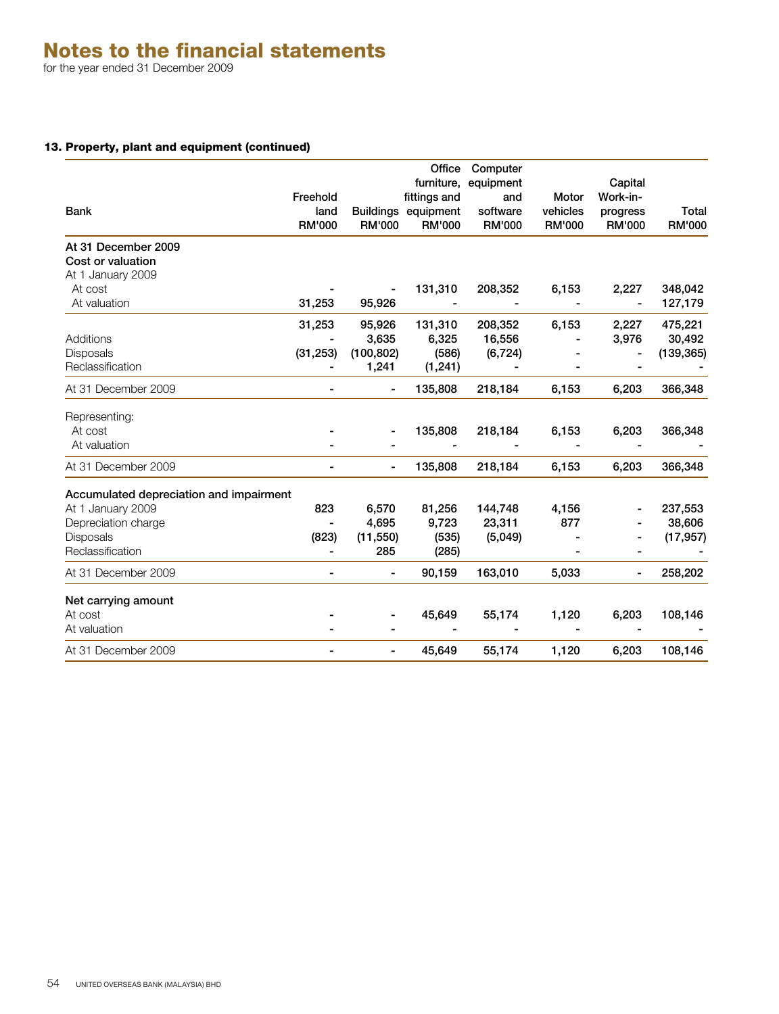## 13. Property, plant and equipment (continued)

|                                          |                  |            | Office                              | Computer        |                   |                      |               |
|------------------------------------------|------------------|------------|-------------------------------------|-----------------|-------------------|----------------------|---------------|
|                                          |                  |            | furniture,                          | equipment       |                   | Capital              |               |
| <b>Bank</b>                              | Freehold<br>land |            | fittings and<br>Buildings equipment | and<br>software | Motor<br>vehicles | Work-in-<br>progress | Total         |
|                                          | <b>RM'000</b>    | RM'000     | <b>RM'000</b>                       | RM'000          | <b>RM'000</b>     | <b>RM'000</b>        | <b>RM'000</b> |
|                                          |                  |            |                                     |                 |                   |                      |               |
| At 31 December 2009<br>Cost or valuation |                  |            |                                     |                 |                   |                      |               |
|                                          |                  |            |                                     |                 |                   |                      |               |
| At 1 January 2009<br>At cost             |                  |            | 131,310                             | 208,352         | 6,153             | 2,227                | 348,042       |
| At valuation                             | 31,253           | 95,926     |                                     |                 | $\blacksquare$    | $\sim$               | 127,179       |
|                                          |                  |            |                                     |                 |                   |                      |               |
|                                          | 31,253           | 95,926     | 131,310                             | 208,352         | 6,153             | 2,227                | 475,221       |
| Additions                                |                  | 3,635      | 6,325                               | 16,556          |                   | 3,976                | 30,492        |
| <b>Disposals</b>                         | (31, 253)        | (100, 802) | (586)                               | (6, 724)        |                   |                      | (139, 365)    |
| Reclassification                         |                  | 1,241      | (1, 241)                            |                 |                   |                      |               |
| At 31 December 2009                      |                  | ۰          | 135,808                             | 218,184         | 6,153             | 6,203                | 366,348       |
| Representing:                            |                  |            |                                     |                 |                   |                      |               |
| At cost                                  |                  |            | 135,808                             | 218,184         | 6,153             | 6,203                | 366,348       |
| At valuation                             |                  |            |                                     |                 |                   |                      |               |
| At 31 December 2009                      |                  | ٠          | 135,808                             | 218,184         | 6,153             | 6,203                | 366,348       |
| Accumulated depreciation and impairment  |                  |            |                                     |                 |                   |                      |               |
| At 1 January 2009                        | 823              | 6,570      | 81,256                              | 144,748         | 4,156             |                      | 237,553       |
| Depreciation charge                      |                  | 4,695      | 9,723                               | 23,311          | 877               |                      | 38,606        |
| <b>Disposals</b>                         | (823)            | (11, 550)  | (535)                               | (5,049)         |                   |                      | (17, 957)     |
| Reclassification                         | $\blacksquare$   | 285        | (285)                               |                 |                   |                      |               |
| At 31 December 2009                      | $\blacksquare$   | ۰          | 90,159                              | 163,010         | 5,033             |                      | 258,202       |
| Net carrying amount                      |                  |            |                                     |                 |                   |                      |               |
| At cost                                  |                  |            | 45,649                              | 55,174          | 1,120             | 6,203                | 108,146       |
| At valuation                             |                  |            |                                     |                 |                   |                      |               |
| At 31 December 2009                      |                  |            | 45,649                              | 55,174          | 1,120             | 6,203                | 108,146       |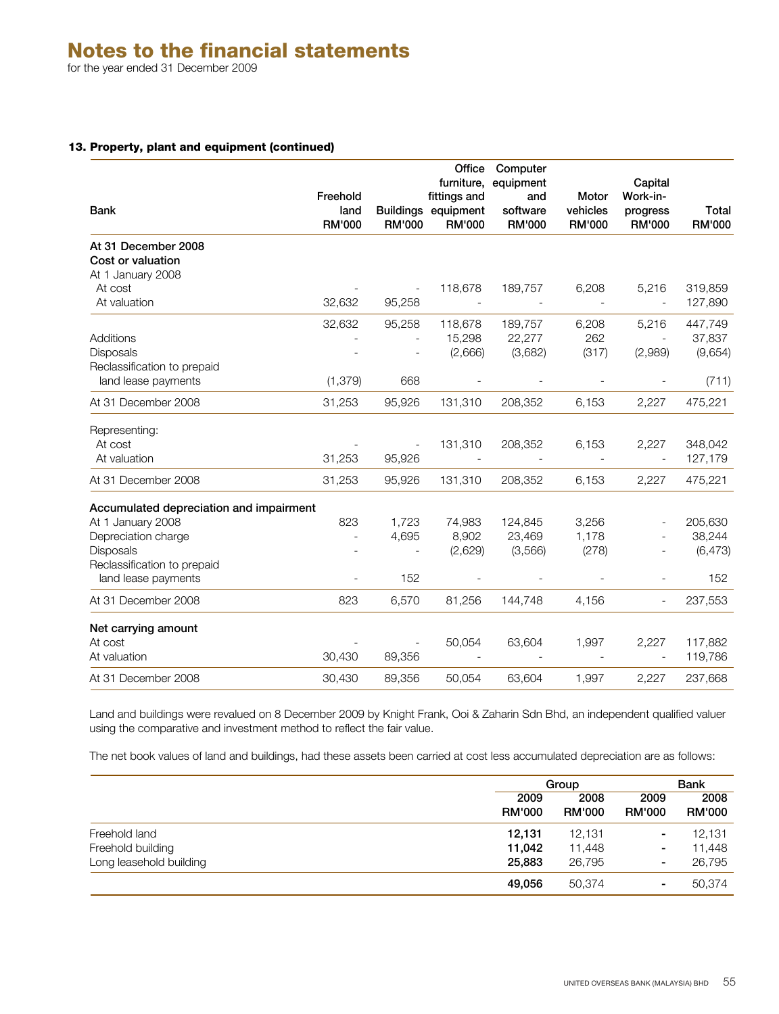## 13. Property, plant and equipment (continued)

|                                         | Freehold                 |                          | Office<br>furniture,<br>fittings and | Computer<br>equipment<br>and | Motor                     | Capital<br>Work-in-       |                        |
|-----------------------------------------|--------------------------|--------------------------|--------------------------------------|------------------------------|---------------------------|---------------------------|------------------------|
| <b>Bank</b>                             | land<br><b>RM'000</b>    | <b>RM'000</b>            | Buildings equipment<br><b>RM'000</b> | software<br>RM'000           | vehicles<br><b>RM'000</b> | progress<br><b>RM'000</b> | Total<br><b>RM'000</b> |
| At 31 December 2008                     |                          |                          |                                      |                              |                           |                           |                        |
| Cost or valuation                       |                          |                          |                                      |                              |                           |                           |                        |
| At 1 January 2008                       |                          |                          |                                      |                              |                           |                           |                        |
| At cost                                 |                          |                          | 118,678                              | 189,757                      | 6,208                     | 5,216                     | 319,859                |
| At valuation                            | 32,632                   | 95,258                   | $\overline{\phantom{a}}$             | $\overline{\phantom{a}}$     | $\overline{a}$            | $\overline{\phantom{a}}$  | 127,890                |
|                                         | 32,632                   | 95,258                   | 118,678                              | 189,757                      | 6,208                     | 5,216                     | 447,749                |
| <b>Additions</b>                        |                          |                          | 15,298                               | 22,277                       | 262                       |                           | 37,837                 |
| Disposals                               |                          |                          | (2,666)                              | (3,682)                      | (317)                     | (2,989)                   | (9,654)                |
| Reclassification to prepaid             |                          |                          |                                      |                              |                           |                           |                        |
| land lease payments                     | (1, 379)                 | 668                      |                                      |                              |                           |                           | (711)                  |
| At 31 December 2008                     | 31,253                   | 95,926                   | 131,310                              | 208,352                      | 6,153                     | 2,227                     | 475,221                |
| Representing:                           |                          |                          |                                      |                              |                           |                           |                        |
| At cost                                 |                          | $\overline{\phantom{a}}$ | 131,310                              | 208,352                      | 6,153                     | 2,227                     | 348,042                |
| At valuation                            | 31,253                   | 95,926                   |                                      |                              |                           | $\overline{\phantom{a}}$  | 127,179                |
| At 31 December 2008                     | 31,253                   | 95,926                   | 131,310                              | 208,352                      | 6,153                     | 2,227                     | 475,221                |
| Accumulated depreciation and impairment |                          |                          |                                      |                              |                           |                           |                        |
| At 1 January 2008                       | 823                      | 1,723                    | 74,983                               | 124,845                      | 3,256                     |                           | 205,630                |
| Depreciation charge                     | $\overline{\phantom{a}}$ | 4,695                    | 8,902                                | 23,469                       | 1,178                     |                           | 38,244                 |
| Disposals                               |                          |                          | (2,629)                              | (3,566)                      | (278)                     |                           | (6, 473)               |
| Reclassification to prepaid             |                          |                          |                                      |                              |                           |                           |                        |
| land lease payments                     |                          | 152                      |                                      |                              |                           |                           | 152                    |
| At 31 December 2008                     | 823                      | 6,570                    | 81,256                               | 144,748                      | 4,156                     | $\overline{\phantom{a}}$  | 237,553                |
| Net carrying amount                     |                          |                          |                                      |                              |                           |                           |                        |
| At cost                                 |                          |                          | 50,054                               | 63,604                       | 1,997                     | 2,227                     | 117,882                |
| At valuation                            | 30,430                   | 89,356                   | $\overline{\phantom{a}}$             |                              |                           | $\overline{\phantom{a}}$  | 119,786                |
| At 31 December 2008                     | 30,430                   | 89,356                   | 50,054                               | 63,604                       | 1,997                     | 2,227                     | 237,668                |

Land and buildings were revalued on 8 December 2009 by Knight Frank, Ooi & Zaharin Sdn Bhd, an independent qualified valuer using the comparative and investment method to reflect the fair value.

The net book values of land and buildings, had these assets been carried at cost less accumulated depreciation are as follows:

|                         |                       | Group                 |                          |                       |
|-------------------------|-----------------------|-----------------------|--------------------------|-----------------------|
|                         | 2009<br><b>RM'000</b> | 2008<br><b>RM'000</b> | 2009<br><b>RM'000</b>    | 2008<br><b>RM'000</b> |
| Freehold land           | 12,131                | 12,131                | $\overline{\phantom{a}}$ | 12.131                |
| Freehold building       | 11,042                | 11,448                | $\sim$                   | 11.448                |
| Long leasehold building | 25,883                | 26,795                | $\sim$                   | 26.795                |
|                         | 49,056                | 50,374                | $\sim$                   | 50.374                |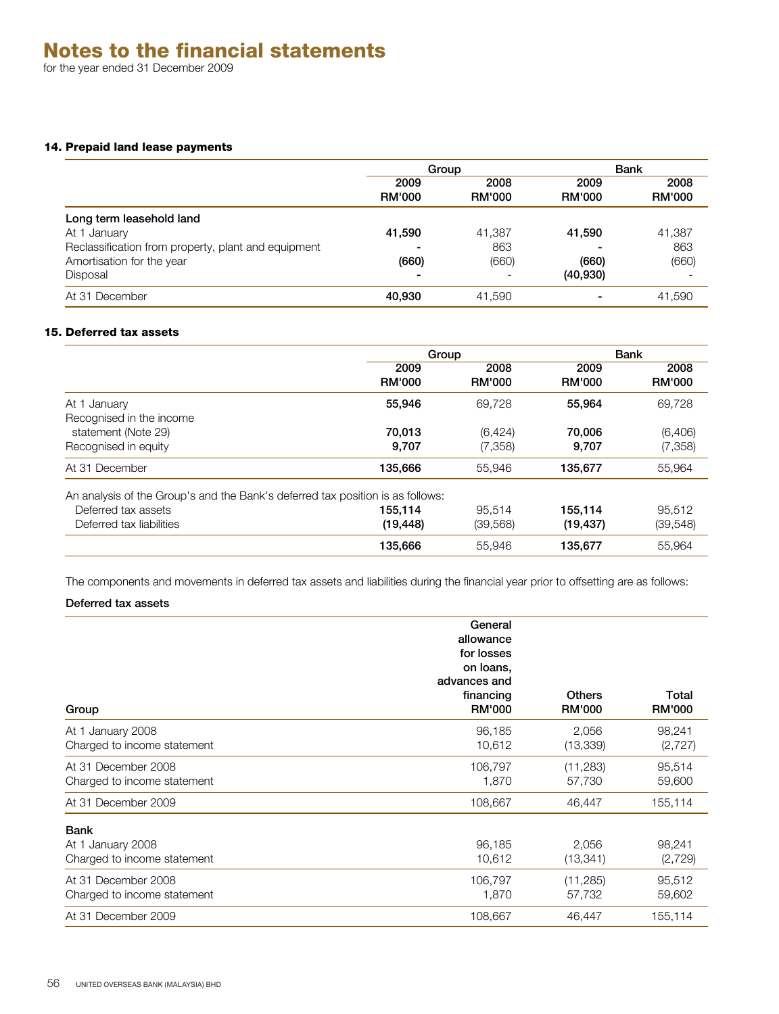## 14. Prepaid land lease payments

|                                                     |                       | Group                 |                       | <b>Bank</b>              |
|-----------------------------------------------------|-----------------------|-----------------------|-----------------------|--------------------------|
|                                                     | 2009<br><b>RM'000</b> | 2008<br><b>RM'000</b> | 2009<br><b>RM'000</b> | 2008<br><b>RM'000</b>    |
| Long term leasehold land                            |                       |                       |                       |                          |
| At 1 January                                        | 41.590                | 41.387                | 41.590                | 41,387                   |
| Reclassification from property, plant and equipment |                       | 863                   |                       | 863                      |
| Amortisation for the year                           | (660)                 | (660)                 | (660)                 | (660)                    |
| <b>Disposal</b>                                     | -                     |                       | (40, 930)             | $\overline{\phantom{a}}$ |
| At 31 December                                      | 40,930                | 41,590                |                       | 41,590                   |

## 15. Deferred tax assets

|                                                                                |                       | Group                 |                       |                       |
|--------------------------------------------------------------------------------|-----------------------|-----------------------|-----------------------|-----------------------|
|                                                                                | 2009<br><b>RM'000</b> | 2008<br><b>RM'000</b> | 2009<br><b>RM'000</b> | 2008<br><b>RM'000</b> |
| At 1<br>January                                                                | 55,946                | 69.728                | 55.964                | 69.728                |
| Recognised in the income                                                       |                       |                       |                       |                       |
| statement (Note 29)                                                            | 70.013                | (6, 424)              | 70,006                | (6,406)               |
| Recognised in equity                                                           | 9,707                 | (7,358)               | 9,707                 | (7,358)               |
| At 31 December                                                                 | 135,666               | 55,946                | 135,677               | 55,964                |
| An analysis of the Group's and the Bank's deferred tax position is as follows: |                       |                       |                       |                       |
| Deferred tax assets                                                            | 155,114               | 95.514                | 155.114               | 95.512                |
| Deferred tax liabilities                                                       | (19, 448)             | (39,568)              | (19, 437)             | (39, 548)             |
|                                                                                | 135,666               | 55,946                | 135,677               | 55,964                |

The components and movements in deferred tax assets and liabilities during the financial year prior to offsetting are as follows:

## Deferred tax assets

|                                                          | General<br>allowance<br>for losses<br>on loans,<br>advances and<br>financing | <b>Others</b>       | Total              |
|----------------------------------------------------------|------------------------------------------------------------------------------|---------------------|--------------------|
| Group                                                    | <b>RM'000</b>                                                                | <b>RM'000</b>       | <b>RM'000</b>      |
| At 1 January 2008<br>Charged to income statement         | 96,185<br>10,612                                                             | 2,056<br>(13, 339)  | 98,241<br>(2, 727) |
| At 31 December 2008<br>Charged to income statement       | 106,797<br>1,870                                                             | (11,283)<br>57,730  | 95,514<br>59,600   |
| At 31 December 2009                                      | 108,667                                                                      | 46,447              | 155,114            |
| Bank<br>At 1 January 2008<br>Charged to income statement | 96,185<br>10,612                                                             | 2,056<br>(13, 341)  | 98,241<br>(2,729)  |
| At 31 December 2008<br>Charged to income statement       | 106,797<br>1,870                                                             | (11, 285)<br>57,732 | 95,512<br>59,602   |
| At 31 December 2009                                      | 108,667                                                                      | 46,447              | 155,114            |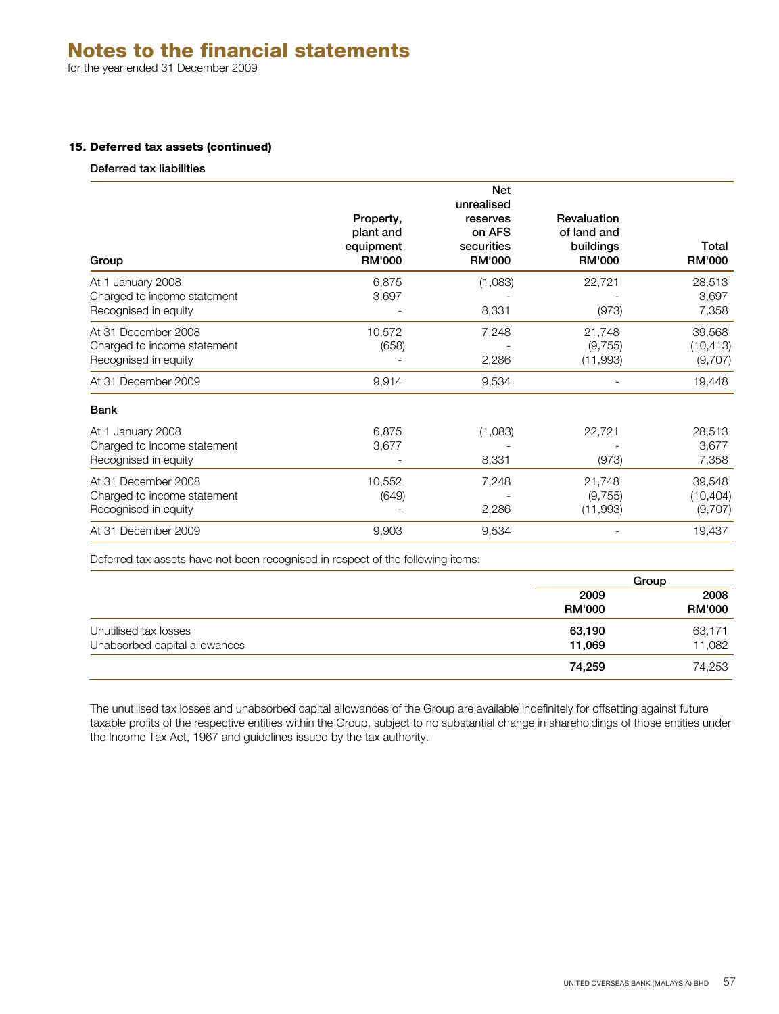# Notes to the financial statements

for the year ended 31 December 2009

## 15. Deferred tax assets (continued)

Deferred tax liabilities

|                                                                            |                                                      | <b>Net</b>                                                      |                                                          |                                |
|----------------------------------------------------------------------------|------------------------------------------------------|-----------------------------------------------------------------|----------------------------------------------------------|--------------------------------|
| Group                                                                      | Property,<br>plant and<br>equipment<br><b>RM'000</b> | unrealised<br>reserves<br>on AFS<br>securities<br><b>RM'000</b> | Revaluation<br>of land and<br>buildings<br><b>RM'000</b> | Total<br><b>RM'000</b>         |
| At 1 January 2008<br>Charged to income statement<br>Recognised in equity   | 6,875<br>3,697                                       | (1,083)<br>8,331                                                | 22,721<br>(973)                                          | 28,513<br>3,697<br>7,358       |
| At 31 December 2008<br>Charged to income statement<br>Recognised in equity | 10,572<br>(658)                                      | 7,248<br>2,286                                                  | 21,748<br>(9,755)<br>(11,993)                            | 39,568<br>(10, 413)<br>(9,707) |
| At 31 December 2009                                                        | 9,914                                                | 9,534                                                           |                                                          | 19,448                         |
| <b>Bank</b>                                                                |                                                      |                                                                 |                                                          |                                |
| At 1 January 2008<br>Charged to income statement<br>Recognised in equity   | 6,875<br>3,677                                       | (1,083)<br>8,331                                                | 22,721<br>(973)                                          | 28,513<br>3,677<br>7,358       |
| At 31 December 2008<br>Charged to income statement<br>Recognised in equity | 10,552<br>(649)                                      | 7,248<br>2,286                                                  | 21,748<br>(9,755)<br>(11,993)                            | 39,548<br>(10, 404)<br>(9,707) |
| At 31 December 2009                                                        | 9,903                                                | 9,534                                                           |                                                          | 19,437                         |

Deferred tax assets have not been recognised in respect of the following items:

|                                                        |                       | Group                 |
|--------------------------------------------------------|-----------------------|-----------------------|
|                                                        | 2009<br><b>RM'000</b> | 2008<br><b>RM'000</b> |
| Unutilised tax losses<br>Unabsorbed capital allowances | 63,190<br>11,069      | 63,171<br>11,082      |
|                                                        | 74,259                | 74,253                |

The unutilised tax losses and unabsorbed capital allowances of the Group are available indefinitely for offsetting against future taxable profits of the respective entities within the Group, subject to no substantial change in shareholdings of those entities under the Income Tax Act, 1967 and guidelines issued by the tax authority.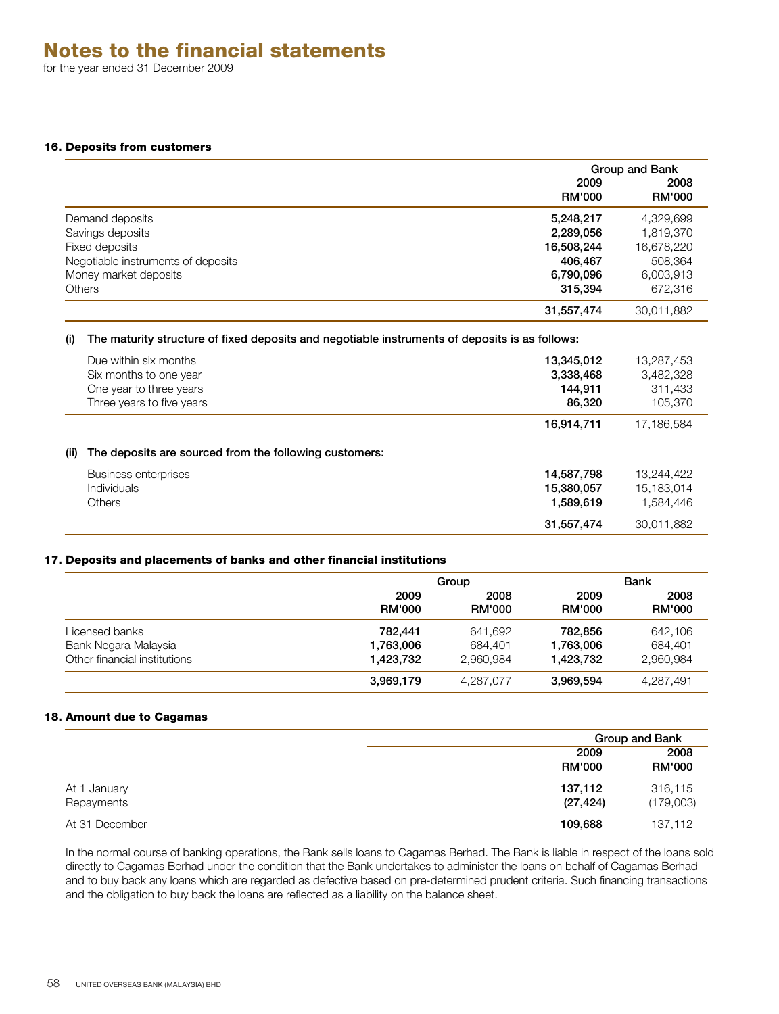#### 16. Deposits from customers

|                                                                                                       |                       | Group and Bank        |
|-------------------------------------------------------------------------------------------------------|-----------------------|-----------------------|
|                                                                                                       | 2009<br><b>RM'000</b> | 2008<br><b>RM'000</b> |
| Demand deposits                                                                                       | 5,248,217             | 4,329,699             |
| Savings deposits                                                                                      | 2,289,056             | 1,819,370             |
| Fixed deposits                                                                                        | 16,508,244            | 16,678,220            |
| Negotiable instruments of deposits                                                                    | 406,467               | 508,364               |
| Money market deposits                                                                                 | 6,790,096             | 6,003,913             |
| Others                                                                                                | 315,394               | 672,316               |
|                                                                                                       | 31,557,474            | 30,011,882            |
| The maturity structure of fixed deposits and negotiable instruments of deposits is as follows:<br>(i) |                       |                       |
| Due within six months                                                                                 | 13,345,012            | 13,287,453            |
| Six months to one year                                                                                | 3,338,468             | 3,482,328             |
| One year to three years                                                                               | 144,911               | 311,433               |
| Three years to five years                                                                             | 86,320                | 105,370               |
|                                                                                                       | 16,914,711            | 17,186,584            |
| The deposits are sourced from the following customers:<br>(ii)                                        |                       |                       |
| <b>Business enterprises</b>                                                                           | 14,587,798            | 13,244,422            |
| Individuals                                                                                           | 15,380,057            | 15,183,014            |
| Others                                                                                                | 1,589,619             | 1,584,446             |
|                                                                                                       | 31,557,474            | 30,011,882            |

## 17. Deposits and placements of banks and other financial institutions

|                                                      |                        | Group                 |                        | Bank                  |  |
|------------------------------------------------------|------------------------|-----------------------|------------------------|-----------------------|--|
|                                                      | 2009<br><b>RM'000</b>  | 2008<br><b>RM'000</b> | 2009<br><b>RM'000</b>  | 2008<br><b>RM'000</b> |  |
| Licensed banks                                       | 782.441                | 641.692               | 782.856                | 642.106               |  |
| Bank Negara Malaysia<br>Other financial institutions | 1,763,006<br>1.423.732 | 684.401<br>2.960.984  | 1.763.006<br>1.423.732 | 684.401<br>2,960,984  |  |
|                                                      | 3,969,179              | 4.287.077             | 3,969,594              | 4.287.491             |  |

#### 18. Amount due to Cagamas

|                |                       | Group and Bank        |
|----------------|-----------------------|-----------------------|
|                | 2009<br><b>RM'000</b> | 2008<br><b>RM'000</b> |
| At 1 January   | 137,112               | 316,115               |
| Repayments     | (27, 424)             | (179,003)             |
| At 31 December | 109.688               | 137,112               |

In the normal course of banking operations, the Bank sells loans to Cagamas Berhad. The Bank is liable in respect of the loans sold directly to Cagamas Berhad under the condition that the Bank undertakes to administer the loans on behalf of Cagamas Berhad and to buy back any loans which are regarded as defective based on pre-determined prudent criteria. Such financing transactions and the obligation to buy back the loans are reflected as a liability on the balance sheet.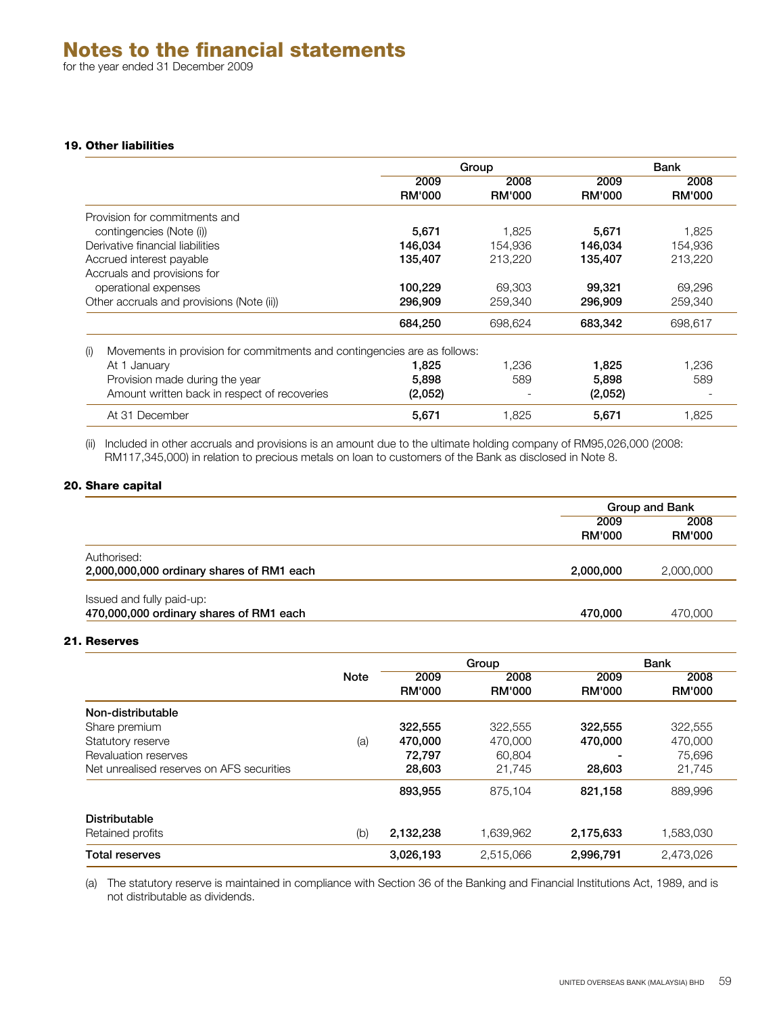## 19. Other liabilities

|                                                                                 | Group         |               |               | Bank          |
|---------------------------------------------------------------------------------|---------------|---------------|---------------|---------------|
|                                                                                 | 2009          | 2008          | 2009          | 2008          |
|                                                                                 | <b>RM'000</b> | <b>RM'000</b> | <b>RM'000</b> | <b>RM'000</b> |
| Provision for commitments and                                                   |               |               |               |               |
| contingencies (Note (i))                                                        | 5,671         | 1.825         | 5.671         | 1.825         |
| Derivative financial liabilities                                                | 146,034       | 154,936       | 146,034       | 154,936       |
| Accrued interest payable                                                        | 135,407       | 213,220       | 135,407       | 213.220       |
| Accruals and provisions for                                                     |               |               |               |               |
| operational expenses                                                            | 100,229       | 69.303        | 99.321        | 69.296        |
| Other accruals and provisions (Note (ii))                                       | 296,909       | 259,340       | 296,909       | 259.340       |
|                                                                                 | 684,250       | 698.624       | 683,342       | 698,617       |
| Movements in provision for commitments and contingencies are as follows:<br>(i) |               |               |               |               |
| At 1 January                                                                    | 1.825         | 1.236         | 1,825         | 1,236         |
| Provision made during the year                                                  | 5.898         | 589           | 5,898         | 589           |
| Amount written back in respect of recoveries                                    | (2,052)       |               | (2,052)       |               |
| At 31 December                                                                  | 5,671         | 1,825         | 5,671         | 1.825         |

(ii) Included in other accruals and provisions is an amount due to the ultimate holding company of RM95,026,000 (2008: RM117,345,000) in relation to precious metals on loan to customers of the Bank as disclosed in Note 8.

## 20. Share capital

|                                                                      | Group and Bank        |                       |
|----------------------------------------------------------------------|-----------------------|-----------------------|
|                                                                      | 2009<br><b>RM'000</b> | 2008<br><b>RM'000</b> |
| Authorised:<br>2,000,000,000 ordinary shares of RM1 each             | 2,000,000             | 2,000,000             |
| Issued and fully paid-up:<br>470,000,000 ordinary shares of RM1 each | 470,000               | 470,000               |

## 21. Reserves

|                                           |             |               | Group         |               | <b>Bank</b>   |
|-------------------------------------------|-------------|---------------|---------------|---------------|---------------|
|                                           | <b>Note</b> | 2009          | 2008          | 2009          | 2008          |
|                                           |             | <b>RM'000</b> | <b>RM'000</b> | <b>RM'000</b> | <b>RM'000</b> |
| Non-distributable                         |             |               |               |               |               |
| Share premium                             |             | 322,555       | 322,555       | 322,555       | 322,555       |
| Statutory reserve                         | (a)         | 470,000       | 470,000       | 470,000       | 470,000       |
| Revaluation reserves                      |             | 72,797        | 60.804        | ۰             | 75,696        |
| Net unrealised reserves on AFS securities |             | 28,603        | 21,745        | 28,603        | 21,745        |
|                                           |             | 893,955       | 875.104       | 821,158       | 889,996       |
| <b>Distributable</b>                      |             |               |               |               |               |
| Retained profits                          | (b)         | 2,132,238     | 1,639,962     | 2,175,633     | 1,583,030     |
| <b>Total reserves</b>                     |             | 3,026,193     | 2,515,066     | 2,996,791     | 2,473,026     |

(a) The statutory reserve is maintained in compliance with Section 36 of the Banking and Financial Institutions Act, 1989, and is not distributable as dividends.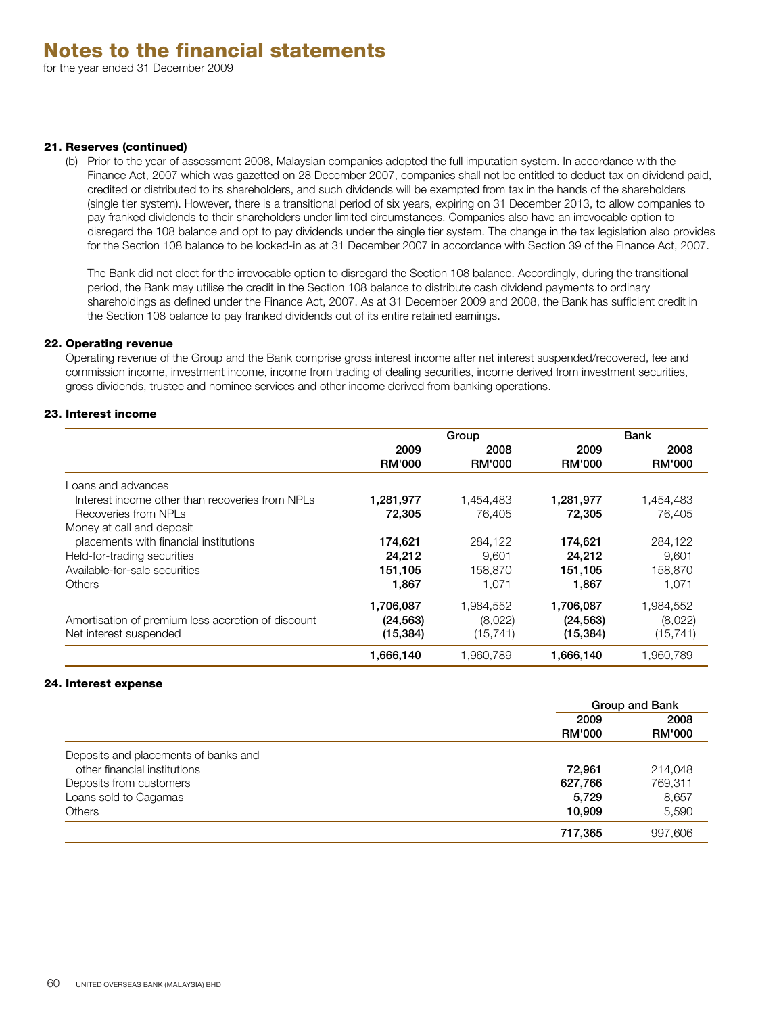#### 21. Reserves (continued)

(b) Prior to the year of assessment 2008, Malaysian companies adopted the full imputation system. In accordance with the Finance Act, 2007 which was gazetted on 28 December 2007, companies shall not be entitled to deduct tax on dividend paid, credited or distributed to its shareholders, and such dividends will be exempted from tax in the hands of the shareholders (single tier system). However, there is a transitional period of six years, expiring on 31 December 2013, to allow companies to pay franked dividends to their shareholders under limited circumstances. Companies also have an irrevocable option to disregard the 108 balance and opt to pay dividends under the single tier system. The change in the tax legislation also provides for the Section 108 balance to be locked-in as at 31 December 2007 in accordance with Section 39 of the Finance Act, 2007.

The Bank did not elect for the irrevocable option to disregard the Section 108 balance. Accordingly, during the transitional period, the Bank may utilise the credit in the Section 108 balance to distribute cash dividend payments to ordinary shareholdings as defined under the Finance Act, 2007. As at 31 December 2009 and 2008, the Bank has sufficient credit in the Section 108 balance to pay franked dividends out of its entire retained earnings.

## 22. Operating revenue

Operating revenue of the Group and the Bank comprise gross interest income after net interest suspended/recovered, fee and commission income, investment income, income from trading of dealing securities, income derived from investment securities, gross dividends, trustee and nominee services and other income derived from banking operations.

## 23. Interest income

|                                                    | Group         |               | <b>Bank</b>   |               |
|----------------------------------------------------|---------------|---------------|---------------|---------------|
|                                                    | 2009          | 2008          | 2009          | 2008          |
|                                                    | <b>RM'000</b> | <b>RM'000</b> | <b>RM'000</b> | <b>RM'000</b> |
| Loans and advances                                 |               |               |               |               |
| Interest income other than recoveries from NPLs    | 1,281,977     | 1,454,483     | 1,281,977     | 1,454,483     |
| Recoveries from NPLs                               | 72,305        | 76.405        | 72,305        | 76.405        |
| Money at call and deposit                          |               |               |               |               |
| placements with financial institutions             | 174,621       | 284.122       | 174,621       | 284,122       |
| Held-for-trading securities                        | 24,212        | 9.601         | 24.212        | 9.601         |
| Available-for-sale securities                      | 151,105       | 158,870       | 151,105       | 158,870       |
| Others                                             | 1,867         | 1,071         | 1,867         | 1,071         |
|                                                    | 1,706,087     | 1,984,552     | 1,706,087     | 1,984,552     |
| Amortisation of premium less accretion of discount | (24, 563)     | (8,022)       | (24, 563)     | (8,022)       |
| Net interest suspended                             | (15, 384)     | (15, 741)     | (15, 384)     | (15, 741)     |
|                                                    | 1,666,140     | 1.960.789     | 1,666,140     | 1.960.789     |

## 24. Interest expense

|                                      |               | Group and Bank |  |
|--------------------------------------|---------------|----------------|--|
|                                      | 2009          | 2008           |  |
|                                      | <b>RM'000</b> | <b>RM'000</b>  |  |
| Deposits and placements of banks and |               |                |  |
| other financial institutions         | 72.961        | 214,048        |  |
| Deposits from customers              | 627,766       | 769,311        |  |
| Loans sold to Cagamas                | 5,729         | 8,657          |  |
| <b>Others</b>                        | 10.909        | 5,590          |  |
|                                      | 717.365       | 997,606        |  |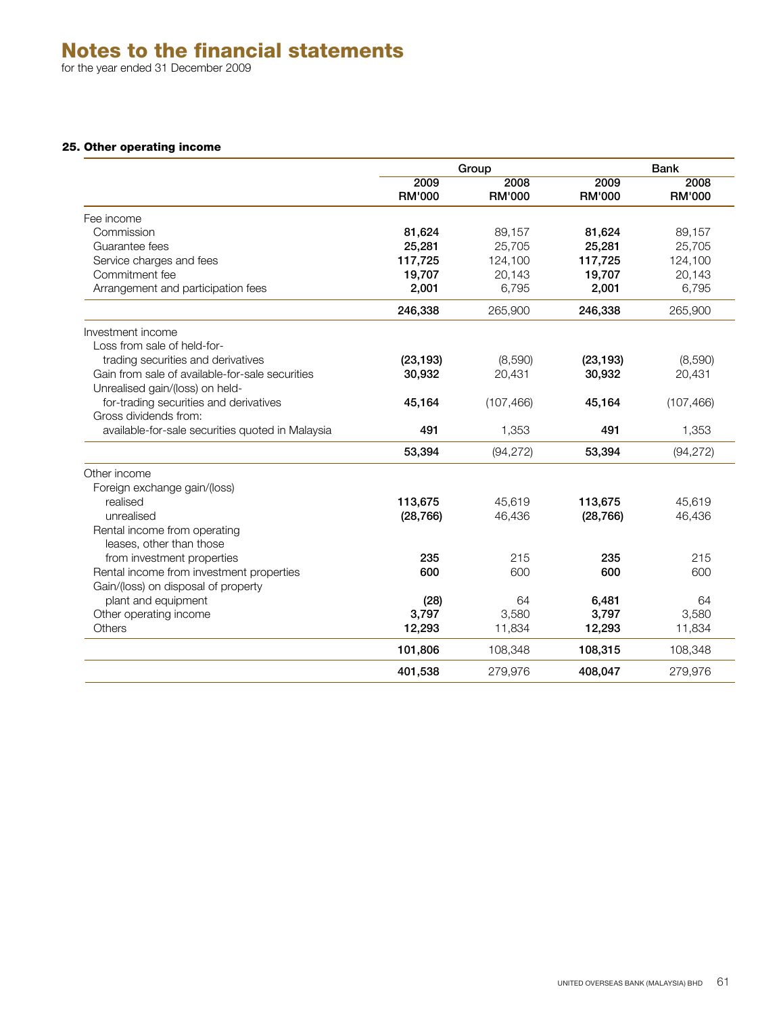## 25. Other operating income

|                                                  | Group                 |                       |                       | <b>Bank</b>           |  |  |
|--------------------------------------------------|-----------------------|-----------------------|-----------------------|-----------------------|--|--|
|                                                  | 2009<br><b>RM'000</b> | 2008<br><b>RM'000</b> | 2009<br><b>RM'000</b> | 2008<br><b>RM'000</b> |  |  |
| Fee income                                       |                       |                       |                       |                       |  |  |
| Commission                                       | 81,624                | 89,157                | 81,624                | 89,157                |  |  |
| Guarantee fees                                   | 25,281                | 25,705                | 25,281                | 25,705                |  |  |
| Service charges and fees                         | 117,725               | 124,100               | 117,725               | 124,100               |  |  |
| Commitment fee                                   | 19,707                | 20,143                | 19,707                | 20,143                |  |  |
| Arrangement and participation fees               | 2,001                 | 6,795                 | 2,001                 | 6,795                 |  |  |
|                                                  | 246,338               | 265,900               | 246,338               | 265,900               |  |  |
| Investment income                                |                       |                       |                       |                       |  |  |
| Loss from sale of held-for-                      |                       |                       |                       |                       |  |  |
| trading securities and derivatives               | (23, 193)             | (8,590)               | (23, 193)             | (8,590)               |  |  |
| Gain from sale of available-for-sale securities  | 30,932                | 20,431                | 30,932                | 20,431                |  |  |
| Unrealised gain/(loss) on held-                  |                       |                       |                       |                       |  |  |
| for-trading securities and derivatives           | 45,164                | (107, 466)            | 45,164                | (107, 466)            |  |  |
| Gross dividends from:                            |                       |                       |                       |                       |  |  |
| available-for-sale securities quoted in Malaysia | 491                   | 1,353                 | 491                   | 1,353                 |  |  |
|                                                  | 53,394                | (94, 272)             | 53,394                | (94, 272)             |  |  |
| Other income                                     |                       |                       |                       |                       |  |  |
| Foreign exchange gain/(loss)                     |                       |                       |                       |                       |  |  |
| realised                                         | 113,675               | 45,619                | 113,675               | 45.619                |  |  |
| unrealised                                       | (28, 766)             | 46,436                | (28, 766)             | 46,436                |  |  |
| Rental income from operating                     |                       |                       |                       |                       |  |  |
| leases, other than those                         |                       |                       |                       |                       |  |  |
| from investment properties                       | 235                   | 215                   | 235                   | 215                   |  |  |
| Rental income from investment properties         | 600                   | 600                   | 600                   | 600                   |  |  |
| Gain/(loss) on disposal of property              |                       |                       |                       |                       |  |  |
| plant and equipment                              | (28)                  | 64                    | 6,481                 | 64                    |  |  |
| Other operating income                           | 3,797                 | 3,580                 | 3,797                 | 3,580                 |  |  |
| Others                                           | 12,293                | 11,834                | 12,293                | 11,834                |  |  |
|                                                  | 101,806               | 108,348               | 108,315               | 108,348               |  |  |
|                                                  | 401,538               | 279,976               | 408,047               | 279,976               |  |  |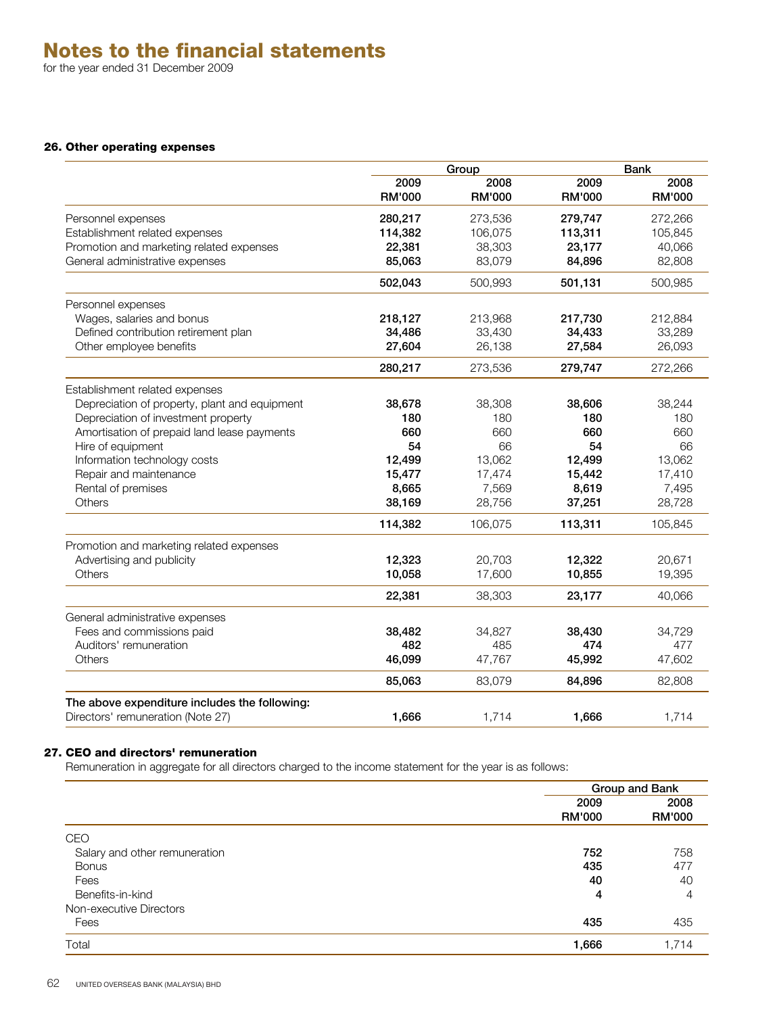## 26. Other operating expenses

|                                               | Group         |               | <b>Bank</b>   |               |
|-----------------------------------------------|---------------|---------------|---------------|---------------|
|                                               | 2009          | 2008          | 2009          | 2008          |
|                                               | <b>RM'000</b> | <b>RM'000</b> | <b>RM'000</b> | <b>RM'000</b> |
| Personnel expenses                            | 280,217       | 273,536       | 279,747       | 272,266       |
| Establishment related expenses                | 114,382       | 106,075       | 113,311       | 105,845       |
| Promotion and marketing related expenses      | 22,381        | 38,303        | 23,177        | 40,066        |
| General administrative expenses               | 85,063        | 83,079        | 84,896        | 82,808        |
|                                               | 502,043       | 500,993       | 501,131       | 500,985       |
| Personnel expenses                            |               |               |               |               |
| Wages, salaries and bonus                     | 218,127       | 213,968       | 217,730       | 212,884       |
| Defined contribution retirement plan          | 34,486        | 33,430        | 34,433        | 33,289        |
| Other employee benefits                       | 27,604        | 26.138        | 27,584        | 26,093        |
|                                               | 280,217       | 273,536       | 279,747       | 272,266       |
| Establishment related expenses                |               |               |               |               |
| Depreciation of property, plant and equipment | 38,678        | 38,308        | 38,606        | 38,244        |
| Depreciation of investment property           | 180           | 180           | 180           | 180           |
| Amortisation of prepaid land lease payments   | 660           | 660           | 660           | 660           |
| Hire of equipment                             | 54            | 66            | 54            | 66            |
| Information technology costs                  | 12,499        | 13,062        | 12,499        | 13,062        |
| Repair and maintenance                        | 15.477        | 17.474        | 15.442        | 17,410        |
| Rental of premises                            | 8,665         | 7,569         | 8,619         | 7,495         |
| Others                                        | 38,169        | 28,756        | 37,251        | 28,728        |
|                                               | 114,382       | 106,075       | 113,311       | 105,845       |
| Promotion and marketing related expenses      |               |               |               |               |
| Advertising and publicity                     | 12,323        | 20,703        | 12,322        | 20,671        |
| Others                                        | 10,058        | 17,600        | 10,855        | 19,395        |
|                                               | 22,381        | 38,303        | 23,177        | 40,066        |
| General administrative expenses               |               |               |               |               |
| Fees and commissions paid                     | 38,482        | 34,827        | 38,430        | 34,729        |
| Auditors' remuneration                        | 482           | 485           | 474           | 477           |
| Others                                        | 46,099        | 47,767        | 45,992        | 47,602        |
|                                               | 85,063        | 83,079        | 84,896        | 82,808        |
| The above expenditure includes the following: |               |               |               |               |
| Directors' remuneration (Note 27)             | 1,666         | 1,714         | 1,666         | 1,714         |

## 27. CEO and directors' remuneration

Remuneration in aggregate for all directors charged to the income statement for the year is as follows:

|                               | Group and Bank |       |
|-------------------------------|----------------|-------|
|                               | 2009           | 2008  |
|                               | <b>RM'000</b>  |       |
| CEO                           |                |       |
| Salary and other remuneration | 752            | 758   |
| <b>Bonus</b>                  | 435            | 477   |
| Fees                          | 40             | 40    |
| Benefits-in-kind              | 4              | 4     |
| Non-executive Directors       |                |       |
| Fees                          | 435            | 435   |
| Total                         | 1,666          | 1,714 |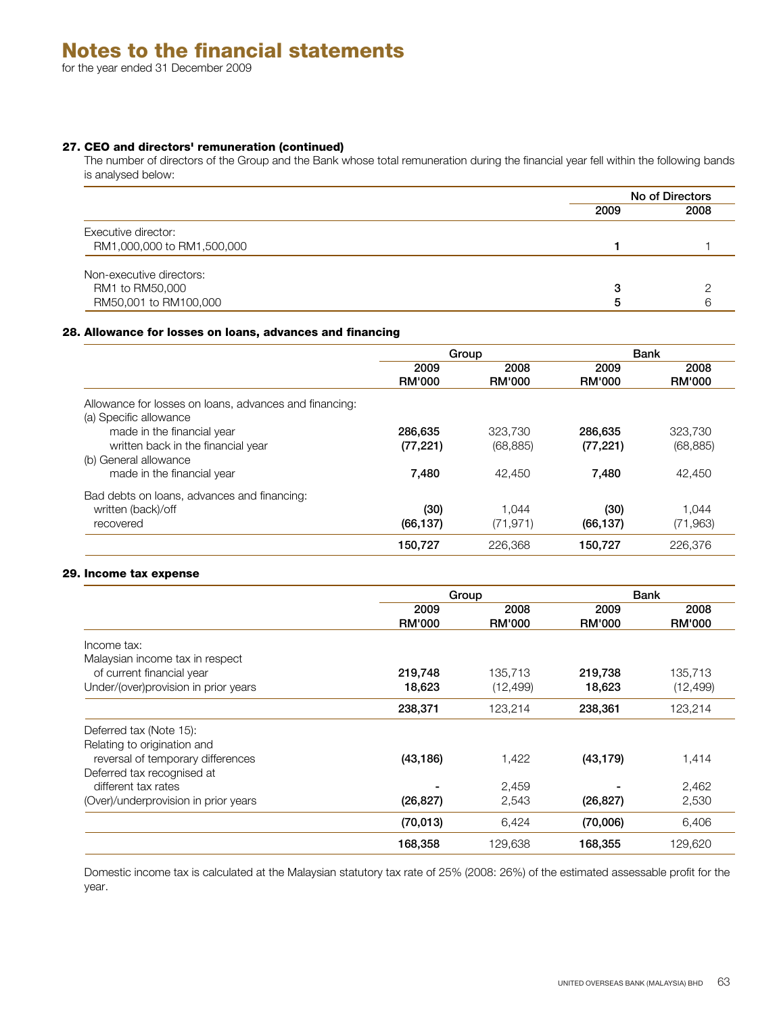## 27. CEO and directors' remuneration (continued)

The number of directors of the Group and the Bank whose total remuneration during the financial year fell within the following bands is analysed below:

|                            |      | No of Directors |
|----------------------------|------|-----------------|
|                            | 2009 | 2008            |
| Executive director:        |      |                 |
| RM1,000,000 to RM1,500,000 |      |                 |
| Non-executive directors:   |      |                 |
| RM1 to RM50,000            | 3    |                 |
| RM50,001 to RM100,000      |      |                 |

## 28. Allowance for losses on loans, advances and financing

|                                                        | Group         |               | <b>Bank</b>   |               |      |
|--------------------------------------------------------|---------------|---------------|---------------|---------------|------|
|                                                        | 2009          |               | 2008          | 2009          | 2008 |
|                                                        | <b>RM'000</b> | <b>RM'000</b> | <b>RM'000</b> | <b>RM'000</b> |      |
| Allowance for losses on loans, advances and financing: |               |               |               |               |      |
| (a) Specific allowance                                 |               |               |               |               |      |
| made in the financial year                             | 286,635       | 323.730       | 286.635       | 323,730       |      |
| written back in the financial year                     | (77, 221)     | (68, 885)     | (77, 221)     | (68, 885)     |      |
| (b) General allowance                                  |               |               |               |               |      |
| made in the financial year                             | 7.480         | 42.450        | 7.480         | 42,450        |      |
| Bad debts on loans, advances and financing:            |               |               |               |               |      |
| written (back)/off                                     | (30)          | 1.044         | (30)          | 1.044         |      |
| recovered                                              | (66, 137)     | (71, 971)     | (66, 137)     | (71,963)      |      |
|                                                        | 150,727       | 226,368       | 150,727       | 226,376       |      |

#### 29. Income tax expense

|                                      | Group         |               |               | <b>Bank</b>   |  |
|--------------------------------------|---------------|---------------|---------------|---------------|--|
|                                      | 2009          | 2008          | 2009          | 2008          |  |
|                                      | <b>RM'000</b> | <b>RM'000</b> | <b>RM'000</b> | <b>RM'000</b> |  |
| Income tax:                          |               |               |               |               |  |
| Malaysian income tax in respect      |               |               |               |               |  |
| of current financial year            | 219,748       | 135,713       | 219,738       | 135,713       |  |
| Under/(over)provision in prior years | 18,623        | (12, 499)     | 18,623        | (12, 499)     |  |
|                                      | 238,371       | 123,214       | 238,361       | 123,214       |  |
| Deferred tax (Note 15):              |               |               |               |               |  |
| Relating to origination and          |               |               |               |               |  |
| reversal of temporary differences    | (43, 186)     | 1,422         | (43, 179)     | 1,414         |  |
| Deferred tax recognised at           |               |               |               |               |  |
| different tax rates                  |               | 2,459         |               | 2,462         |  |
| (Over)/underprovision in prior years | (26, 827)     | 2,543         | (26, 827)     | 2,530         |  |
|                                      | (70, 013)     | 6,424         | (70,006)      | 6,406         |  |
|                                      | 168,358       | 129,638       | 168,355       | 129,620       |  |

Domestic income tax is calculated at the Malaysian statutory tax rate of 25% (2008: 26%) of the estimated assessable profit for the year.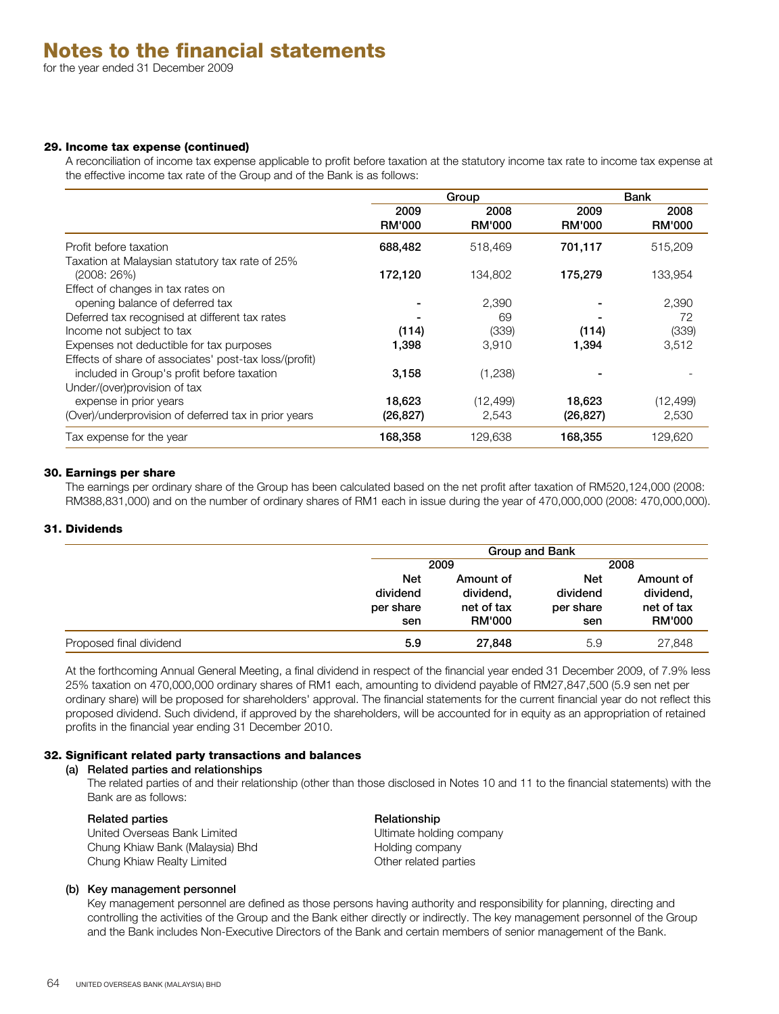## 29. Income tax expense (continued)

A reconciliation of income tax expense applicable to profit before taxation at the statutory income tax rate to income tax expense at the effective income tax rate of the Group and of the Bank is as follows:

|                                                        | Group         |               | Bank          |               |
|--------------------------------------------------------|---------------|---------------|---------------|---------------|
|                                                        | 2009          | 2008          | 2009          | 2008          |
|                                                        | <b>RM'000</b> | <b>RM'000</b> | <b>RM'000</b> | <b>RM'000</b> |
| Profit before taxation                                 | 688,482       | 518,469       | 701,117       | 515,209       |
| Taxation at Malaysian statutory tax rate of 25%        |               |               |               |               |
| (2008:26%)                                             | 172,120       | 134,802       | 175,279       | 133,954       |
| Effect of changes in tax rates on                      |               |               |               |               |
| opening balance of deferred tax                        |               | 2,390         |               | 2,390         |
| Deferred tax recognised at different tax rates         |               | 69            |               | 72            |
| Income not subject to tax                              | (114)         | (339)         | (114)         | (339)         |
| Expenses not deductible for tax purposes               | 1,398         | 3,910         | 1,394         | 3,512         |
| Effects of share of associates' post-tax loss/(profit) |               |               |               |               |
| included in Group's profit before taxation             | 3,158         | (1,238)       |               |               |
| Under/(over)provision of tax                           |               |               |               |               |
| expense in prior years                                 | 18,623        | (12, 499)     | 18,623        | (12, 499)     |
| (Over)/underprovision of deferred tax in prior years   | (26, 827)     | 2,543         | (26, 827)     | 2,530         |
| Tax expense for the year                               | 168,358       | 129,638       | 168,355       | 129,620       |

## 30. Earnings per share

The earnings per ordinary share of the Group has been calculated based on the net profit after taxation of RM520,124,000 (2008: RM388,831,000) and on the number of ordinary shares of RM1 each in issue during the year of 470,000,000 (2008: 470,000,000).

## 31. Dividends

|                         |                                            | Group and Bank                                        |                                            |                                                       |  |
|-------------------------|--------------------------------------------|-------------------------------------------------------|--------------------------------------------|-------------------------------------------------------|--|
|                         | 2009<br>2008                               |                                                       |                                            |                                                       |  |
|                         | <b>Net</b><br>dividend<br>per share<br>sen | Amount of<br>dividend,<br>net of tax<br><b>RM'000</b> | <b>Net</b><br>dividend<br>per share<br>sen | Amount of<br>dividend,<br>net of tax<br><b>RM'000</b> |  |
| Proposed final dividend | 5.9                                        | 27,848                                                | 5.9                                        | 27,848                                                |  |

At the forthcoming Annual General Meeting, a final dividend in respect of the financial year ended 31 December 2009, of 7.9% less 25% taxation on 470,000,000 ordinary shares of RM1 each, amounting to dividend payable of RM27,847,500 (5.9 sen net per ordinary share) will be proposed for shareholders' approval. The financial statements for the current financial year do not reflect this proposed dividend. Such dividend, if approved by the shareholders, will be accounted for in equity as an appropriation of retained profits in the financial year ending 31 December 2010.

## 32. Significant related party transactions and balances

#### (a) Related parties and relationships

The related parties of and their relationship (other than those disclosed in Notes 10 and 11 to the financial statements) with the Bank are as follows:

**Related parties and Equipment Controlleries Actionship**<br>
Ultimate holding company<br>
Ultimate holding company United Overseas Bank Limited Chung Khiaw Bank (Malaysia) Bhd **Holding company** 

Chung Khiaw Realty Limited Chung Khiaw Realty Limited Chung Khiaw Pearties

## (b) Key management personnel

Key management personnel are defined as those persons having authority and responsibility for planning, directing and controlling the activities of the Group and the Bank either directly or indirectly. The key management personnel of the Group and the Bank includes Non-Executive Directors of the Bank and certain members of senior management of the Bank.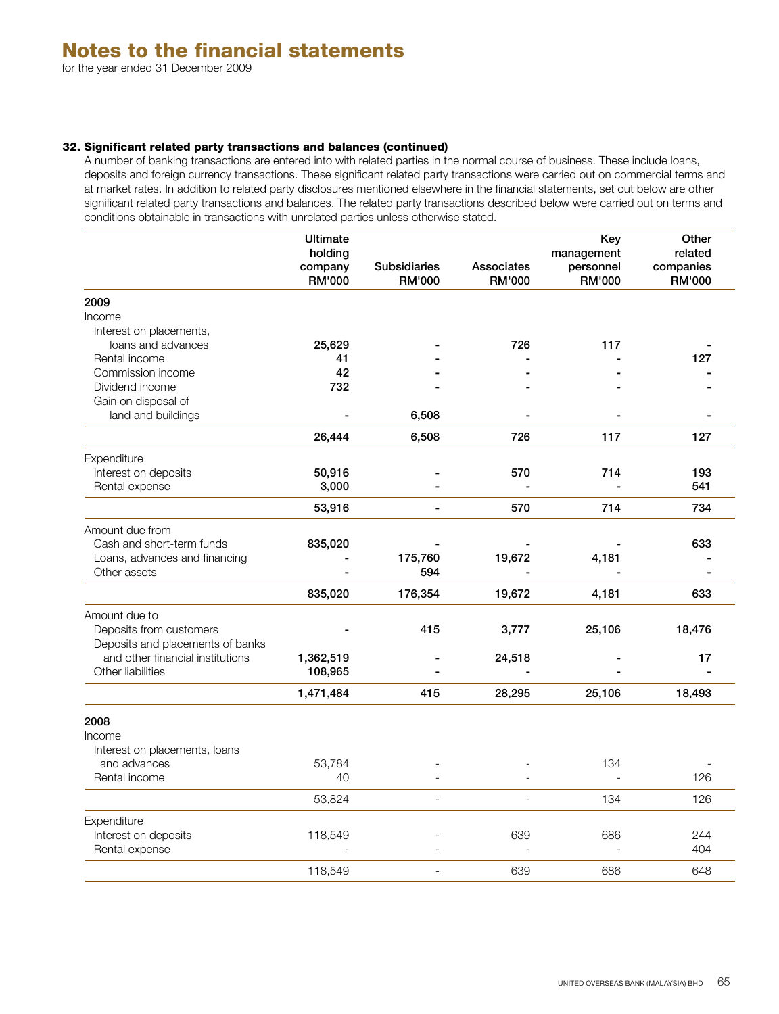## 32. Significant related party transactions and balances (continued)

A number of banking transactions are entered into with related parties in the normal course of business. These include loans, deposits and foreign currency transactions. These significant related party transactions were carried out on commercial terms and at market rates. In addition to related party disclosures mentioned elsewhere in the financial statements, set out below are other significant related party transactions and balances. The related party transactions described below were carried out on terms and conditions obtainable in transactions with unrelated parties unless otherwise stated.

|                                  | Ultimate<br>holding      |                               |                             | Key<br>management          | Other<br>related           |
|----------------------------------|--------------------------|-------------------------------|-----------------------------|----------------------------|----------------------------|
|                                  | company<br><b>RM'000</b> | Subsidiaries<br><b>RM'000</b> | Associates<br><b>RM'000</b> | personnel<br><b>RM'000</b> | companies<br><b>RM'000</b> |
| 2009                             |                          |                               |                             |                            |                            |
| Income                           |                          |                               |                             |                            |                            |
| Interest on placements,          |                          |                               |                             |                            |                            |
| loans and advances               | 25,629                   |                               | 726                         | 117                        |                            |
| Rental income                    | 41                       |                               |                             |                            | 127                        |
| Commission income                | 42                       |                               |                             |                            |                            |
| Dividend income                  | 732                      |                               |                             |                            |                            |
| Gain on disposal of              |                          |                               |                             |                            |                            |
| land and buildings               | ä,                       | 6,508                         |                             |                            |                            |
|                                  | 26,444                   | 6,508                         | 726                         | 117                        | 127                        |
| Expenditure                      |                          |                               |                             |                            |                            |
| Interest on deposits             | 50,916                   |                               | 570                         | 714                        | 193                        |
| Rental expense                   | 3,000                    |                               |                             |                            | 541                        |
|                                  | 53,916                   | ÷                             | 570                         | 714                        | 734                        |
| Amount due from                  |                          |                               |                             |                            |                            |
| Cash and short-term funds        | 835,020                  |                               |                             |                            | 633                        |
| Loans, advances and financing    |                          | 175,760                       | 19,672                      | 4,181                      |                            |
| Other assets                     |                          | 594                           |                             |                            |                            |
|                                  | 835,020                  | 176,354                       | 19,672                      | 4,181                      | 633                        |
| Amount due to                    |                          |                               |                             |                            |                            |
| Deposits from customers          |                          | 415                           | 3,777                       | 25,106                     | 18,476                     |
| Deposits and placements of banks |                          |                               |                             |                            |                            |
| and other financial institutions | 1,362,519                |                               | 24,518                      |                            | 17                         |
| Other liabilities                | 108,965                  |                               |                             |                            |                            |
|                                  | 1,471,484                | 415                           | 28,295                      | 25,106                     | 18,493                     |
| 2008                             |                          |                               |                             |                            |                            |
| Income                           |                          |                               |                             |                            |                            |
| Interest on placements, loans    |                          |                               |                             |                            |                            |
| and advances                     | 53,784                   |                               |                             | 134                        |                            |
| Rental income                    | 40                       |                               |                             |                            | 126                        |
|                                  | 53,824                   | $\overline{a}$                |                             | 134                        | 126                        |
| Expenditure                      |                          |                               |                             |                            |                            |
| Interest on deposits             | 118,549                  |                               | 639                         | 686                        | 244                        |
| Rental expense                   |                          |                               |                             |                            | 404                        |
|                                  |                          |                               |                             |                            |                            |
|                                  | 118,549                  |                               | 639                         | 686                        | 648                        |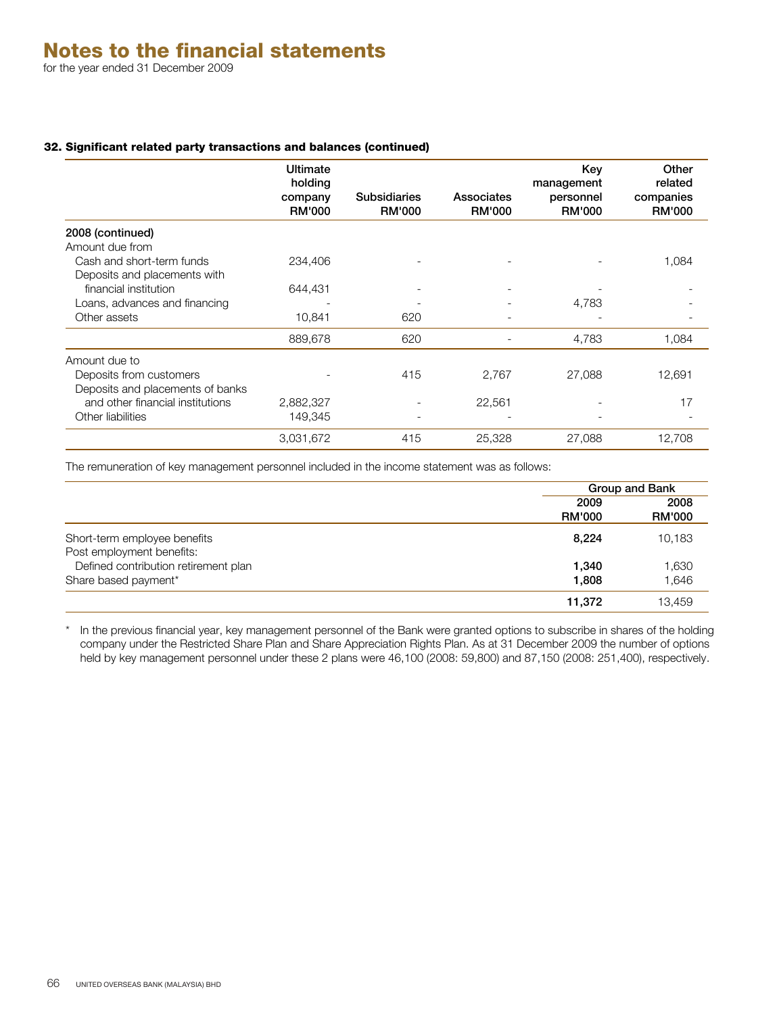## 32. Significant related party transactions and balances (continued)

|                                  | Ultimate<br>holding<br>company<br><b>RM'000</b> | <b>Subsidiaries</b><br><b>RM'000</b> | Associates<br><b>RM'000</b> | Key<br>management<br>personnel<br><b>RM'000</b> | Other<br>related<br>companies<br><b>RM'000</b> |
|----------------------------------|-------------------------------------------------|--------------------------------------|-----------------------------|-------------------------------------------------|------------------------------------------------|
| 2008 (continued)                 |                                                 |                                      |                             |                                                 |                                                |
| Amount due from                  |                                                 |                                      |                             |                                                 |                                                |
| Cash and short-term funds        | 234,406                                         |                                      |                             |                                                 | 1,084                                          |
| Deposits and placements with     |                                                 |                                      |                             |                                                 |                                                |
| financial institution            | 644,431                                         |                                      |                             |                                                 |                                                |
| Loans, advances and financing    |                                                 |                                      |                             | 4,783                                           |                                                |
| Other assets                     | 10,841                                          | 620                                  |                             |                                                 |                                                |
|                                  | 889,678                                         | 620                                  |                             | 4,783                                           | 1,084                                          |
| Amount due to                    |                                                 |                                      |                             |                                                 |                                                |
| Deposits from customers          |                                                 | 415                                  | 2,767                       | 27,088                                          | 12,691                                         |
| Deposits and placements of banks |                                                 |                                      |                             |                                                 |                                                |
| and other financial institutions | 2,882,327                                       |                                      | 22,561                      |                                                 | 17                                             |
| Other liabilities                | 149,345                                         | ۰                                    |                             |                                                 |                                                |
|                                  | 3,031,672                                       | 415                                  | 25,328                      | 27,088                                          | 12,708                                         |

The remuneration of key management personnel included in the income statement was as follows:

|                                      |               | Group and Bank |  |
|--------------------------------------|---------------|----------------|--|
|                                      | 2009          | 2008           |  |
|                                      | <b>RM'000</b> | <b>RM'000</b>  |  |
| Short-term employee benefits         | 8.224         | 10,183         |  |
| Post employment benefits:            |               |                |  |
| Defined contribution retirement plan | 1,340         | 1,630          |  |
| Share based payment*                 | 1,808         | 1,646          |  |
|                                      | 11,372        | 13.459         |  |

\* In the previous financial year, key management personnel of the Bank were granted options to subscribe in shares of the holding company under the Restricted Share Plan and Share Appreciation Rights Plan. As at 31 December 2009 the number of options held by key management personnel under these 2 plans were 46,100 (2008: 59,800) and 87,150 (2008: 251,400), respectively.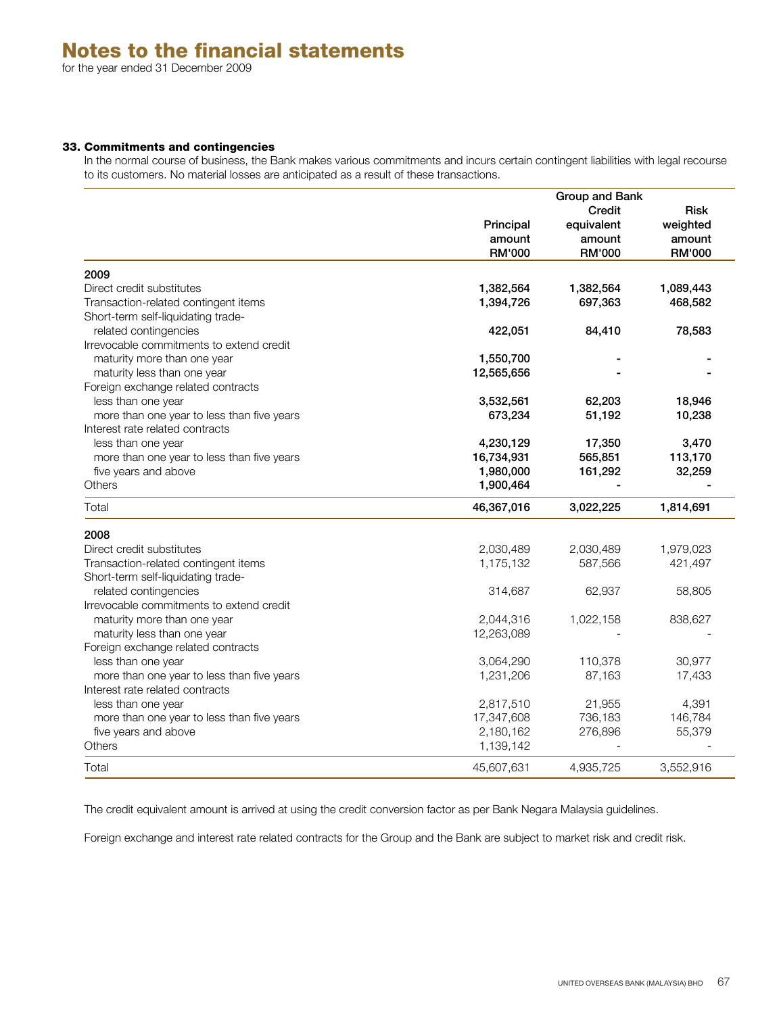## 33. Commitments and contingencies

In the normal course of business, the Bank makes various commitments and incurs certain contingent liabilities with legal recourse to its customers. No material losses are anticipated as a result of these transactions.

|                                            |               | Group and Bank |               |
|--------------------------------------------|---------------|----------------|---------------|
|                                            |               | Credit         | <b>Risk</b>   |
|                                            | Principal     | equivalent     | weighted      |
|                                            | amount        | amount         | amount        |
|                                            | <b>RM'000</b> | <b>RM'000</b>  | <b>RM'000</b> |
| 2009                                       |               |                |               |
| Direct credit substitutes                  | 1,382,564     | 1,382,564      | 1,089,443     |
| Transaction-related contingent items       | 1,394,726     | 697,363        | 468,582       |
| Short-term self-liquidating trade-         |               |                |               |
| related contingencies                      | 422,051       | 84,410         | 78,583        |
| Irrevocable commitments to extend credit   |               |                |               |
| maturity more than one year                | 1,550,700     |                |               |
| maturity less than one year                | 12,565,656    |                |               |
| Foreign exchange related contracts         |               |                |               |
| less than one year                         | 3,532,561     | 62,203         | 18,946        |
| more than one year to less than five years | 673,234       | 51,192         | 10,238        |
| Interest rate related contracts            |               |                |               |
| less than one year                         | 4,230,129     | 17,350         | 3,470         |
| more than one year to less than five years | 16,734,931    | 565,851        | 113,170       |
| five years and above                       | 1,980,000     | 161,292        | 32,259        |
| Others                                     | 1,900,464     |                |               |
| Total                                      | 46,367,016    | 3,022,225      | 1,814,691     |
| 2008                                       |               |                |               |
| Direct credit substitutes                  | 2,030,489     | 2,030,489      | 1,979,023     |
| Transaction-related contingent items       | 1,175,132     | 587,566        | 421,497       |
| Short-term self-liquidating trade-         |               |                |               |
| related contingencies                      | 314,687       | 62,937         | 58,805        |
| Irrevocable commitments to extend credit   |               |                |               |
| maturity more than one year                | 2,044,316     | 1,022,158      | 838,627       |
| maturity less than one year                | 12,263,089    |                |               |
| Foreign exchange related contracts         |               |                |               |
| less than one year                         | 3,064,290     | 110,378        | 30,977        |
| more than one year to less than five years | 1,231,206     | 87,163         | 17,433        |
| Interest rate related contracts            |               |                |               |
| less than one year                         | 2,817,510     | 21,955         | 4,391         |
| more than one year to less than five years | 17,347,608    | 736,183        | 146,784       |
| five years and above                       | 2,180,162     | 276,896        | 55,379        |
| Others                                     | 1,139,142     |                |               |
|                                            |               |                |               |
| Total                                      | 45,607,631    | 4,935,725      | 3,552,916     |

The credit equivalent amount is arrived at using the credit conversion factor as per Bank Negara Malaysia guidelines.

Foreign exchange and interest rate related contracts for the Group and the Bank are subject to market risk and credit risk.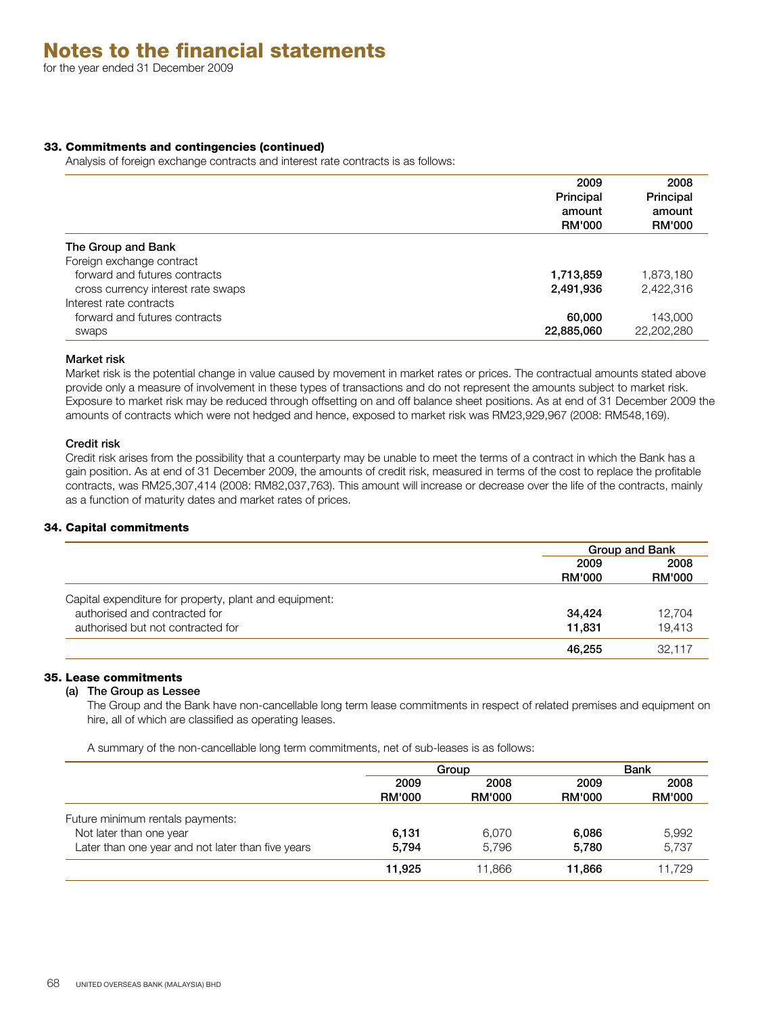## 33. Commitments and contingencies (continued)

Analysis of foreign exchange contracts and interest rate contracts is as follows:

|                                    | 2009<br>Principal<br>amount | 2008<br>Principal<br>amount |
|------------------------------------|-----------------------------|-----------------------------|
|                                    | <b>RM'000</b>               | <b>RM'000</b>               |
| The Group and Bank                 |                             |                             |
| Foreign exchange contract          |                             |                             |
| forward and futures contracts      | 1,713,859                   | 1,873,180                   |
| cross currency interest rate swaps | 2,491,936                   | 2.422.316                   |
| Interest rate contracts            |                             |                             |
| forward and futures contracts      | 60,000                      | 143,000                     |
| swaps                              | 22,885,060                  | 22,202,280                  |

## Market risk

Market risk is the potential change in value caused by movement in market rates or prices. The contractual amounts stated above provide only a measure of involvement in these types of transactions and do not represent the amounts subject to market risk. Exposure to market risk may be reduced through offsetting on and off balance sheet positions. As at end of 31 December 2009 the amounts of contracts which were not hedged and hence, exposed to market risk was RM23,929,967 (2008: RM548,169).

#### Credit risk

Credit risk arises from the possibility that a counterparty may be unable to meet the terms of a contract in which the Bank has a gain position. As at end of 31 December 2009, the amounts of credit risk, measured in terms of the cost to replace the profitable contracts, was RM25,307,414 (2008: RM82,037,763). This amount will increase or decrease over the life of the contracts, mainly as a function of maturity dates and market rates of prices.

#### 34. Capital commitments

|                                                        |               | Group and Bank |
|--------------------------------------------------------|---------------|----------------|
|                                                        | 2009          | 2008           |
|                                                        | <b>RM'000</b> | <b>RM'000</b>  |
| Capital expenditure for property, plant and equipment: |               |                |
| authorised and contracted for                          | 34.424        | 12,704         |
| authorised but not contracted for                      | 11.831        | 19.413         |
|                                                        | 46,255        | 32.117         |

## 35. Lease commitments

#### (a) The Group as Lessee

The Group and the Bank have non-cancellable long term lease commitments in respect of related premises and equipment on hire, all of which are classified as operating leases.

A summary of the non-cancellable long term commitments, net of sub-leases is as follows:

|                                                   |               | Group         |               | Bank          |  |
|---------------------------------------------------|---------------|---------------|---------------|---------------|--|
|                                                   | 2009          | 2008          | 2009          | 2008          |  |
|                                                   | <b>RM'000</b> | <b>RM'000</b> | <b>RM'000</b> | <b>RM'000</b> |  |
| Future minimum rentals payments:                  |               |               |               |               |  |
| Not later than one year                           | 6,131         | 6.070         | 6,086         | 5,992         |  |
| Later than one year and not later than five years | 5.794         | 5.796         | 5.780         | 5,737         |  |
|                                                   | 11,925        | 11.866        | 11,866        | 11.729        |  |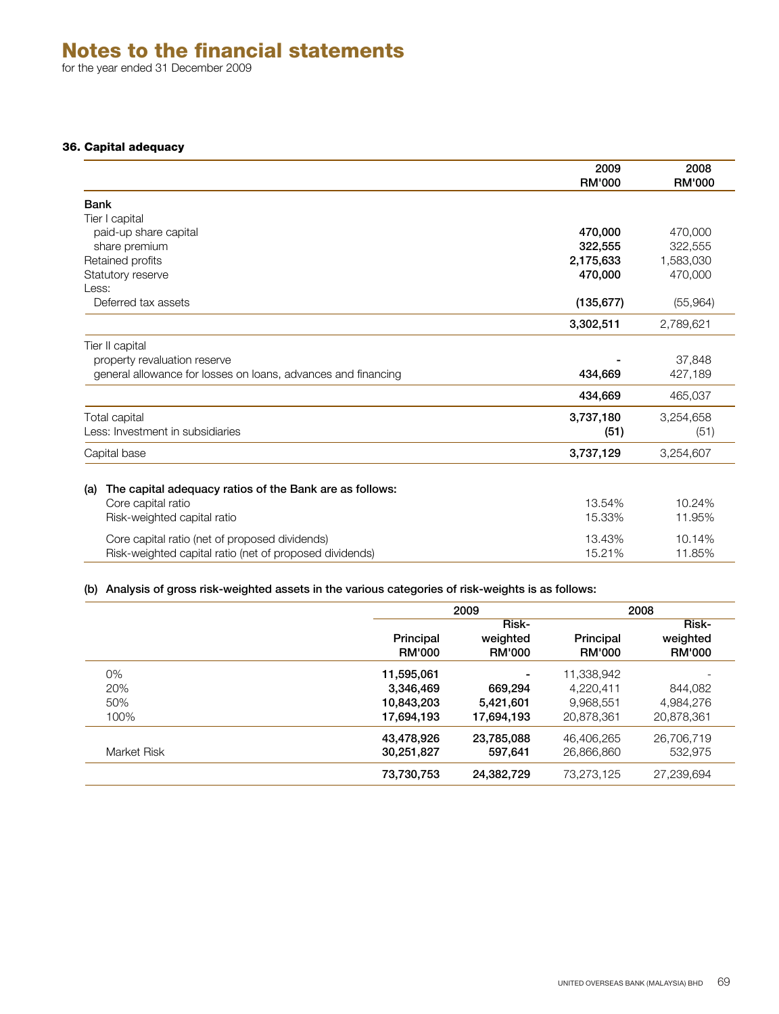## 36. Capital adequacy

|                                                                | 2009          | 2008          |
|----------------------------------------------------------------|---------------|---------------|
|                                                                | <b>RM'000</b> | <b>RM'000</b> |
| <b>Bank</b>                                                    |               |               |
| Tier I capital                                                 |               |               |
| paid-up share capital                                          | 470,000       | 470,000       |
| share premium                                                  | 322,555       | 322,555       |
| Retained profits                                               | 2,175,633     | 1,583,030     |
| Statutory reserve                                              | 470,000       | 470,000       |
| Less:                                                          |               |               |
| Deferred tax assets                                            | (135, 677)    | (55, 964)     |
|                                                                | 3,302,511     | 2,789,621     |
| Tier II capital                                                |               |               |
| property revaluation reserve                                   |               | 37.848        |
| general allowance for losses on loans, advances and financing  | 434,669       | 427,189       |
|                                                                | 434,669       | 465,037       |
| Total capital                                                  | 3,737,180     | 3,254,658     |
| Less: Investment in subsidiaries                               | (51)          | (51)          |
| Capital base                                                   | 3,737,129     | 3,254,607     |
|                                                                |               |               |
| The capital adequacy ratios of the Bank are as follows:<br>(a) |               |               |
| Core capital ratio                                             | 13.54%        | 10.24%        |
| Risk-weighted capital ratio                                    | 15.33%        | 11.95%        |
| Core capital ratio (net of proposed dividends)                 | 13.43%        | 10.14%        |
| Risk-weighted capital ratio (net of proposed dividends)        | 15.21%        | 11.85%        |

## (b) Analysis of gross risk-weighted assets in the various categories of risk-weights is as follows:

|             |               | 2009          | 2008          |               |  |
|-------------|---------------|---------------|---------------|---------------|--|
|             |               | <b>Risk-</b>  |               | <b>Risk-</b>  |  |
|             | Principal     | weighted      | Principal     | weighted      |  |
|             | <b>RM'000</b> | <b>RM'000</b> | <b>RM'000</b> | <b>RM'000</b> |  |
| 0%          | 11,595,061    |               | 11,338,942    |               |  |
| 20%         | 3,346,469     | 669,294       | 4,220,411     | 844,082       |  |
| 50%         | 10,843,203    | 5,421,601     | 9,968,551     | 4,984,276     |  |
| 100%        | 17,694,193    | 17,694,193    | 20,878,361    | 20,878,361    |  |
|             | 43,478,926    | 23,785,088    | 46,406,265    | 26,706,719    |  |
| Market Risk | 30,251,827    | 597,641       | 26,866,860    | 532,975       |  |
|             | 73,730,753    | 24,382,729    | 73,273,125    | 27,239,694    |  |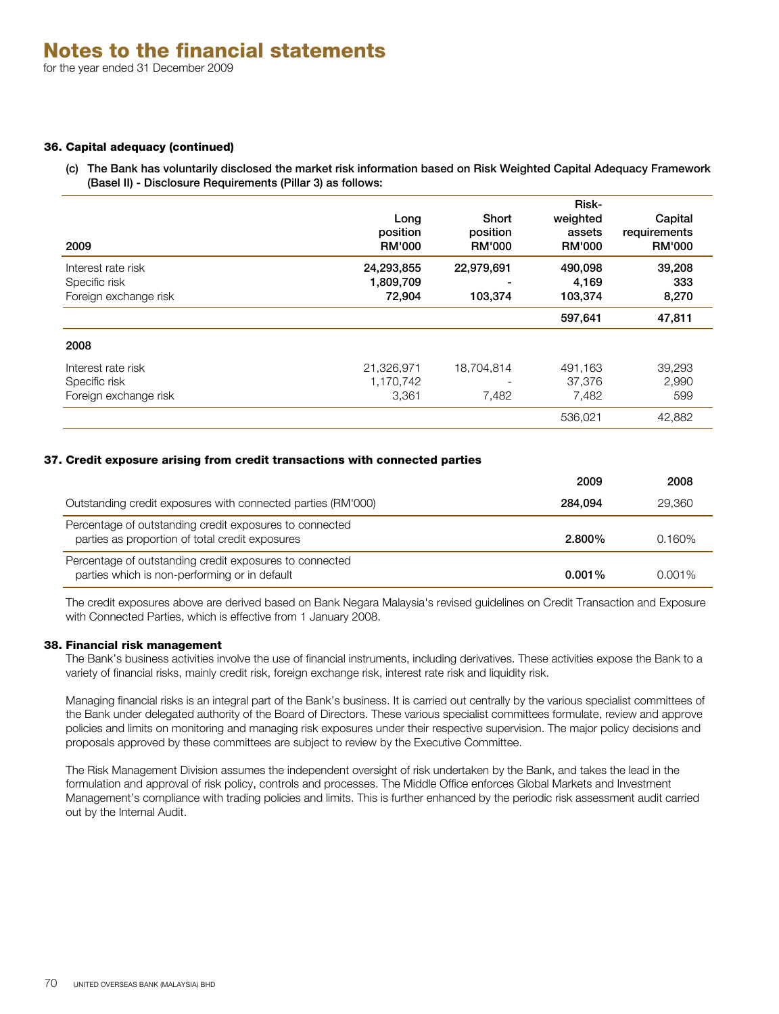#### 36. Capital adequacy (continued)

(c) The Bank has voluntarily disclosed the market risk information based on Risk Weighted Capital Adequacy Framework (Basel II) - Disclosure Requirements (Pillar 3) as follows:

| 2009                                                         | Long<br>position<br><b>RM'000</b> | Short<br>position<br><b>RM'000</b>                | Risk-<br>weighted<br>assets<br><b>RM'000</b> | Capital<br>requirements<br><b>RM'000</b> |
|--------------------------------------------------------------|-----------------------------------|---------------------------------------------------|----------------------------------------------|------------------------------------------|
| Interest rate risk<br>Specific risk<br>Foreign exchange risk | 24,293,855<br>1,809,709<br>72,904 | 22,979,691<br>$\overline{\phantom{0}}$<br>103,374 | 490,098<br>4,169<br>103,374                  | 39,208<br>333<br>8,270                   |
|                                                              |                                   |                                                   | 597,641                                      | 47,811                                   |
| 2008                                                         |                                   |                                                   |                                              |                                          |
| Interest rate risk                                           | 21,326,971                        | 18,704,814                                        | 491,163                                      | 39,293                                   |
| Specific risk                                                | 1,170,742                         |                                                   | 37,376                                       | 2,990                                    |
| Foreign exchange risk                                        | 3,361                             | 7,482                                             | 7,482                                        | 599                                      |
|                                                              |                                   |                                                   | 536,021                                      | 42,882                                   |

## 37. Credit exposure arising from credit transactions with connected parties

|                                                                                                            | 2009      | 2008      |
|------------------------------------------------------------------------------------------------------------|-----------|-----------|
| Outstanding credit exposures with connected parties (RM'000)                                               | 284.094   | 29,360    |
| Percentage of outstanding credit exposures to connected<br>parties as proportion of total credit exposures | 2.800%    | $0.160\%$ |
| Percentage of outstanding credit exposures to connected<br>parties which is non-performing or in default   | $0.001\%$ | $0.001\%$ |

The credit exposures above are derived based on Bank Negara Malaysia's revised guidelines on Credit Transaction and Exposure with Connected Parties, which is effective from 1 January 2008.

## 38. Financial risk management

The Bank's business activities involve the use of financial instruments, including derivatives. These activities expose the Bank to a variety of financial risks, mainly credit risk, foreign exchange risk, interest rate risk and liquidity risk.

Managing financial risks is an integral part of the Bank's business. It is carried out centrally by the various specialist committees of the Bank under delegated authority of the Board of Directors. These various specialist committees formulate, review and approve policies and limits on monitoring and managing risk exposures under their respective supervision. The major policy decisions and proposals approved by these committees are subject to review by the Executive Committee.

The Risk Management Division assumes the independent oversight of risk undertaken by the Bank, and takes the lead in the formulation and approval of risk policy, controls and processes. The Middle Office enforces Global Markets and Investment Management's compliance with trading policies and limits. This is further enhanced by the periodic risk assessment audit carried out by the Internal Audit.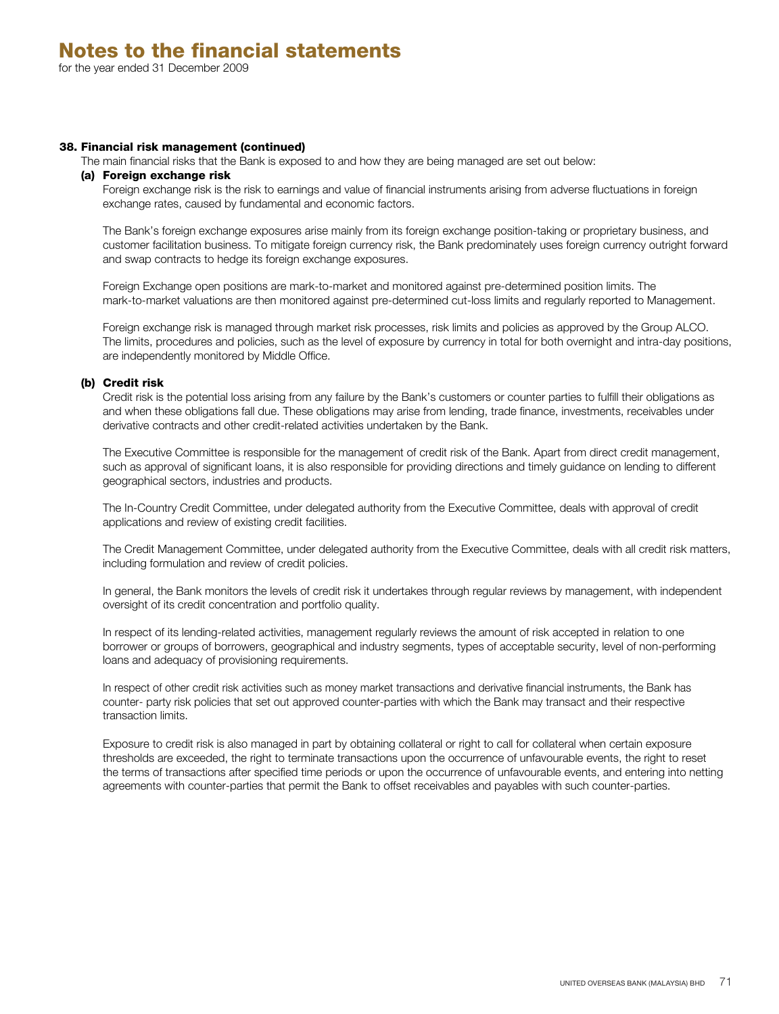#### 38. Financial risk management (continued)

The main financial risks that the Bank is exposed to and how they are being managed are set out below:

#### (a) Foreign exchange risk

Foreign exchange risk is the risk to earnings and value of financial instruments arising from adverse fluctuations in foreign exchange rates, caused by fundamental and economic factors.

The Bank's foreign exchange exposures arise mainly from its foreign exchange position-taking or proprietary business, and customer facilitation business. To mitigate foreign currency risk, the Bank predominately uses foreign currency outright forward and swap contracts to hedge its foreign exchange exposures.

Foreign Exchange open positions are mark-to-market and monitored against pre-determined position limits. The mark-to-market valuations are then monitored against pre-determined cut-loss limits and regularly reported to Management.

Foreign exchange risk is managed through market risk processes, risk limits and policies as approved by the Group ALCO. The limits, procedures and policies, such as the level of exposure by currency in total for both overnight and intra-day positions, are independently monitored by Middle Office.

## (b) Credit risk

Credit risk is the potential loss arising from any failure by the Bank's customers or counter parties to fulfill their obligations as and when these obligations fall due. These obligations may arise from lending, trade finance, investments, receivables under derivative contracts and other credit-related activities undertaken by the Bank.

The Executive Committee is responsible for the management of credit risk of the Bank. Apart from direct credit management, such as approval of significant loans, it is also responsible for providing directions and timely guidance on lending to different geographical sectors, industries and products.

The In-Country Credit Committee, under delegated authority from the Executive Committee, deals with approval of credit applications and review of existing credit facilities.

The Credit Management Committee, under delegated authority from the Executive Committee, deals with all credit risk matters, including formulation and review of credit policies.

In general, the Bank monitors the levels of credit risk it undertakes through regular reviews by management, with independent oversight of its credit concentration and portfolio quality.

In respect of its lending-related activities, management regularly reviews the amount of risk accepted in relation to one borrower or groups of borrowers, geographical and industry segments, types of acceptable security, level of non-performing loans and adequacy of provisioning requirements.

In respect of other credit risk activities such as money market transactions and derivative financial instruments, the Bank has counter- party risk policies that set out approved counter-parties with which the Bank may transact and their respective transaction limits.

Exposure to credit risk is also managed in part by obtaining collateral or right to call for collateral when certain exposure thresholds are exceeded, the right to terminate transactions upon the occurrence of unfavourable events, the right to reset the terms of transactions after specified time periods or upon the occurrence of unfavourable events, and entering into netting agreements with counter-parties that permit the Bank to offset receivables and payables with such counter-parties.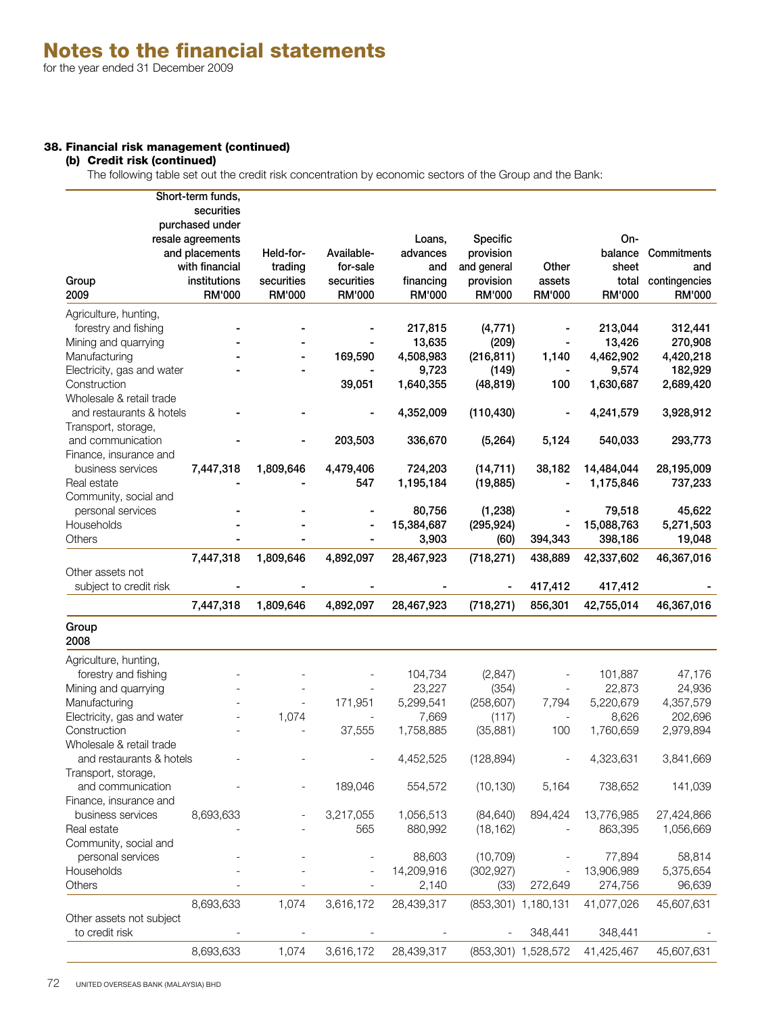## 38. Financial risk management (continued)

(b) Credit risk (continued)

The following table set out the credit risk concentration by economic sectors of the Group and the Bank:

|                                             | Short-term funds,<br>securities<br>purchased under |               |            |                    |                       |                     | On-           |                      |
|---------------------------------------------|----------------------------------------------------|---------------|------------|--------------------|-----------------------|---------------------|---------------|----------------------|
|                                             | resale agreements<br>and placements                | Held-for-     | Available- | Loans,<br>advances | Specific<br>provision |                     | balance       | Commitments          |
|                                             | with financial                                     | trading       | for-sale   | and                | and general           | Other               | sheet         | and                  |
| Group                                       | institutions                                       | securities    | securities | financing          | provision             | assets              | total         | contingencies        |
| 2009                                        | <b>RM'000</b>                                      | <b>RM'000</b> | RM'000     | <b>RM'000</b>      | RM'000                | <b>RM'000</b>       | <b>RM'000</b> | <b>RM'000</b>        |
|                                             |                                                    |               |            |                    |                       |                     |               |                      |
| Agriculture, hunting,                       |                                                    |               |            |                    |                       |                     |               |                      |
| forestry and fishing                        |                                                    |               |            | 217,815            | (4, 771)              |                     | 213,044       | 312,441              |
| Mining and quarrying                        |                                                    |               |            | 13,635             | (209)                 |                     | 13,426        | 270,908              |
| Manufacturing                               |                                                    |               | 169,590    | 4,508,983          | (216, 811)            | 1,140               | 4,462,902     | 4,420,218            |
| Electricity, gas and water                  |                                                    |               |            | 9,723              | (149)                 |                     | 9,574         | 182,929              |
| Construction                                |                                                    |               | 39,051     | 1,640,355          | (48, 819)             | 100                 | 1,630,687     | 2,689,420            |
| Wholesale & retail trade                    |                                                    |               |            |                    |                       |                     |               |                      |
| and restaurants & hotels                    |                                                    |               |            | 4,352,009          | (110, 430)            |                     | 4,241,579     | 3,928,912            |
| Transport, storage,                         |                                                    |               |            |                    |                       |                     |               |                      |
| and communication                           |                                                    |               | 203,503    | 336,670            | (5,264)               | 5,124               | 540,033       | 293,773              |
| Finance, insurance and                      |                                                    |               |            |                    |                       |                     |               |                      |
| business services                           | 7,447,318                                          | 1,809,646     | 4,479,406  | 724,203            | (14, 711)             | 38,182              | 14,484,044    | 28,195,009           |
| Real estate                                 |                                                    |               | 547        | 1,195,184          | (19, 885)             |                     | 1,175,846     | 737,233              |
| Community, social and                       |                                                    |               |            |                    |                       |                     |               |                      |
| personal services                           |                                                    |               |            | 80,756             | (1, 238)              |                     | 79,518        | 45,622               |
| Households                                  |                                                    |               |            | 15,384,687         | (295, 924)            |                     | 15,088,763    | 5,271,503            |
| Others                                      |                                                    |               |            | 3,903              | (60)                  | 394,343             | 398,186       | 19,048               |
|                                             | 7,447,318                                          | 1,809,646     | 4,892,097  | 28,467,923         | (718, 271)            | 438,889             | 42,337,602    | 46,367,016           |
| Other assets not                            |                                                    |               |            |                    |                       |                     |               |                      |
| subject to credit risk                      |                                                    |               |            |                    |                       | 417,412             | 417,412       |                      |
|                                             |                                                    |               |            |                    |                       |                     |               |                      |
|                                             |                                                    |               |            |                    |                       |                     |               |                      |
|                                             | 7,447,318                                          | 1,809,646     | 4,892,097  | 28,467,923         | (718, 271)            | 856,301             | 42,755,014    | 46,367,016           |
| Group<br>2008                               |                                                    |               |            |                    |                       |                     |               |                      |
| Agriculture, hunting,                       |                                                    |               |            |                    |                       |                     |               |                      |
| forestry and fishing                        |                                                    |               |            | 104,734            | (2, 847)              |                     | 101,887       | 47,176               |
| Mining and quarrying                        |                                                    |               |            | 23,227             | (354)                 |                     | 22,873        | 24,936               |
|                                             |                                                    |               | 171,951    | 5,299,541          |                       | 7,794               | 5,220,679     |                      |
| Manufacturing<br>Electricity, gas and water |                                                    |               |            |                    | (258, 607)            |                     |               | 4,357,579<br>202,696 |
|                                             |                                                    | 1,074         |            | 7,669              | (117)                 |                     | 8,626         |                      |
| Construction                                |                                                    |               | 37,555     | 1,758,885          | (35, 881)             | 100                 | 1,760,659     | 2,979,894            |
| Wholesale & retail trade                    |                                                    |               |            |                    |                       |                     |               |                      |
| and restaurants & hotels                    |                                                    |               |            | 4,452,525          | (128, 894)            |                     | 4,323,631     | 3,841,669            |
| Transport, storage,                         |                                                    |               |            |                    |                       |                     |               |                      |
| and communication                           |                                                    |               | 189,046    | 554,572            | (10, 130)             | 5,164               | 738,652       | 141,039              |
| Finance, insurance and                      |                                                    |               |            |                    |                       |                     |               |                      |
| business services                           | 8,693,633                                          |               | 3,217,055  | 1,056,513          | (84, 640)             | 894,424             | 13,776,985    | 27,424,866           |
| Real estate                                 |                                                    |               | 565        | 880,992            | (18, 162)             |                     | 863,395       | 1,056,669            |
| Community, social and                       |                                                    |               |            |                    |                       |                     |               |                      |
| personal services                           |                                                    |               |            | 88,603             | (10, 709)             |                     | 77,894        | 58,814               |
| Households                                  |                                                    |               |            | 14,209,916         | (302, 927)            |                     | 13,906,989    | 5,375,654            |
| Others                                      |                                                    |               |            | 2,140              | (33)                  | 272,649             | 274,756       | 96,639               |
|                                             | 8,693,633                                          | 1,074         | 3,616,172  | 28,439,317         |                       | (853,301) 1,180,131 | 41,077,026    | 45,607,631           |
| Other assets not subject<br>to credit risk  |                                                    |               |            |                    |                       | 348,441             | 348,441       |                      |
|                                             | 8,693,633                                          | 1,074         | 3,616,172  | 28,439,317         |                       | (853,301) 1,528,572 | 41,425,467    | 45,607,631           |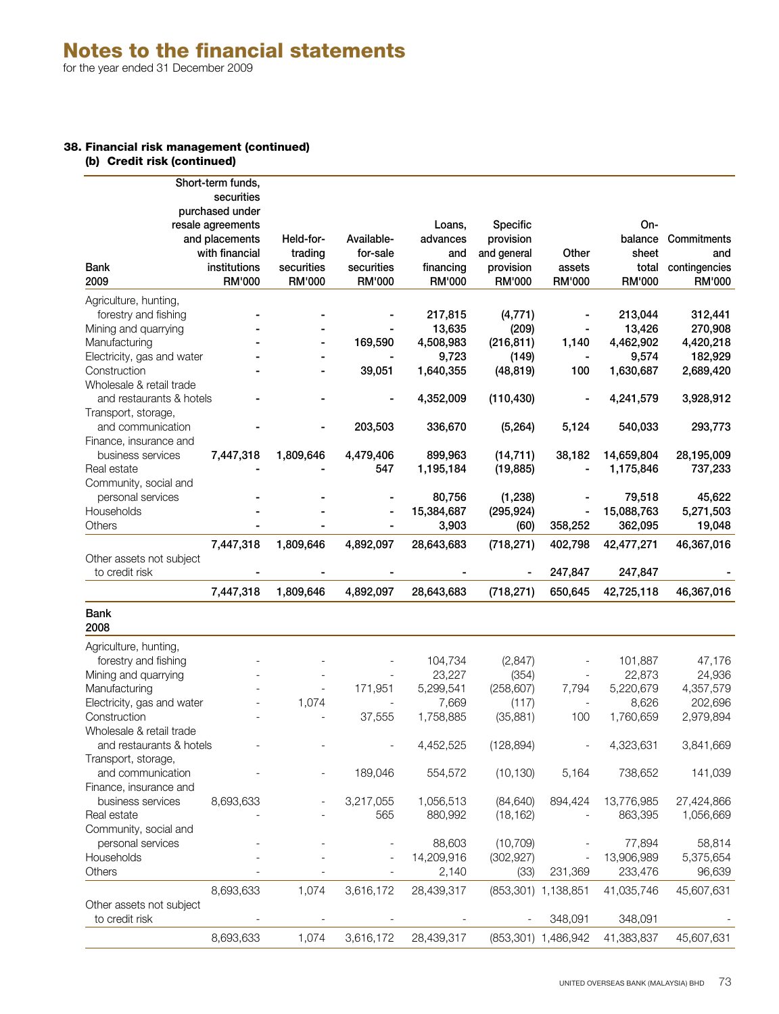# 38. Financial risk management (continued)

(b) Credit risk (continued)

|                            | Short-term funds, |               |            |               |             |                                |                       |               |
|----------------------------|-------------------|---------------|------------|---------------|-------------|--------------------------------|-----------------------|---------------|
|                            | securities        |               |            |               |             |                                |                       |               |
|                            | purchased under   |               |            |               |             |                                |                       |               |
|                            | resale agreements |               |            | Loans,        | Specific    |                                | On-                   |               |
|                            | and placements    | Held-for-     | Available- | advances      | provision   |                                | balance               | Commitments   |
|                            | with financial    | trading       | for-sale   | and           | and general | Other                          | sheet                 | and           |
| <b>Bank</b>                | institutions      | securities    | securities | financing     | provision   | assets                         | total                 | contingencies |
| 2009                       | <b>RM'000</b>     | <b>RM'000</b> | RM'000     | <b>RM'000</b> | RM'000      | <b>RM'000</b>                  | <b>RM'000</b>         | RM'000        |
| Agriculture, hunting,      |                   |               |            |               |             |                                |                       |               |
| forestry and fishing       |                   |               |            | 217,815       | (4, 771)    |                                | 213,044               | 312,441       |
| Mining and quarrying       |                   |               |            | 13,635        | (209)       |                                | 13,426                | 270,908       |
| Manufacturing              |                   |               | 169,590    | 4,508,983     | (216, 811)  | 1,140                          | 4,462,902             | 4,420,218     |
| Electricity, gas and water |                   |               |            | 9,723         | (149)       |                                | 9,574                 | 182,929       |
| Construction               |                   |               | 39,051     | 1,640,355     | (48, 819)   | 100                            | 1,630,687             | 2,689,420     |
| Wholesale & retail trade   |                   |               |            |               |             |                                |                       |               |
| and restaurants & hotels   |                   |               |            | 4,352,009     | (110, 430)  |                                | 4,241,579             | 3,928,912     |
| Transport, storage,        |                   |               |            |               |             |                                |                       |               |
| and communication          |                   |               | 203,503    | 336,670       | (5,264)     | 5,124                          | 540,033               | 293,773       |
| Finance, insurance and     |                   |               |            |               |             |                                |                       |               |
| business services          | 7,447,318         | 1,809,646     | 4,479,406  | 899,963       | (14, 711)   | 38,182                         | 14,659,804            | 28,195,009    |
| Real estate                |                   |               | 547        | 1,195,184     | (19, 885)   |                                | 1,175,846             | 737,233       |
| Community, social and      |                   |               |            |               |             |                                |                       |               |
| personal services          |                   |               |            | 80,756        | (1, 238)    |                                | 79,518                | 45,622        |
| Households                 |                   |               |            | 15,384,687    | (295, 924)  |                                | 15,088,763            | 5,271,503     |
| Others                     |                   |               |            | 3,903         | (60)        | 358,252                        | 362,095               | 19,048        |
|                            | 7,447,318         | 1,809,646     | 4,892,097  | 28,643,683    | (718, 271)  | 402,798                        | 42,477,271            | 46,367,016    |
| Other assets not subject   |                   |               |            |               |             |                                |                       |               |
|                            |                   |               |            |               |             |                                |                       |               |
|                            |                   |               |            |               |             |                                |                       |               |
| to credit risk             |                   |               |            |               |             | 247,847                        | 247,847               |               |
|                            | 7,447,318         | 1,809,646     | 4,892,097  | 28,643,683    | (718, 271)  | 650,645                        | 42,725,118            | 46,367,016    |
| <b>Bank</b>                |                   |               |            |               |             |                                |                       |               |
| 2008                       |                   |               |            |               |             |                                |                       |               |
| Agriculture, hunting,      |                   |               |            |               |             |                                |                       |               |
| forestry and fishing       |                   |               |            | 104,734       | (2, 847)    |                                | 101,887               | 47,176        |
| Mining and quarrying       |                   |               |            | 23,227        | (354)       |                                | 22,873                | 24,936        |
| Manufacturing              |                   |               | 171,951    | 5,299,541     | (258, 607)  | 7,794                          | 5,220,679             | 4,357,579     |
| Electricity, gas and water |                   | 1,074         |            | 7,669         | (117)       | $\overline{\phantom{m}}$       | 8,626                 | 202,696       |
| Construction               |                   |               | 37,555     | 1,758,885     | (35, 881)   | 100                            | 1,760,659             | 2,979,894     |
| Wholesale & retail trade   |                   |               |            |               |             |                                |                       |               |
| and restaurants & hotels   |                   |               |            | 4,452,525     | (128, 894)  |                                | 4.323.631             | 3,841,669     |
| Transport, storage,        |                   |               |            |               |             |                                |                       |               |
| and communication          |                   |               | 189,046    | 554,572       | (10, 130)   | 5,164                          | 738,652               | 141,039       |
| Finance, insurance and     |                   |               |            |               |             |                                |                       |               |
| business services          | 8,693,633         |               | 3,217,055  | 1,056,513     | (84, 640)   | 894,424                        | 13,776,985            | 27,424,866    |
| Real estate                |                   |               | 565        | 880,992       | (18, 162)   |                                | 863,395               | 1,056,669     |
| Community, social and      |                   |               |            |               |             |                                |                       |               |
| personal services          |                   |               |            | 88,603        | (10, 709)   |                                | 77,894                | 58,814        |
| Households                 |                   |               |            | 14,209,916    | (302, 927)  |                                | 13,906,989            | 5,375,654     |
| Others                     |                   |               |            | 2,140         | (33)        | 231,369                        | 233,476               | 96,639        |
|                            | 8,693,633         | 1,074         | 3,616,172  |               |             | (853,301) 1,138,851            | 41,035,746            |               |
| Other assets not subject   |                   |               |            | 28,439,317    |             |                                |                       | 45,607,631    |
| to credit risk             |                   |               |            |               |             |                                |                       |               |
|                            | 8,693,633         | 1,074         | 3,616,172  | 28,439,317    |             | 348,091<br>(853,301) 1,486,942 | 348,091<br>41,383,837 | 45,607,631    |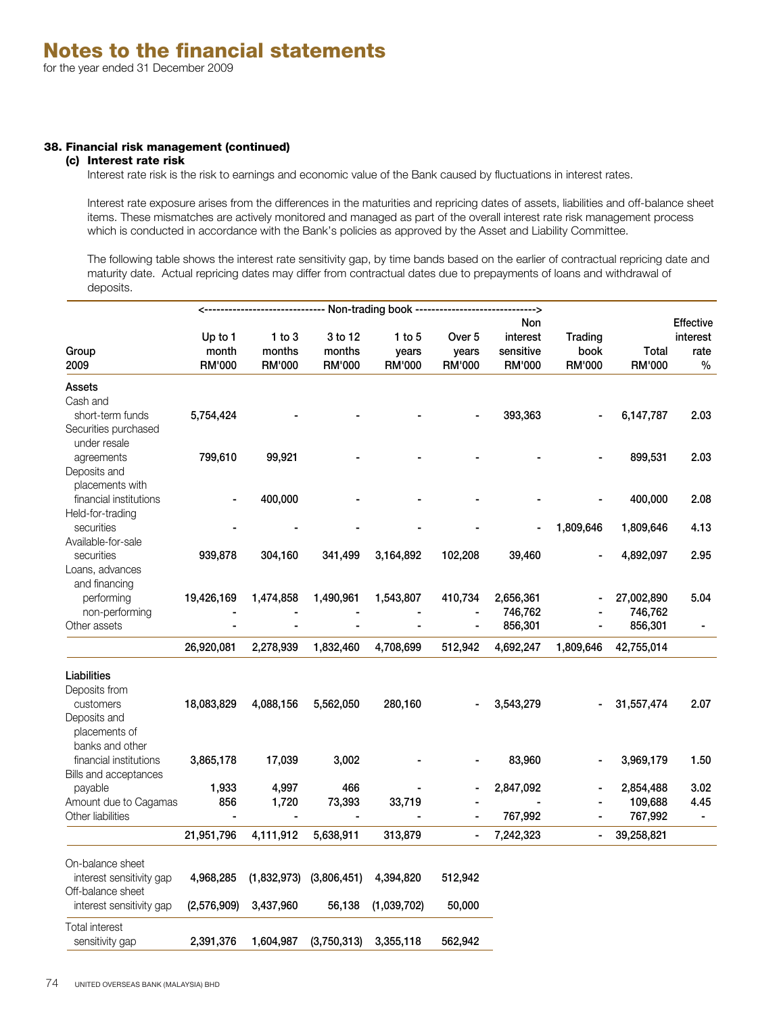#### 38. Financial risk management (continued)

#### (c) Interest rate risk

Interest rate risk is the risk to earnings and economic value of the Bank caused by fluctuations in interest rates.

Interest rate exposure arises from the differences in the maturities and repricing dates of assets, liabilities and off-balance sheet items. These mismatches are actively monitored and managed as part of the overall interest rate risk management process which is conducted in accordance with the Bank's policies as approved by the Asset and Liability Committee.

The following table shows the interest rate sensitivity gap, by time bands based on the earlier of contractual repricing date and maturity date. Actual repricing dates may differ from contractual dates due to prepayments of loans and withdrawal of deposits.

|                          |                |               |               | <------------------------------- Non-trading book -----------------------------> |                |               |                |               |                |
|--------------------------|----------------|---------------|---------------|----------------------------------------------------------------------------------|----------------|---------------|----------------|---------------|----------------|
|                          |                |               |               |                                                                                  |                | Non           |                |               | Effective      |
|                          | Up to 1        | $1$ to $3$    | 3 to 12       | 1 to $5$                                                                         | Over 5         | interest      | Trading        |               | interest       |
| Group                    | month          | months        | months        | years                                                                            | years          | sensitive     | book           | Total         | rate           |
| 2009                     | <b>RM'000</b>  | <b>RM'000</b> | <b>RM'000</b> | <b>RM'000</b>                                                                    | <b>RM'000</b>  | <b>RM'000</b> | RM'000         | <b>RM'000</b> | $\%$           |
| Assets                   |                |               |               |                                                                                  |                |               |                |               |                |
| Cash and                 |                |               |               |                                                                                  |                |               |                |               |                |
| short-term funds         | 5,754,424      |               |               |                                                                                  |                | 393,363       |                | 6,147,787     | 2.03           |
| Securities purchased     |                |               |               |                                                                                  |                |               |                |               |                |
| under resale             |                |               |               |                                                                                  |                |               |                |               |                |
| agreements               | 799,610        | 99,921        |               |                                                                                  |                |               |                | 899,531       | 2.03           |
| Deposits and             |                |               |               |                                                                                  |                |               |                |               |                |
| placements with          |                |               |               |                                                                                  |                |               |                |               |                |
| financial institutions   | $\blacksquare$ | 400,000       |               |                                                                                  |                |               |                | 400,000       | 2.08           |
| Held-for-trading         |                |               |               |                                                                                  |                |               |                |               |                |
| securities               |                |               |               |                                                                                  |                |               | 1,809,646      | 1,809,646     | 4.13           |
| Available-for-sale       |                |               |               |                                                                                  |                |               |                |               |                |
|                          |                |               |               |                                                                                  |                |               |                |               |                |
| securities               | 939,878        | 304,160       | 341,499       | 3,164,892                                                                        | 102,208        | 39,460        |                | 4,892,097     | 2.95           |
| Loans, advances          |                |               |               |                                                                                  |                |               |                |               |                |
| and financing            |                |               |               |                                                                                  |                |               |                |               |                |
| performing               | 19,426,169     | 1,474,858     | 1,490,961     | 1,543,807                                                                        | 410,734        | 2,656,361     |                | 27,002,890    | 5.04           |
| non-performing           |                |               |               |                                                                                  |                | 746,762       |                | 746,762       |                |
| Other assets             |                |               |               | ä,                                                                               | $\blacksquare$ | 856,301       |                | 856,301       | $\blacksquare$ |
|                          | 26,920,081     | 2,278,939     | 1,832,460     | 4,708,699                                                                        | 512,942        | 4,692,247     | 1,809,646      | 42,755,014    |                |
| Liabilities              |                |               |               |                                                                                  |                |               |                |               |                |
| Deposits from            |                |               |               |                                                                                  |                |               |                |               |                |
|                          |                |               |               | 280,160                                                                          |                |               |                |               |                |
| customers                | 18,083,829     | 4,088,156     | 5,562,050     |                                                                                  |                | 3,543,279     |                | 31,557,474    | 2.07           |
| Deposits and             |                |               |               |                                                                                  |                |               |                |               |                |
| placements of            |                |               |               |                                                                                  |                |               |                |               |                |
| banks and other          |                |               |               |                                                                                  |                |               |                |               |                |
| financial institutions   | 3,865,178      | 17,039        | 3,002         |                                                                                  |                | 83,960        |                | 3,969,179     | 1.50           |
| Bills and acceptances    |                |               |               |                                                                                  |                |               |                |               |                |
| payable                  | 1,933          | 4,997         | 466           |                                                                                  |                | 2,847,092     |                | 2,854,488     | 3.02           |
| Amount due to Cagamas    | 856            | 1,720         | 73,393        | 33,719                                                                           |                |               |                | 109,688       | 4.45           |
| Other liabilities        |                |               |               |                                                                                  |                | 767,992       |                | 767,992       | $\blacksquare$ |
|                          | 21,951,796     | 4,111,912     | 5,638,911     | 313,879                                                                          | $\blacksquare$ | 7,242,323     | $\blacksquare$ | 39,258,821    |                |
| On-balance sheet         |                |               |               |                                                                                  |                |               |                |               |                |
| interest sensitivity gap | 4,968,285      | (1,832,973)   | (3,806,451)   | 4,394,820                                                                        | 512,942        |               |                |               |                |
| Off-balance sheet        |                |               |               |                                                                                  |                |               |                |               |                |
| interest sensitivity gap | (2,576,909)    | 3,437,960     | 56,138        | (1,039,702)                                                                      | 50,000         |               |                |               |                |
| <b>Total interest</b>    |                |               |               |                                                                                  |                |               |                |               |                |
| sensitivity gap          | 2,391,376      | 1,604,987     | (3,750,313)   | 3,355,118                                                                        | 562,942        |               |                |               |                |
|                          |                |               |               |                                                                                  |                |               |                |               |                |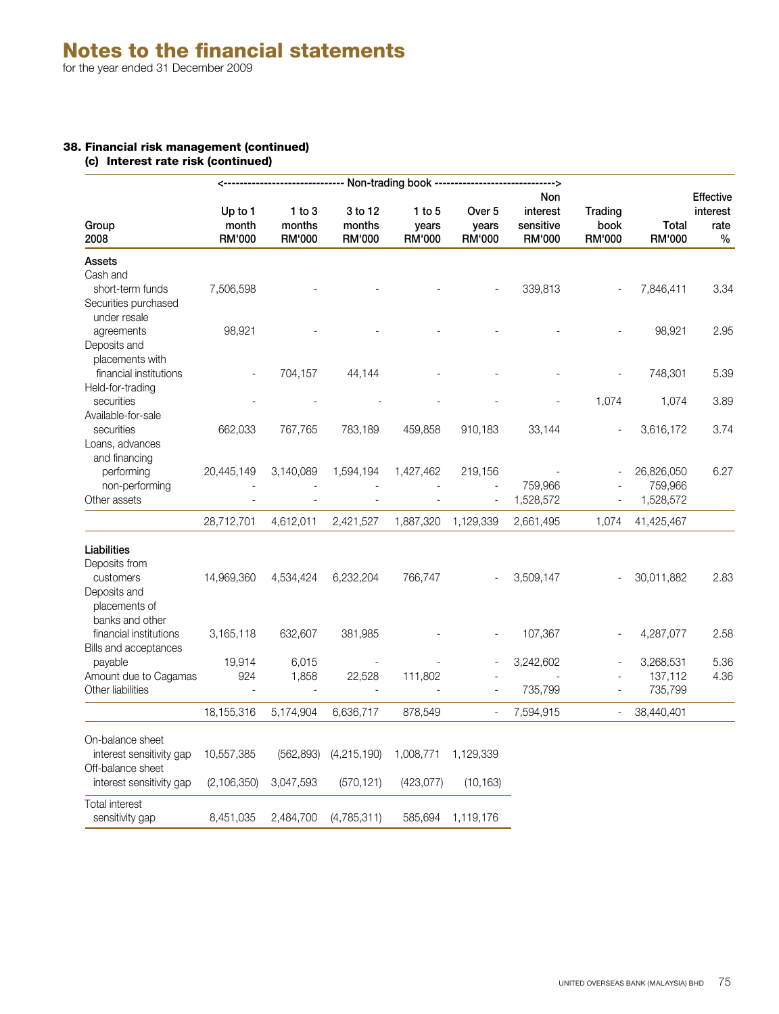# 38. Financial risk management (continued)

(c) Interest rate risk (continued)

|                          | ----->        |               |               |               |                |               |                          |               |                  |
|--------------------------|---------------|---------------|---------------|---------------|----------------|---------------|--------------------------|---------------|------------------|
|                          |               |               |               |               |                | Non           |                          |               | <b>Effective</b> |
|                          | Up to 1       | $1$ to $3$    | 3 to 12       | $1$ to 5      | Over 5         | interest      | Trading                  |               | interest         |
| Group                    | month         | months        | months        | years         | years          | sensitive     | book                     | Total         | rate             |
| 2008                     | <b>RM'000</b> | <b>RM'000</b> | <b>RM'000</b> | <b>RM'000</b> | <b>RM'000</b>  | <b>RM'000</b> | <b>RM'000</b>            | <b>RM'000</b> | $\%$             |
| Assets                   |               |               |               |               |                |               |                          |               |                  |
| Cash and                 |               |               |               |               |                |               |                          |               |                  |
| short-term funds         | 7,506,598     |               |               |               |                | 339,813       |                          | 7,846,411     | 3.34             |
| Securities purchased     |               |               |               |               |                |               |                          |               |                  |
| under resale             |               |               |               |               |                |               |                          |               |                  |
| agreements               | 98,921        |               |               |               |                |               |                          | 98,921        | 2.95             |
| Deposits and             |               |               |               |               |                |               |                          |               |                  |
| placements with          |               |               |               |               |                |               |                          |               |                  |
| financial institutions   |               | 704,157       | 44,144        |               |                |               |                          | 748,301       | 5.39             |
| Held-for-trading         |               |               |               |               |                |               |                          |               |                  |
| securities               |               |               |               |               |                |               | 1,074                    | 1,074         | 3.89             |
| Available-for-sale       |               |               |               |               |                |               |                          |               |                  |
| securities               |               |               |               |               |                | 33,144        | $\overline{a}$           |               |                  |
|                          | 662,033       | 767,765       | 783,189       | 459,858       | 910,183        |               |                          | 3,616,172     | 3.74             |
| Loans, advances          |               |               |               |               |                |               |                          |               |                  |
| and financing            |               |               |               |               |                |               |                          |               |                  |
| performing               | 20,445,149    | 3,140,089     | 1,594,194     | 1,427,462     | 219,156        |               |                          | 26,826,050    | 6.27             |
| non-performing           |               |               |               |               |                | 759,966       |                          | 759,966       |                  |
| Other assets             |               |               |               |               | $\overline{a}$ | 1,528,572     | $\overline{a}$           | 1,528,572     |                  |
|                          | 28,712,701    | 4,612,011     | 2,421,527     | 1,887,320     | 1,129,339      | 2,661,495     | 1,074                    | 41,425,467    |                  |
|                          |               |               |               |               |                |               |                          |               |                  |
| Liabilities              |               |               |               |               |                |               |                          |               |                  |
| Deposits from            |               |               |               |               |                |               |                          |               |                  |
| customers                | 14,969,360    | 4,534,424     | 6,232,204     | 766,747       |                | 3,509,147     | $\overline{\phantom{a}}$ | 30,011,882    | 2.83             |
| Deposits and             |               |               |               |               |                |               |                          |               |                  |
| placements of            |               |               |               |               |                |               |                          |               |                  |
| banks and other          |               |               |               |               |                |               |                          |               |                  |
| financial institutions   | 3,165,118     | 632,607       | 381,985       |               |                | 107,367       |                          | 4,287,077     | 2.58             |
| Bills and acceptances    |               |               |               |               |                |               |                          |               |                  |
| payable                  | 19,914        | 6,015         |               |               |                | 3,242,602     |                          | 3,268,531     | 5.36             |
| Amount due to Cagamas    | 924           | 1,858         | 22,528        | 111,802       |                |               |                          | 137,112       | 4.36             |
| Other liabilities        |               |               |               |               |                | 735,799       |                          | 735,799       |                  |
|                          | 18,155,316    | 5,174,904     | 6,636,717     | 878,549       |                | 7,594,915     |                          | 38,440,401    |                  |
|                          |               |               |               |               |                |               |                          |               |                  |
| On-balance sheet         |               |               |               |               |                |               |                          |               |                  |
| interest sensitivity gap | 10,557,385    | (562, 893)    | (4, 215, 190) | 1,008,771     | 1,129,339      |               |                          |               |                  |
| Off-balance sheet        |               |               |               |               |                |               |                          |               |                  |
| interest sensitivity gap | (2, 106, 350) | 3,047,593     | (570, 121)    | (423, 077)    | (10, 163)      |               |                          |               |                  |
| <b>Total interest</b>    |               |               |               |               |                |               |                          |               |                  |
| sensitivity gap          | 8,451,035     | 2,484,700     | (4,785,311)   | 585,694       | 1,119,176      |               |                          |               |                  |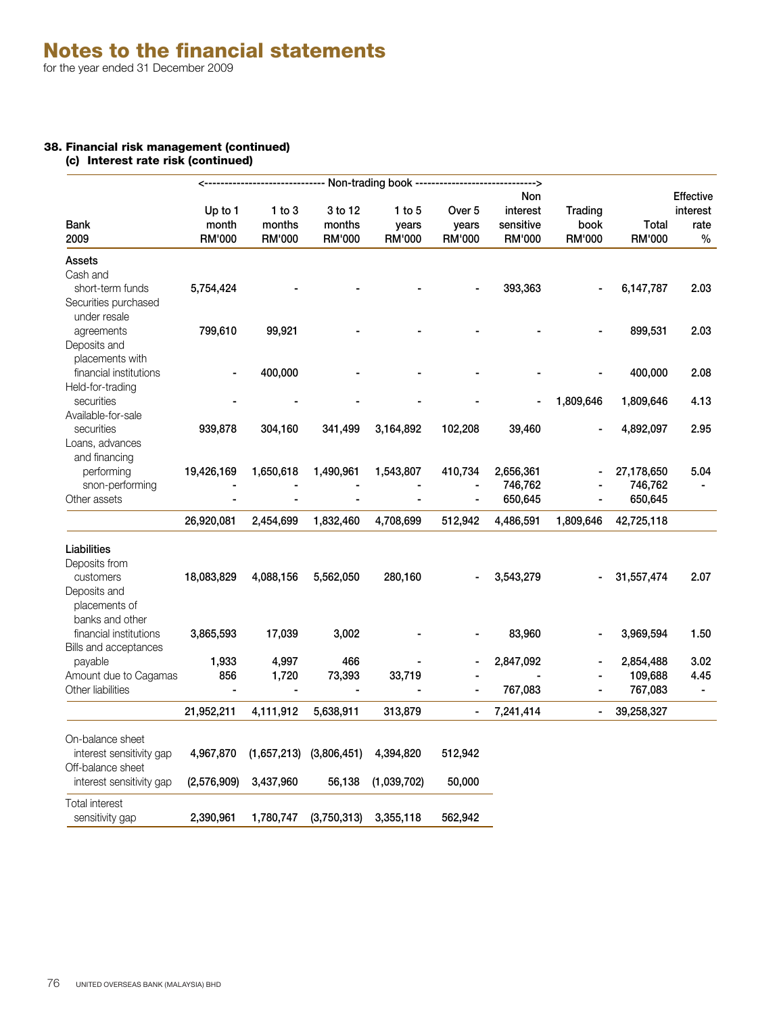# 38. Financial risk management (continued)

(c) Interest rate risk (continued)

|                          |                |                |               | <------------------------------- Non-trading book -----------------------------> |                |               |                |               |                |
|--------------------------|----------------|----------------|---------------|----------------------------------------------------------------------------------|----------------|---------------|----------------|---------------|----------------|
|                          |                |                |               |                                                                                  |                | Non           |                |               | Effective      |
|                          | Up to 1        | $1$ to $3$     | 3 to 12       | $1$ to $5$                                                                       | Over 5         | interest      | <b>Trading</b> |               | interest       |
| <b>Bank</b>              | month          | months         | months        | years                                                                            | years          | sensitive     | book           | Total         | rate           |
| 2009                     | <b>RM'000</b>  | RM'000         | <b>RM'000</b> | <b>RM'000</b>                                                                    | <b>RM'000</b>  | <b>RM'000</b> | <b>RM'000</b>  | <b>RM'000</b> | $\%$           |
| Assets                   |                |                |               |                                                                                  |                |               |                |               |                |
| Cash and                 |                |                |               |                                                                                  |                |               |                |               |                |
| short-term funds         | 5,754,424      |                |               |                                                                                  |                | 393,363       |                | 6,147,787     | 2.03           |
| Securities purchased     |                |                |               |                                                                                  |                |               |                |               |                |
| under resale             |                |                |               |                                                                                  |                |               |                |               |                |
| agreements               | 799,610        | 99,921         |               |                                                                                  |                |               |                | 899,531       | 2.03           |
| Deposits and             |                |                |               |                                                                                  |                |               |                |               |                |
| placements with          |                |                |               |                                                                                  |                |               |                |               |                |
| financial institutions   | $\blacksquare$ | 400,000        |               |                                                                                  |                |               |                | 400,000       | 2.08           |
| Held-for-trading         |                |                |               |                                                                                  |                |               |                |               |                |
|                          |                |                |               |                                                                                  |                |               | 1,809,646      |               |                |
| securities               |                |                |               |                                                                                  |                |               |                | 1,809,646     | 4.13           |
| Available-for-sale       |                |                |               |                                                                                  |                |               |                |               |                |
| securities               | 939,878        | 304,160        | 341,499       | 3,164,892                                                                        | 102,208        | 39,460        |                | 4,892,097     | 2.95           |
| Loans, advances          |                |                |               |                                                                                  |                |               |                |               |                |
| and financing            |                |                |               |                                                                                  |                |               |                |               |                |
| performing               | 19,426,169     | 1,650,618      | 1,490,961     | 1,543,807                                                                        | 410,734        | 2,656,361     |                | 27,178,650    | 5.04           |
| snon-performing          |                |                |               |                                                                                  |                | 746,762       |                | 746,762       |                |
| Other assets             |                |                |               | $\blacksquare$                                                                   | $\mathbf{r}$   | 650,645       | $\blacksquare$ | 650,645       |                |
|                          | 26,920,081     | 2,454,699      | 1,832,460     | 4,708,699                                                                        | 512,942        | 4,486,591     | 1,809,646      | 42,725,118    |                |
|                          |                |                |               |                                                                                  |                |               |                |               |                |
| <b>Liabilities</b>       |                |                |               |                                                                                  |                |               |                |               |                |
| Deposits from            |                |                |               |                                                                                  |                |               |                |               |                |
| customers                | 18,083,829     | 4,088,156      | 5,562,050     | 280,160                                                                          |                | 3,543,279     | $\blacksquare$ | 31,557,474    | 2.07           |
| Deposits and             |                |                |               |                                                                                  |                |               |                |               |                |
| placements of            |                |                |               |                                                                                  |                |               |                |               |                |
| banks and other          |                |                |               |                                                                                  |                |               |                |               |                |
| financial institutions   | 3,865,593      | 17,039         | 3,002         |                                                                                  |                | 83,960        |                | 3,969,594     | 1.50           |
| Bills and acceptances    |                |                |               |                                                                                  |                |               |                |               |                |
| payable                  | 1,933          | 4,997          | 466           |                                                                                  |                | 2,847,092     |                | 2,854,488     | 3.02           |
| Amount due to Cagamas    | 856            | 1,720          | 73,393        | 33,719                                                                           |                |               |                | 109,688       | 4.45           |
| Other liabilities        |                | $\blacksquare$ | ä,            |                                                                                  |                | 767,083       | $\blacksquare$ | 767,083       | $\blacksquare$ |
|                          | 21,952,211     | 4,111,912      | 5,638,911     | 313,879                                                                          | $\blacksquare$ | 7,241,414     |                | 39,258,327    |                |
|                          |                |                |               |                                                                                  |                |               |                |               |                |
| On-balance sheet         |                |                |               |                                                                                  |                |               |                |               |                |
| interest sensitivity gap | 4,967,870      | (1,657,213)    | (3,806,451)   | 4,394,820                                                                        | 512,942        |               |                |               |                |
| Off-balance sheet        |                |                |               |                                                                                  |                |               |                |               |                |
| interest sensitivity gap | (2,576,909)    | 3,437,960      | 56,138        | (1,039,702)                                                                      | 50,000         |               |                |               |                |
| Total interest           |                |                |               |                                                                                  |                |               |                |               |                |
| sensitivity gap          | 2,390,961      | 1,780,747      | (3,750,313)   | 3,355,118                                                                        | 562,942        |               |                |               |                |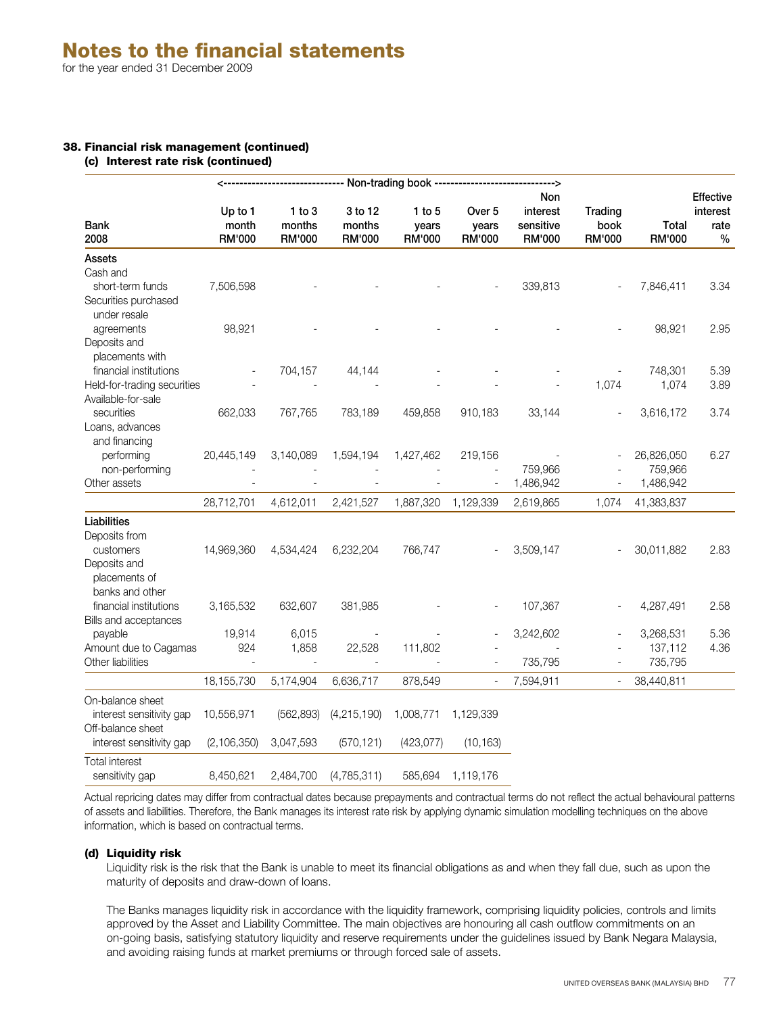## 38. Financial risk management (continued)

(c) Interest rate risk (continued)

|                                                                                               |                                   |                                       | --------------------------    Non-trading book ------------------- |                             |                           |                                               |                           |                                    |                                       |
|-----------------------------------------------------------------------------------------------|-----------------------------------|---------------------------------------|--------------------------------------------------------------------|-----------------------------|---------------------------|-----------------------------------------------|---------------------------|------------------------------------|---------------------------------------|
| <b>Bank</b><br>2008                                                                           | Up to 1<br>month<br><b>RM'000</b> | $1$ to $3$<br>months<br><b>RM'000</b> | 3 to 12<br>months<br><b>RM'000</b>                                 | 1 to $5$<br>years<br>RM'000 | Over 5<br>years<br>RM'000 | Non<br>interest<br>sensitive<br><b>RM'000</b> | Trading<br>book<br>RM'000 | Total<br><b>RM'000</b>             | Effective<br>interest<br>rate<br>$\%$ |
| Assets                                                                                        |                                   |                                       |                                                                    |                             |                           |                                               |                           |                                    |                                       |
| Cash and<br>short-term funds<br>Securities purchased                                          | 7,506,598                         |                                       |                                                                    |                             |                           | 339,813                                       |                           | 7,846,411                          | 3.34                                  |
| under resale<br>agreements<br>Deposits and<br>placements with                                 | 98,921                            |                                       |                                                                    |                             |                           |                                               |                           | 98,921                             | 2.95                                  |
| financial institutions                                                                        |                                   | 704,157                               | 44,144                                                             |                             |                           |                                               |                           | 748,301                            | 5.39                                  |
| Held-for-trading securities<br>Available-for-sale                                             |                                   |                                       |                                                                    |                             |                           |                                               | 1,074                     | 1,074                              | 3.89                                  |
| securities<br>Loans, advances<br>and financing                                                | 662,033                           | 767,765                               | 783,189                                                            | 459,858                     | 910,183                   | 33,144                                        | $\overline{\phantom{a}}$  | 3,616,172                          | 3.74                                  |
| performing<br>non-performing<br>Other assets                                                  | 20,445,149                        | 3,140,089                             | 1,594,194                                                          | 1,427,462                   | 219,156                   | 759,966<br>1,486,942                          |                           | 26,826,050<br>759,966<br>1,486,942 | 6.27                                  |
|                                                                                               | 28,712,701                        | 4,612,011                             | 2,421,527                                                          | 1,887,320                   | 1,129,339                 | 2,619,865                                     | 1,074                     | 41,383,837                         |                                       |
| Liabilities<br>Deposits from<br>customers<br>Deposits and                                     | 14,969,360                        | 4,534,424                             | 6,232,204                                                          | 766,747                     |                           | 3,509,147                                     |                           | 30,011,882                         | 2.83                                  |
| placements of<br>banks and other<br>financial institutions                                    | 3,165,532                         | 632,607                               | 381,985                                                            |                             |                           | 107,367                                       |                           | 4,287,491                          | 2.58                                  |
| Bills and acceptances<br>payable<br>Amount due to Cagamas<br>Other liabilities                | 19,914<br>924                     | 6,015<br>1,858                        | $\overline{\phantom{a}}$<br>22,528                                 | 111,802                     |                           | 3,242,602<br>735,795                          |                           | 3,268,531<br>137,112<br>735,795    | 5.36<br>4.36                          |
|                                                                                               | 18,155,730                        | 5,174,904                             | 6,636,717                                                          | 878,549                     | $\blacksquare$            | 7,594,911                                     |                           | 38,440,811                         |                                       |
| On-balance sheet<br>interest sensitivity gap<br>Off-balance sheet<br>interest sensitivity gap | 10,556,971<br>(2, 106, 350)       | (562, 893)<br>3,047,593               | (4,215,190)<br>(570, 121)                                          | 1,008,771<br>(423, 077)     | 1,129,339<br>(10, 163)    |                                               |                           |                                    |                                       |
| <b>Total interest</b>                                                                         |                                   |                                       |                                                                    |                             |                           |                                               |                           |                                    |                                       |
| sensitivity gap                                                                               | 8,450,621                         | 2,484,700                             | (4,785,311)                                                        | 585,694                     | 1,119,176                 |                                               |                           |                                    |                                       |

Actual repricing dates may differ from contractual dates because prepayments and contractual terms do not reflect the actual behavioural patterns of assets and liabilities. Therefore, the Bank manages its interest rate risk by applying dynamic simulation modelling techniques on the above information, which is based on contractual terms.

#### (d) Liquidity risk

Liquidity risk is the risk that the Bank is unable to meet its financial obligations as and when they fall due, such as upon the maturity of deposits and draw-down of loans.

The Banks manages liquidity risk in accordance with the liquidity framework, comprising liquidity policies, controls and limits approved by the Asset and Liability Committee. The main objectives are honouring all cash outflow commitments on an on-going basis, satisfying statutory liquidity and reserve requirements under the guidelines issued by Bank Negara Malaysia, and avoiding raising funds at market premiums or through forced sale of assets.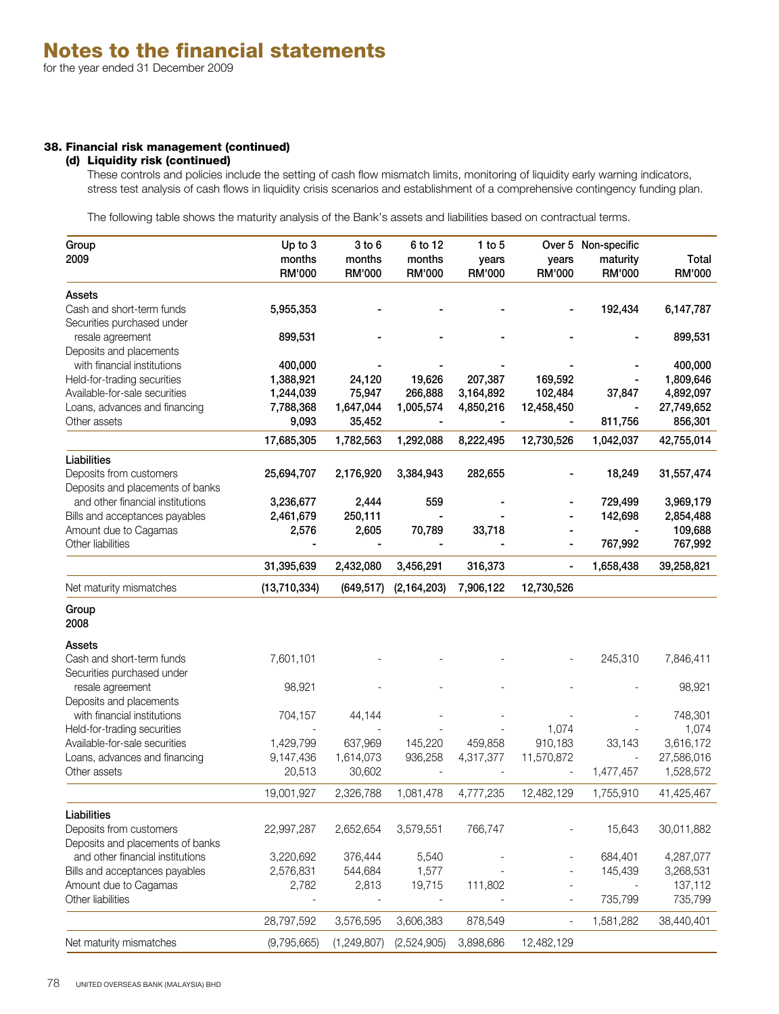# 38. Financial risk management (continued)

## (d) Liquidity risk (continued)

These controls and policies include the setting of cash flow mismatch limits, monitoring of liquidity early warning indicators, stress test analysis of cash flows in liquidity crisis scenarios and establishment of a comprehensive contingency funding plan.

The following table shows the maturity analysis of the Bank's assets and liabilities based on contractual terms.

| Group<br>2009                                           | Up to 3<br>months | $3$ to $6$<br>months | 6 to 12<br>months        | $1$ to $5$<br>years | years                        | Over 5 Non-specific<br>maturity | Total      |
|---------------------------------------------------------|-------------------|----------------------|--------------------------|---------------------|------------------------------|---------------------------------|------------|
|                                                         | <b>RM'000</b>     | <b>RM'000</b>        | RM'000                   | <b>RM'000</b>       | RM'000                       | RM'000                          | RM'000     |
| Assets                                                  |                   |                      |                          |                     |                              |                                 |            |
| Cash and short-term funds<br>Securities purchased under | 5,955,353         |                      |                          |                     |                              | 192,434                         | 6,147,787  |
| resale agreement                                        | 899,531           |                      |                          |                     |                              |                                 | 899,531    |
| Deposits and placements                                 |                   |                      |                          |                     |                              |                                 |            |
| with financial institutions                             | 400,000           |                      |                          |                     |                              |                                 | 400,000    |
| Held-for-trading securities                             | 1,388,921         | 24,120               | 19,626                   | 207,387             | 169,592                      |                                 | 1,809,646  |
| Available-for-sale securities                           | 1,244,039         | 75,947               | 266,888                  | 3,164,892           | 102,484                      | 37,847                          | 4,892,097  |
| Loans, advances and financing                           | 7,788,368         | 1,647,044            | 1,005,574                | 4,850,216           | 12,458,450                   |                                 | 27,749,652 |
| Other assets                                            | 9,093             | 35,452               |                          |                     |                              | 811,756                         | 856,301    |
|                                                         | 17,685,305        | 1,782,563            | 1,292,088                | 8,222,495           | 12,730,526                   | 1,042,037                       | 42,755,014 |
| <b>Liabilities</b>                                      |                   |                      |                          |                     |                              |                                 |            |
| Deposits from customers                                 | 25,694,707        | 2,176,920            | 3,384,943                | 282,655             |                              | 18,249                          | 31,557,474 |
| Deposits and placements of banks                        |                   |                      |                          |                     |                              |                                 |            |
| and other financial institutions                        | 3,236,677         | 2,444                | 559                      |                     |                              | 729,499                         | 3,969,179  |
| Bills and acceptances payables                          | 2,461,679         | 250,111              |                          |                     |                              | 142,698                         | 2,854,488  |
| Amount due to Cagamas                                   | 2,576             | 2,605                | 70,789                   | 33,718              |                              |                                 | 109,688    |
| Other liabilities                                       |                   |                      |                          |                     |                              | 767,992                         | 767,992    |
|                                                         | 31,395,639        | 2,432,080            | 3,456,291                | 316,373             | $\blacksquare$               | 1,658,438                       | 39,258,821 |
| Net maturity mismatches                                 | (13,710,334)      | (649, 517)           | (2, 164, 203)            | 7,906,122           | 12,730,526                   |                                 |            |
| Group                                                   |                   |                      |                          |                     |                              |                                 |            |
| 2008                                                    |                   |                      |                          |                     |                              |                                 |            |
| Assets                                                  |                   |                      |                          |                     |                              |                                 |            |
| Cash and short-term funds                               | 7,601,101         |                      |                          |                     |                              | 245,310                         | 7,846,411  |
| Securities purchased under                              |                   |                      |                          |                     |                              |                                 |            |
| resale agreement                                        | 98,921            |                      |                          |                     |                              |                                 | 98,921     |
| Deposits and placements                                 |                   |                      |                          |                     |                              |                                 |            |
| with financial institutions                             | 704,157           | 44,144               |                          |                     |                              |                                 | 748,301    |
| Held-for-trading securities                             |                   |                      |                          |                     | 1,074                        |                                 | 1,074      |
| Available-for-sale securities                           | 1,429,799         | 637,969              | 145,220                  | 459,858             | 910,183                      | 33,143                          | 3,616,172  |
| Loans, advances and financing                           | 9,147,436         | 1,614,073            | 936,258                  | 4,317,377           | 11,570,872                   | $\blacksquare$                  | 27,586,016 |
| Other assets                                            | 20,513            | 30,602               |                          |                     | $\qquad \qquad \blacksquare$ | 1,477,457                       | 1,528,572  |
|                                                         | 19,001,927        | 2,326,788            | 1,081,478                | 4,777,235           | 12,482,129                   | 1,755,910                       | 41,425,467 |
| Liabilities                                             |                   |                      |                          |                     |                              |                                 |            |
| Deposits from customers                                 | 22,997,287        | 2,652,654            | 3,579,551                | 766,747             |                              | 15,643                          | 30,011,882 |
| Deposits and placements of banks                        |                   |                      |                          |                     |                              |                                 |            |
| and other financial institutions                        | 3,220,692         | 376,444              | 5,540                    |                     |                              | 684,401                         | 4,287,077  |
| Bills and acceptances payables                          | 2,576,831         | 544,684              | 1,577                    |                     |                              | 145,439                         | 3,268,531  |
| Amount due to Cagamas                                   | 2,782             | 2,813                | 19,715                   | 111,802             |                              |                                 | 137,112    |
| Other liabilities                                       |                   |                      | $\overline{\phantom{a}}$ |                     |                              | 735,799                         | 735,799    |
|                                                         | 28,797,592        | 3,576,595            | 3,606,383                | 878,549             | $\overline{\phantom{a}}$     | 1,581,282                       | 38,440,401 |
| Net maturity mismatches                                 | (9,795,665)       | (1,249,807)          | (2,524,905)              | 3,898,686           | 12,482,129                   |                                 |            |
|                                                         |                   |                      |                          |                     |                              |                                 |            |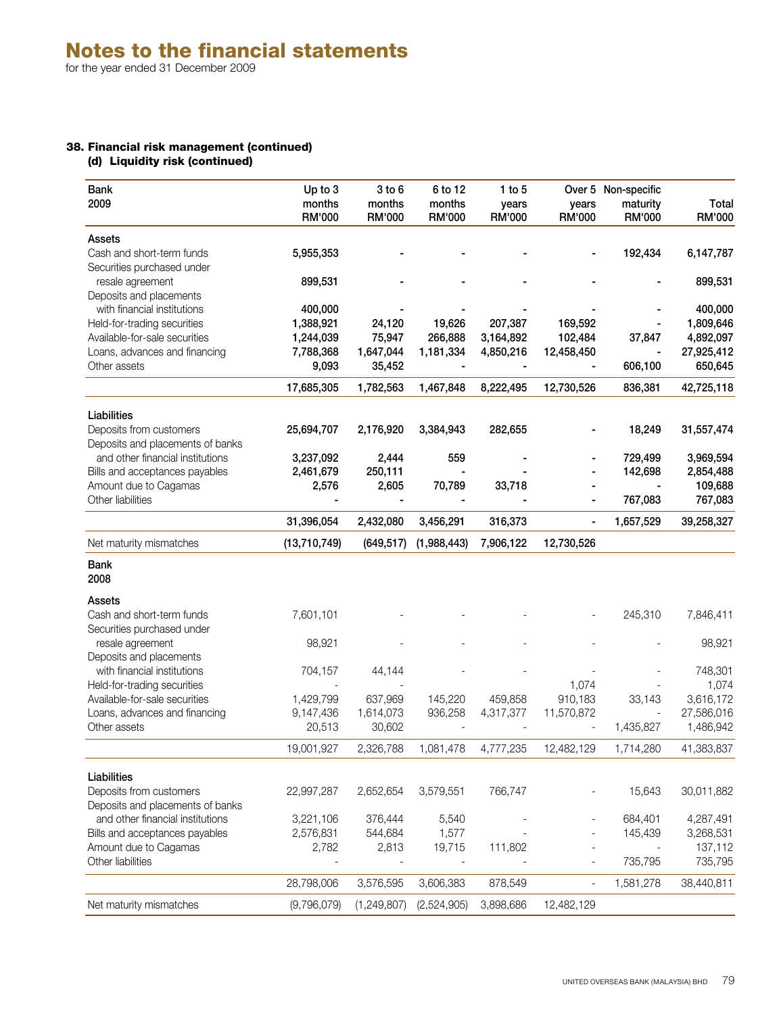# 38. Financial risk management (continued)

(d) Liquidity risk (continued)

| <b>Bank</b>                                                 | Up to 3      | $3$ to $6$    | 6 to 12        | 1 to $5$       |                | Over 5 Non-specific |            |
|-------------------------------------------------------------|--------------|---------------|----------------|----------------|----------------|---------------------|------------|
| 2009                                                        | months       | months        | months         | years          | years          | maturity            | Total      |
|                                                             | RM'000       | <b>RM'000</b> | RM'000         | RM'000         | <b>RM'000</b>  | <b>RM'000</b>       | RM'000     |
| Assets                                                      |              |               |                |                |                |                     |            |
| Cash and short-term funds                                   | 5,955,353    |               |                |                |                | 192,434             | 6,147,787  |
| Securities purchased under                                  |              |               |                |                |                |                     |            |
| resale agreement                                            | 899,531      |               |                |                |                |                     | 899,531    |
| Deposits and placements                                     |              |               |                |                |                |                     |            |
| with financial institutions                                 | 400,000      |               |                |                |                |                     | 400,000    |
| Held-for-trading securities                                 | 1,388,921    | 24,120        | 19,626         | 207,387        | 169,592        |                     | 1,809,646  |
| Available-for-sale securities                               | 1,244,039    | 75,947        | 266,888        | 3,164,892      | 102,484        | 37,847              | 4,892,097  |
| Loans, advances and financing                               | 7,788,368    | 1,647,044     | 1,181,334      | 4,850,216      | 12,458,450     | $\blacksquare$      | 27,925,412 |
| Other assets                                                | 9,093        | 35,452        | $\blacksquare$ | $\blacksquare$ |                | 606,100             | 650,645    |
|                                                             | 17,685,305   | 1,782,563     | 1,467,848      | 8,222,495      | 12,730,526     | 836,381             | 42,725,118 |
| Liabilities                                                 |              |               |                |                |                |                     |            |
| Deposits from customers<br>Deposits and placements of banks | 25,694,707   | 2,176,920     | 3,384,943      | 282,655        |                | 18,249              | 31,557,474 |
| and other financial institutions                            | 3,237,092    | 2,444         | 559            |                |                | 729,499             | 3,969,594  |
| Bills and acceptances payables                              | 2,461,679    | 250,111       |                |                |                | 142,698             | 2,854,488  |
| Amount due to Cagamas                                       | 2,576        | 2,605         | 70,789         | 33,718         |                |                     | 109,688    |
| Other liabilities                                           |              |               |                |                |                | 767,083             | 767,083    |
|                                                             | 31,396,054   | 2,432,080     | 3,456,291      | 316,373        | $\blacksquare$ | 1,657,529           | 39,258,327 |
|                                                             |              |               |                |                |                |                     |            |
| Net maturity mismatches                                     | (13,710,749) | (649, 517)    | (1,988,443)    | 7,906,122      | 12,730,526     |                     |            |
| Bank<br>2008                                                |              |               |                |                |                |                     |            |
| Assets                                                      |              |               |                |                |                |                     |            |
| Cash and short-term funds                                   | 7,601,101    |               |                |                |                | 245,310             | 7,846,411  |
| Securities purchased under                                  |              |               |                |                |                |                     |            |
| resale agreement                                            | 98,921       |               |                |                |                |                     | 98,921     |
| Deposits and placements                                     |              |               |                |                |                |                     |            |
| with financial institutions                                 | 704,157      | 44,144        |                |                |                |                     | 748,301    |
| Held-for-trading securities                                 |              |               |                |                | 1,074          |                     | 1,074      |
| Available-for-sale securities                               | 1,429,799    | 637,969       | 145,220        | 459,858        | 910,183        | 33,143              | 3,616,172  |
| Loans, advances and financing                               | 9,147,436    | 1,614,073     | 936,258        | 4,317,377      | 11,570,872     |                     | 27,586,016 |
| Other assets                                                | 20,513       | 30,602        |                |                |                | 1,435,827           | 1,486,942  |
|                                                             | 19,001,927   | 2,326,788     | 1,081,478      | 4,777,235      | 12,482,129     | 1,714,280           | 41.383.837 |
| Liabilities                                                 |              |               |                |                |                |                     |            |
| Deposits from customers                                     | 22,997,287   | 2,652,654     | 3,579,551      | 766,747        |                | 15,643              | 30,011,882 |
| Deposits and placements of banks                            |              |               |                |                |                |                     |            |
| and other financial institutions                            | 3,221,106    | 376,444       | 5,540          |                |                | 684,401             | 4,287,491  |
| Bills and acceptances payables                              | 2,576,831    | 544,684       | 1,577          |                |                | 145,439             | 3,268,531  |
| Amount due to Cagamas                                       | 2,782        | 2,813         | 19,715         | 111,802        |                |                     | 137,112    |
| Other liabilities                                           |              |               |                |                |                | 735,795             | 735,795    |
|                                                             | 28,798,006   | 3,576,595     | 3,606,383      | 878,549        | $\overline{a}$ | 1,581,278           | 38,440,811 |
| Net maturity mismatches                                     | (9,796,079)  | (1,249,807)   | (2,524,905)    | 3,898,686      | 12,482,129     |                     |            |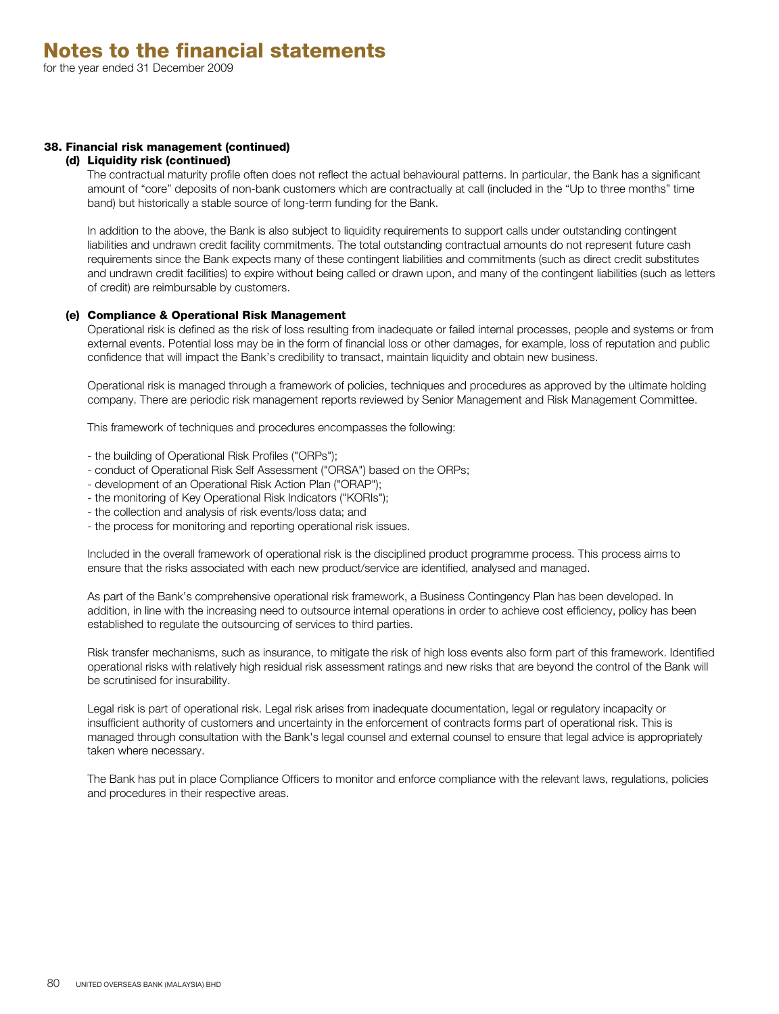#### 38. Financial risk management (continued)

#### (d) Liquidity risk (continued)

The contractual maturity profile often does not reflect the actual behavioural patterns. In particular, the Bank has a significant amount of "core" deposits of non-bank customers which are contractually at call (included in the "Up to three months" time band) but historically a stable source of long-term funding for the Bank.

In addition to the above, the Bank is also subject to liquidity requirements to support calls under outstanding contingent liabilities and undrawn credit facility commitments. The total outstanding contractual amounts do not represent future cash requirements since the Bank expects many of these contingent liabilities and commitments (such as direct credit substitutes and undrawn credit facilities) to expire without being called or drawn upon, and many of the contingent liabilities (such as letters of credit) are reimbursable by customers.

#### (e) Compliance & Operational Risk Management

Operational risk is defined as the risk of loss resulting from inadequate or failed internal processes, people and systems or from external events. Potential loss may be in the form of financial loss or other damages, for example, loss of reputation and public confidence that will impact the Bank's credibility to transact, maintain liquidity and obtain new business.

Operational risk is managed through a framework of policies, techniques and procedures as approved by the ultimate holding company. There are periodic risk management reports reviewed by Senior Management and Risk Management Committee.

This framework of techniques and procedures encompasses the following:

- the building of Operational Risk Profiles ("ORPs");
- conduct of Operational Risk Self Assessment ("ORSA") based on the ORPs;
- development of an Operational Risk Action Plan ("ORAP");
- the monitoring of Key Operational Risk Indicators ("KORIs");
- the collection and analysis of risk events/loss data; and
- the process for monitoring and reporting operational risk issues.

Included in the overall framework of operational risk is the disciplined product programme process. This process aims to ensure that the risks associated with each new product/service are identified, analysed and managed.

As part of the Bank's comprehensive operational risk framework, a Business Contingency Plan has been developed. In addition, in line with the increasing need to outsource internal operations in order to achieve cost efficiency, policy has been established to regulate the outsourcing of services to third parties.

Risk transfer mechanisms, such as insurance, to mitigate the risk of high loss events also form part of this framework. Identified operational risks with relatively high residual risk assessment ratings and new risks that are beyond the control of the Bank will be scrutinised for insurability.

Legal risk is part of operational risk. Legal risk arises from inadequate documentation, legal or regulatory incapacity or insufficient authority of customers and uncertainty in the enforcement of contracts forms part of operational risk. This is managed through consultation with the Bank's legal counsel and external counsel to ensure that legal advice is appropriately taken where necessary.

The Bank has put in place Compliance Officers to monitor and enforce compliance with the relevant laws, regulations, policies and procedures in their respective areas.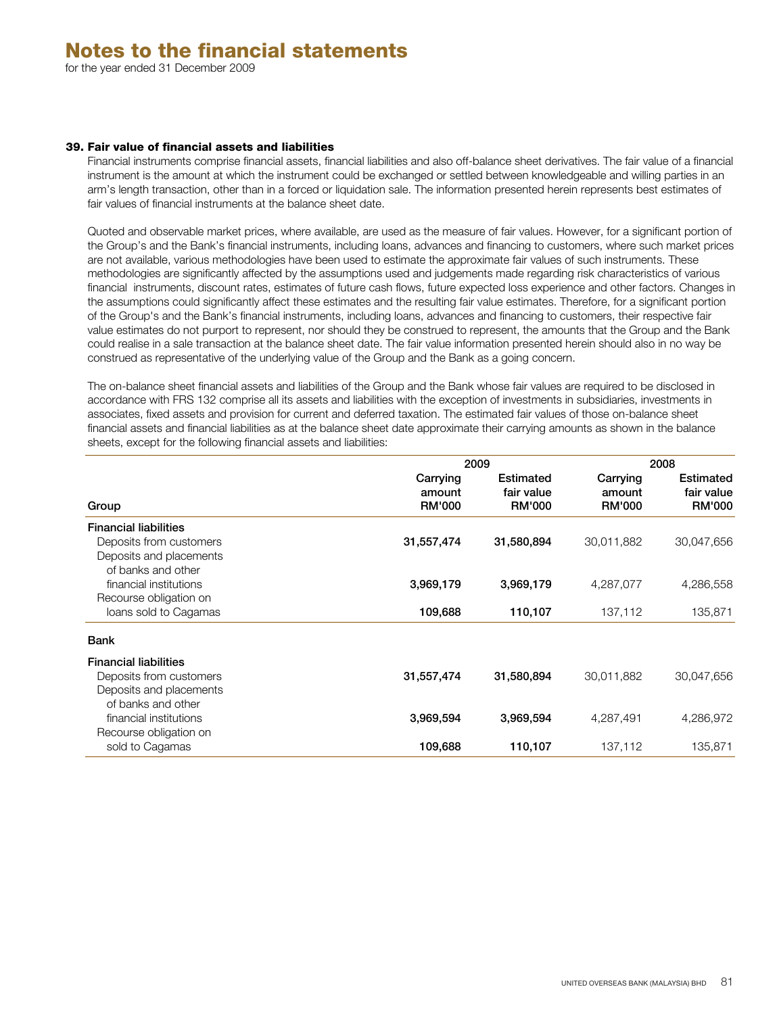#### 39. Fair value of financial assets and liabilities

Financial instruments comprise financial assets, financial liabilities and also off-balance sheet derivatives. The fair value of a financial instrument is the amount at which the instrument could be exchanged or settled between knowledgeable and willing parties in an arm's length transaction, other than in a forced or liquidation sale. The information presented herein represents best estimates of fair values of financial instruments at the balance sheet date.

Quoted and observable market prices, where available, are used as the measure of fair values. However, for a significant portion of the Group's and the Bank's financial instruments, including loans, advances and financing to customers, where such market prices are not available, various methodologies have been used to estimate the approximate fair values of such instruments. These methodologies are significantly affected by the assumptions used and judgements made regarding risk characteristics of various financial instruments, discount rates, estimates of future cash flows, future expected loss experience and other factors. Changes in the assumptions could significantly affect these estimates and the resulting fair value estimates. Therefore, for a significant portion of the Group's and the Bank's financial instruments, including loans, advances and financing to customers, their respective fair value estimates do not purport to represent, nor should they be construed to represent, the amounts that the Group and the Bank could realise in a sale transaction at the balance sheet date. The fair value information presented herein should also in no way be construed as representative of the underlying value of the Group and the Bank as a going concern.

The on-balance sheet financial assets and liabilities of the Group and the Bank whose fair values are required to be disclosed in accordance with FRS 132 comprise all its assets and liabilities with the exception of investments in subsidiaries, investments in associates, fixed assets and provision for current and deferred taxation. The estimated fair values of those on-balance sheet financial assets and financial liabilities as at the balance sheet date approximate their carrying amounts as shown in the balance sheets, except for the following financial assets and liabilities:

|                                                                          |                                     | 2009                                            |                                     |                                                 |  |  |
|--------------------------------------------------------------------------|-------------------------------------|-------------------------------------------------|-------------------------------------|-------------------------------------------------|--|--|
| Group                                                                    | Carrying<br>amount<br><b>RM'000</b> | <b>Estimated</b><br>fair value<br><b>RM'000</b> | Carrying<br>amount<br><b>RM'000</b> | <b>Estimated</b><br>fair value<br><b>RM'000</b> |  |  |
| <b>Financial liabilities</b>                                             |                                     |                                                 |                                     |                                                 |  |  |
| Deposits from customers<br>Deposits and placements<br>of banks and other | 31,557,474                          | 31,580,894                                      | 30,011,882                          | 30,047,656                                      |  |  |
| financial institutions                                                   | 3,969,179                           | 3,969,179                                       | 4,287,077                           | 4,286,558                                       |  |  |
| Recourse obligation on                                                   |                                     |                                                 |                                     |                                                 |  |  |
| loans sold to Cagamas                                                    | 109,688                             | 110,107                                         | 137,112                             | 135,871                                         |  |  |
| Bank                                                                     |                                     |                                                 |                                     |                                                 |  |  |
| <b>Financial liabilities</b>                                             |                                     |                                                 |                                     |                                                 |  |  |
| Deposits from customers                                                  | 31,557,474                          | 31,580,894                                      | 30,011,882                          | 30,047,656                                      |  |  |
| Deposits and placements                                                  |                                     |                                                 |                                     |                                                 |  |  |
| of banks and other                                                       |                                     |                                                 |                                     |                                                 |  |  |
| financial institutions                                                   | 3,969,594                           | 3,969,594                                       | 4,287,491                           | 4,286,972                                       |  |  |
| Recourse obligation on                                                   |                                     |                                                 |                                     |                                                 |  |  |
| sold to Cagamas                                                          | 109,688                             | 110,107                                         | 137,112                             | 135,871                                         |  |  |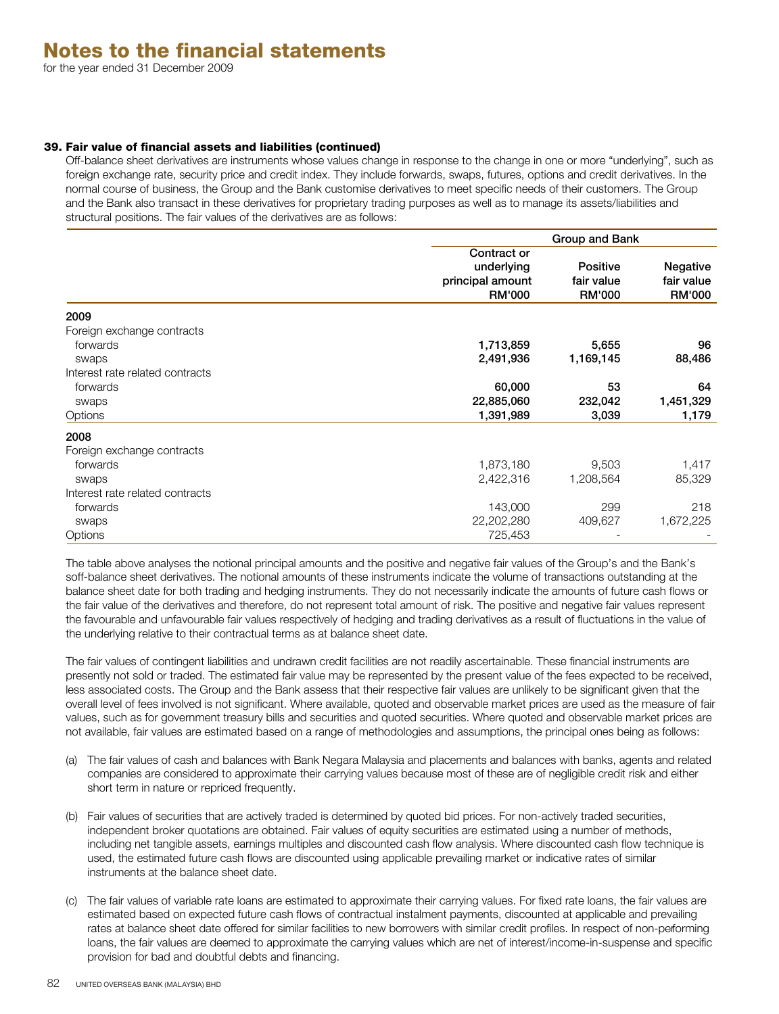## 39. Fair value of financial assets and liabilities (continued)

Off-balance sheet derivatives are instruments whose values change in response to the change in one or more "underlying", such as foreign exchange rate, security price and credit index. They include forwards, swaps, futures, options and credit derivatives. In the normal course of business, the Group and the Bank customise derivatives to meet specific needs of their customers. The Group and the Bank also transact in these derivatives for proprietary trading purposes as well as to manage its assets/liabilities and structural positions. The fair values of the derivatives are as follows:

|                                 | Group and Bank   |                 |                 |  |  |  |
|---------------------------------|------------------|-----------------|-----------------|--|--|--|
|                                 | Contract or      |                 |                 |  |  |  |
|                                 | underlying       | <b>Positive</b> | <b>Negative</b> |  |  |  |
|                                 | principal amount | fair value      | fair value      |  |  |  |
|                                 | <b>RM'000</b>    | <b>RM'000</b>   | <b>RM'000</b>   |  |  |  |
| 2009                            |                  |                 |                 |  |  |  |
| Foreign exchange contracts      |                  |                 |                 |  |  |  |
| forwards                        | 1,713,859        | 5,655           | 96              |  |  |  |
| swaps                           | 2,491,936        | 1,169,145       | 88,486          |  |  |  |
| Interest rate related contracts |                  |                 |                 |  |  |  |
| forwards                        | 60,000           | 53              | 64              |  |  |  |
| swaps                           | 22,885,060       | 232,042         | 1,451,329       |  |  |  |
| Options                         | 1,391,989        | 3,039           | 1,179           |  |  |  |
| 2008                            |                  |                 |                 |  |  |  |
| Foreign exchange contracts      |                  |                 |                 |  |  |  |
| forwards                        | 1,873,180        | 9,503           | 1,417           |  |  |  |
| swaps                           | 2,422,316        | 1,208,564       | 85,329          |  |  |  |
| Interest rate related contracts |                  |                 |                 |  |  |  |
| forwards                        | 143,000          | 299             | 218             |  |  |  |
| swaps                           | 22,202,280       | 409,627         | 1,672,225       |  |  |  |
| Options                         | 725,453          |                 |                 |  |  |  |

The table above analyses the notional principal amounts and the positive and negative fair values of the Group's and the Bank's soff-balance sheet derivatives. The notional amounts of these instruments indicate the volume of transactions outstanding at the balance sheet date for both trading and hedging instruments. They do not necessarily indicate the amounts of future cash flows or the fair value of the derivatives and therefore, do not represent total amount of risk. The positive and negative fair values represent the favourable and unfavourable fair values respectively of hedging and trading derivatives as a result of fluctuations in the value of the underlying relative to their contractual terms as at balance sheet date.

The fair values of contingent liabilities and undrawn credit facilities are not readily ascertainable. These financial instruments are presently not sold or traded. The estimated fair value may be represented by the present value of the fees expected to be received, less associated costs. The Group and the Bank assess that their respective fair values are unlikely to be significant given that the overall level of fees involved is not significant. Where available, quoted and observable market prices are used as the measure of fair values, such as for government treasury bills and securities and quoted securities. Where quoted and observable market prices are not available, fair values are estimated based on a range of methodologies and assumptions, the principal ones being as follows:

- (a) The fair values of cash and balances with Bank Negara Malaysia and placements and balances with banks, agents and related companies are considered to approximate their carrying values because most of these are of negligible credit risk and either short term in nature or repriced frequently.
- (b) Fair values of securities that are actively traded is determined by quoted bid prices. For non-actively traded securities, independent broker quotations are obtained. Fair values of equity securities are estimated using a number of methods, including net tangible assets, earnings multiples and discounted cash flow analysis. Where discounted cash flow technique is used, the estimated future cash flows are discounted using applicable prevailing market or indicative rates of similar instruments at the balance sheet date.
- (c) The fair values of variable rate loans are estimated to approximate their carrying values. For fixed rate loans, the fair values are estimated based on expected future cash flows of contractual instalment payments, discounted at applicable and prevailing rates at balance sheet date offered for similar facilities to new borrowers with similar credit profiles. In respect of non-performing loans, the fair values are deemed to approximate the carrying values which are net of interest/income-in-suspense and specific provision for bad and doubtful debts and financing.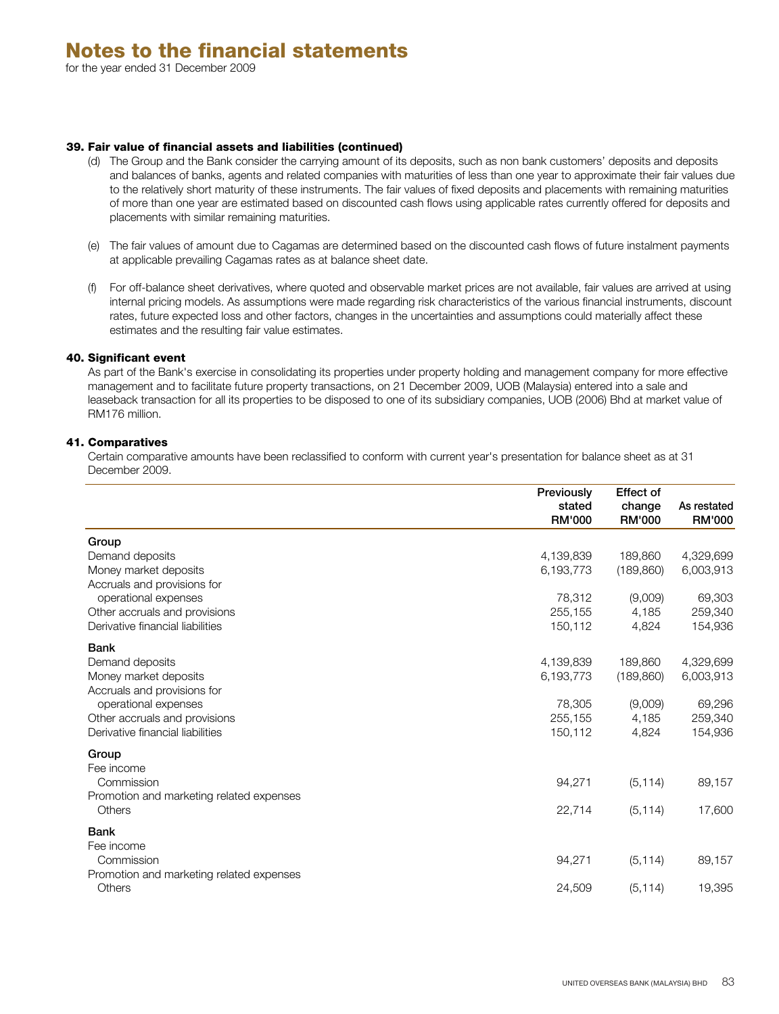#### 39. Fair value of financial assets and liabilities (continued)

- (d) The Group and the Bank consider the carrying amount of its deposits, such as non bank customers' deposits and deposits and balances of banks, agents and related companies with maturities of less than one year to approximate their fair values due to the relatively short maturity of these instruments. The fair values of fixed deposits and placements with remaining maturities of more than one year are estimated based on discounted cash flows using applicable rates currently offered for deposits and placements with similar remaining maturities.
- (e) The fair values of amount due to Cagamas are determined based on the discounted cash flows of future instalment payments at applicable prevailing Cagamas rates as at balance sheet date.
- (f) For off-balance sheet derivatives, where quoted and observable market prices are not available, fair values are arrived at using internal pricing models. As assumptions were made regarding risk characteristics of the various financial instruments, discount rates, future expected loss and other factors, changes in the uncertainties and assumptions could materially affect these estimates and the resulting fair value estimates.

#### 40. Significant event

As part of the Bank's exercise in consolidating its properties under property holding and management company for more effective management and to facilitate future property transactions, on 21 December 2009, UOB (Malaysia) entered into a sale and leaseback transaction for all its properties to be disposed to one of its subsidiary companies, UOB (2006) Bhd at market value of RM176 million.

#### 41. Comparatives

Certain comparative amounts have been reclassified to conform with current year's presentation for balance sheet as at 31 December 2009.

|                                          | Previously    | <b>Effect of</b> |               |
|------------------------------------------|---------------|------------------|---------------|
|                                          | stated        | change           | As restated   |
|                                          | <b>RM'000</b> | <b>RM'000</b>    | <b>RM'000</b> |
| Group                                    |               |                  |               |
| Demand deposits                          | 4,139,839     | 189,860          | 4,329,699     |
| Money market deposits                    | 6,193,773     | (189, 860)       | 6,003,913     |
| Accruals and provisions for              |               |                  |               |
| operational expenses                     | 78,312        | (9,009)          | 69,303        |
| Other accruals and provisions            | 255.155       | 4,185            | 259,340       |
| Derivative financial liabilities         | 150,112       | 4,824            | 154,936       |
| <b>Bank</b>                              |               |                  |               |
| Demand deposits                          | 4,139,839     | 189,860          | 4,329,699     |
| Money market deposits                    | 6,193,773     | (189, 860)       | 6,003,913     |
| Accruals and provisions for              |               |                  |               |
| operational expenses                     | 78,305        | (9,009)          | 69,296        |
| Other accruals and provisions            | 255,155       | 4,185            | 259,340       |
| Derivative financial liabilities         | 150,112       | 4,824            | 154,936       |
| Group                                    |               |                  |               |
| Fee income                               |               |                  |               |
| Commission                               | 94,271        | (5, 114)         | 89,157        |
| Promotion and marketing related expenses |               |                  |               |
| Others                                   | 22,714        | (5, 114)         | 17,600        |
| <b>Bank</b>                              |               |                  |               |
| Fee income                               |               |                  |               |
| Commission                               | 94,271        | (5, 114)         | 89,157        |
| Promotion and marketing related expenses |               |                  |               |
| Others                                   | 24,509        | (5, 114)         | 19,395        |
|                                          |               |                  |               |